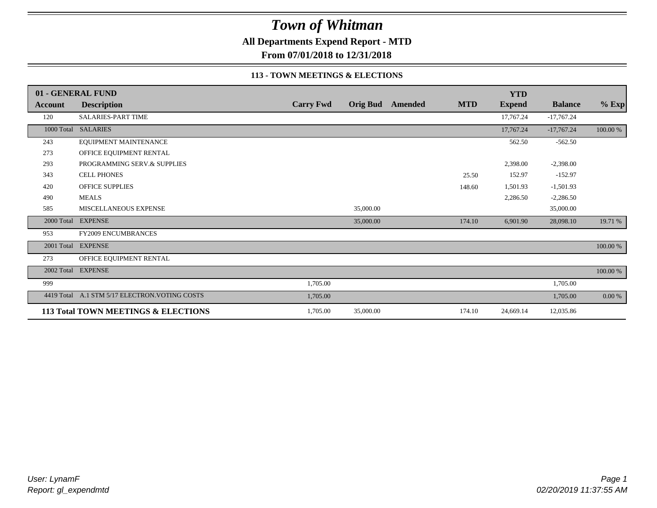**All Departments Expend Report - MTD**

**From 07/01/2018 to 12/31/2018**

#### **113 - TOWN MEETINGS & ELECTIONS**

|            | 01 - GENERAL FUND                   |                  |           |                  |            | <b>YTD</b>    |                |          |
|------------|-------------------------------------|------------------|-----------|------------------|------------|---------------|----------------|----------|
| Account    | <b>Description</b>                  | <b>Carry Fwd</b> |           | Orig Bud Amended | <b>MTD</b> | <b>Expend</b> | <b>Balance</b> | $%$ Exp  |
| 120        | <b>SALARIES-PART TIME</b>           |                  |           |                  |            | 17,767.24     | $-17,767.24$   |          |
|            | 1000 Total SALARIES                 |                  |           |                  |            | 17,767.24     | $-17,767.24$   | 100.00 % |
| 243        | EQUIPMENT MAINTENANCE               |                  |           |                  |            | 562.50        | $-562.50$      |          |
| 273        | OFFICE EQUIPMENT RENTAL             |                  |           |                  |            |               |                |          |
| 293        | PROGRAMMING SERV.& SUPPLIES         |                  |           |                  |            | 2,398.00      | $-2,398.00$    |          |
| 343        | <b>CELL PHONES</b>                  |                  |           |                  | 25.50      | 152.97        | $-152.97$      |          |
| 420        | <b>OFFICE SUPPLIES</b>              |                  |           |                  | 148.60     | 1,501.93      | $-1,501.93$    |          |
| 490        | <b>MEALS</b>                        |                  |           |                  |            | 2,286.50      | $-2,286.50$    |          |
| 585        | MISCELLANEOUS EXPENSE               |                  | 35,000.00 |                  |            |               | 35,000.00      |          |
| 2000 Total | <b>EXPENSE</b>                      |                  | 35,000.00 |                  | 174.10     | 6,901.90      | 28,098.10      | 19.71 %  |
| 953        | <b>FY2009 ENCUMBRANCES</b>          |                  |           |                  |            |               |                |          |
| 2001 Total | <b>EXPENSE</b>                      |                  |           |                  |            |               |                | 100.00 % |
| 273        | OFFICE EQUIPMENT RENTAL             |                  |           |                  |            |               |                |          |
|            | 2002 Total EXPENSE                  |                  |           |                  |            |               |                | 100.00 % |
| 999        |                                     | 1,705.00         |           |                  |            |               | 1,705.00       |          |
| 4419 Total | A.1 STM 5/17 ELECTRON. VOTING COSTS | 1,705.00         |           |                  |            |               | 1,705.00       | 0.00 %   |
|            | 113 Total TOWN MEETINGS & ELECTIONS | 1,705.00         | 35,000.00 |                  | 174.10     | 24,669.14     | 12,035.86      |          |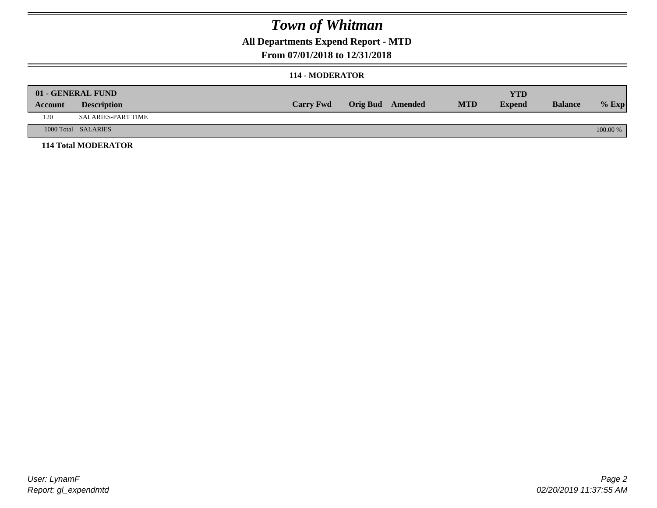## **All Departments Expend Report - MTD**

#### **From 07/01/2018 to 12/31/2018**

#### **114 - MODERATOR**

|         | 01 - GENERAL FUND<br><b>Description</b> | <b>Carry Fwd</b> | <b>Orig Bud</b> Amended | <b>MTD</b> | <b>YTD</b><br><b>Expend</b> | <b>Balance</b> | $%$ Exp  |
|---------|-----------------------------------------|------------------|-------------------------|------------|-----------------------------|----------------|----------|
| Account |                                         |                  |                         |            |                             |                |          |
| 120     | SALARIES-PART TIME                      |                  |                         |            |                             |                |          |
|         | 1000 Total SALARIES                     |                  |                         |            |                             |                | 100.00 % |
|         | <b>114 Total MODERATOR</b>              |                  |                         |            |                             |                |          |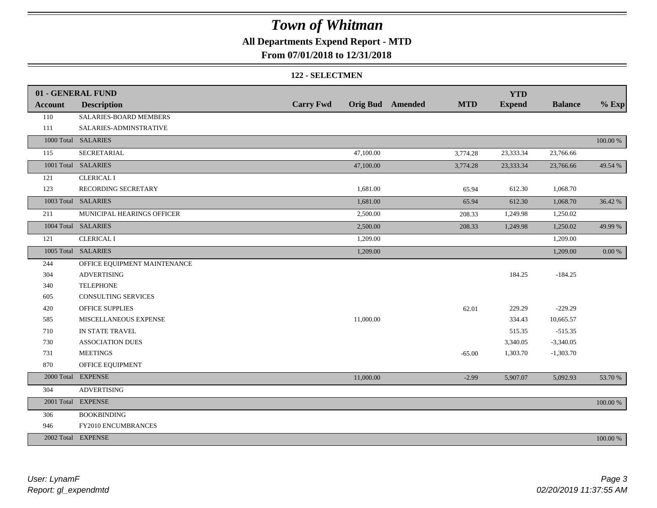## **All Departments Expend Report - MTD**

#### **From 07/01/2018 to 12/31/2018**

#### **122 - SELECTMEN**

|                | 01 - GENERAL FUND            |                  |           |                         |            | <b>YTD</b>    |                |            |
|----------------|------------------------------|------------------|-----------|-------------------------|------------|---------------|----------------|------------|
| <b>Account</b> | <b>Description</b>           | <b>Carry Fwd</b> |           | <b>Orig Bud</b> Amended | <b>MTD</b> | <b>Expend</b> | <b>Balance</b> | $%$ Exp    |
| 110            | SALARIES-BOARD MEMBERS       |                  |           |                         |            |               |                |            |
| 111            | SALARIES-ADMINSTRATIVE       |                  |           |                         |            |               |                |            |
|                | 1000 Total SALARIES          |                  |           |                         |            |               |                | 100.00 %   |
| 115            | SECRETARIAL                  |                  | 47,100.00 |                         | 3,774.28   | 23,333.34     | 23,766.66      |            |
|                | 1001 Total SALARIES          |                  | 47,100.00 |                         | 3,774.28   | 23,333.34     | 23,766.66      | 49.54 %    |
| 121            | <b>CLERICAL I</b>            |                  |           |                         |            |               |                |            |
| 123            | RECORDING SECRETARY          |                  | 1,681.00  |                         | 65.94      | 612.30        | 1,068.70       |            |
|                | 1003 Total SALARIES          |                  | 1,681.00  |                         | 65.94      | 612.30        | 1,068.70       | 36.42 %    |
| 211            | MUNICIPAL HEARINGS OFFICER   |                  | 2,500.00  |                         | 208.33     | 1,249.98      | 1,250.02       |            |
|                | 1004 Total SALARIES          |                  | 2,500.00  |                         | 208.33     | 1,249.98      | 1,250.02       | 49.99 %    |
| 121            | <b>CLERICAL I</b>            |                  | 1,209.00  |                         |            |               | 1,209.00       |            |
|                | 1005 Total SALARIES          |                  | 1,209.00  |                         |            |               | 1,209.00       | $0.00\ \%$ |
| 244            | OFFICE EQUIPMENT MAINTENANCE |                  |           |                         |            |               |                |            |
| 304            | <b>ADVERTISING</b>           |                  |           |                         |            | 184.25        | $-184.25$      |            |
| 340            | <b>TELEPHONE</b>             |                  |           |                         |            |               |                |            |
| 605            | <b>CONSULTING SERVICES</b>   |                  |           |                         |            |               |                |            |
| 420            | OFFICE SUPPLIES              |                  |           |                         | 62.01      | 229.29        | $-229.29$      |            |
| 585            | MISCELLANEOUS EXPENSE        |                  | 11,000.00 |                         |            | 334.43        | 10,665.57      |            |
| 710            | IN STATE TRAVEL              |                  |           |                         |            | 515.35        | $-515.35$      |            |
| 730            | <b>ASSOCIATION DUES</b>      |                  |           |                         |            | 3,340.05      | $-3,340.05$    |            |
| 731            | <b>MEETINGS</b>              |                  |           |                         | $-65.00$   | 1,303.70      | $-1,303.70$    |            |
| 870            | OFFICE EQUIPMENT             |                  |           |                         |            |               |                |            |
|                | 2000 Total EXPENSE           |                  | 11,000.00 |                         | $-2.99$    | 5,907.07      | 5,092.93       | 53.70 %    |
| 304            | <b>ADVERTISING</b>           |                  |           |                         |            |               |                |            |
|                | 2001 Total EXPENSE           |                  |           |                         |            |               |                | 100.00 %   |
| 306            | <b>BOOKBINDING</b>           |                  |           |                         |            |               |                |            |
| 946            | FY2010 ENCUMBRANCES          |                  |           |                         |            |               |                |            |
|                | 2002 Total EXPENSE           |                  |           |                         |            |               |                | 100.00 %   |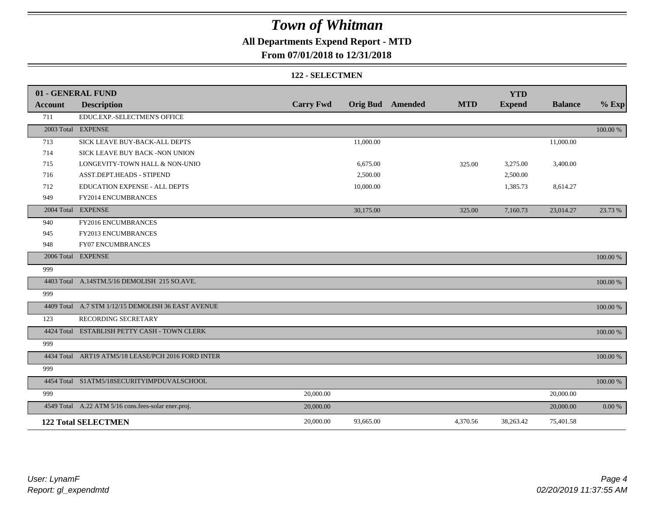## **All Departments Expend Report - MTD**

### **From 07/01/2018 to 12/31/2018**

#### **122 - SELECTMEN**

|         | 01 - GENERAL FUND                                   |                  |           |                         |            | <b>YTD</b>    |                |          |
|---------|-----------------------------------------------------|------------------|-----------|-------------------------|------------|---------------|----------------|----------|
| Account | <b>Description</b>                                  | <b>Carry Fwd</b> |           | <b>Orig Bud</b> Amended | <b>MTD</b> | <b>Expend</b> | <b>Balance</b> | $%$ Exp  |
| 711     | EDUC.EXP.-SELECTMEN'S OFFICE                        |                  |           |                         |            |               |                |          |
|         | 2003 Total EXPENSE                                  |                  |           |                         |            |               |                | 100.00 % |
| 713     | SICK LEAVE BUY-BACK-ALL DEPTS                       |                  | 11,000.00 |                         |            |               | 11,000.00      |          |
| 714     | SICK LEAVE BUY BACK -NON UNION                      |                  |           |                         |            |               |                |          |
| 715     | LONGEVITY-TOWN HALL & NON-UNIO                      |                  | 6,675.00  |                         | 325.00     | 3,275.00      | 3,400.00       |          |
| 716     | ASST.DEPT.HEADS - STIPEND                           |                  | 2,500.00  |                         |            | 2,500.00      |                |          |
| 712     | EDUCATION EXPENSE - ALL DEPTS                       |                  | 10,000.00 |                         |            | 1,385.73      | 8,614.27       |          |
| 949     | FY2014 ENCUMBRANCES                                 |                  |           |                         |            |               |                |          |
|         | 2004 Total EXPENSE                                  |                  | 30,175.00 |                         | 325.00     | 7,160.73      | 23,014.27      | 23.73 %  |
| 940     | FY2016 ENCUMBRANCES                                 |                  |           |                         |            |               |                |          |
| 945     | FY2013 ENCUMBRANCES                                 |                  |           |                         |            |               |                |          |
| 948     | <b>FY07 ENCUMBRANCES</b>                            |                  |           |                         |            |               |                |          |
|         | 2006 Total EXPENSE                                  |                  |           |                         |            |               |                | 100.00 % |
| 999     |                                                     |                  |           |                         |            |               |                |          |
|         | 4403 Total A.14STM.5/16 DEMOLISH 215 SO.AVE.        |                  |           |                         |            |               |                | 100.00 % |
| 999     |                                                     |                  |           |                         |            |               |                |          |
|         | 4409 Total A.7 STM 1/12/15 DEMOLISH 36 EAST AVENUE  |                  |           |                         |            |               |                | 100.00 % |
| 123     | RECORDING SECRETARY                                 |                  |           |                         |            |               |                |          |
|         | 4424 Total ESTABLISH PETTY CASH - TOWN CLERK        |                  |           |                         |            |               |                | 100.00 % |
| 999     |                                                     |                  |           |                         |            |               |                |          |
|         | 4434 Total ART19 ATM5/18 LEASE/PCH 2016 FORD INTER  |                  |           |                         |            |               |                | 100.00 % |
| 999     |                                                     |                  |           |                         |            |               |                |          |
|         | 4454 Total S1ATM5/18SECURITYIMPDUVALSCHOOL          |                  |           |                         |            |               |                | 100.00 % |
| 999     |                                                     | 20,000.00        |           |                         |            |               | 20,000.00      |          |
|         | 4549 Total A.22 ATM 5/16 cons.fees-solar ener.proj. | 20,000.00        |           |                         |            |               | 20,000.00      | 0.00 %   |
|         | <b>122 Total SELECTMEN</b>                          | 20,000.00        | 93,665.00 |                         | 4,370.56   | 38,263.42     | 75,401.58      |          |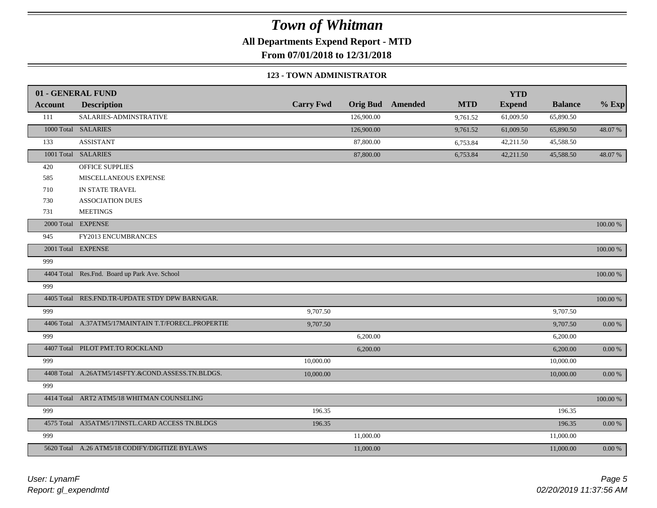**All Departments Expend Report - MTD**

**From 07/01/2018 to 12/31/2018**

#### **123 - TOWN ADMINISTRATOR**

|                | 01 - GENERAL FUND                                   |                  |            |                         |            | <b>YTD</b>    |                |             |
|----------------|-----------------------------------------------------|------------------|------------|-------------------------|------------|---------------|----------------|-------------|
| <b>Account</b> | <b>Description</b>                                  | <b>Carry Fwd</b> |            | <b>Orig Bud</b> Amended | <b>MTD</b> | <b>Expend</b> | <b>Balance</b> | $%$ Exp     |
| 111            | SALARIES-ADMINSTRATIVE                              |                  | 126,900.00 |                         | 9,761.52   | 61,009.50     | 65,890.50      |             |
|                | 1000 Total SALARIES                                 |                  | 126,900.00 |                         | 9,761.52   | 61,009.50     | 65,890.50      | 48.07%      |
| 133            | <b>ASSISTANT</b>                                    |                  | 87,800.00  |                         | 6,753.84   | 42,211.50     | 45,588.50      |             |
|                | 1001 Total SALARIES                                 |                  | 87,800.00  |                         | 6,753.84   | 42,211.50     | 45,588.50      | 48.07 %     |
| 420            | OFFICE SUPPLIES                                     |                  |            |                         |            |               |                |             |
| 585            | MISCELLANEOUS EXPENSE                               |                  |            |                         |            |               |                |             |
| 710            | IN STATE TRAVEL                                     |                  |            |                         |            |               |                |             |
| 730            | <b>ASSOCIATION DUES</b>                             |                  |            |                         |            |               |                |             |
| 731            | <b>MEETINGS</b>                                     |                  |            |                         |            |               |                |             |
|                | 2000 Total EXPENSE                                  |                  |            |                         |            |               |                | 100.00 %    |
| 945            | FY2013 ENCUMBRANCES                                 |                  |            |                         |            |               |                |             |
|                | 2001 Total EXPENSE                                  |                  |            |                         |            |               |                | $100.00~\%$ |
| 999            |                                                     |                  |            |                         |            |               |                |             |
|                | 4404 Total Res.Fnd. Board up Park Ave. School       |                  |            |                         |            |               |                | $100.00~\%$ |
| 999            |                                                     |                  |            |                         |            |               |                |             |
|                | 4405 Total RES.FND.TR-UPDATE STDY DPW BARN/GAR.     |                  |            |                         |            |               |                | $100.00~\%$ |
| 999            |                                                     | 9,707.50         |            |                         |            |               | 9,707.50       |             |
|                | 4406 Total A.37ATM5/17MAINTAIN T.T/FORECL.PROPERTIE | 9,707.50         |            |                         |            |               | 9,707.50       | $0.00\ \%$  |
| 999            |                                                     |                  | 6,200.00   |                         |            |               | 6,200.00       |             |
|                | 4407 Total PILOT PMT.TO ROCKLAND                    |                  | 6,200.00   |                         |            |               | 6,200.00       | $0.00\ \%$  |
| 999            |                                                     | 10,000.00        |            |                         |            |               | 10,000.00      |             |
|                | 4408 Total A.26ATM5/14SFTY.&COND.ASSESS.TN.BLDGS.   | 10,000.00        |            |                         |            |               | 10,000.00      | $0.00\ \%$  |
| 999            |                                                     |                  |            |                         |            |               |                |             |
|                | 4414 Total ART2 ATM5/18 WHITMAN COUNSELING          |                  |            |                         |            |               |                | $100.00~\%$ |
| 999            |                                                     | 196.35           |            |                         |            |               | 196.35         |             |
|                | 4575 Total A35ATM5/17INSTL.CARD ACCESS TN.BLDGS     | 196.35           |            |                         |            |               | 196.35         | $0.00~\%$   |
| 999            |                                                     |                  | 11,000.00  |                         |            |               | 11,000.00      |             |
|                | 5620 Total A.26 ATM5/18 CODIFY/DIGITIZE BYLAWS      |                  | 11,000.00  |                         |            |               | 11,000.00      | $0.00~\%$   |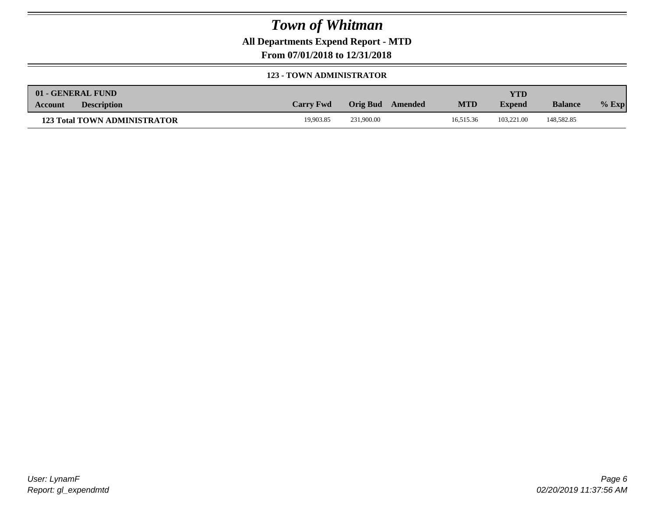**All Departments Expend Report - MTD**

**From 07/01/2018 to 12/31/2018**

#### **123 - TOWN ADMINISTRATOR**

|         | 01 - GENERAL FUND                   |                  |                  |            | <b>YTD</b>    |                |         |
|---------|-------------------------------------|------------------|------------------|------------|---------------|----------------|---------|
| Account | <b>Description</b>                  | <b>Carry Fwd</b> | Orig Bud Amended | <b>MTD</b> | <b>Expend</b> | <b>Balance</b> | $%$ Exp |
|         | <b>123 Total TOWN ADMINISTRATOR</b> | 19.903.85        | 231,900.00       | 16.515.36  | 103.221.00    | 148,582.85     |         |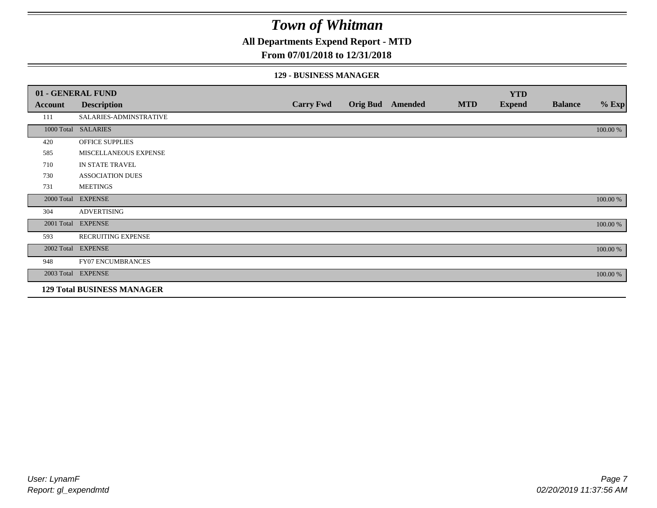**All Departments Expend Report - MTD**

### **From 07/01/2018 to 12/31/2018**

#### **129 - BUSINESS MANAGER**

|            | 01 - GENERAL FUND                 |                  |                         |            | <b>YTD</b>    |                |          |
|------------|-----------------------------------|------------------|-------------------------|------------|---------------|----------------|----------|
| Account    | <b>Description</b>                | <b>Carry Fwd</b> | <b>Orig Bud</b> Amended | <b>MTD</b> | <b>Expend</b> | <b>Balance</b> | $%$ Exp  |
| 111        | SALARIES-ADMINSTRATIVE            |                  |                         |            |               |                |          |
|            | 1000 Total SALARIES               |                  |                         |            |               |                | 100.00 % |
| 420        | <b>OFFICE SUPPLIES</b>            |                  |                         |            |               |                |          |
| 585        | MISCELLANEOUS EXPENSE             |                  |                         |            |               |                |          |
| 710        | IN STATE TRAVEL                   |                  |                         |            |               |                |          |
| 730        | <b>ASSOCIATION DUES</b>           |                  |                         |            |               |                |          |
| 731        | <b>MEETINGS</b>                   |                  |                         |            |               |                |          |
| 2000 Total | <b>EXPENSE</b>                    |                  |                         |            |               |                | 100.00 % |
| 304        | <b>ADVERTISING</b>                |                  |                         |            |               |                |          |
| 2001 Total | <b>EXPENSE</b>                    |                  |                         |            |               |                | 100.00 % |
| 593        | RECRUITING EXPENSE                |                  |                         |            |               |                |          |
|            | 2002 Total EXPENSE                |                  |                         |            |               |                | 100.00 % |
| 948        | FY07 ENCUMBRANCES                 |                  |                         |            |               |                |          |
|            | 2003 Total EXPENSE                |                  |                         |            |               |                | 100.00 % |
|            | <b>129 Total BUSINESS MANAGER</b> |                  |                         |            |               |                |          |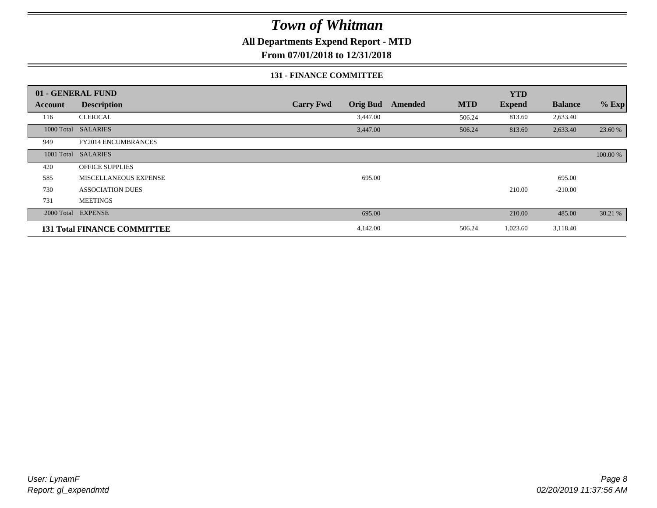**All Departments Expend Report - MTD**

**From 07/01/2018 to 12/31/2018**

#### **131 - FINANCE COMMITTEE**

|         | 01 - GENERAL FUND                  |                  |                 |         |            | <b>YTD</b>    |                |          |
|---------|------------------------------------|------------------|-----------------|---------|------------|---------------|----------------|----------|
| Account | <b>Description</b>                 | <b>Carry Fwd</b> | <b>Orig Bud</b> | Amended | <b>MTD</b> | <b>Expend</b> | <b>Balance</b> | $%$ Exp  |
| 116     | <b>CLERICAL</b>                    |                  | 3,447.00        |         | 506.24     | 813.60        | 2,633.40       |          |
|         | 1000 Total SALARIES                |                  | 3,447.00        |         | 506.24     | 813.60        | 2,633.40       | 23.60 %  |
| 949     | <b>FY2014 ENCUMBRANCES</b>         |                  |                 |         |            |               |                |          |
|         | 1001 Total SALARIES                |                  |                 |         |            |               |                | 100.00 % |
| 420     | <b>OFFICE SUPPLIES</b>             |                  |                 |         |            |               |                |          |
| 585     | MISCELLANEOUS EXPENSE              |                  | 695.00          |         |            |               | 695.00         |          |
| 730     | <b>ASSOCIATION DUES</b>            |                  |                 |         |            | 210.00        | $-210.00$      |          |
| 731     | <b>MEETINGS</b>                    |                  |                 |         |            |               |                |          |
|         | 2000 Total EXPENSE                 |                  | 695.00          |         |            | 210.00        | 485.00         | 30.21 %  |
|         | <b>131 Total FINANCE COMMITTEE</b> |                  | 4,142.00        |         | 506.24     | 1,023.60      | 3,118.40       |          |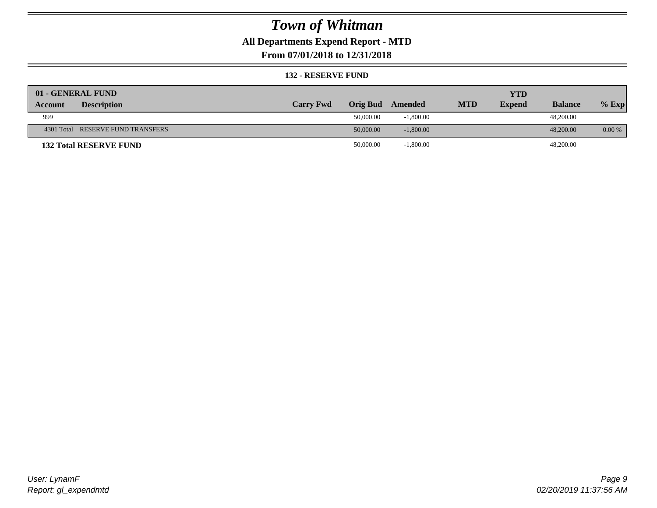## **All Departments Expend Report - MTD**

**From 07/01/2018 to 12/31/2018**

#### **132 - RESERVE FUND**

| 01 - GENERAL FUND                    |                  |                 |             |            | <b>YTD</b>    |                |          |
|--------------------------------------|------------------|-----------------|-------------|------------|---------------|----------------|----------|
| <b>Description</b><br><b>Account</b> | <b>Carry Fwd</b> | <b>Orig Bud</b> | Amended     | <b>MTD</b> | <b>Expend</b> | <b>Balance</b> | $%$ Exp  |
| 999                                  |                  | 50,000.00       | $-1,800.00$ |            |               | 48,200.00      |          |
| 4301 Total RESERVE FUND TRANSFERS    |                  | 50,000.00       | $-1,800.00$ |            |               | 48,200,00      | $0.00\%$ |
| <b>132 Total RESERVE FUND</b>        |                  | 50,000.00       | $-1,800.00$ |            |               | 48,200.00      |          |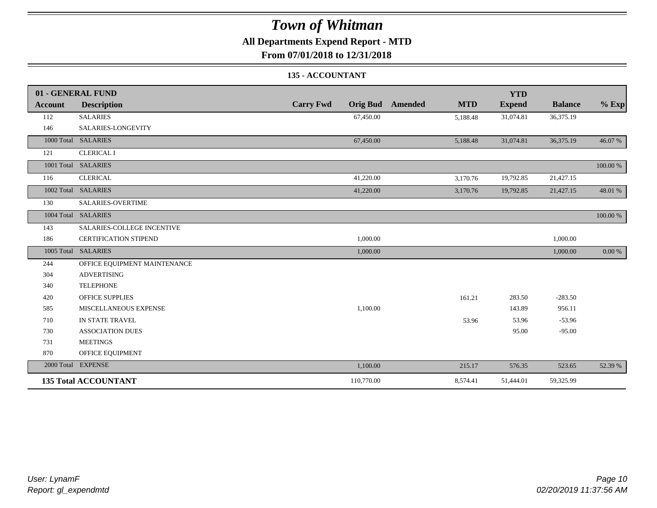## **All Departments Expend Report - MTD**

**From 07/01/2018 to 12/31/2018**

#### **135 - ACCOUNTANT**

|                | 01 - GENERAL FUND            |                                     |                       | <b>YTD</b>    |                |          |
|----------------|------------------------------|-------------------------------------|-----------------------|---------------|----------------|----------|
| <b>Account</b> | <b>Description</b>           | <b>Carry Fwd</b><br><b>Orig Bud</b> | <b>MTD</b><br>Amended | <b>Expend</b> | <b>Balance</b> | $%$ Exp  |
| 112            | <b>SALARIES</b>              | 67,450.00                           | 5,188.48              | 31,074.81     | 36,375.19      |          |
| 146            | SALARIES-LONGEVITY           |                                     |                       |               |                |          |
|                | 1000 Total SALARIES          | 67,450.00                           | 5,188.48              | 31,074.81     | 36,375.19      | 46.07%   |
| 121            | <b>CLERICAL I</b>            |                                     |                       |               |                |          |
|                | 1001 Total SALARIES          |                                     |                       |               |                | 100.00 % |
| 116            | <b>CLERICAL</b>              | 41,220.00                           | 3,170.76              | 19,792.85     | 21,427.15      |          |
|                | 1002 Total SALARIES          | 41,220.00                           | 3,170.76              | 19,792.85     | 21,427.15      | 48.01 %  |
| 130            | SALARIES-OVERTIME            |                                     |                       |               |                |          |
|                | 1004 Total SALARIES          |                                     |                       |               |                | 100.00 % |
| 143            | SALARIES-COLLEGE INCENTIVE   |                                     |                       |               |                |          |
| 186            | <b>CERTIFICATION STIPEND</b> | 1,000.00                            |                       |               | 1,000.00       |          |
|                | 1005 Total SALARIES          | 1,000.00                            |                       |               | 1,000.00       | 0.00 %   |
| 244            | OFFICE EQUIPMENT MAINTENANCE |                                     |                       |               |                |          |
| 304            | <b>ADVERTISING</b>           |                                     |                       |               |                |          |
| 340            | <b>TELEPHONE</b>             |                                     |                       |               |                |          |
| 420            | <b>OFFICE SUPPLIES</b>       |                                     | 161.21                | 283.50        | $-283.50$      |          |
| 585            | MISCELLANEOUS EXPENSE        | 1,100.00                            |                       | 143.89        | 956.11         |          |
| 710            | IN STATE TRAVEL              |                                     | 53.96                 | 53.96         | $-53.96$       |          |
| 730            | <b>ASSOCIATION DUES</b>      |                                     |                       | 95.00         | $-95.00$       |          |
| 731            | <b>MEETINGS</b>              |                                     |                       |               |                |          |
| 870            | OFFICE EQUIPMENT             |                                     |                       |               |                |          |
|                | 2000 Total EXPENSE           | 1,100.00                            | 215.17                | 576.35        | 523.65         | 52.39 %  |
|                | <b>135 Total ACCOUNTANT</b>  | 110,770.00                          | 8,574.41              | 51,444.01     | 59,325.99      |          |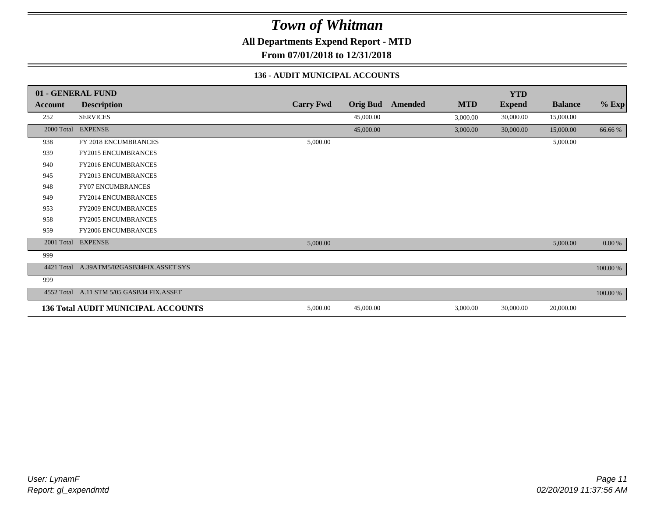**All Departments Expend Report - MTD**

**From 07/01/2018 to 12/31/2018**

#### **136 - AUDIT MUNICIPAL ACCOUNTS**

|                | 01 - GENERAL FUND                         |                  |                 |                |            | <b>YTD</b>    |                |           |
|----------------|-------------------------------------------|------------------|-----------------|----------------|------------|---------------|----------------|-----------|
| <b>Account</b> | <b>Description</b>                        | <b>Carry Fwd</b> | <b>Orig Bud</b> | <b>Amended</b> | <b>MTD</b> | <b>Expend</b> | <b>Balance</b> | $%$ Exp   |
| 252            | <b>SERVICES</b>                           |                  | 45,000.00       |                | 3,000.00   | 30,000.00     | 15,000.00      |           |
| 2000 Total     | <b>EXPENSE</b>                            |                  | 45,000.00       |                | 3,000.00   | 30,000.00     | 15,000.00      | 66.66 %   |
| 938            | FY 2018 ENCUMBRANCES                      | 5,000.00         |                 |                |            |               | 5,000.00       |           |
| 939            | <b>FY2015 ENCUMBRANCES</b>                |                  |                 |                |            |               |                |           |
| 940            | <b>FY2016 ENCUMBRANCES</b>                |                  |                 |                |            |               |                |           |
| 945            | <b>FY2013 ENCUMBRANCES</b>                |                  |                 |                |            |               |                |           |
| 948            | <b>FY07 ENCUMBRANCES</b>                  |                  |                 |                |            |               |                |           |
| 949            | <b>FY2014 ENCUMBRANCES</b>                |                  |                 |                |            |               |                |           |
| 953            | <b>FY2009 ENCUMBRANCES</b>                |                  |                 |                |            |               |                |           |
| 958            | <b>FY2005 ENCUMBRANCES</b>                |                  |                 |                |            |               |                |           |
| 959            | <b>FY2006 ENCUMBRANCES</b>                |                  |                 |                |            |               |                |           |
| 2001 Total     | <b>EXPENSE</b>                            | 5,000.00         |                 |                |            |               | 5,000.00       | $0.00~\%$ |
| 999            |                                           |                  |                 |                |            |               |                |           |
|                | 4421 Total A.39ATM5/02GASB34FIX.ASSET SYS |                  |                 |                |            |               |                | 100.00 %  |
| 999            |                                           |                  |                 |                |            |               |                |           |
| 4552 Total     | A.11 STM 5/05 GASB34 FIX.ASSET            |                  |                 |                |            |               |                | 100.00 %  |
|                | <b>136 Total AUDIT MUNICIPAL ACCOUNTS</b> | 5,000.00         | 45,000.00       |                | 3,000.00   | 30,000.00     | 20,000.00      |           |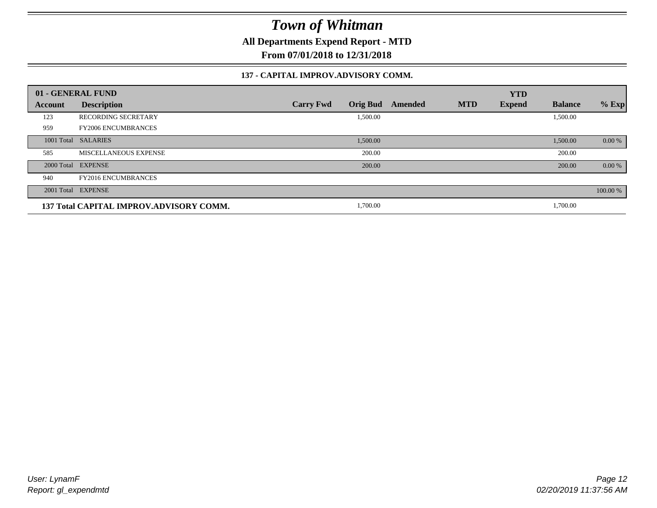**All Departments Expend Report - MTD**

**From 07/01/2018 to 12/31/2018**

#### **137 - CAPITAL IMPROV.ADVISORY COMM.**

|         | 01 - GENERAL FUND                       |                                     |         |            | <b>YTD</b>    |                |          |
|---------|-----------------------------------------|-------------------------------------|---------|------------|---------------|----------------|----------|
| Account | <b>Description</b>                      | <b>Orig Bud</b><br><b>Carry Fwd</b> | Amended | <b>MTD</b> | <b>Expend</b> | <b>Balance</b> | $%$ Exp  |
| 123     | <b>RECORDING SECRETARY</b>              | 1,500.00                            |         |            |               | 1,500.00       |          |
| 959     | <b>FY2006 ENCUMBRANCES</b>              |                                     |         |            |               |                |          |
|         | 1001 Total SALARIES                     | 1,500.00                            |         |            |               | 1,500.00       | 0.00 %   |
| 585     | MISCELLANEOUS EXPENSE                   | 200.00                              |         |            |               | 200.00         |          |
|         | 2000 Total EXPENSE                      | 200.00                              |         |            |               | 200.00         | 0.00 %   |
| 940     | <b>FY2016 ENCUMBRANCES</b>              |                                     |         |            |               |                |          |
|         | 2001 Total EXPENSE                      |                                     |         |            |               |                | 100.00 % |
|         | 137 Total CAPITAL IMPROV.ADVISORY COMM. | 1,700.00                            |         |            |               | 1,700.00       |          |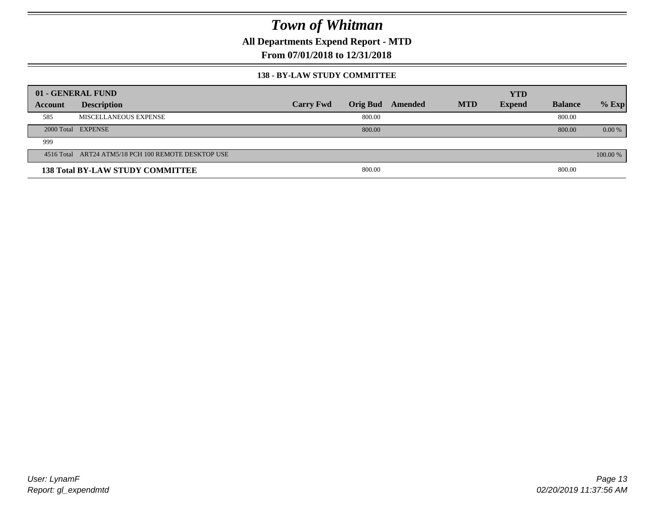**All Departments Expend Report - MTD**

**From 07/01/2018 to 12/31/2018**

#### **138 - BY-LAW STUDY COMMITTEE**

|         | 01 - GENERAL FUND                                   |                  |        |                  |            | <b>YTD</b>    |                |          |
|---------|-----------------------------------------------------|------------------|--------|------------------|------------|---------------|----------------|----------|
| Account | <b>Description</b>                                  | <b>Carry Fwd</b> |        | Orig Bud Amended | <b>MTD</b> | <b>Expend</b> | <b>Balance</b> | $%$ Exp  |
| 585     | MISCELLANEOUS EXPENSE                               |                  | 800.00 |                  |            |               | 800.00         |          |
|         | 2000 Total EXPENSE                                  |                  | 800.00 |                  |            |               | 800.00         | $0.00\%$ |
| 999     |                                                     |                  |        |                  |            |               |                |          |
|         | 4516 Total ART24 ATM5/18 PCH 100 REMOTE DESKTOP USE |                  |        |                  |            |               |                | 100.00 % |
|         | <b>138 Total BY-LAW STUDY COMMITTEE</b>             |                  | 800.00 |                  |            |               | 800.00         |          |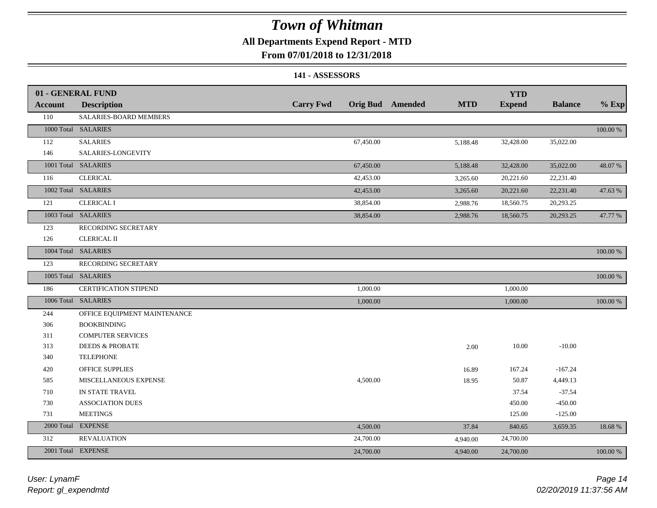## **All Departments Expend Report - MTD**

### **From 07/01/2018 to 12/31/2018**

#### **141 - ASSESSORS**

|                | 01 - GENERAL FUND            |                  |           |                         |            | <b>YTD</b>    |                |          |
|----------------|------------------------------|------------------|-----------|-------------------------|------------|---------------|----------------|----------|
| <b>Account</b> | <b>Description</b>           | <b>Carry Fwd</b> |           | <b>Orig Bud</b> Amended | <b>MTD</b> | <b>Expend</b> | <b>Balance</b> | $%$ Exp  |
| 110            | SALARIES-BOARD MEMBERS       |                  |           |                         |            |               |                |          |
|                | 1000 Total SALARIES          |                  |           |                         |            |               |                | 100.00 % |
| 112            | <b>SALARIES</b>              |                  | 67,450.00 |                         | 5,188.48   | 32,428.00     | 35,022.00      |          |
| 146            | SALARIES-LONGEVITY           |                  |           |                         |            |               |                |          |
|                | 1001 Total SALARIES          |                  | 67,450.00 |                         | 5,188.48   | 32,428.00     | 35,022.00      | 48.07%   |
| 116            | <b>CLERICAL</b>              |                  | 42,453.00 |                         | 3,265.60   | 20,221.60     | 22,231.40      |          |
|                | 1002 Total SALARIES          |                  | 42,453.00 |                         | 3,265.60   | 20,221.60     | 22,231.40      | 47.63 %  |
| 121            | <b>CLERICAL I</b>            |                  | 38,854.00 |                         | 2,988.76   | 18,560.75     | 20,293.25      |          |
|                | 1003 Total SALARIES          |                  | 38,854.00 |                         | 2,988.76   | 18,560.75     | 20,293.25      | 47.77 %  |
| 123            | RECORDING SECRETARY          |                  |           |                         |            |               |                |          |
| 126            | <b>CLERICAL II</b>           |                  |           |                         |            |               |                |          |
|                | 1004 Total SALARIES          |                  |           |                         |            |               |                | 100.00 % |
| 123            | RECORDING SECRETARY          |                  |           |                         |            |               |                |          |
|                | 1005 Total SALARIES          |                  |           |                         |            |               |                | 100.00 % |
| 186            | <b>CERTIFICATION STIPEND</b> |                  | 1,000.00  |                         |            | 1,000.00      |                |          |
|                | 1006 Total SALARIES          |                  | 1,000.00  |                         |            | 1,000.00      |                | 100.00 % |
| 244            | OFFICE EQUIPMENT MAINTENANCE |                  |           |                         |            |               |                |          |
| 306            | <b>BOOKBINDING</b>           |                  |           |                         |            |               |                |          |
| 311            | <b>COMPUTER SERVICES</b>     |                  |           |                         |            |               |                |          |
| 313            | <b>DEEDS &amp; PROBATE</b>   |                  |           |                         | 2.00       | 10.00         | $-10.00$       |          |
| 340            | <b>TELEPHONE</b>             |                  |           |                         |            |               |                |          |
| 420            | OFFICE SUPPLIES              |                  |           |                         | 16.89      | 167.24        | $-167.24$      |          |
| 585            | MISCELLANEOUS EXPENSE        |                  | 4,500.00  |                         | 18.95      | 50.87         | 4,449.13       |          |
| 710            | IN STATE TRAVEL              |                  |           |                         |            | 37.54         | $-37.54$       |          |
| 730            | <b>ASSOCIATION DUES</b>      |                  |           |                         |            | 450.00        | $-450.00$      |          |
| 731            | <b>MEETINGS</b>              |                  |           |                         |            | 125.00        | $-125.00$      |          |
| 2000 Total     | <b>EXPENSE</b>               |                  | 4,500.00  |                         | 37.84      | 840.65        | 3,659.35       | 18.68%   |
| 312            | <b>REVALUATION</b>           |                  | 24,700.00 |                         | 4,940.00   | 24,700.00     |                |          |
|                | 2001 Total EXPENSE           |                  | 24,700.00 |                         | 4,940.00   | 24,700.00     |                | 100.00 % |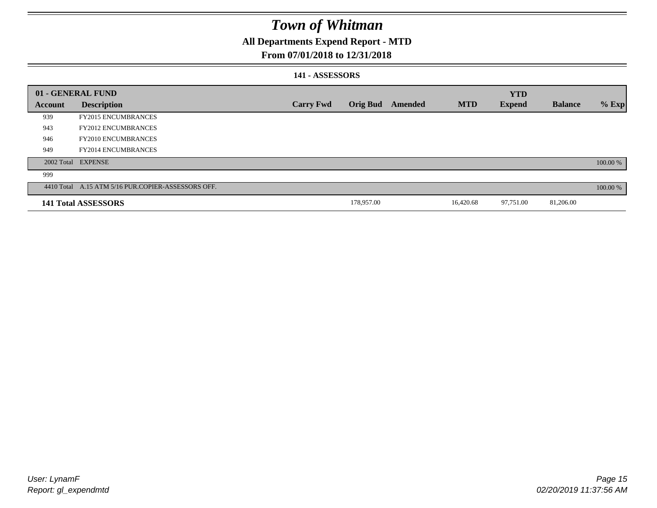## **All Departments Expend Report - MTD**

### **From 07/01/2018 to 12/31/2018**

#### **141 - ASSESSORS**

|                | 01 - GENERAL FUND                                  |                  |                 |         |            | <b>YTD</b>    |                |          |
|----------------|----------------------------------------------------|------------------|-----------------|---------|------------|---------------|----------------|----------|
| <b>Account</b> | <b>Description</b>                                 | <b>Carry Fwd</b> | <b>Orig Bud</b> | Amended | <b>MTD</b> | <b>Expend</b> | <b>Balance</b> | $%$ Exp  |
| 939            | <b>FY2015 ENCUMBRANCES</b>                         |                  |                 |         |            |               |                |          |
| 943            | <b>FY2012 ENCUMBRANCES</b>                         |                  |                 |         |            |               |                |          |
| 946            | <b>FY2010 ENCUMBRANCES</b>                         |                  |                 |         |            |               |                |          |
| 949            | <b>FY2014 ENCUMBRANCES</b>                         |                  |                 |         |            |               |                |          |
|                | 2002 Total EXPENSE                                 |                  |                 |         |            |               |                | 100.00 % |
| 999            |                                                    |                  |                 |         |            |               |                |          |
|                | 4410 Total A.15 ATM 5/16 PUR.COPIER-ASSESSORS OFF. |                  |                 |         |            |               |                | 100.00 % |
|                | 141 Total ASSESSORS                                |                  | 178,957.00      |         | 16,420.68  | 97,751.00     | 81,206.00      |          |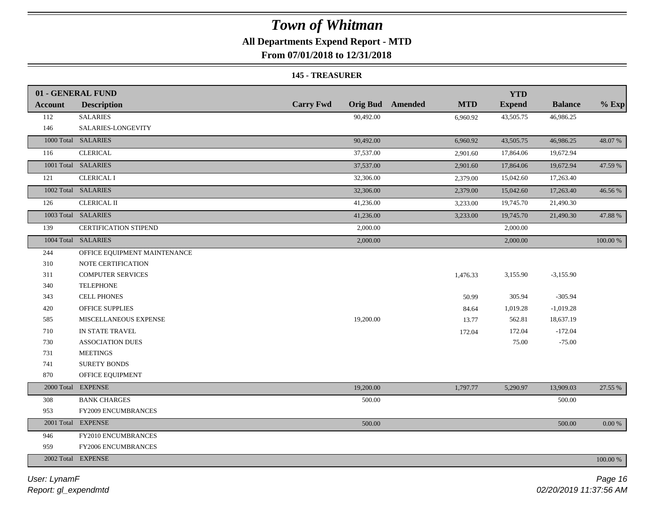## **All Departments Expend Report - MTD**

**From 07/01/2018 to 12/31/2018**

#### **145 - TREASURER**

|                | 01 - GENERAL FUND            |                  |                                | <b>YTD</b>    |                |             |
|----------------|------------------------------|------------------|--------------------------------|---------------|----------------|-------------|
| <b>Account</b> | <b>Description</b>           | <b>Carry Fwd</b> | Orig Bud Amended<br><b>MTD</b> | <b>Expend</b> | <b>Balance</b> | $%$ Exp     |
| 112            | <b>SALARIES</b>              | 90,492.00        | 6,960.92                       | 43,505.75     | 46,986.25      |             |
| 146            | SALARIES-LONGEVITY           |                  |                                |               |                |             |
|                | 1000 Total SALARIES          | 90,492.00        | 6,960.92                       | 43,505.75     | 46,986.25      | 48.07%      |
| 116            | <b>CLERICAL</b>              | 37,537.00        | 2,901.60                       | 17,864.06     | 19,672.94      |             |
|                | 1001 Total SALARIES          | 37,537.00        | 2,901.60                       | 17,864.06     | 19,672.94      | 47.59 %     |
| 121            | <b>CLERICAL I</b>            | 32,306.00        | 2,379.00                       | 15,042.60     | 17,263.40      |             |
|                | 1002 Total SALARIES          | 32,306.00        | 2,379.00                       | 15,042.60     | 17,263.40      | 46.56 %     |
| 126            | <b>CLERICAL II</b>           | 41,236.00        | 3,233.00                       | 19,745.70     | 21,490.30      |             |
|                | 1003 Total SALARIES          | 41,236.00        | 3,233.00                       | 19,745.70     | 21,490.30      | 47.88%      |
| 139            | CERTIFICATION STIPEND        | 2,000.00         |                                | 2,000.00      |                |             |
|                | 1004 Total SALARIES          | 2,000.00         |                                | 2,000.00      |                | $100.00~\%$ |
| 244            | OFFICE EQUIPMENT MAINTENANCE |                  |                                |               |                |             |
| 310            | NOTE CERTIFICATION           |                  |                                |               |                |             |
| 311            | <b>COMPUTER SERVICES</b>     |                  | 1,476.33                       | 3,155.90      | $-3,155.90$    |             |
| 340            | <b>TELEPHONE</b>             |                  |                                |               |                |             |
| 343            | <b>CELL PHONES</b>           |                  | 50.99                          | 305.94        | $-305.94$      |             |
| 420            | OFFICE SUPPLIES              |                  | 84.64                          | 1,019.28      | $-1,019.28$    |             |
| 585            | MISCELLANEOUS EXPENSE        | 19,200.00        | 13.77                          | 562.81        | 18,637.19      |             |
| 710            | IN STATE TRAVEL              |                  | 172.04                         | 172.04        | $-172.04$      |             |
| 730            | <b>ASSOCIATION DUES</b>      |                  |                                | 75.00         | $-75.00$       |             |
| 731            | <b>MEETINGS</b>              |                  |                                |               |                |             |
| 741            | <b>SURETY BONDS</b>          |                  |                                |               |                |             |
| 870            | OFFICE EQUIPMENT             |                  |                                |               |                |             |
|                | 2000 Total EXPENSE           | 19,200.00        | 1,797.77                       | 5,290.97      | 13,909.03      | 27.55 %     |
| 308            | <b>BANK CHARGES</b>          | 500.00           |                                |               | 500.00         |             |
| 953            | FY2009 ENCUMBRANCES          |                  |                                |               |                |             |
|                | 2001 Total EXPENSE           | 500.00           |                                |               | 500.00         | $0.00\ \%$  |
| 946            | FY2010 ENCUMBRANCES          |                  |                                |               |                |             |
| 959            | FY2006 ENCUMBRANCES          |                  |                                |               |                |             |
|                | 2002 Total EXPENSE           |                  |                                |               |                | 100.00 %    |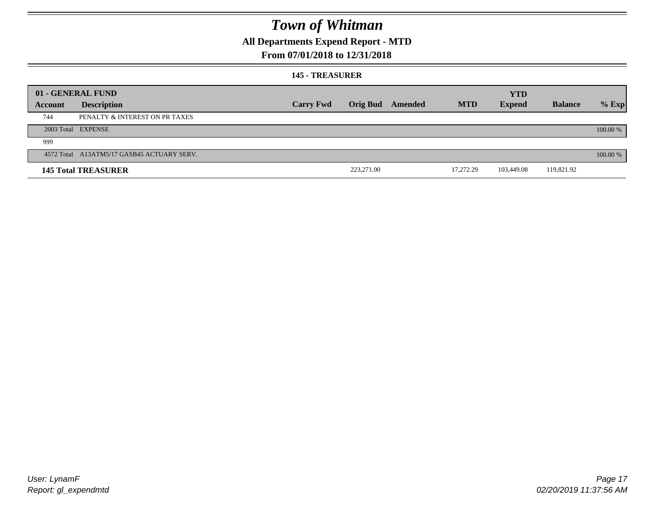## **All Departments Expend Report - MTD**

### **From 07/01/2018 to 12/31/2018**

#### **145 - TREASURER**

|         | 01 - GENERAL FUND                          |                  |            |                  |            | <b>YTD</b>    |                |          |
|---------|--------------------------------------------|------------------|------------|------------------|------------|---------------|----------------|----------|
| Account | <b>Description</b>                         | <b>Carry Fwd</b> |            | Orig Bud Amended | <b>MTD</b> | <b>Expend</b> | <b>Balance</b> | $%$ Exp  |
| 744     | PENALTY & INTEREST ON PR TAXES             |                  |            |                  |            |               |                |          |
|         | 2003 Total EXPENSE                         |                  |            |                  |            |               |                | 100.00 % |
| 999     |                                            |                  |            |                  |            |               |                |          |
|         | 4572 Total A13ATM5/17 GASB45 ACTUARY SERV. |                  |            |                  |            |               |                | 100.00 % |
|         | <b>145 Total TREASURER</b>                 |                  | 223,271.00 |                  | 17.272.29  | 103,449.08    | 119,821.92     |          |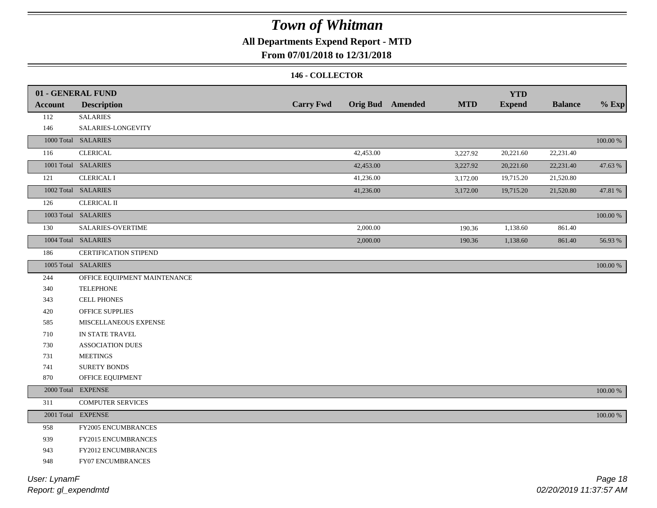## **All Departments Expend Report - MTD**

### **From 07/01/2018 to 12/31/2018**

#### **146 - COLLECTOR**

| <b>Account</b> | 01 - GENERAL FUND<br><b>Description</b> | <b>Carry Fwd</b> |           | <b>Orig Bud</b> Amended | <b>MTD</b> | <b>YTD</b><br><b>Expend</b> | <b>Balance</b> | $%$ Exp     |
|----------------|-----------------------------------------|------------------|-----------|-------------------------|------------|-----------------------------|----------------|-------------|
| 112            | <b>SALARIES</b>                         |                  |           |                         |            |                             |                |             |
| 146            | SALARIES-LONGEVITY                      |                  |           |                         |            |                             |                |             |
|                | 1000 Total SALARIES                     |                  |           |                         |            |                             |                | $100.00~\%$ |
| 116            | <b>CLERICAL</b>                         |                  | 42,453.00 |                         |            | 20,221.60                   | 22,231.40      |             |
|                | 1001 Total SALARIES                     |                  |           |                         | 3,227.92   |                             |                |             |
|                |                                         |                  | 42,453.00 |                         | 3,227.92   | 20,221.60                   | 22,231.40      | 47.63 %     |
| 121            | <b>CLERICAL I</b>                       |                  | 41,236.00 |                         | 3,172.00   | 19,715.20                   | 21,520.80      |             |
|                | 1002 Total SALARIES                     |                  | 41,236.00 |                         | 3,172.00   | 19,715.20                   | 21,520.80      | 47.81 %     |
| 126            | <b>CLERICAL II</b>                      |                  |           |                         |            |                             |                |             |
|                | 1003 Total SALARIES                     |                  |           |                         |            |                             |                | 100.00 %    |
| 130            | SALARIES-OVERTIME                       |                  | 2,000.00  |                         | 190.36     | 1,138.60                    | 861.40         |             |
|                | 1004 Total SALARIES                     |                  | 2,000.00  |                         | 190.36     | 1,138.60                    | 861.40         | 56.93%      |
| 186            | <b>CERTIFICATION STIPEND</b>            |                  |           |                         |            |                             |                |             |
|                | 1005 Total SALARIES                     |                  |           |                         |            |                             |                | 100.00 %    |
| 244            | OFFICE EQUIPMENT MAINTENANCE            |                  |           |                         |            |                             |                |             |
| 340            | <b>TELEPHONE</b>                        |                  |           |                         |            |                             |                |             |
| 343            | <b>CELL PHONES</b>                      |                  |           |                         |            |                             |                |             |
| 420            | OFFICE SUPPLIES                         |                  |           |                         |            |                             |                |             |
| 585            | MISCELLANEOUS EXPENSE                   |                  |           |                         |            |                             |                |             |
| 710            | IN STATE TRAVEL                         |                  |           |                         |            |                             |                |             |
| 730            | <b>ASSOCIATION DUES</b>                 |                  |           |                         |            |                             |                |             |
| 731            | <b>MEETINGS</b>                         |                  |           |                         |            |                             |                |             |
| 741            | <b>SURETY BONDS</b>                     |                  |           |                         |            |                             |                |             |
| 870            | OFFICE EQUIPMENT                        |                  |           |                         |            |                             |                |             |
|                | 2000 Total EXPENSE                      |                  |           |                         |            |                             |                | 100.00 %    |
| 311            | <b>COMPUTER SERVICES</b>                |                  |           |                         |            |                             |                |             |
|                | 2001 Total EXPENSE                      |                  |           |                         |            |                             |                | $100.00~\%$ |
| 958            | FY2005 ENCUMBRANCES                     |                  |           |                         |            |                             |                |             |
| 939            | FY2015 ENCUMBRANCES                     |                  |           |                         |            |                             |                |             |
| 943            | FY2012 ENCUMBRANCES                     |                  |           |                         |            |                             |                |             |
| 948            | FY07 ENCUMBRANCES                       |                  |           |                         |            |                             |                |             |
|                |                                         |                  |           |                         |            |                             |                |             |

*Report: gl\_expendmtd User: LynamF*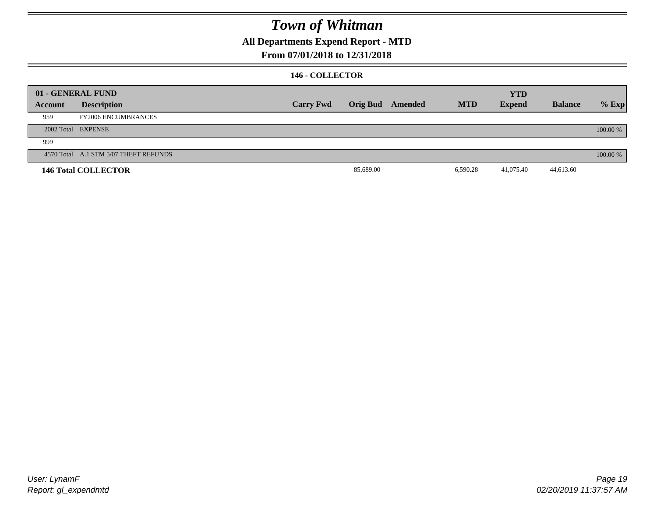## **All Departments Expend Report - MTD**

### **From 07/01/2018 to 12/31/2018**

#### **146 - COLLECTOR**

|         | 01 - GENERAL FUND                     |                  |           |                  |            | <b>YTD</b>    |                |          |
|---------|---------------------------------------|------------------|-----------|------------------|------------|---------------|----------------|----------|
| Account | <b>Description</b>                    | <b>Carry Fwd</b> |           | Orig Bud Amended | <b>MTD</b> | <b>Expend</b> | <b>Balance</b> | $%$ Exp  |
| 959     | <b>FY2006 ENCUMBRANCES</b>            |                  |           |                  |            |               |                |          |
|         | 2002 Total EXPENSE                    |                  |           |                  |            |               |                | 100.00 % |
| 999     |                                       |                  |           |                  |            |               |                |          |
|         | 4570 Total A.1 STM 5/07 THEFT REFUNDS |                  |           |                  |            |               |                | 100.00 % |
|         | <b>146 Total COLLECTOR</b>            |                  | 85,689.00 |                  | 6,590.28   | 41,075.40     | 44,613.60      |          |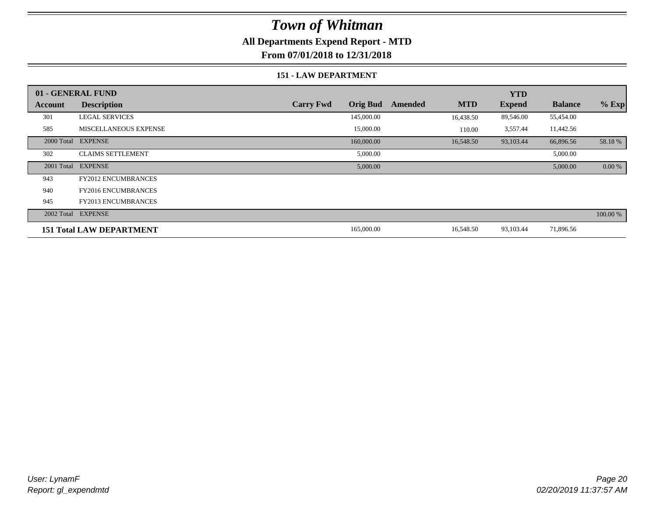## **All Departments Expend Report - MTD**

**From 07/01/2018 to 12/31/2018**

#### **151 - LAW DEPARTMENT**

|         | 01 - GENERAL FUND               |                                     |                       | <b>YTD</b>    |                |           |
|---------|---------------------------------|-------------------------------------|-----------------------|---------------|----------------|-----------|
| Account | <b>Description</b>              | <b>Orig Bud</b><br><b>Carry Fwd</b> | <b>MTD</b><br>Amended | <b>Expend</b> | <b>Balance</b> | $%$ Exp   |
| 301     | <b>LEGAL SERVICES</b>           | 145,000.00                          | 16,438.50             | 89,546.00     | 55,454.00      |           |
| 585     | <b>MISCELLANEOUS EXPENSE</b>    | 15,000.00                           | 110.00                | 3,557.44      | 11,442.56      |           |
|         | 2000 Total EXPENSE              | 160,000.00                          | 16,548.50             | 93,103.44     | 66,896.56      | 58.18%    |
| 302     | <b>CLAIMS SETTLEMENT</b>        | 5,000.00                            |                       |               | 5,000.00       |           |
|         | 2001 Total EXPENSE              | 5,000.00                            |                       |               | 5,000.00       | $0.00 \%$ |
| 943     | <b>FY2012 ENCUMBRANCES</b>      |                                     |                       |               |                |           |
| 940     | <b>FY2016 ENCUMBRANCES</b>      |                                     |                       |               |                |           |
| 945     | <b>FY2013 ENCUMBRANCES</b>      |                                     |                       |               |                |           |
|         | 2002 Total EXPENSE              |                                     |                       |               |                | 100.00 %  |
|         | <b>151 Total LAW DEPARTMENT</b> | 165,000.00                          | 16,548.50             | 93,103.44     | 71,896.56      |           |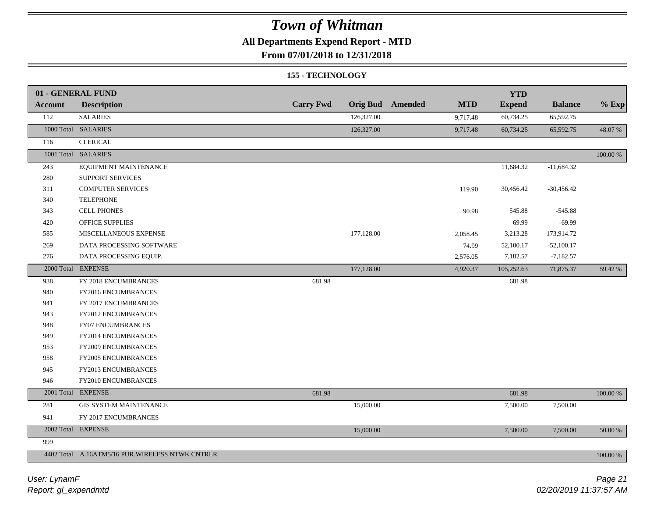## **All Departments Expend Report - MTD**

**From 07/01/2018 to 12/31/2018**

#### **155 - TECHNOLOGY**

|                | 01 - GENERAL FUND                               |                  |            |                         |            | <b>YTD</b>    |                |             |
|----------------|-------------------------------------------------|------------------|------------|-------------------------|------------|---------------|----------------|-------------|
| <b>Account</b> | <b>Description</b>                              | <b>Carry Fwd</b> |            | <b>Orig Bud</b> Amended | <b>MTD</b> | <b>Expend</b> | <b>Balance</b> | $%$ Exp     |
| 112            | <b>SALARIES</b>                                 |                  | 126,327.00 |                         | 9,717.48   | 60,734.25     | 65,592.75      |             |
|                | 1000 Total SALARIES                             |                  | 126,327.00 |                         | 9,717.48   | 60,734.25     | 65,592.75      | 48.07%      |
| 116            | <b>CLERICAL</b>                                 |                  |            |                         |            |               |                |             |
|                | 1001 Total SALARIES                             |                  |            |                         |            |               |                | $100.00~\%$ |
| 243            | EQUIPMENT MAINTENANCE                           |                  |            |                         |            | 11,684.32     | $-11,684.32$   |             |
| 280            | SUPPORT SERVICES                                |                  |            |                         |            |               |                |             |
| 311            | <b>COMPUTER SERVICES</b>                        |                  |            |                         | 119.90     | 30,456.42     | $-30,456.42$   |             |
| 340            | <b>TELEPHONE</b>                                |                  |            |                         |            |               |                |             |
| 343            | <b>CELL PHONES</b>                              |                  |            |                         | 90.98      | 545.88        | $-545.88$      |             |
| 420            | OFFICE SUPPLIES                                 |                  |            |                         |            | 69.99         | $-69.99$       |             |
| 585            | MISCELLANEOUS EXPENSE                           |                  | 177,128.00 |                         | 2,058.45   | 3,213.28      | 173,914.72     |             |
| 269            | DATA PROCESSING SOFTWARE                        |                  |            |                         | 74.99      | 52,100.17     | $-52,100.17$   |             |
| 276            | DATA PROCESSING EQUIP.                          |                  |            |                         | 2,576.05   | 7,182.57      | $-7,182.57$    |             |
|                | 2000 Total EXPENSE                              |                  | 177,128.00 |                         | 4,920.37   | 105,252.63    | 71,875.37      | 59.42 %     |
| 938            | FY 2018 ENCUMBRANCES                            | 681.98           |            |                         |            | 681.98        |                |             |
| 940            | FY2016 ENCUMBRANCES                             |                  |            |                         |            |               |                |             |
| 941            | FY 2017 ENCUMBRANCES                            |                  |            |                         |            |               |                |             |
| 943            | FY2012 ENCUMBRANCES                             |                  |            |                         |            |               |                |             |
| 948            | FY07 ENCUMBRANCES                               |                  |            |                         |            |               |                |             |
| 949            | FY2014 ENCUMBRANCES                             |                  |            |                         |            |               |                |             |
| 953            | FY2009 ENCUMBRANCES                             |                  |            |                         |            |               |                |             |
| 958            | FY2005 ENCUMBRANCES                             |                  |            |                         |            |               |                |             |
| 945            | FY2013 ENCUMBRANCES                             |                  |            |                         |            |               |                |             |
| 946            | FY2010 ENCUMBRANCES                             |                  |            |                         |            |               |                |             |
|                | 2001 Total EXPENSE                              | 681.98           |            |                         |            | 681.98        |                | $100.00~\%$ |
| 281            | <b>GIS SYSTEM MAINTENANCE</b>                   |                  | 15,000.00  |                         |            | 7,500.00      | 7,500.00       |             |
| 941            | FY 2017 ENCUMBRANCES                            |                  |            |                         |            |               |                |             |
|                | 2002 Total EXPENSE                              |                  | 15,000.00  |                         |            | 7,500.00      | 7,500.00       | 50.00 %     |
| 999            |                                                 |                  |            |                         |            |               |                |             |
|                | 4402 Total A.16ATM5/16 PUR.WIRELESS NTWK CNTRLR |                  |            |                         |            |               |                | $100.00~\%$ |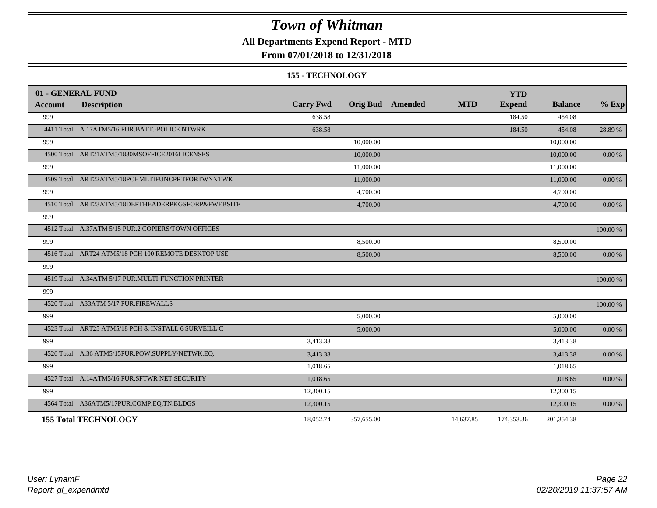## **All Departments Expend Report - MTD**

### **From 07/01/2018 to 12/31/2018**

#### **155 - TECHNOLOGY**

| 01 - GENERAL FUND |                                                     |                  |            |                         |            | <b>YTD</b>    |                |            |
|-------------------|-----------------------------------------------------|------------------|------------|-------------------------|------------|---------------|----------------|------------|
| Account           | <b>Description</b>                                  | <b>Carry Fwd</b> |            | <b>Orig Bud</b> Amended | <b>MTD</b> | <b>Expend</b> | <b>Balance</b> | $%$ Exp    |
| 999               |                                                     | 638.58           |            |                         |            | 184.50        | 454.08         |            |
|                   | 4411 Total A.17ATM5/16 PUR.BATT.-POLICE NTWRK       | 638.58           |            |                         |            | 184.50        | 454.08         | 28.89 %    |
| 999               |                                                     |                  | 10,000.00  |                         |            |               | 10,000.00      |            |
|                   | 4500 Total ART21ATM5/1830MSOFFICE2016LICENSES       |                  | 10,000.00  |                         |            |               | 10,000.00      | 0.00 %     |
| 999               |                                                     |                  | 11,000.00  |                         |            |               | 11,000.00      |            |
|                   | 4509 Total ART22ATM5/18PCHMLTIFUNCPRTFORTWNNTWK     |                  | 11,000.00  |                         |            |               | 11,000.00      | $0.00\ \%$ |
| 999               |                                                     |                  | 4,700.00   |                         |            |               | 4,700.00       |            |
|                   | 4510 Total ART23ATM5/18DEPTHEADERPKGSFORP&FWEBSITE  |                  | 4,700.00   |                         |            |               | 4,700.00       | 0.00 %     |
| 999               |                                                     |                  |            |                         |            |               |                |            |
|                   | 4512 Total A.37ATM 5/15 PUR.2 COPIERS/TOWN OFFICES  |                  |            |                         |            |               |                | 100.00 %   |
| 999               |                                                     |                  | 8,500.00   |                         |            |               | 8,500.00       |            |
|                   | 4516 Total ART24 ATM5/18 PCH 100 REMOTE DESKTOP USE |                  | 8,500.00   |                         |            |               | 8,500.00       | $0.00 \%$  |
| 999               |                                                     |                  |            |                         |            |               |                |            |
|                   | 4519 Total A.34ATM 5/17 PUR.MULTI-FUNCTION PRINTER  |                  |            |                         |            |               |                | 100.00 %   |
| 999               |                                                     |                  |            |                         |            |               |                |            |
|                   | 4520 Total A33ATM 5/17 PUR.FIREWALLS                |                  |            |                         |            |               |                | 100.00 %   |
| 999               |                                                     |                  | 5,000.00   |                         |            |               | 5,000.00       |            |
|                   | 4523 Total ART25 ATM5/18 PCH & INSTALL 6 SURVEILL C |                  | 5,000.00   |                         |            |               | 5,000.00       | $0.00\ \%$ |
| 999               |                                                     | 3,413.38         |            |                         |            |               | 3,413.38       |            |
|                   | 4526 Total A.36 ATM5/15PUR.POW.SUPPLY/NETWK.EQ.     | 3,413.38         |            |                         |            |               | 3,413.38       | 0.00 %     |
| 999               |                                                     | 1,018.65         |            |                         |            |               | 1,018.65       |            |
|                   | 4527 Total A.14ATM5/16 PUR.SFTWR NET.SECURITY       | 1,018.65         |            |                         |            |               | 1,018.65       | $0.00\ \%$ |
| 999               |                                                     | 12,300.15        |            |                         |            |               | 12,300.15      |            |
|                   | 4564 Total A36ATM5/17PUR.COMP.EQ.TN.BLDGS           | 12,300.15        |            |                         |            |               | 12,300.15      | 0.00 %     |
|                   | <b>155 Total TECHNOLOGY</b>                         | 18,052.74        | 357,655.00 |                         | 14,637.85  | 174,353.36    | 201,354.38     |            |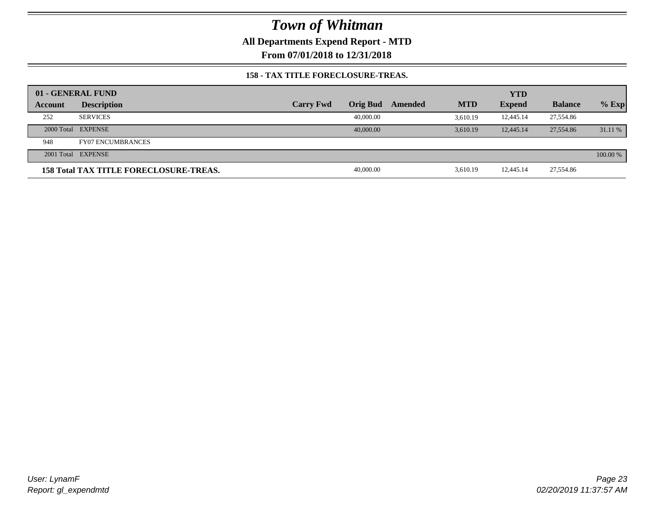**All Departments Expend Report - MTD**

**From 07/01/2018 to 12/31/2018**

#### **158 - TAX TITLE FORECLOSURE-TREAS.**

|         | 01 - GENERAL FUND                             |                  |           |         |            | <b>YTD</b>    |                |          |
|---------|-----------------------------------------------|------------------|-----------|---------|------------|---------------|----------------|----------|
| Account | <b>Description</b>                            | <b>Carry Fwd</b> | Orig Bud  | Amended | <b>MTD</b> | <b>Expend</b> | <b>Balance</b> | $%$ Exp  |
| 252     | <b>SERVICES</b>                               |                  | 40,000.00 |         | 3.610.19   | 12,445.14     | 27,554.86      |          |
|         | 2000 Total EXPENSE                            |                  | 40,000,00 |         | 3.610.19   | 12,445.14     | 27,554.86      | 31.11 %  |
| 948     | <b>FY07 ENCUMBRANCES</b>                      |                  |           |         |            |               |                |          |
|         | 2001 Total EXPENSE                            |                  |           |         |            |               |                | 100.00 % |
|         | <b>158 Total TAX TITLE FORECLOSURE-TREAS.</b> |                  | 40,000.00 |         | 3.610.19   | 12,445.14     | 27,554.86      |          |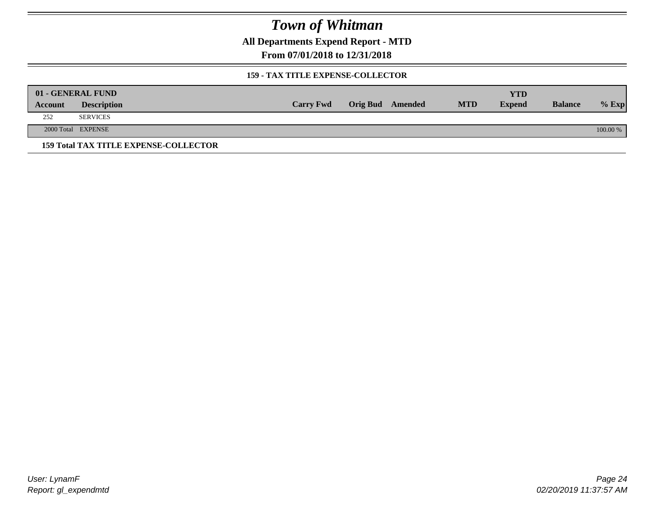**All Departments Expend Report - MTD**

**From 07/01/2018 to 12/31/2018**

#### **159 - TAX TITLE EXPENSE-COLLECTOR**

|         | 01 - GENERAL FUND                            |                  |                         |            | YTD           |                |          |
|---------|----------------------------------------------|------------------|-------------------------|------------|---------------|----------------|----------|
| Account | <b>Description</b>                           | <b>Carry Fwd</b> | <b>Orig Bud</b> Amended | <b>MTD</b> | <b>Expend</b> | <b>Balance</b> | $%$ Exp  |
| 252     | <b>SERVICES</b>                              |                  |                         |            |               |                |          |
|         | 2000 Total EXPENSE                           |                  |                         |            |               |                | 100.00 % |
|         | <b>159 Total TAX TITLE EXPENSE-COLLECTOR</b> |                  |                         |            |               |                |          |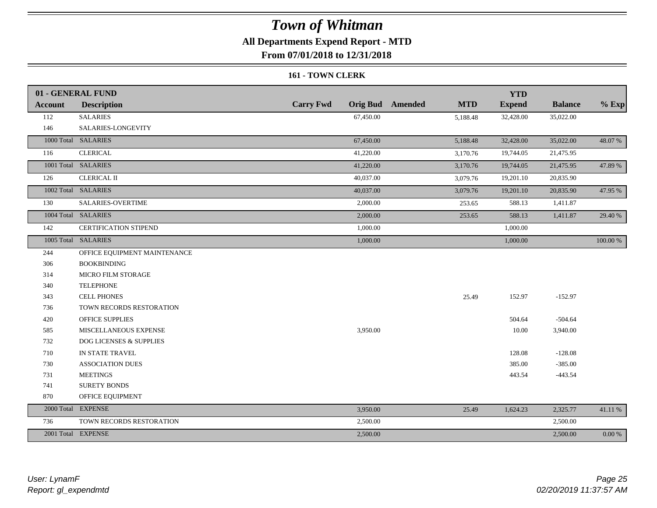## **All Departments Expend Report - MTD**

**From 07/01/2018 to 12/31/2018**

#### **161 - TOWN CLERK**

|                | 01 - GENERAL FUND                  |                  |                                       | <b>YTD</b>    |                |            |
|----------------|------------------------------------|------------------|---------------------------------------|---------------|----------------|------------|
| <b>Account</b> | <b>Description</b>                 | <b>Carry Fwd</b> | <b>MTD</b><br><b>Orig Bud</b> Amended | <b>Expend</b> | <b>Balance</b> | $%$ Exp    |
| 112            | <b>SALARIES</b>                    | 67,450.00        | 5,188.48                              | 32,428.00     | 35,022.00      |            |
| 146            | SALARIES-LONGEVITY                 |                  |                                       |               |                |            |
|                | 1000 Total SALARIES                | 67,450.00        | 5,188.48                              | 32,428.00     | 35,022.00      | 48.07 %    |
| 116            | <b>CLERICAL</b>                    | 41,220.00        | 3,170.76                              | 19,744.05     | 21,475.95      |            |
|                | 1001 Total SALARIES                | 41,220.00        | 3,170.76                              | 19,744.05     | 21,475.95      | 47.89 %    |
| 126            | <b>CLERICAL II</b>                 | 40,037.00        | 3,079.76                              | 19,201.10     | 20,835.90      |            |
|                | 1002 Total SALARIES                | 40,037.00        | 3,079.76                              | 19,201.10     | 20,835.90      | 47.95 %    |
| 130            | <b>SALARIES-OVERTIME</b>           | 2,000.00         | 253.65                                | 588.13        | 1,411.87       |            |
|                | 1004 Total SALARIES                | 2,000.00         | 253.65                                | 588.13        | 1,411.87       | 29.40 %    |
| 142            | CERTIFICATION STIPEND              | 1,000.00         |                                       | 1,000.00      |                |            |
|                | 1005 Total SALARIES                | 1,000.00         |                                       | 1,000.00      |                | 100.00 %   |
| 244            | OFFICE EQUIPMENT MAINTENANCE       |                  |                                       |               |                |            |
| 306            | <b>BOOKBINDING</b>                 |                  |                                       |               |                |            |
| 314            | <b>MICRO FILM STORAGE</b>          |                  |                                       |               |                |            |
| 340            | <b>TELEPHONE</b>                   |                  |                                       |               |                |            |
| 343            | <b>CELL PHONES</b>                 |                  | 25.49                                 | 152.97        | $-152.97$      |            |
| 736            | TOWN RECORDS RESTORATION           |                  |                                       |               |                |            |
| 420            | <b>OFFICE SUPPLIES</b>             |                  |                                       | 504.64        | $-504.64$      |            |
| 585            | MISCELLANEOUS EXPENSE              | 3,950.00         |                                       | 10.00         | 3,940.00       |            |
| 732            | <b>DOG LICENSES &amp; SUPPLIES</b> |                  |                                       |               |                |            |
| 710            | IN STATE TRAVEL                    |                  |                                       | 128.08        | $-128.08$      |            |
| 730            | <b>ASSOCIATION DUES</b>            |                  |                                       | 385.00        | $-385.00$      |            |
| 731            | <b>MEETINGS</b>                    |                  |                                       | 443.54        | $-443.54$      |            |
| 741            | <b>SURETY BONDS</b>                |                  |                                       |               |                |            |
| 870            | OFFICE EQUIPMENT                   |                  |                                       |               |                |            |
|                | 2000 Total EXPENSE                 | 3,950.00         | 25.49                                 | 1,624.23      | 2,325.77       | 41.11 %    |
| 736            | TOWN RECORDS RESTORATION           | 2,500.00         |                                       |               | 2,500.00       |            |
|                | 2001 Total EXPENSE                 | 2,500.00         |                                       |               | 2,500.00       | $0.00\,\%$ |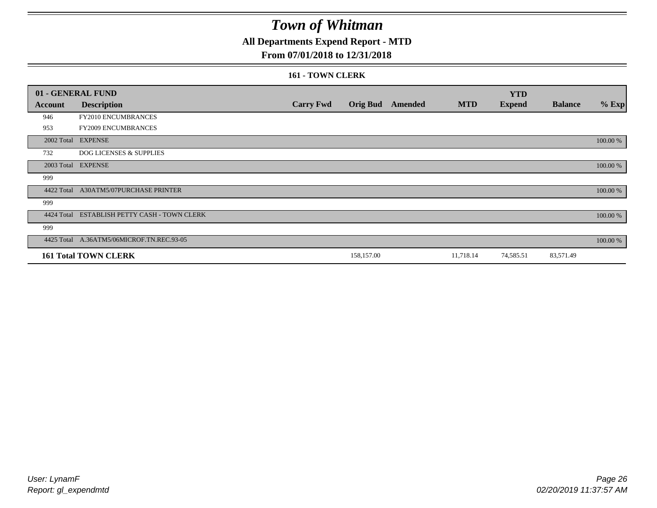## **All Departments Expend Report - MTD**

#### **From 07/01/2018 to 12/31/2018**

#### **161 - TOWN CLERK**

|            | 01 - GENERAL FUND                         |                  |            |                         |            | <b>YTD</b>    |                |          |
|------------|-------------------------------------------|------------------|------------|-------------------------|------------|---------------|----------------|----------|
| Account    | <b>Description</b>                        | <b>Carry Fwd</b> |            | <b>Orig Bud</b> Amended | <b>MTD</b> | <b>Expend</b> | <b>Balance</b> | $%$ Exp  |
| 946        | FY2010 ENCUMBRANCES                       |                  |            |                         |            |               |                |          |
| 953        | FY2009 ENCUMBRANCES                       |                  |            |                         |            |               |                |          |
|            | 2002 Total EXPENSE                        |                  |            |                         |            |               |                | 100.00 % |
| 732        | <b>DOG LICENSES &amp; SUPPLIES</b>        |                  |            |                         |            |               |                |          |
|            | 2003 Total EXPENSE                        |                  |            |                         |            |               |                | 100.00 % |
| 999        |                                           |                  |            |                         |            |               |                |          |
| 4422 Total | <b>A30ATM5/07PURCHASE PRINTER</b>         |                  |            |                         |            |               |                | 100.00 % |
| 999        |                                           |                  |            |                         |            |               |                |          |
| 4424 Total | ESTABLISH PETTY CASH - TOWN CLERK         |                  |            |                         |            |               |                | 100.00 % |
| 999        |                                           |                  |            |                         |            |               |                |          |
|            | 4425 Total A.36ATM5/06MICROF.TN.REC.93-05 |                  |            |                         |            |               |                | 100.00 % |
|            | <b>161 Total TOWN CLERK</b>               |                  | 158,157.00 |                         | 11,718.14  | 74,585.51     | 83,571.49      |          |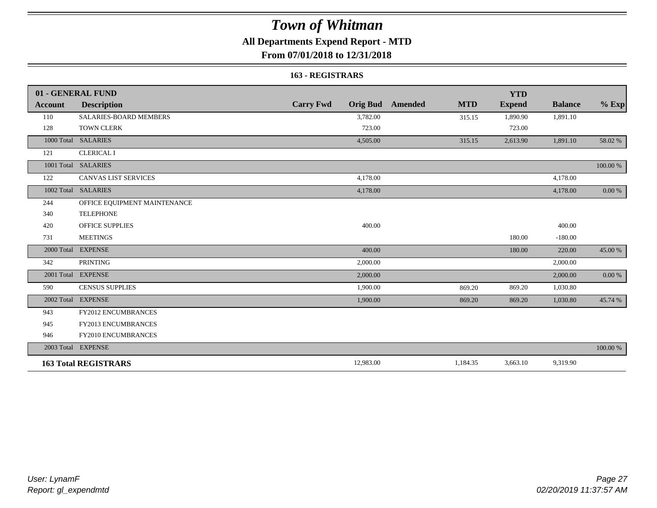## **All Departments Expend Report - MTD**

## **From 07/01/2018 to 12/31/2018**

#### **163 - REGISTRARS**

|                | 01 - GENERAL FUND             |                                     |                       | <b>YTD</b>    |                |            |
|----------------|-------------------------------|-------------------------------------|-----------------------|---------------|----------------|------------|
| <b>Account</b> | <b>Description</b>            | <b>Carry Fwd</b><br><b>Orig Bud</b> | <b>MTD</b><br>Amended | <b>Expend</b> | <b>Balance</b> | $%$ Exp    |
| 110            | <b>SALARIES-BOARD MEMBERS</b> | 3,782.00                            | 315.15                | 1,890.90      | 1,891.10       |            |
| 128            | <b>TOWN CLERK</b>             | 723.00                              |                       | 723.00        |                |            |
|                | 1000 Total SALARIES           | 4,505.00                            | 315.15                | 2,613.90      | 1,891.10       | 58.02 %    |
| 121            | <b>CLERICAL I</b>             |                                     |                       |               |                |            |
|                | 1001 Total SALARIES           |                                     |                       |               |                | 100.00 %   |
| 122            | <b>CANVAS LIST SERVICES</b>   | 4,178.00                            |                       |               | 4,178.00       |            |
|                | 1002 Total SALARIES           | 4,178.00                            |                       |               | 4,178.00       | 0.00 %     |
| 244            | OFFICE EQUIPMENT MAINTENANCE  |                                     |                       |               |                |            |
| 340            | <b>TELEPHONE</b>              |                                     |                       |               |                |            |
| 420            | <b>OFFICE SUPPLIES</b>        | 400.00                              |                       |               | 400.00         |            |
| 731            | <b>MEETINGS</b>               |                                     |                       | 180.00        | $-180.00$      |            |
| 2000 Total     | <b>EXPENSE</b>                | 400.00                              |                       | 180.00        | 220.00         | 45.00 %    |
| 342            | <b>PRINTING</b>               | 2,000.00                            |                       |               | 2,000.00       |            |
|                | 2001 Total EXPENSE            | 2,000.00                            |                       |               | 2,000.00       | $0.00\ \%$ |
| 590            | <b>CENSUS SUPPLIES</b>        | 1,900.00                            | 869.20                | 869.20        | 1,030.80       |            |
| 2002 Total     | <b>EXPENSE</b>                | 1,900.00                            | 869.20                | 869.20        | 1,030.80       | 45.74 %    |
| 943            | <b>FY2012 ENCUMBRANCES</b>    |                                     |                       |               |                |            |
| 945            | <b>FY2013 ENCUMBRANCES</b>    |                                     |                       |               |                |            |
| 946            | FY2010 ENCUMBRANCES           |                                     |                       |               |                |            |
|                | 2003 Total EXPENSE            |                                     |                       |               |                | 100.00 %   |
|                | <b>163 Total REGISTRARS</b>   | 12,983.00                           | 1,184.35              | 3,663.10      | 9,319.90       |            |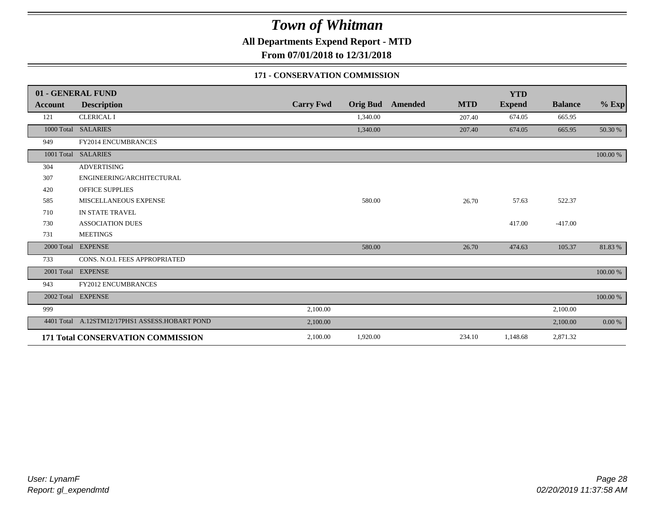**All Departments Expend Report - MTD**

**From 07/01/2018 to 12/31/2018**

#### **171 - CONSERVATION COMMISSION**

|                | 01 - GENERAL FUND                              |                  |          |                         |            | <b>YTD</b>    |                |          |
|----------------|------------------------------------------------|------------------|----------|-------------------------|------------|---------------|----------------|----------|
| <b>Account</b> | <b>Description</b>                             | <b>Carry Fwd</b> |          | <b>Orig Bud</b> Amended | <b>MTD</b> | <b>Expend</b> | <b>Balance</b> | $%$ Exp  |
| 121            | <b>CLERICAL I</b>                              |                  | 1,340.00 |                         | 207.40     | 674.05        | 665.95         |          |
|                | 1000 Total SALARIES                            |                  | 1,340.00 |                         | 207.40     | 674.05        | 665.95         | 50.30 %  |
| 949            | FY2014 ENCUMBRANCES                            |                  |          |                         |            |               |                |          |
|                | 1001 Total SALARIES                            |                  |          |                         |            |               |                | 100.00 % |
| 304            | <b>ADVERTISING</b>                             |                  |          |                         |            |               |                |          |
| 307            | ENGINEERING/ARCHITECTURAL                      |                  |          |                         |            |               |                |          |
| 420            | <b>OFFICE SUPPLIES</b>                         |                  |          |                         |            |               |                |          |
| 585            | MISCELLANEOUS EXPENSE                          |                  | 580.00   |                         | 26.70      | 57.63         | 522.37         |          |
| 710            | IN STATE TRAVEL                                |                  |          |                         |            |               |                |          |
| 730            | <b>ASSOCIATION DUES</b>                        |                  |          |                         |            | 417.00        | $-417.00$      |          |
| 731            | <b>MEETINGS</b>                                |                  |          |                         |            |               |                |          |
|                | 2000 Total EXPENSE                             |                  | 580.00   |                         | 26.70      | 474.63        | 105.37         | 81.83%   |
| 733            | CONS. N.O.I. FEES APPROPRIATED                 |                  |          |                         |            |               |                |          |
|                | 2001 Total EXPENSE                             |                  |          |                         |            |               |                | 100.00 % |
| 943            | FY2012 ENCUMBRANCES                            |                  |          |                         |            |               |                |          |
|                | 2002 Total EXPENSE                             |                  |          |                         |            |               |                | 100.00 % |
| 999            |                                                | 2,100.00         |          |                         |            |               | 2,100.00       |          |
|                | 4401 Total A.12STM12/17PHS1 ASSESS.HOBART POND | 2,100.00         |          |                         |            |               | 2,100.00       | 0.00 %   |
|                | 171 Total CONSERVATION COMMISSION              | 2,100.00         | 1,920.00 |                         | 234.10     | 1,148.68      | 2,871.32       |          |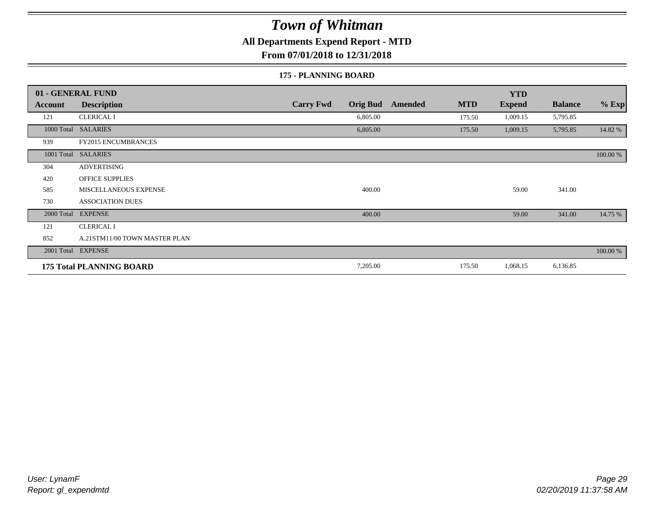**All Departments Expend Report - MTD**

**From 07/01/2018 to 12/31/2018**

#### **175 - PLANNING BOARD**

|                | 01 - GENERAL FUND               |                                     |                       | <b>YTD</b>    |                |          |
|----------------|---------------------------------|-------------------------------------|-----------------------|---------------|----------------|----------|
| <b>Account</b> | <b>Description</b>              | <b>Carry Fwd</b><br><b>Orig Bud</b> | <b>MTD</b><br>Amended | <b>Expend</b> | <b>Balance</b> | $%$ Exp  |
| 121            | <b>CLERICAL I</b>               | 6,805.00                            | 175.50                | 1,009.15      | 5,795.85       |          |
|                | 1000 Total SALARIES             | 6,805.00                            | 175.50                | 1,009.15      | 5,795.85       | 14.82 %  |
| 939            | <b>FY2015 ENCUMBRANCES</b>      |                                     |                       |               |                |          |
| 1001 Total     | <b>SALARIES</b>                 |                                     |                       |               |                | 100.00 % |
| 304            | <b>ADVERTISING</b>              |                                     |                       |               |                |          |
| 420            | <b>OFFICE SUPPLIES</b>          |                                     |                       |               |                |          |
| 585            | MISCELLANEOUS EXPENSE           | 400.00                              |                       | 59.00         | 341.00         |          |
| 730            | <b>ASSOCIATION DUES</b>         |                                     |                       |               |                |          |
| 2000 Total     | <b>EXPENSE</b>                  | 400.00                              |                       | 59.00         | 341.00         | 14.75 %  |
| 121            | <b>CLERICAL I</b>               |                                     |                       |               |                |          |
| 852            | A.21STM11/00 TOWN MASTER PLAN   |                                     |                       |               |                |          |
|                | 2001 Total EXPENSE              |                                     |                       |               |                | 100.00 % |
|                | <b>175 Total PLANNING BOARD</b> | 7,205.00                            | 175.50                | 1,068.15      | 6,136.85       |          |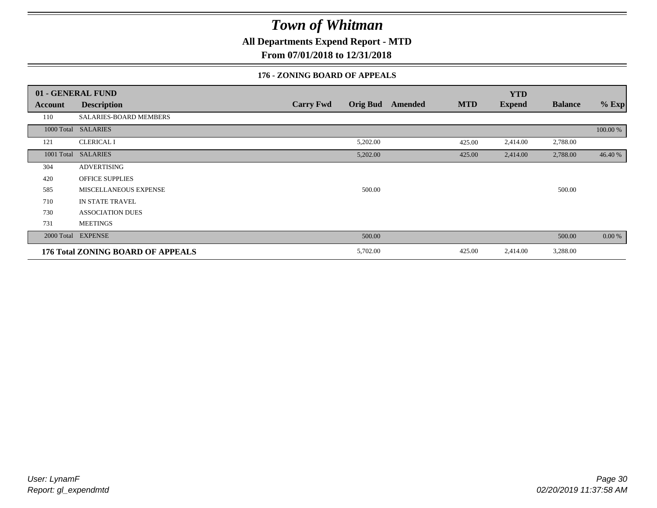**All Departments Expend Report - MTD**

**From 07/01/2018 to 12/31/2018**

#### **176 - ZONING BOARD OF APPEALS**

|            | 01 - GENERAL FUND                        |                  |                 |         |            | <b>YTD</b>    |                |          |
|------------|------------------------------------------|------------------|-----------------|---------|------------|---------------|----------------|----------|
| Account    | <b>Description</b>                       | <b>Carry Fwd</b> | <b>Orig Bud</b> | Amended | <b>MTD</b> | <b>Expend</b> | <b>Balance</b> | $%$ Exp  |
| 110        | SALARIES-BOARD MEMBERS                   |                  |                 |         |            |               |                |          |
| 1000 Total | <b>SALARIES</b>                          |                  |                 |         |            |               |                | 100.00 % |
| 121        | <b>CLERICAL I</b>                        |                  | 5,202.00        |         | 425.00     | 2,414.00      | 2,788.00       |          |
| 1001 Total | <b>SALARIES</b>                          |                  | 5,202.00        |         | 425.00     | 2,414.00      | 2,788.00       | 46.40 %  |
| 304        | <b>ADVERTISING</b>                       |                  |                 |         |            |               |                |          |
| 420        | <b>OFFICE SUPPLIES</b>                   |                  |                 |         |            |               |                |          |
| 585        | <b>MISCELLANEOUS EXPENSE</b>             |                  | 500.00          |         |            |               | 500.00         |          |
| 710        | IN STATE TRAVEL                          |                  |                 |         |            |               |                |          |
| 730        | <b>ASSOCIATION DUES</b>                  |                  |                 |         |            |               |                |          |
| 731        | <b>MEETINGS</b>                          |                  |                 |         |            |               |                |          |
| 2000 Total | <b>EXPENSE</b>                           |                  | 500.00          |         |            |               | 500.00         | 0.00 %   |
|            | <b>176 Total ZONING BOARD OF APPEALS</b> |                  | 5,702.00        |         | 425.00     | 2,414.00      | 3,288.00       |          |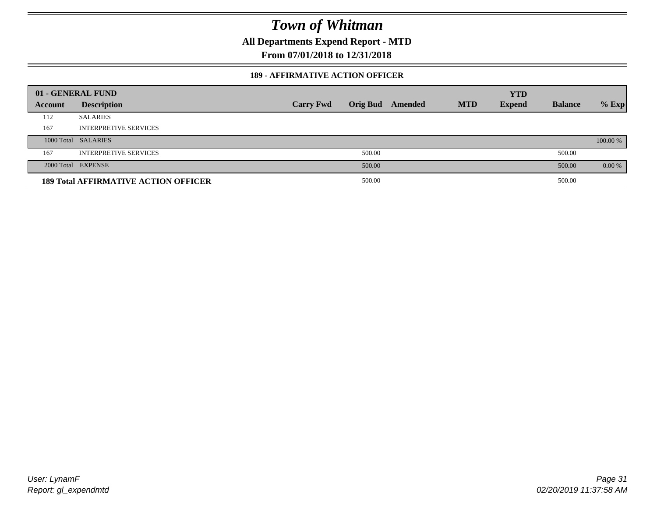**All Departments Expend Report - MTD**

**From 07/01/2018 to 12/31/2018**

#### **189 - AFFIRMATIVE ACTION OFFICER**

|         | 01 - GENERAL FUND                           |                  |        |                         |            | <b>YTD</b>    |                |          |
|---------|---------------------------------------------|------------------|--------|-------------------------|------------|---------------|----------------|----------|
| Account | <b>Description</b>                          | <b>Carry Fwd</b> |        | <b>Orig Bud</b> Amended | <b>MTD</b> | <b>Expend</b> | <b>Balance</b> | $%$ Exp  |
| 112     | <b>SALARIES</b>                             |                  |        |                         |            |               |                |          |
| 167     | <b>INTERPRETIVE SERVICES</b>                |                  |        |                         |            |               |                |          |
|         | 1000 Total SALARIES                         |                  |        |                         |            |               |                | 100.00 % |
| 167     | <b>INTERPRETIVE SERVICES</b>                |                  | 500.00 |                         |            |               | 500.00         |          |
|         | 2000 Total EXPENSE                          |                  | 500.00 |                         |            |               | 500.00         | $0.00\%$ |
|         | <b>189 Total AFFIRMATIVE ACTION OFFICER</b> |                  | 500.00 |                         |            |               | 500.00         |          |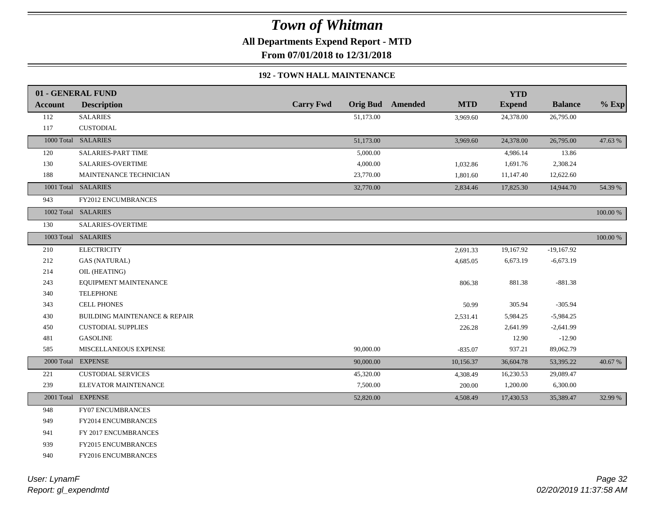**All Departments Expend Report - MTD**

**From 07/01/2018 to 12/31/2018**

#### **192 - TOWN HALL MAINTENANCE**

|         | 01 - GENERAL FUND                        |                  |           |                         |            | <b>YTD</b>    |                |          |
|---------|------------------------------------------|------------------|-----------|-------------------------|------------|---------------|----------------|----------|
| Account | <b>Description</b>                       | <b>Carry Fwd</b> |           | <b>Orig Bud</b> Amended | <b>MTD</b> | <b>Expend</b> | <b>Balance</b> | $%$ Exp  |
| 112     | <b>SALARIES</b>                          |                  | 51,173.00 |                         | 3,969.60   | 24,378.00     | 26,795.00      |          |
| 117     | <b>CUSTODIAL</b>                         |                  |           |                         |            |               |                |          |
|         | 1000 Total SALARIES                      |                  | 51,173.00 |                         | 3,969.60   | 24,378.00     | 26,795.00      | 47.63 %  |
| 120     | <b>SALARIES-PART TIME</b>                |                  | 5,000.00  |                         |            | 4,986.14      | 13.86          |          |
| 130     | <b>SALARIES-OVERTIME</b>                 |                  | 4,000.00  |                         | 1,032.86   | 1,691.76      | 2,308.24       |          |
| 188     | MAINTENANCE TECHNICIAN                   |                  | 23,770.00 |                         | 1,801.60   | 11,147.40     | 12,622.60      |          |
|         | 1001 Total SALARIES                      |                  | 32,770.00 |                         | 2,834.46   | 17,825.30     | 14,944.70      | 54.39 %  |
| 943     | <b>FY2012 ENCUMBRANCES</b>               |                  |           |                         |            |               |                |          |
|         | 1002 Total SALARIES                      |                  |           |                         |            |               |                | 100.00 % |
| 130     | SALARIES-OVERTIME                        |                  |           |                         |            |               |                |          |
|         | 1003 Total SALARIES                      |                  |           |                         |            |               |                | 100.00 % |
| 210     | <b>ELECTRICITY</b>                       |                  |           |                         | 2,691.33   | 19,167.92     | $-19,167.92$   |          |
| 212     | <b>GAS (NATURAL)</b>                     |                  |           |                         | 4,685.05   | 6,673.19      | $-6,673.19$    |          |
| 214     | OIL (HEATING)                            |                  |           |                         |            |               |                |          |
| 243     | EQUIPMENT MAINTENANCE                    |                  |           |                         | 806.38     | 881.38        | $-881.38$      |          |
| 340     | <b>TELEPHONE</b>                         |                  |           |                         |            |               |                |          |
| 343     | <b>CELL PHONES</b>                       |                  |           |                         | 50.99      | 305.94        | $-305.94$      |          |
| 430     | <b>BUILDING MAINTENANCE &amp; REPAIR</b> |                  |           |                         | 2,531.41   | 5,984.25      | $-5,984.25$    |          |
| 450     | <b>CUSTODIAL SUPPLIES</b>                |                  |           |                         | 226.28     | 2,641.99      | $-2,641.99$    |          |
| 481     | <b>GASOLINE</b>                          |                  |           |                         |            | 12.90         | $-12.90$       |          |
| 585     | MISCELLANEOUS EXPENSE                    |                  | 90,000.00 |                         | $-835.07$  | 937.21        | 89,062.79      |          |
|         | 2000 Total EXPENSE                       |                  | 90,000.00 |                         | 10,156.37  | 36,604.78     | 53,395.22      | 40.67 %  |
| 221     | <b>CUSTODIAL SERVICES</b>                |                  | 45,320.00 |                         | 4,308.49   | 16,230.53     | 29,089.47      |          |
| 239     | ELEVATOR MAINTENANCE                     |                  | 7,500.00  |                         | 200.00     | 1,200.00      | 6,300.00       |          |
|         | 2001 Total EXPENSE                       |                  | 52,820.00 |                         | 4,508.49   | 17,430.53     | 35,389.47      | 32.99 %  |
| 948     | <b>FY07 ENCUMBRANCES</b>                 |                  |           |                         |            |               |                |          |
| 949     | FY2014 ENCUMBRANCES                      |                  |           |                         |            |               |                |          |
| 941     | FY 2017 ENCUMBRANCES                     |                  |           |                         |            |               |                |          |
| 939     | <b>FY2015 ENCUMBRANCES</b>               |                  |           |                         |            |               |                |          |
| 940     | FY2016 ENCUMBRANCES                      |                  |           |                         |            |               |                |          |
|         |                                          |                  |           |                         |            |               |                |          |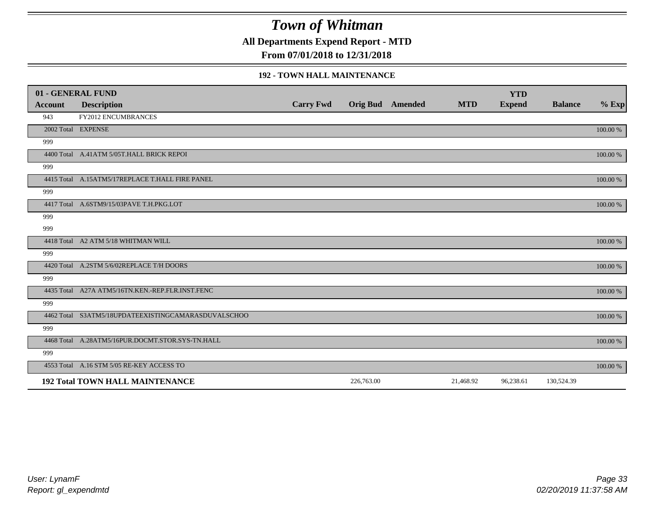**All Departments Expend Report - MTD**

**From 07/01/2018 to 12/31/2018**

#### **192 - TOWN HALL MAINTENANCE**

|         | 01 - GENERAL FUND                                   |                  |                         |            | <b>YTD</b>    |                |          |
|---------|-----------------------------------------------------|------------------|-------------------------|------------|---------------|----------------|----------|
| Account | <b>Description</b>                                  | <b>Carry Fwd</b> | <b>Orig Bud</b> Amended | <b>MTD</b> | <b>Expend</b> | <b>Balance</b> | $%$ Exp  |
| 943     | <b>FY2012 ENCUMBRANCES</b>                          |                  |                         |            |               |                |          |
|         | 2002 Total EXPENSE                                  |                  |                         |            |               |                | 100.00 % |
| 999     |                                                     |                  |                         |            |               |                |          |
|         | 4400 Total A.41ATM 5/05T.HALL BRICK REPOI           |                  |                         |            |               |                | 100.00 % |
| 999     |                                                     |                  |                         |            |               |                |          |
|         | 4415 Total A.15ATM5/17REPLACE T.HALL FIRE PANEL     |                  |                         |            |               |                | 100.00 % |
| 999     |                                                     |                  |                         |            |               |                |          |
|         | 4417 Total A.6STM9/15/03PAVE T.H.PKG.LOT            |                  |                         |            |               |                | 100.00 % |
| 999     |                                                     |                  |                         |            |               |                |          |
| 999     |                                                     |                  |                         |            |               |                |          |
|         | 4418 Total A2 ATM 5/18 WHITMAN WILL                 |                  |                         |            |               |                | 100.00 % |
| 999     |                                                     |                  |                         |            |               |                |          |
|         | 4420 Total A.2STM 5/6/02REPLACE T/H DOORS           |                  |                         |            |               |                | 100.00 % |
| 999     |                                                     |                  |                         |            |               |                |          |
|         | 4435 Total A27A ATM5/16TN.KEN.-REP.FLR.INST.FENC    |                  |                         |            |               |                | 100.00 % |
| 999     |                                                     |                  |                         |            |               |                |          |
|         | 4462 Total S3ATM5/18UPDATEEXISTINGCAMARASDUVALSCHOO |                  |                         |            |               |                | 100.00 % |
| 999     |                                                     |                  |                         |            |               |                |          |
|         | 4468 Total A.28ATM5/16PUR.DOCMT.STOR.SYS-TN.HALL    |                  |                         |            |               |                | 100.00 % |
| 999     |                                                     |                  |                         |            |               |                |          |
|         | 4553 Total A.16 STM 5/05 RE-KEY ACCESS TO           |                  |                         |            |               |                | 100.00 % |
|         | <b>192 Total TOWN HALL MAINTENANCE</b>              |                  | 226,763.00              | 21,468.92  | 96,238.61     | 130,524.39     |          |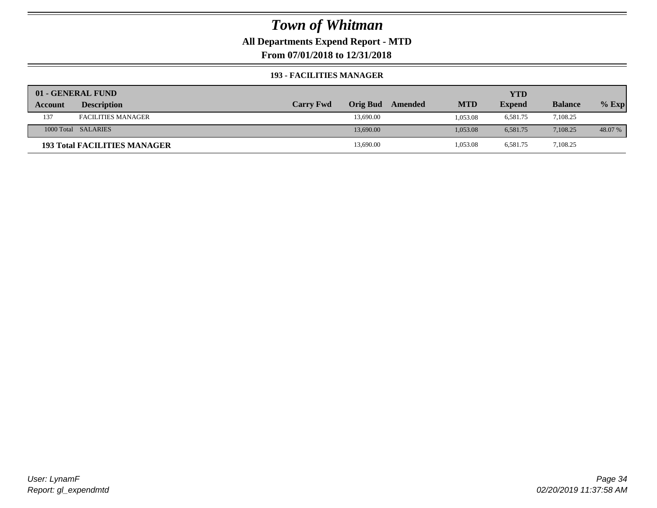## **All Departments Expend Report - MTD**

**From 07/01/2018 to 12/31/2018**

#### **193 - FACILITIES MANAGER**

|         | 01 - GENERAL FUND                   |                  |                 |         |            | YTD           |                |         |
|---------|-------------------------------------|------------------|-----------------|---------|------------|---------------|----------------|---------|
| Account | <b>Description</b>                  | <b>Carry Fwd</b> | <b>Orig Bud</b> | Amended | <b>MTD</b> | <b>Expend</b> | <b>Balance</b> | $%$ Exp |
| 137     | <b>FACILITIES MANAGER</b>           |                  | 13,690.00       |         | 1.053.08   | 6,581.75      | 7,108.25       |         |
|         | 1000 Total SALARIES                 |                  | 13,690.00       |         | 1.053.08   | 6.581.75      | 7.108.25       | 48.07 % |
|         | <b>193 Total FACILITIES MANAGER</b> |                  | 13,690.00       |         | 1,053.08   | 6,581.75      | 7,108.25       |         |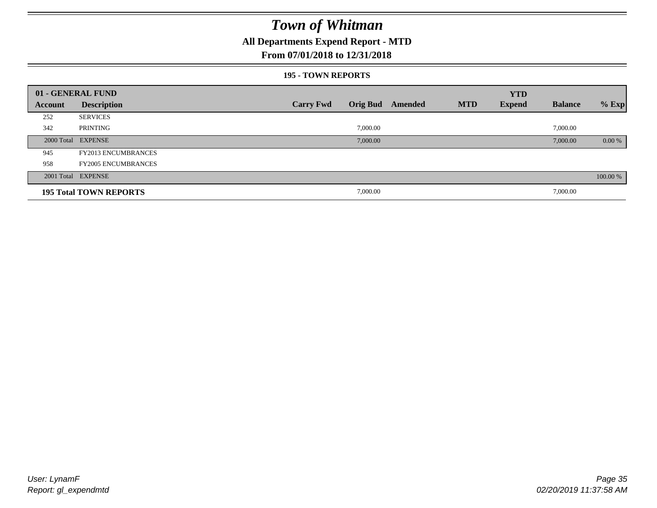## **All Departments Expend Report - MTD**

#### **From 07/01/2018 to 12/31/2018**

#### **195 - TOWN REPORTS**

|         | 01 - GENERAL FUND             |                  |          |                  |            | <b>YTD</b>    |                |          |
|---------|-------------------------------|------------------|----------|------------------|------------|---------------|----------------|----------|
| Account | <b>Description</b>            | <b>Carry Fwd</b> |          | Orig Bud Amended | <b>MTD</b> | <b>Expend</b> | <b>Balance</b> | $%$ Exp  |
| 252     | <b>SERVICES</b>               |                  |          |                  |            |               |                |          |
| 342     | PRINTING                      |                  | 7,000.00 |                  |            |               | 7,000.00       |          |
|         | 2000 Total EXPENSE            |                  | 7,000.00 |                  |            |               | 7,000.00       | 0.00 %   |
| 945     | <b>FY2013 ENCUMBRANCES</b>    |                  |          |                  |            |               |                |          |
| 958     | <b>FY2005 ENCUMBRANCES</b>    |                  |          |                  |            |               |                |          |
|         | 2001 Total EXPENSE            |                  |          |                  |            |               |                | 100.00 % |
|         | <b>195 Total TOWN REPORTS</b> |                  | 7,000.00 |                  |            |               | 7,000.00       |          |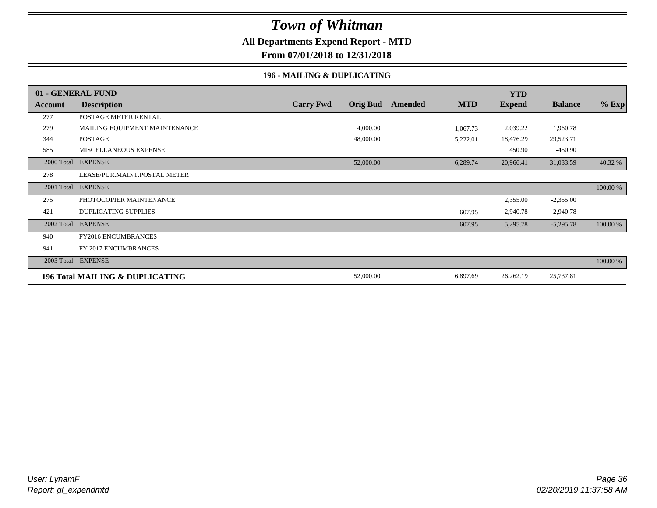## **All Departments Expend Report - MTD**

**From 07/01/2018 to 12/31/2018**

#### **196 - MAILING & DUPLICATING**

|            | 01 - GENERAL FUND               |                  |                 |         |            | <b>YTD</b>    |                |          |
|------------|---------------------------------|------------------|-----------------|---------|------------|---------------|----------------|----------|
| Account    | <b>Description</b>              | <b>Carry Fwd</b> | <b>Orig Bud</b> | Amended | <b>MTD</b> | <b>Expend</b> | <b>Balance</b> | $%$ Exp  |
| 277        | POSTAGE METER RENTAL            |                  |                 |         |            |               |                |          |
| 279        | MAILING EQUIPMENT MAINTENANCE   |                  | 4,000.00        |         | 1,067.73   | 2,039.22      | 1,960.78       |          |
| 344        | <b>POSTAGE</b>                  |                  | 48,000.00       |         | 5,222.01   | 18,476.29     | 29,523.71      |          |
| 585        | MISCELLANEOUS EXPENSE           |                  |                 |         |            | 450.90        | $-450.90$      |          |
|            | 2000 Total EXPENSE              |                  | 52,000.00       |         | 6,289.74   | 20,966.41     | 31,033.59      | 40.32 %  |
| 278        | LEASE/PUR.MAINT.POSTAL METER    |                  |                 |         |            |               |                |          |
| 2001 Total | <b>EXPENSE</b>                  |                  |                 |         |            |               |                | 100.00 % |
| 275        | PHOTOCOPIER MAINTENANCE         |                  |                 |         |            | 2,355.00      | $-2,355.00$    |          |
| 421        | <b>DUPLICATING SUPPLIES</b>     |                  |                 |         | 607.95     | 2,940.78      | $-2,940.78$    |          |
| 2002 Total | <b>EXPENSE</b>                  |                  |                 |         | 607.95     | 5,295.78      | $-5,295.78$    | 100.00 % |
| 940        | <b>FY2016 ENCUMBRANCES</b>      |                  |                 |         |            |               |                |          |
| 941        | FY 2017 ENCUMBRANCES            |                  |                 |         |            |               |                |          |
| 2003 Total | <b>EXPENSE</b>                  |                  |                 |         |            |               |                | 100.00 % |
|            | 196 Total MAILING & DUPLICATING |                  | 52,000.00       |         | 6,897.69   | 26,262.19     | 25,737.81      |          |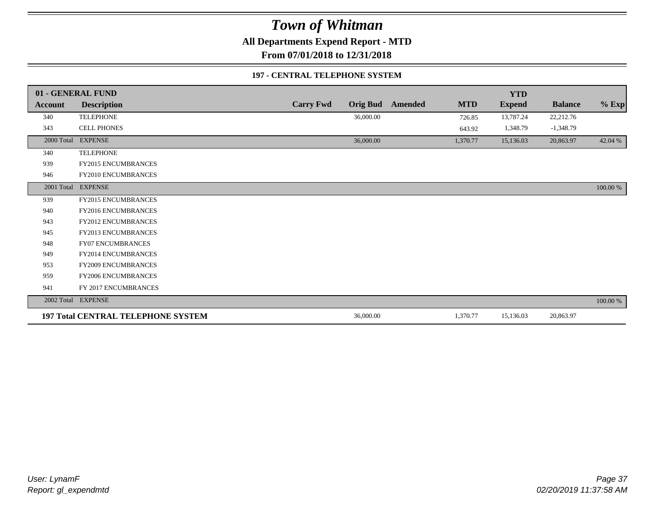**All Departments Expend Report - MTD**

**From 07/01/2018 to 12/31/2018**

### **197 - CENTRAL TELEPHONE SYSTEM**

|            | 01 - GENERAL FUND                         |                  |                 |         |            | <b>YTD</b>    |                |          |
|------------|-------------------------------------------|------------------|-----------------|---------|------------|---------------|----------------|----------|
| Account    | <b>Description</b>                        | <b>Carry Fwd</b> | <b>Orig Bud</b> | Amended | <b>MTD</b> | <b>Expend</b> | <b>Balance</b> | $%$ Exp  |
| 340        | <b>TELEPHONE</b>                          |                  | 36,000.00       |         | 726.85     | 13,787.24     | 22,212.76      |          |
| 343        | <b>CELL PHONES</b>                        |                  |                 |         | 643.92     | 1,348.79      | $-1,348.79$    |          |
| 2000 Total | <b>EXPENSE</b>                            |                  | 36,000.00       |         | 1,370.77   | 15,136.03     | 20,863.97      | 42.04 %  |
| 340        | <b>TELEPHONE</b>                          |                  |                 |         |            |               |                |          |
| 939        | FY2015 ENCUMBRANCES                       |                  |                 |         |            |               |                |          |
| 946        | FY2010 ENCUMBRANCES                       |                  |                 |         |            |               |                |          |
|            | 2001 Total EXPENSE                        |                  |                 |         |            |               |                | 100.00 % |
| 939        | <b>FY2015 ENCUMBRANCES</b>                |                  |                 |         |            |               |                |          |
| 940        | <b>FY2016 ENCUMBRANCES</b>                |                  |                 |         |            |               |                |          |
| 943        | <b>FY2012 ENCUMBRANCES</b>                |                  |                 |         |            |               |                |          |
| 945        | <b>FY2013 ENCUMBRANCES</b>                |                  |                 |         |            |               |                |          |
| 948        | <b>FY07 ENCUMBRANCES</b>                  |                  |                 |         |            |               |                |          |
| 949        | <b>FY2014 ENCUMBRANCES</b>                |                  |                 |         |            |               |                |          |
| 953        | <b>FY2009 ENCUMBRANCES</b>                |                  |                 |         |            |               |                |          |
| 959        | FY2006 ENCUMBRANCES                       |                  |                 |         |            |               |                |          |
| 941        | FY 2017 ENCUMBRANCES                      |                  |                 |         |            |               |                |          |
|            | 2002 Total EXPENSE                        |                  |                 |         |            |               |                | 100.00 % |
|            | <b>197 Total CENTRAL TELEPHONE SYSTEM</b> |                  | 36,000.00       |         | 1,370.77   | 15,136.03     | 20,863.97      |          |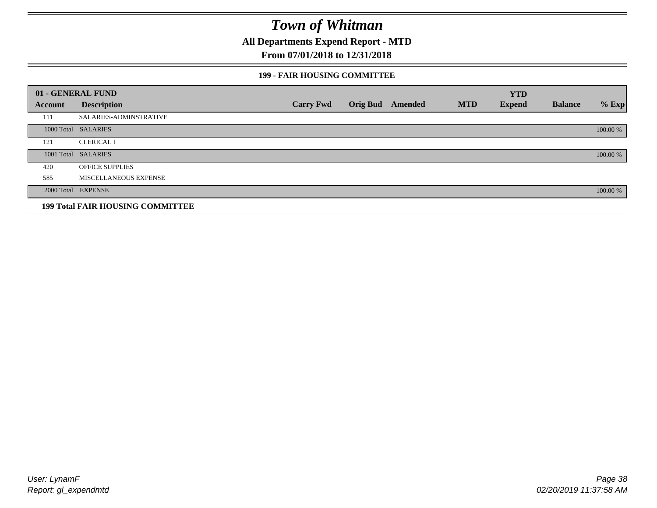**All Departments Expend Report - MTD**

## **From 07/01/2018 to 12/31/2018**

### **199 - FAIR HOUSING COMMITTEE**

|         | 01 - GENERAL FUND                       |                  |                         |            | <b>YTD</b>    |                |          |
|---------|-----------------------------------------|------------------|-------------------------|------------|---------------|----------------|----------|
| Account | <b>Description</b>                      | <b>Carry Fwd</b> | <b>Orig Bud</b> Amended | <b>MTD</b> | <b>Expend</b> | <b>Balance</b> | $%$ Exp  |
| 111     | SALARIES-ADMINSTRATIVE                  |                  |                         |            |               |                |          |
|         | 1000 Total SALARIES                     |                  |                         |            |               |                | 100.00 % |
| 121     | <b>CLERICAL I</b>                       |                  |                         |            |               |                |          |
|         | 1001 Total SALARIES                     |                  |                         |            |               |                | 100.00 % |
| 420     | <b>OFFICE SUPPLIES</b>                  |                  |                         |            |               |                |          |
| 585     | MISCELLANEOUS EXPENSE                   |                  |                         |            |               |                |          |
|         | 2000 Total EXPENSE                      |                  |                         |            |               |                | 100.00 % |
|         | <b>199 Total FAIR HOUSING COMMITTEE</b> |                  |                         |            |               |                |          |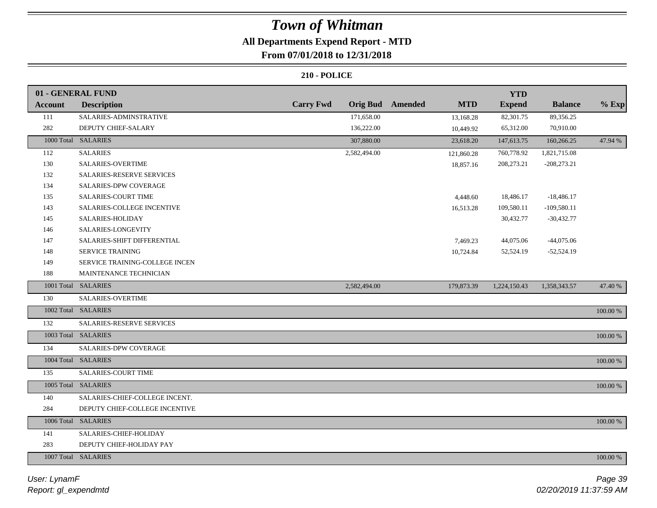## **All Departments Expend Report - MTD**

## **From 07/01/2018 to 12/31/2018**

| <b>Carry Fwd</b><br><b>Orig Bud</b><br><b>Amended</b><br><b>MTD</b><br><b>Expend</b><br><b>Balance</b><br><b>Description</b><br><b>Account</b><br>SALARIES-ADMINSTRATIVE<br>171,658.00<br>82,301.75<br>111<br>89,356.25<br>13,168.28<br>282<br>DEPUTY CHIEF-SALARY<br>136,222.00<br>65,312.00<br>70,910.00<br>10,449.92 | $%$ Exp<br>47.94 % |
|-------------------------------------------------------------------------------------------------------------------------------------------------------------------------------------------------------------------------------------------------------------------------------------------------------------------------|--------------------|
|                                                                                                                                                                                                                                                                                                                         |                    |
|                                                                                                                                                                                                                                                                                                                         |                    |
|                                                                                                                                                                                                                                                                                                                         |                    |
| 1000 Total SALARIES<br>307,880.00<br>23,618.20<br>147,613.75<br>160,266.25                                                                                                                                                                                                                                              |                    |
| <b>SALARIES</b><br>2,582,494.00<br>112<br>760,778.92<br>1,821,715.08<br>121,860.28                                                                                                                                                                                                                                      |                    |
| 130<br>SALARIES-OVERTIME<br>208,273.21<br>$-208,273.21$<br>18,857.16                                                                                                                                                                                                                                                    |                    |
| SALARIES-RESERVE SERVICES<br>132                                                                                                                                                                                                                                                                                        |                    |
| 134<br><b>SALARIES-DPW COVERAGE</b>                                                                                                                                                                                                                                                                                     |                    |
| SALARIES-COURT TIME<br>135<br>18,486.17<br>$-18,486.17$<br>4,448.60                                                                                                                                                                                                                                                     |                    |
| 143<br>109,580.11<br>$-109,580.11$<br>SALARIES-COLLEGE INCENTIVE<br>16,513.28                                                                                                                                                                                                                                           |                    |
| SALARIES-HOLIDAY<br>30,432.77<br>145<br>$-30,432.77$                                                                                                                                                                                                                                                                    |                    |
| 146<br>SALARIES-LONGEVITY                                                                                                                                                                                                                                                                                               |                    |
| 44,075.06<br>$-44,075.06$<br>147<br>SALARIES-SHIFT DIFFERENTIAL<br>7,469.23                                                                                                                                                                                                                                             |                    |
| SERVICE TRAINING<br>148<br>52,524.19<br>$-52,524.19$<br>10,724.84                                                                                                                                                                                                                                                       |                    |
| 149<br>SERVICE TRAINING-COLLEGE INCEN                                                                                                                                                                                                                                                                                   |                    |
| MAINTENANCE TECHNICIAN<br>188                                                                                                                                                                                                                                                                                           |                    |
| 1001 Total SALARIES<br>2,582,494.00<br>179,873.39<br>1,224,150.43<br>1,358,343.57                                                                                                                                                                                                                                       | 47.40 %            |
| 130<br>SALARIES-OVERTIME                                                                                                                                                                                                                                                                                                |                    |
| 1002 Total SALARIES                                                                                                                                                                                                                                                                                                     | 100.00 %           |
| 132<br>SALARIES-RESERVE SERVICES                                                                                                                                                                                                                                                                                        |                    |
| 1003 Total SALARIES                                                                                                                                                                                                                                                                                                     | 100.00 %           |
| SALARIES-DPW COVERAGE<br>134                                                                                                                                                                                                                                                                                            |                    |
| 1004 Total SALARIES                                                                                                                                                                                                                                                                                                     | 100.00 %           |
| 135<br><b>SALARIES-COURT TIME</b>                                                                                                                                                                                                                                                                                       |                    |
| 1005 Total SALARIES                                                                                                                                                                                                                                                                                                     | 100.00 %           |
| SALARIES-CHIEF-COLLEGE INCENT.<br>140                                                                                                                                                                                                                                                                                   |                    |
| 284<br>DEPUTY CHIEF-COLLEGE INCENTIVE                                                                                                                                                                                                                                                                                   |                    |
| 1006 Total SALARIES                                                                                                                                                                                                                                                                                                     | 100.00 %           |
| SALARIES-CHIEF-HOLIDAY<br>141                                                                                                                                                                                                                                                                                           |                    |
| 283<br>DEPUTY CHIEF-HOLIDAY PAY                                                                                                                                                                                                                                                                                         |                    |
| 1007 Total SALARIES                                                                                                                                                                                                                                                                                                     | 100.00 %           |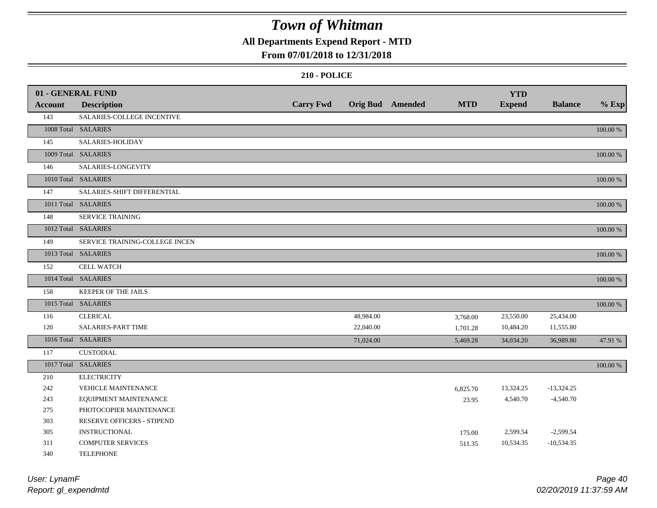## **All Departments Expend Report - MTD**

### **From 07/01/2018 to 12/31/2018**

|                | 01 - GENERAL FUND              |                  |           |                         |            | <b>YTD</b>    |                |          |
|----------------|--------------------------------|------------------|-----------|-------------------------|------------|---------------|----------------|----------|
| <b>Account</b> | <b>Description</b>             | <b>Carry Fwd</b> |           | <b>Orig Bud</b> Amended | <b>MTD</b> | <b>Expend</b> | <b>Balance</b> | $%$ Exp  |
| 143            | SALARIES-COLLEGE INCENTIVE     |                  |           |                         |            |               |                |          |
|                | 1008 Total SALARIES            |                  |           |                         |            |               |                | 100.00 % |
| 145            | SALARIES-HOLIDAY               |                  |           |                         |            |               |                |          |
|                | 1009 Total SALARIES            |                  |           |                         |            |               |                | 100.00 % |
| 146            | SALARIES-LONGEVITY             |                  |           |                         |            |               |                |          |
|                | 1010 Total SALARIES            |                  |           |                         |            |               |                | 100.00 % |
| 147            | SALARIES-SHIFT DIFFERENTIAL    |                  |           |                         |            |               |                |          |
|                | 1011 Total SALARIES            |                  |           |                         |            |               |                | 100.00 % |
| 148            | <b>SERVICE TRAINING</b>        |                  |           |                         |            |               |                |          |
|                | 1012 Total SALARIES            |                  |           |                         |            |               |                | 100.00 % |
| 149            | SERVICE TRAINING-COLLEGE INCEN |                  |           |                         |            |               |                |          |
|                | 1013 Total SALARIES            |                  |           |                         |            |               |                | 100.00 % |
| 152            | <b>CELL WATCH</b>              |                  |           |                         |            |               |                |          |
|                | 1014 Total SALARIES            |                  |           |                         |            |               |                | 100.00 % |
| 158            | KEEPER OF THE JAILS            |                  |           |                         |            |               |                |          |
|                | 1015 Total SALARIES            |                  |           |                         |            |               |                | 100.00 % |
| 116            | <b>CLERICAL</b>                |                  | 48,984.00 |                         | 3,768.00   | 23,550.00     | 25,434.00      |          |
| 120            | SALARIES-PART TIME             |                  | 22,040.00 |                         | 1,701.28   | 10,484.20     | 11,555.80      |          |
|                | 1016 Total SALARIES            |                  | 71,024.00 |                         | 5,469.28   | 34,034.20     | 36,989.80      | 47.91 %  |
| 117            | <b>CUSTODIAL</b>               |                  |           |                         |            |               |                |          |
|                | 1017 Total SALARIES            |                  |           |                         |            |               |                | 100.00 % |
| 210            | <b>ELECTRICITY</b>             |                  |           |                         |            |               |                |          |
| 242            | VEHICLE MAINTENANCE            |                  |           |                         | 6,825.70   | 13,324.25     | $-13,324.25$   |          |
| 243            | EQUIPMENT MAINTENANCE          |                  |           |                         | 23.95      | 4,540.70      | $-4,540.70$    |          |
| 275            | PHOTOCOPIER MAINTENANCE        |                  |           |                         |            |               |                |          |
| 303            | RESERVE OFFICERS - STIPEND     |                  |           |                         |            |               |                |          |
| 305            | <b>INSTRUCTIONAL</b>           |                  |           |                         | 175.00     | 2,599.54      | $-2,599.54$    |          |
| 311            | <b>COMPUTER SERVICES</b>       |                  |           |                         | 511.35     | 10,534.35     | $-10,534.35$   |          |
| 340            | <b>TELEPHONE</b>               |                  |           |                         |            |               |                |          |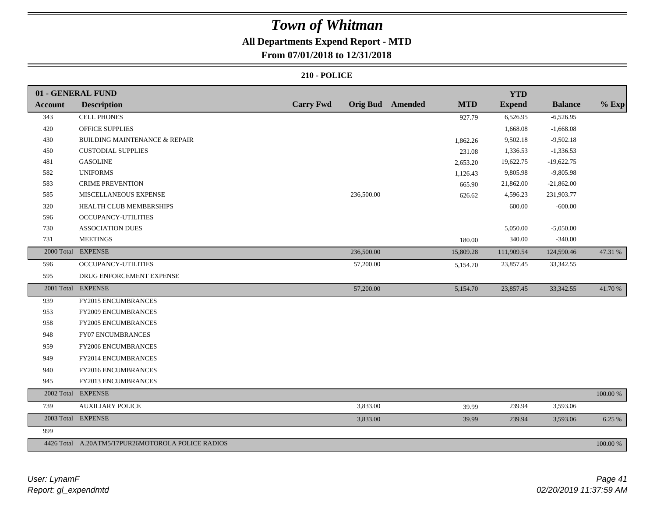## **All Departments Expend Report - MTD**

## **From 07/01/2018 to 12/31/2018**

|                | 01 - GENERAL FUND                                 |                  |            |                         |            | <b>YTD</b>    |                |             |
|----------------|---------------------------------------------------|------------------|------------|-------------------------|------------|---------------|----------------|-------------|
| <b>Account</b> | <b>Description</b>                                | <b>Carry Fwd</b> |            | <b>Orig Bud</b> Amended | <b>MTD</b> | <b>Expend</b> | <b>Balance</b> | $%$ Exp     |
| 343            | <b>CELL PHONES</b>                                |                  |            |                         | 927.79     | 6,526.95      | $-6,526.95$    |             |
| 420            | OFFICE SUPPLIES                                   |                  |            |                         |            | 1,668.08      | $-1,668.08$    |             |
| 430            | <b>BUILDING MAINTENANCE &amp; REPAIR</b>          |                  |            |                         | 1,862.26   | 9,502.18      | $-9,502.18$    |             |
| 450            | <b>CUSTODIAL SUPPLIES</b>                         |                  |            |                         | 231.08     | 1,336.53      | $-1,336.53$    |             |
| 481            | <b>GASOLINE</b>                                   |                  |            |                         | 2,653.20   | 19,622.75     | $-19,622.75$   |             |
| 582            | <b>UNIFORMS</b>                                   |                  |            |                         | 1,126.43   | 9,805.98      | $-9,805.98$    |             |
| 583            | <b>CRIME PREVENTION</b>                           |                  |            |                         | 665.90     | 21,862.00     | $-21,862.00$   |             |
| 585            | MISCELLANEOUS EXPENSE                             |                  | 236,500.00 |                         | 626.62     | 4,596.23      | 231,903.77     |             |
| 320            | HEALTH CLUB MEMBERSHIPS                           |                  |            |                         |            | 600.00        | $-600.00$      |             |
| 596            | OCCUPANCY-UTILITIES                               |                  |            |                         |            |               |                |             |
| 730            | <b>ASSOCIATION DUES</b>                           |                  |            |                         |            | 5,050.00      | $-5,050.00$    |             |
| 731            | <b>MEETINGS</b>                                   |                  |            |                         | 180.00     | 340.00        | $-340.00$      |             |
|                | 2000 Total EXPENSE                                |                  | 236,500.00 |                         | 15,809.28  | 111,909.54    | 124,590.46     | 47.31 %     |
| 596            | OCCUPANCY-UTILITIES                               |                  | 57,200.00  |                         | 5,154.70   | 23,857.45     | 33, 342. 55    |             |
| 595            | DRUG ENFORCEMENT EXPENSE                          |                  |            |                         |            |               |                |             |
|                | 2001 Total EXPENSE                                |                  | 57,200.00  |                         | 5,154.70   | 23,857.45     | 33, 342. 55    | 41.70 %     |
| 939            | FY2015 ENCUMBRANCES                               |                  |            |                         |            |               |                |             |
| 953            | FY2009 ENCUMBRANCES                               |                  |            |                         |            |               |                |             |
| 958            | FY2005 ENCUMBRANCES                               |                  |            |                         |            |               |                |             |
| 948            | <b>FY07 ENCUMBRANCES</b>                          |                  |            |                         |            |               |                |             |
| 959            | FY2006 ENCUMBRANCES                               |                  |            |                         |            |               |                |             |
| 949            | FY2014 ENCUMBRANCES                               |                  |            |                         |            |               |                |             |
| 940            | FY2016 ENCUMBRANCES                               |                  |            |                         |            |               |                |             |
| 945            | FY2013 ENCUMBRANCES                               |                  |            |                         |            |               |                |             |
|                | 2002 Total EXPENSE                                |                  |            |                         |            |               |                | $100.00~\%$ |
| 739            | <b>AUXILIARY POLICE</b>                           |                  | 3,833.00   |                         | 39.99      | 239.94        | 3,593.06       |             |
|                | 2003 Total EXPENSE                                |                  | 3,833.00   |                         | 39.99      | 239.94        | 3,593.06       | 6.25 %      |
| 999            |                                                   |                  |            |                         |            |               |                |             |
|                | 4426 Total A.20ATM5/17PUR26MOTOROLA POLICE RADIOS |                  |            |                         |            |               |                | 100.00 %    |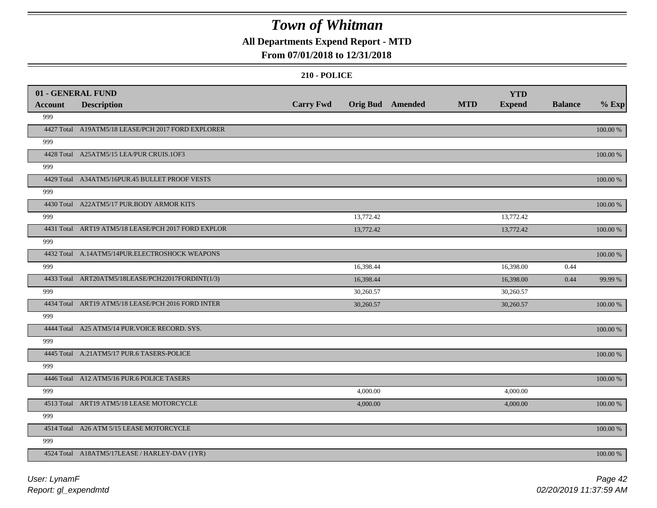## **All Departments Expend Report - MTD**

### **From 07/01/2018 to 12/31/2018**

|                | 01 - GENERAL FUND                                   |                  |                         |            | <b>YTD</b>    |                |             |
|----------------|-----------------------------------------------------|------------------|-------------------------|------------|---------------|----------------|-------------|
| <b>Account</b> | <b>Description</b>                                  | <b>Carry Fwd</b> | <b>Orig Bud</b> Amended | <b>MTD</b> | <b>Expend</b> | <b>Balance</b> | $%$ Exp     |
| 999            |                                                     |                  |                         |            |               |                |             |
|                | 4427 Total A19ATM5/18 LEASE/PCH 2017 FORD EXPLORER  |                  |                         |            |               |                | 100.00 %    |
| 999            |                                                     |                  |                         |            |               |                |             |
|                | 4428 Total A25ATM5/15 LEA/PUR CRUIS.1OF3            |                  |                         |            |               |                | 100.00 %    |
| 999            |                                                     |                  |                         |            |               |                |             |
|                | 4429 Total A34ATM5/16PUR.45 BULLET PROOF VESTS      |                  |                         |            |               |                | 100.00 %    |
| 999            |                                                     |                  |                         |            |               |                |             |
|                | 4430 Total A22ATM5/17 PUR.BODY ARMOR KITS           |                  |                         |            |               |                | 100.00 %    |
| 999            |                                                     |                  | 13,772.42               |            | 13,772.42     |                |             |
|                | 4431 Total ART19 ATM5/18 LEASE/PCH 2017 FORD EXPLOR |                  | 13,772.42               |            | 13,772.42     |                | 100.00 %    |
| 999            |                                                     |                  |                         |            |               |                |             |
|                | 4432 Total A.14ATM5/14PUR.ELECTROSHOCK WEAPONS      |                  |                         |            |               |                | 100.00 %    |
| 999            |                                                     |                  | 16,398.44               |            | 16,398.00     | 0.44           |             |
|                | 4433 Total ART20ATM5/18LEASE/PCH22017FORDINT(1/3)   |                  | 16,398.44               |            | 16,398.00     | 0.44           | 99.99 %     |
| 999            |                                                     |                  | 30,260.57               |            | 30,260.57     |                |             |
|                | 4434 Total ART19 ATM5/18 LEASE/PCH 2016 FORD INTER  |                  | 30,260.57               |            | 30,260.57     |                | 100.00 %    |
| 999            |                                                     |                  |                         |            |               |                |             |
|                | 4444 Total A25 ATM5/14 PUR.VOICE RECORD. SYS.       |                  |                         |            |               |                | 100.00 %    |
| 999            |                                                     |                  |                         |            |               |                |             |
|                | 4445 Total A.21ATM5/17 PUR.6 TASERS-POLICE          |                  |                         |            |               |                | 100.00 %    |
| 999            |                                                     |                  |                         |            |               |                |             |
|                | 4446 Total A12 ATM5/16 PUR.6 POLICE TASERS          |                  |                         |            |               |                | 100.00 %    |
| 999            |                                                     |                  | 4,000.00                |            | 4,000.00      |                |             |
|                | 4513 Total ART19 ATM5/18 LEASE MOTORCYCLE           |                  | 4,000.00                |            | 4,000.00      |                | 100.00 %    |
| 999            |                                                     |                  |                         |            |               |                |             |
|                | 4514 Total A26 ATM 5/15 LEASE MOTORCYCLE            |                  |                         |            |               |                | $100.00~\%$ |
| 999            |                                                     |                  |                         |            |               |                |             |
|                | 4524 Total A18ATM5/17LEASE / HARLEY-DAV (1YR)       |                  |                         |            |               |                | 100.00 %    |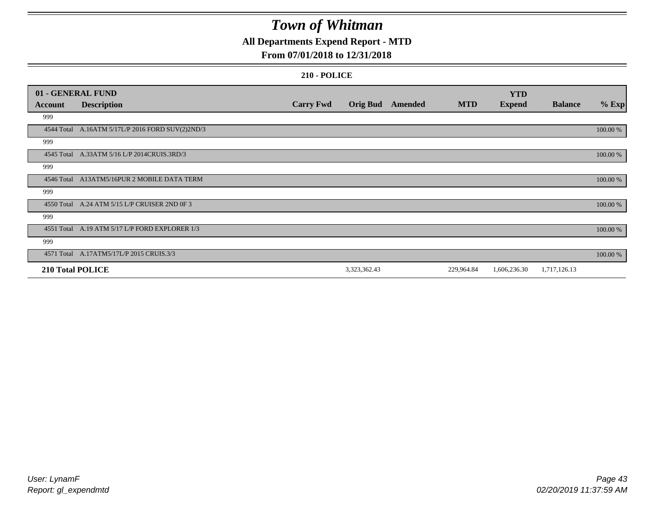## **All Departments Expend Report - MTD**

### **From 07/01/2018 to 12/31/2018**

|                         | 01 - GENERAL FUND                                |                  |                 |         |            | <b>YTD</b>    |                |          |
|-------------------------|--------------------------------------------------|------------------|-----------------|---------|------------|---------------|----------------|----------|
| <b>Account</b>          | <b>Description</b>                               | <b>Carry Fwd</b> | <b>Orig Bud</b> | Amended | <b>MTD</b> | <b>Expend</b> | <b>Balance</b> | $%$ Exp  |
| 999                     |                                                  |                  |                 |         |            |               |                |          |
|                         | 4544 Total A.16ATM 5/17L/P 2016 FORD SUV(2)2ND/3 |                  |                 |         |            |               |                | 100.00 % |
| 999                     |                                                  |                  |                 |         |            |               |                |          |
|                         | 4545 Total A.33ATM 5/16 L/P 2014CRUIS.3RD/3      |                  |                 |         |            |               |                | 100.00 % |
| 999                     |                                                  |                  |                 |         |            |               |                |          |
|                         | 4546 Total A13ATM5/16PUR 2 MOBILE DATA TERM      |                  |                 |         |            |               |                | 100.00 % |
| 999                     |                                                  |                  |                 |         |            |               |                |          |
|                         | 4550 Total A.24 ATM 5/15 L/P CRUISER 2ND OF 3    |                  |                 |         |            |               |                | 100.00 % |
| 999                     |                                                  |                  |                 |         |            |               |                |          |
|                         | 4551 Total A.19 ATM 5/17 L/P FORD EXPLORER 1/3   |                  |                 |         |            |               |                | 100.00 % |
| 999                     |                                                  |                  |                 |         |            |               |                |          |
|                         | 4571 Total A.17ATM5/17L/P 2015 CRUIS.3/3         |                  |                 |         |            |               |                | 100.00 % |
| <b>210 Total POLICE</b> |                                                  |                  | 3,323,362.43    |         | 229,964.84 | 1,606,236.30  | 1,717,126.13   |          |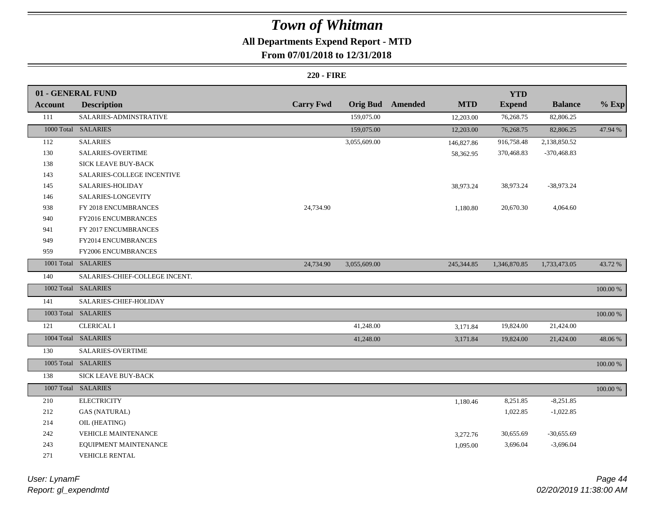## **All Departments Expend Report - MTD**

## **From 07/01/2018 to 12/31/2018**

### **220 - FIRE**

|                | 01 - GENERAL FUND              |                  |              |                         |            | <b>YTD</b>    |                |             |
|----------------|--------------------------------|------------------|--------------|-------------------------|------------|---------------|----------------|-------------|
| <b>Account</b> | <b>Description</b>             | <b>Carry Fwd</b> |              | <b>Orig Bud</b> Amended | <b>MTD</b> | <b>Expend</b> | <b>Balance</b> | $%$ Exp     |
| 111            | SALARIES-ADMINSTRATIVE         |                  | 159,075.00   |                         | 12,203.00  | 76,268.75     | 82,806.25      |             |
|                | 1000 Total SALARIES            |                  | 159,075.00   |                         | 12,203.00  | 76,268.75     | 82,806.25      | 47.94 %     |
| 112            | <b>SALARIES</b>                |                  | 3,055,609.00 |                         | 146,827.86 | 916,758.48    | 2,138,850.52   |             |
| 130            | SALARIES-OVERTIME              |                  |              |                         | 58,362.95  | 370,468.83    | $-370,468.83$  |             |
| 138            | <b>SICK LEAVE BUY-BACK</b>     |                  |              |                         |            |               |                |             |
| 143            | SALARIES-COLLEGE INCENTIVE     |                  |              |                         |            |               |                |             |
| 145            | SALARIES-HOLIDAY               |                  |              |                         | 38,973.24  | 38,973.24     | $-38,973.24$   |             |
| 146            | SALARIES-LONGEVITY             |                  |              |                         |            |               |                |             |
| 938            | FY 2018 ENCUMBRANCES           | 24,734.90        |              |                         | 1,180.80   | 20,670.30     | 4,064.60       |             |
| 940            | FY2016 ENCUMBRANCES            |                  |              |                         |            |               |                |             |
| 941            | FY 2017 ENCUMBRANCES           |                  |              |                         |            |               |                |             |
| 949            | FY2014 ENCUMBRANCES            |                  |              |                         |            |               |                |             |
| 959            | FY2006 ENCUMBRANCES            |                  |              |                         |            |               |                |             |
|                | 1001 Total SALARIES            | 24,734.90        | 3,055,609.00 |                         | 245,344.85 | 1,346,870.85  | 1,733,473.05   | 43.72 %     |
| 140            | SALARIES-CHIEF-COLLEGE INCENT. |                  |              |                         |            |               |                |             |
|                | 1002 Total SALARIES            |                  |              |                         |            |               |                | $100.00~\%$ |
| 141            | SALARIES-CHIEF-HOLIDAY         |                  |              |                         |            |               |                |             |
|                | 1003 Total SALARIES            |                  |              |                         |            |               |                | $100.00\%$  |
| 121            | <b>CLERICAL I</b>              |                  | 41,248.00    |                         | 3,171.84   | 19,824.00     | 21,424.00      |             |
|                | 1004 Total SALARIES            |                  | 41,248.00    |                         | 3,171.84   | 19,824.00     | 21,424.00      | 48.06 %     |
| 130            | SALARIES-OVERTIME              |                  |              |                         |            |               |                |             |
|                | 1005 Total SALARIES            |                  |              |                         |            |               |                | 100.00 %    |
| 138            | SICK LEAVE BUY-BACK            |                  |              |                         |            |               |                |             |
|                | 1007 Total SALARIES            |                  |              |                         |            |               |                | 100.00 %    |
| 210            | <b>ELECTRICITY</b>             |                  |              |                         | 1,180.46   | 8,251.85      | $-8,251.85$    |             |
| 212            | <b>GAS (NATURAL)</b>           |                  |              |                         |            | 1,022.85      | $-1,022.85$    |             |
| 214            | OIL (HEATING)                  |                  |              |                         |            |               |                |             |
| 242            | <b>VEHICLE MAINTENANCE</b>     |                  |              |                         | 3,272.76   | 30,655.69     | $-30,655.69$   |             |
| 243            | EQUIPMENT MAINTENANCE          |                  |              |                         | 1,095.00   | 3,696.04      | $-3,696.04$    |             |
| 271            | <b>VEHICLE RENTAL</b>          |                  |              |                         |            |               |                |             |

*Report: gl\_expendmtd User: LynamF*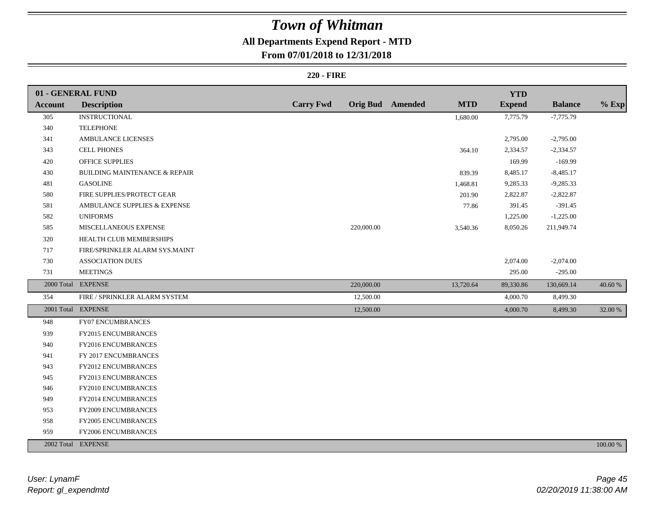## **All Departments Expend Report - MTD**

## **From 07/01/2018 to 12/31/2018**

### **220 - FIRE**

|                | 01 - GENERAL FUND                        |                  |            |                         |            | <b>YTD</b>    |                |          |
|----------------|------------------------------------------|------------------|------------|-------------------------|------------|---------------|----------------|----------|
| <b>Account</b> | <b>Description</b>                       | <b>Carry Fwd</b> |            | <b>Orig Bud</b> Amended | <b>MTD</b> | <b>Expend</b> | <b>Balance</b> | $%$ Exp  |
| 305            | <b>INSTRUCTIONAL</b>                     |                  |            |                         | 1,680.00   | 7,775.79      | $-7,775.79$    |          |
| 340            | <b>TELEPHONE</b>                         |                  |            |                         |            |               |                |          |
| 341            | AMBULANCE LICENSES                       |                  |            |                         |            | 2,795.00      | $-2,795.00$    |          |
| 343            | <b>CELL PHONES</b>                       |                  |            |                         | 364.10     | 2,334.57      | $-2,334.57$    |          |
| 420            | OFFICE SUPPLIES                          |                  |            |                         |            | 169.99        | $-169.99$      |          |
| 430            | <b>BUILDING MAINTENANCE &amp; REPAIR</b> |                  |            |                         | 839.39     | 8,485.17      | $-8,485.17$    |          |
| 481            | <b>GASOLINE</b>                          |                  |            |                         | 1,468.81   | 9,285.33      | $-9,285.33$    |          |
| 580            | FIRE SUPPLIES/PROTECT GEAR               |                  |            |                         | 201.90     | 2,822.87      | $-2,822.87$    |          |
| 581            | AMBULANCE SUPPLIES & EXPENSE             |                  |            |                         | 77.86      | 391.45        | $-391.45$      |          |
| 582            | <b>UNIFORMS</b>                          |                  |            |                         |            | 1,225.00      | $-1,225.00$    |          |
| 585            | MISCELLANEOUS EXPENSE                    |                  | 220,000.00 |                         | 3,540.36   | 8,050.26      | 211,949.74     |          |
| 320            | HEALTH CLUB MEMBERSHIPS                  |                  |            |                         |            |               |                |          |
| 717            | FIRE/SPRINKLER ALARM SYS.MAINT           |                  |            |                         |            |               |                |          |
| 730            | <b>ASSOCIATION DUES</b>                  |                  |            |                         |            | 2,074.00      | $-2,074.00$    |          |
| 731            | <b>MEETINGS</b>                          |                  |            |                         |            | 295.00        | $-295.00$      |          |
|                | 2000 Total EXPENSE                       |                  | 220,000.00 |                         | 13,720.64  | 89,330.86     | 130,669.14     | 40.60 %  |
| 354            | FIRE / SPRINKLER ALARM SYSTEM            |                  | 12,500.00  |                         |            | 4,000.70      | 8,499.30       |          |
|                | 2001 Total EXPENSE                       |                  | 12,500.00  |                         |            | 4,000.70      | 8,499.30       | 32.00 %  |
| 948            | FY07 ENCUMBRANCES                        |                  |            |                         |            |               |                |          |
| 939            | FY2015 ENCUMBRANCES                      |                  |            |                         |            |               |                |          |
| 940            | FY2016 ENCUMBRANCES                      |                  |            |                         |            |               |                |          |
| 941            | FY 2017 ENCUMBRANCES                     |                  |            |                         |            |               |                |          |
| 943            | FY2012 ENCUMBRANCES                      |                  |            |                         |            |               |                |          |
| 945            | FY2013 ENCUMBRANCES                      |                  |            |                         |            |               |                |          |
| 946            | FY2010 ENCUMBRANCES                      |                  |            |                         |            |               |                |          |
| 949            | FY2014 ENCUMBRANCES                      |                  |            |                         |            |               |                |          |
| 953            | FY2009 ENCUMBRANCES                      |                  |            |                         |            |               |                |          |
| 958            | FY2005 ENCUMBRANCES                      |                  |            |                         |            |               |                |          |
| 959            | FY2006 ENCUMBRANCES                      |                  |            |                         |            |               |                |          |
|                | 2002 Total EXPENSE                       |                  |            |                         |            |               |                | 100.00 % |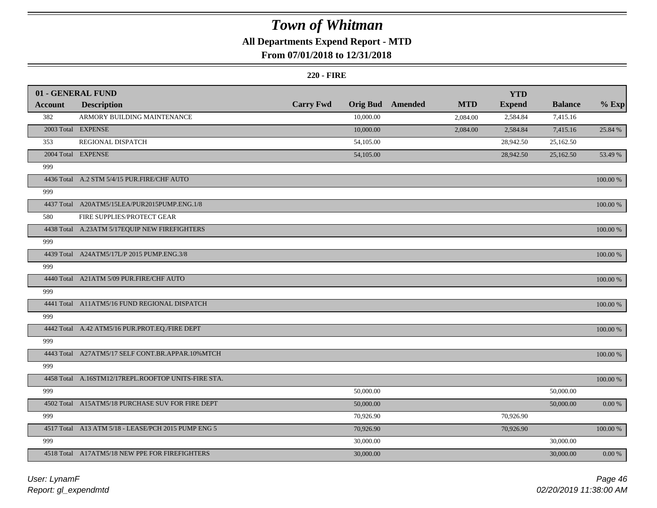## **All Departments Expend Report - MTD**

## **From 07/01/2018 to 12/31/2018**

#### **220 - FIRE**

|                | 01 - GENERAL FUND                                   |                  |                 |         |            | <b>YTD</b>    |                |            |
|----------------|-----------------------------------------------------|------------------|-----------------|---------|------------|---------------|----------------|------------|
| <b>Account</b> | <b>Description</b>                                  | <b>Carry Fwd</b> | <b>Orig Bud</b> | Amended | <b>MTD</b> | <b>Expend</b> | <b>Balance</b> | $%$ Exp    |
| 382            | ARMORY BUILDING MAINTENANCE                         |                  | 10,000.00       |         | 2,084.00   | 2,584.84      | 7,415.16       |            |
|                | 2003 Total EXPENSE                                  |                  | 10,000.00       |         | 2,084.00   | 2,584.84      | 7,415.16       | 25.84 %    |
| 353            | REGIONAL DISPATCH                                   |                  | 54,105.00       |         |            | 28,942.50     | 25,162.50      |            |
|                | 2004 Total EXPENSE                                  |                  | 54,105.00       |         |            | 28,942.50     | 25,162.50      | 53.49 %    |
| 999            |                                                     |                  |                 |         |            |               |                |            |
|                | 4436 Total A.2 STM 5/4/15 PUR.FIRE/CHF AUTO         |                  |                 |         |            |               |                | 100.00 %   |
| 999            |                                                     |                  |                 |         |            |               |                |            |
|                | 4437 Total A20ATM5/15LEA/PUR2015PUMP.ENG.1/8        |                  |                 |         |            |               |                | 100.00 %   |
| 580            | FIRE SUPPLIES/PROTECT GEAR                          |                  |                 |         |            |               |                |            |
|                | 4438 Total A.23ATM 5/17EQUIP NEW FIREFIGHTERS       |                  |                 |         |            |               |                | 100.00 %   |
| 999            |                                                     |                  |                 |         |            |               |                |            |
|                | 4439 Total A24ATM5/17L/P 2015 PUMP.ENG.3/8          |                  |                 |         |            |               |                | 100.00 %   |
| 999            |                                                     |                  |                 |         |            |               |                |            |
|                | 4440 Total A21ATM 5/09 PUR.FIRE/CHF AUTO            |                  |                 |         |            |               |                | 100.00 %   |
| 999            |                                                     |                  |                 |         |            |               |                |            |
|                | 4441 Total A11ATM5/16 FUND REGIONAL DISPATCH        |                  |                 |         |            |               |                | 100.00 %   |
| 999            |                                                     |                  |                 |         |            |               |                |            |
|                | 4442 Total A.42 ATM5/16 PUR.PROT.EQ./FIRE DEPT      |                  |                 |         |            |               |                | 100.00 %   |
| 999            |                                                     |                  |                 |         |            |               |                |            |
|                | 4443 Total A27ATM5/17 SELF CONT.BR.APPAR.10%MTCH    |                  |                 |         |            |               |                | 100.00 %   |
| 999            |                                                     |                  |                 |         |            |               |                |            |
|                | 4458 Total A.16STM12/17REPL.ROOFTOP UNITS-FIRE STA. |                  |                 |         |            |               |                | 100.00 %   |
| 999            |                                                     |                  | 50,000.00       |         |            |               | 50,000.00      |            |
|                | 4502 Total A15ATM5/18 PURCHASE SUV FOR FIRE DEPT    |                  | 50,000.00       |         |            |               | 50,000.00      | $0.00\ \%$ |
| 999            |                                                     |                  | 70,926.90       |         |            | 70,926.90     |                |            |
|                | 4517 Total A13 ATM 5/18 - LEASE/PCH 2015 PUMP ENG 5 |                  | 70,926.90       |         |            | 70,926.90     |                | 100.00 %   |
| 999            |                                                     |                  | 30,000.00       |         |            |               | 30,000.00      |            |
|                | 4518 Total A17ATM5/18 NEW PPE FOR FIREFIGHTERS      |                  | 30,000.00       |         |            |               | 30,000.00      | $0.00 \%$  |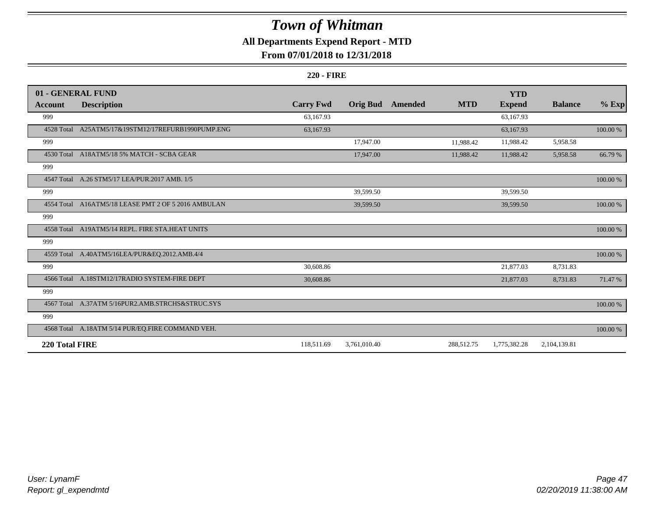## **All Departments Expend Report - MTD**

## **From 07/01/2018 to 12/31/2018**

### **220 - FIRE**

|                | 01 - GENERAL FUND                                   |                  |                 |         |            | <b>YTD</b>    |                |             |
|----------------|-----------------------------------------------------|------------------|-----------------|---------|------------|---------------|----------------|-------------|
| <b>Account</b> | <b>Description</b>                                  | <b>Carry Fwd</b> | <b>Orig Bud</b> | Amended | <b>MTD</b> | <b>Expend</b> | <b>Balance</b> | $%$ Exp     |
| 999            |                                                     | 63,167.93        |                 |         |            | 63,167.93     |                |             |
| 4528 Total     | A25ATM5/17&19STM12/17REFURB1990PUMP.ENG             | 63,167.93        |                 |         |            | 63,167.93     |                | $100.00~\%$ |
| 999            |                                                     |                  | 17,947.00       |         | 11,988.42  | 11,988.42     | 5,958.58       |             |
|                | 4530 Total A18ATM5/18 5% MATCH - SCBA GEAR          |                  | 17,947.00       |         | 11,988.42  | 11,988.42     | 5,958.58       | 66.79 %     |
| 999            |                                                     |                  |                 |         |            |               |                |             |
|                | 4547 Total A.26 STM5/17 LEA/PUR.2017 AMB. 1/5       |                  |                 |         |            |               |                | $100.00~\%$ |
| 999            |                                                     |                  | 39,599.50       |         |            | 39,599.50     |                |             |
|                | 4554 Total A16ATM5/18 LEASE PMT 2 OF 5 2016 AMBULAN |                  | 39,599.50       |         |            | 39,599.50     |                | 100.00 %    |
| 999            |                                                     |                  |                 |         |            |               |                |             |
| 4558 Total     | A19ATM5/14 REPL. FIRE STA.HEAT UNITS                |                  |                 |         |            |               |                | 100.00 %    |
| 999            |                                                     |                  |                 |         |            |               |                |             |
|                | 4559 Total A.40ATM5/16LEA/PUR&EQ.2012.AMB.4/4       |                  |                 |         |            |               |                | 100.00 %    |
| 999            |                                                     | 30,608.86        |                 |         |            | 21,877.03     | 8,731.83       |             |
|                | 4566 Total A.18STM12/17RADIO SYSTEM-FIRE DEPT       | 30,608.86        |                 |         |            | 21,877.03     | 8,731.83       | 71.47 %     |
| 999            |                                                     |                  |                 |         |            |               |                |             |
|                | 4567 Total A.37ATM 5/16PUR2.AMB.STRCHS&STRUC.SYS    |                  |                 |         |            |               |                | 100.00 %    |
| 999            |                                                     |                  |                 |         |            |               |                |             |
|                | 4568 Total A.18ATM 5/14 PUR/EQ.FIRE COMMAND VEH.    |                  |                 |         |            |               |                | 100.00 %    |
| 220 Total FIRE |                                                     | 118,511.69       | 3,761,010.40    |         | 288,512.75 | 1,775,382.28  | 2,104,139.81   |             |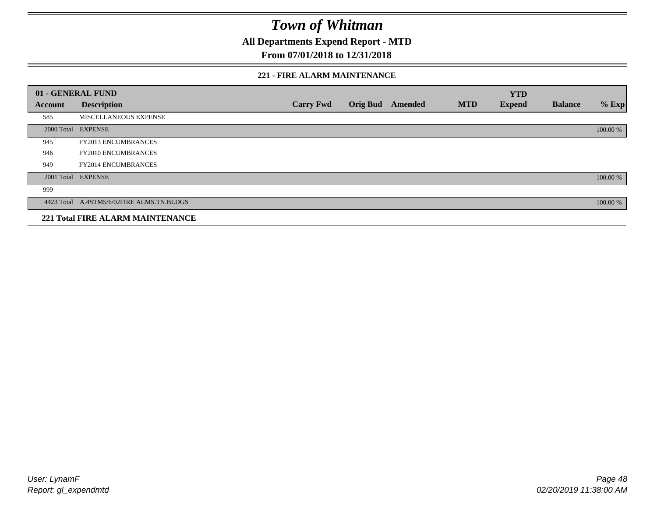**All Departments Expend Report - MTD**

## **From 07/01/2018 to 12/31/2018**

### **221 - FIRE ALARM MAINTENANCE**

|         | 01 - GENERAL FUND                         |                  |                 |                |            | <b>YTD</b>    |                |          |
|---------|-------------------------------------------|------------------|-----------------|----------------|------------|---------------|----------------|----------|
| Account | <b>Description</b>                        | <b>Carry Fwd</b> | <b>Orig Bud</b> | <b>Amended</b> | <b>MTD</b> | <b>Expend</b> | <b>Balance</b> | $%$ Exp  |
| 585     | MISCELLANEOUS EXPENSE                     |                  |                 |                |            |               |                |          |
|         | 2000 Total EXPENSE                        |                  |                 |                |            |               |                | 100.00 % |
| 945     | FY2013 ENCUMBRANCES                       |                  |                 |                |            |               |                |          |
| 946     | FY2010 ENCUMBRANCES                       |                  |                 |                |            |               |                |          |
| 949     | <b>FY2014 ENCUMBRANCES</b>                |                  |                 |                |            |               |                |          |
|         | 2001 Total EXPENSE                        |                  |                 |                |            |               |                | 100.00 % |
| 999     |                                           |                  |                 |                |            |               |                |          |
|         | 4423 Total A.4STM5/6/02FIRE ALMS.TN.BLDGS |                  |                 |                |            |               |                | 100.00 % |
|         | <b>221 Total FIRE ALARM MAINTENANCE</b>   |                  |                 |                |            |               |                |          |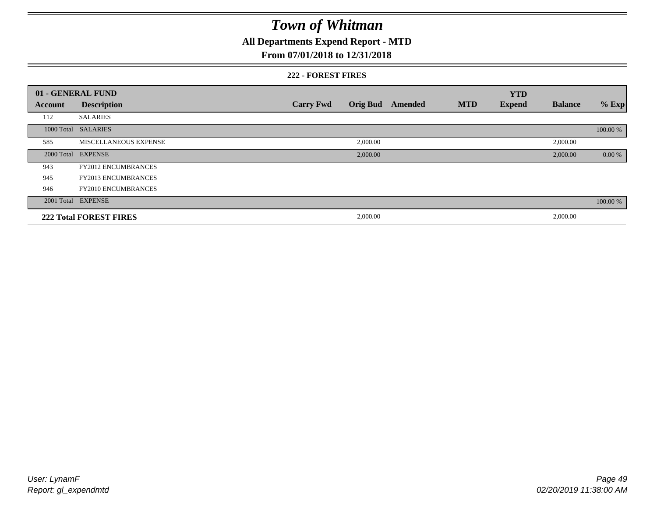## **All Departments Expend Report - MTD**

### **From 07/01/2018 to 12/31/2018**

### **222 - FOREST FIRES**

|         | 01 - GENERAL FUND             |                  |                 |         |            | <b>YTD</b>    |                |          |
|---------|-------------------------------|------------------|-----------------|---------|------------|---------------|----------------|----------|
| Account | <b>Description</b>            | <b>Carry Fwd</b> | <b>Orig Bud</b> | Amended | <b>MTD</b> | <b>Expend</b> | <b>Balance</b> | $%$ Exp  |
| 112     | <b>SALARIES</b>               |                  |                 |         |            |               |                |          |
|         | 1000 Total SALARIES           |                  |                 |         |            |               |                | 100.00 % |
| 585     | <b>MISCELLANEOUS EXPENSE</b>  |                  | 2,000.00        |         |            |               | 2,000.00       |          |
|         | 2000 Total EXPENSE            |                  | 2,000.00        |         |            |               | 2,000.00       | 0.00 %   |
| 943     | <b>FY2012 ENCUMBRANCES</b>    |                  |                 |         |            |               |                |          |
| 945     | <b>FY2013 ENCUMBRANCES</b>    |                  |                 |         |            |               |                |          |
| 946     | <b>FY2010 ENCUMBRANCES</b>    |                  |                 |         |            |               |                |          |
|         | 2001 Total EXPENSE            |                  |                 |         |            |               |                | 100.00 % |
|         | <b>222 Total FOREST FIRES</b> |                  | 2,000.00        |         |            |               | 2,000.00       |          |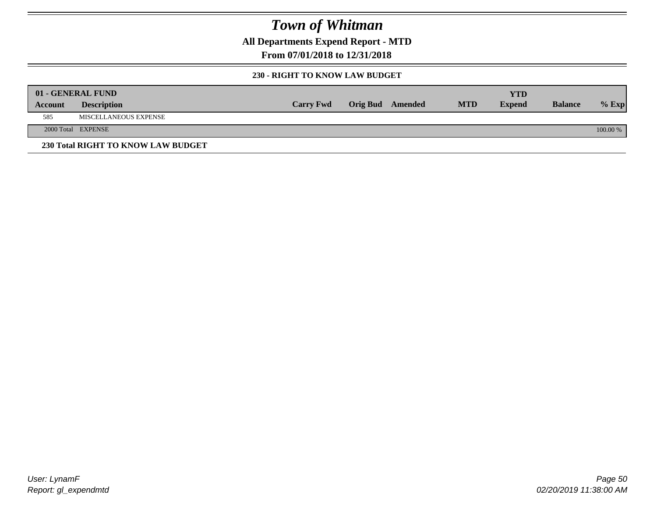**All Departments Expend Report - MTD**

**From 07/01/2018 to 12/31/2018**

### **230 - RIGHT TO KNOW LAW BUDGET**

|         | 01 - GENERAL FUND                  |                  |                         |            | YTD           |                |          |
|---------|------------------------------------|------------------|-------------------------|------------|---------------|----------------|----------|
| Account | <b>Description</b>                 | <b>Carry Fwd</b> | <b>Orig Bud</b> Amended | <b>MTD</b> | <b>Expend</b> | <b>Balance</b> | $%$ Exp  |
| 585     | <b>MISCELLANEOUS EXPENSE</b>       |                  |                         |            |               |                |          |
|         | 2000 Total EXPENSE                 |                  |                         |            |               |                | 100.00 % |
|         | 230 Total RIGHT TO KNOW LAW BUDGET |                  |                         |            |               |                |          |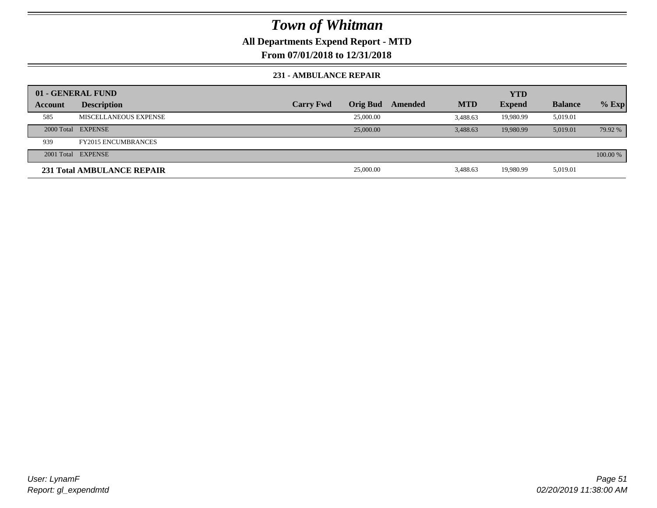## **All Departments Expend Report - MTD**

**From 07/01/2018 to 12/31/2018**

### **231 - AMBULANCE REPAIR**

|                | 01 - GENERAL FUND                 |                  |                 |         |            | <b>YTD</b>    |                |          |
|----------------|-----------------------------------|------------------|-----------------|---------|------------|---------------|----------------|----------|
| <b>Account</b> | <b>Description</b>                | <b>Carry Fwd</b> | <b>Orig Bud</b> | Amended | <b>MTD</b> | <b>Expend</b> | <b>Balance</b> | $%$ Exp  |
| 585            | MISCELLANEOUS EXPENSE             |                  | 25,000.00       |         | 3.488.63   | 19,980.99     | 5,019.01       |          |
|                | 2000 Total EXPENSE                |                  | 25,000.00       |         | 3.488.63   | 19.980.99     | 5.019.01       | 79.92 %  |
| 939            | <b>FY2015 ENCUMBRANCES</b>        |                  |                 |         |            |               |                |          |
|                | 2001 Total EXPENSE                |                  |                 |         |            |               |                | 100.00 % |
|                | <b>231 Total AMBULANCE REPAIR</b> |                  | 25,000.00       |         | 3,488.63   | 19,980.99     | 5,019.01       |          |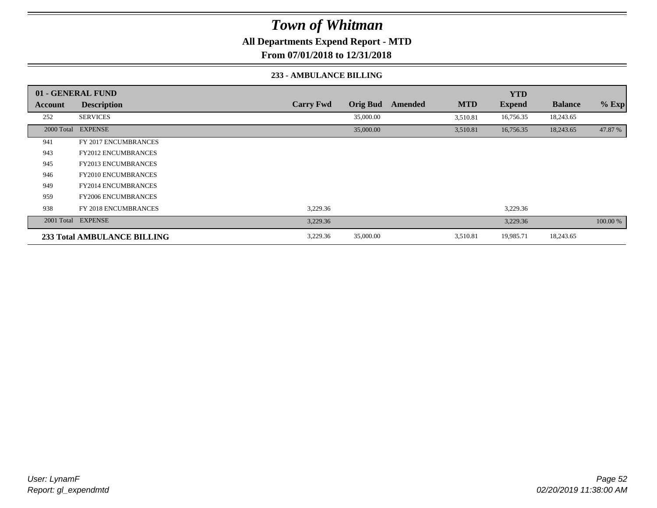**All Departments Expend Report - MTD**

**From 07/01/2018 to 12/31/2018**

### **233 - AMBULANCE BILLING**

|         | 01 - GENERAL FUND                  |                  |                 |         |            | <b>YTD</b>    |                |          |
|---------|------------------------------------|------------------|-----------------|---------|------------|---------------|----------------|----------|
| Account | <b>Description</b>                 | <b>Carry Fwd</b> | <b>Orig Bud</b> | Amended | <b>MTD</b> | <b>Expend</b> | <b>Balance</b> | $%$ Exp  |
| 252     | <b>SERVICES</b>                    |                  | 35,000.00       |         | 3,510.81   | 16,756.35     | 18,243.65      |          |
|         | 2000 Total EXPENSE                 |                  | 35,000.00       |         | 3,510.81   | 16,756.35     | 18,243.65      | 47.87 %  |
| 941     | <b>FY 2017 ENCUMBRANCES</b>        |                  |                 |         |            |               |                |          |
| 943     | <b>FY2012 ENCUMBRANCES</b>         |                  |                 |         |            |               |                |          |
| 945     | <b>FY2013 ENCUMBRANCES</b>         |                  |                 |         |            |               |                |          |
| 946     | <b>FY2010 ENCUMBRANCES</b>         |                  |                 |         |            |               |                |          |
| 949     | <b>FY2014 ENCUMBRANCES</b>         |                  |                 |         |            |               |                |          |
| 959     | <b>FY2006 ENCUMBRANCES</b>         |                  |                 |         |            |               |                |          |
| 938     | <b>FY 2018 ENCUMBRANCES</b>        | 3,229.36         |                 |         |            | 3,229.36      |                |          |
|         | 2001 Total EXPENSE                 | 3,229.36         |                 |         |            | 3,229.36      |                | 100.00 % |
|         | <b>233 Total AMBULANCE BILLING</b> | 3,229.36         | 35,000.00       |         | 3,510.81   | 19,985.71     | 18,243.65      |          |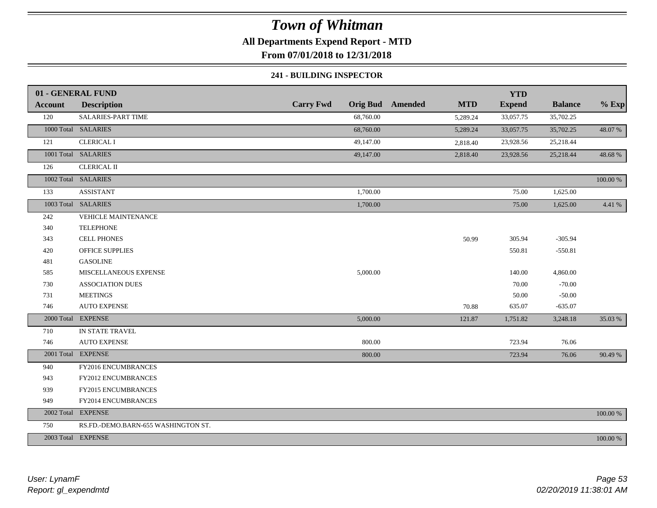## **All Departments Expend Report - MTD**

**From 07/01/2018 to 12/31/2018**

### **241 - BUILDING INSPECTOR**

|            | 01 - GENERAL FUND                   |                  |           |                         |            | <b>YTD</b>    |                |             |
|------------|-------------------------------------|------------------|-----------|-------------------------|------------|---------------|----------------|-------------|
| Account    | <b>Description</b>                  | <b>Carry Fwd</b> |           | <b>Orig Bud</b> Amended | <b>MTD</b> | <b>Expend</b> | <b>Balance</b> | $%$ Exp     |
| 120        | SALARIES-PART TIME                  |                  | 68,760.00 |                         | 5,289.24   | 33,057.75     | 35,702.25      |             |
|            | 1000 Total SALARIES                 |                  | 68,760.00 |                         | 5,289.24   | 33,057.75     | 35,702.25      | 48.07 %     |
| 121        | <b>CLERICAL I</b>                   |                  | 49,147.00 |                         | 2,818.40   | 23,928.56     | 25,218.44      |             |
|            | 1001 Total SALARIES                 |                  | 49,147.00 |                         | 2,818.40   | 23,928.56     | 25,218.44      | 48.68%      |
| 126        | <b>CLERICAL II</b>                  |                  |           |                         |            |               |                |             |
|            | 1002 Total SALARIES                 |                  |           |                         |            |               |                | $100.00~\%$ |
| 133        | <b>ASSISTANT</b>                    |                  | 1,700.00  |                         |            | 75.00         | 1,625.00       |             |
|            | 1003 Total SALARIES                 |                  | 1,700.00  |                         |            | 75.00         | 1,625.00       | 4.41 %      |
| 242        | <b>VEHICLE MAINTENANCE</b>          |                  |           |                         |            |               |                |             |
| 340        | <b>TELEPHONE</b>                    |                  |           |                         |            |               |                |             |
| 343        | <b>CELL PHONES</b>                  |                  |           |                         | 50.99      | 305.94        | $-305.94$      |             |
| 420        | <b>OFFICE SUPPLIES</b>              |                  |           |                         |            | 550.81        | $-550.81$      |             |
| 481        | <b>GASOLINE</b>                     |                  |           |                         |            |               |                |             |
| 585        | MISCELLANEOUS EXPENSE               |                  | 5,000.00  |                         |            | 140.00        | 4,860.00       |             |
| 730        | <b>ASSOCIATION DUES</b>             |                  |           |                         |            | 70.00         | $-70.00$       |             |
| 731        | <b>MEETINGS</b>                     |                  |           |                         |            | 50.00         | $-50.00$       |             |
| 746        | <b>AUTO EXPENSE</b>                 |                  |           |                         | 70.88      | 635.07        | $-635.07$      |             |
| 2000 Total | <b>EXPENSE</b>                      |                  | 5,000.00  |                         | 121.87     | 1,751.82      | 3,248.18       | 35.03 %     |
| 710        | IN STATE TRAVEL                     |                  |           |                         |            |               |                |             |
| 746        | <b>AUTO EXPENSE</b>                 |                  | 800.00    |                         |            | 723.94        | 76.06          |             |
|            | 2001 Total EXPENSE                  |                  | 800.00    |                         |            | 723.94        | 76.06          | 90.49 %     |
| 940        | FY2016 ENCUMBRANCES                 |                  |           |                         |            |               |                |             |
| 943        | FY2012 ENCUMBRANCES                 |                  |           |                         |            |               |                |             |
| 939        | FY2015 ENCUMBRANCES                 |                  |           |                         |            |               |                |             |
| 949        | FY2014 ENCUMBRANCES                 |                  |           |                         |            |               |                |             |
|            | 2002 Total EXPENSE                  |                  |           |                         |            |               |                | 100.00 %    |
| 750        | RS.FD.-DEMO.BARN-655 WASHINGTON ST. |                  |           |                         |            |               |                |             |
|            | 2003 Total EXPENSE                  |                  |           |                         |            |               |                | 100.00 %    |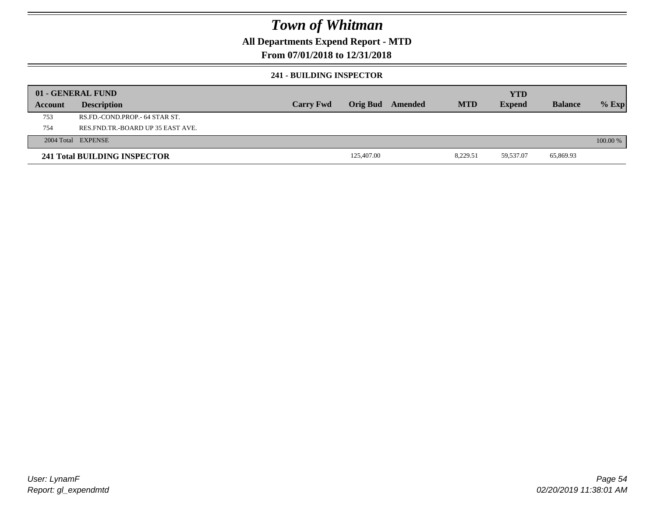## **All Departments Expend Report - MTD**

## **From 07/01/2018 to 12/31/2018**

### **241 - BUILDING INSPECTOR**

|         | 01 - GENERAL FUND                     |                  |            |         |            | <b>YTD</b>    |                |            |
|---------|---------------------------------------|------------------|------------|---------|------------|---------------|----------------|------------|
| Account | <b>Description</b>                    | <b>Carry Fwd</b> | Orig Bud   | Amended | <b>MTD</b> | <b>Expend</b> | <b>Balance</b> | $%$ Exp    |
| 753     | RS.FD.-COND.PROP.- 64 STAR ST.        |                  |            |         |            |               |                |            |
| 754     | RES. FND. TR. - BOARD UP 35 EAST AVE. |                  |            |         |            |               |                |            |
|         | 2004 Total EXPENSE                    |                  |            |         |            |               |                | $100.00\%$ |
|         | 241 Total BUILDING INSPECTOR          |                  | 125,407.00 |         | 8,229.51   | 59,537.07     | 65,869.93      |            |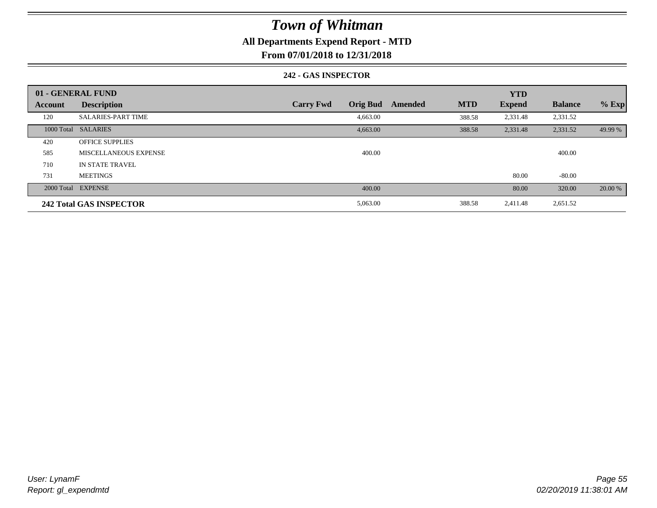## **All Departments Expend Report - MTD**

**From 07/01/2018 to 12/31/2018**

### **242 - GAS INSPECTOR**

|         | 01 - GENERAL FUND              |                                     |                       | <b>YTD</b>    |                |         |
|---------|--------------------------------|-------------------------------------|-----------------------|---------------|----------------|---------|
| Account | <b>Description</b>             | <b>Orig Bud</b><br><b>Carry Fwd</b> | <b>MTD</b><br>Amended | <b>Expend</b> | <b>Balance</b> | $%$ Exp |
| 120     | <b>SALARIES-PART TIME</b>      | 4,663.00                            | 388.58                | 2,331.48      | 2,331.52       |         |
|         | 1000 Total SALARIES            | 4,663.00                            | 388.58                | 2,331.48      | 2,331.52       | 49.99 % |
| 420     | <b>OFFICE SUPPLIES</b>         |                                     |                       |               |                |         |
| 585     | <b>MISCELLANEOUS EXPENSE</b>   | 400.00                              |                       |               | 400.00         |         |
| 710     | <b>IN STATE TRAVEL</b>         |                                     |                       |               |                |         |
| 731     | <b>MEETINGS</b>                |                                     |                       | 80.00         | $-80.00$       |         |
|         | 2000 Total EXPENSE             | 400.00                              |                       | 80.00         | 320.00         | 20.00 % |
|         | <b>242 Total GAS INSPECTOR</b> | 5,063.00                            | 388.58                | 2,411.48      | 2,651.52       |         |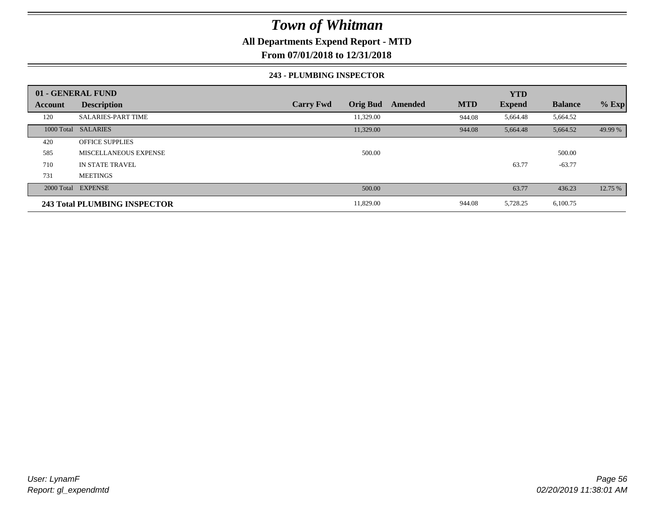## **All Departments Expend Report - MTD**

**From 07/01/2018 to 12/31/2018**

### **243 - PLUMBING INSPECTOR**

|                | 01 - GENERAL FUND            |                                     |                       | <b>YTD</b>    |                |         |
|----------------|------------------------------|-------------------------------------|-----------------------|---------------|----------------|---------|
| <b>Account</b> | <b>Description</b>           | <b>Orig Bud</b><br><b>Carry Fwd</b> | <b>MTD</b><br>Amended | <b>Expend</b> | <b>Balance</b> | $%$ Exp |
| 120            | <b>SALARIES-PART TIME</b>    | 11,329.00                           | 944.08                | 5,664.48      | 5,664.52       |         |
|                | 1000 Total SALARIES          | 11,329.00                           | 944.08                | 5,664.48      | 5,664.52       | 49.99 % |
| 420            | <b>OFFICE SUPPLIES</b>       |                                     |                       |               |                |         |
| 585            | MISCELLANEOUS EXPENSE        | 500.00                              |                       |               | 500.00         |         |
| 710            | IN STATE TRAVEL              |                                     |                       | 63.77         | $-63.77$       |         |
| 731            | <b>MEETINGS</b>              |                                     |                       |               |                |         |
|                | 2000 Total EXPENSE           | 500.00                              |                       | 63.77         | 436.23         | 12.75 % |
|                | 243 Total PLUMBING INSPECTOR | 11,829.00                           | 944.08                | 5,728.25      | 6,100.75       |         |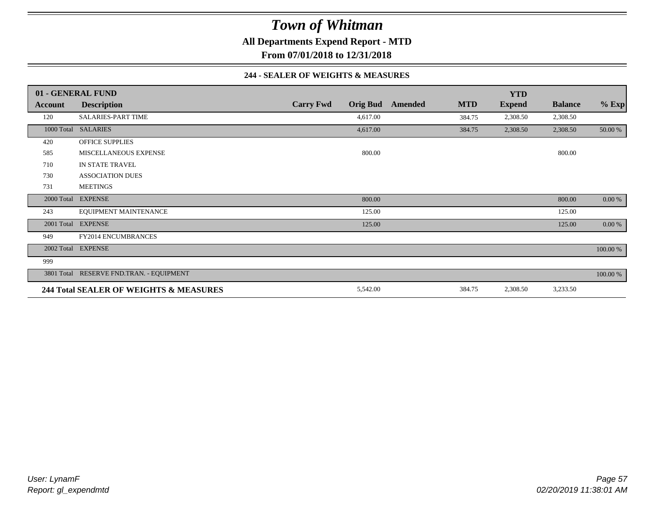**All Departments Expend Report - MTD**

**From 07/01/2018 to 12/31/2018**

### **244 - SEALER OF WEIGHTS & MEASURES**

|                | 01 - GENERAL FUND                        |                  |                 |         |            | <b>YTD</b>    |                |          |
|----------------|------------------------------------------|------------------|-----------------|---------|------------|---------------|----------------|----------|
| <b>Account</b> | <b>Description</b>                       | <b>Carry Fwd</b> | <b>Orig Bud</b> | Amended | <b>MTD</b> | <b>Expend</b> | <b>Balance</b> | $%$ Exp  |
| 120            | <b>SALARIES-PART TIME</b>                |                  | 4,617.00        |         | 384.75     | 2,308.50      | 2,308.50       |          |
|                | 1000 Total SALARIES                      |                  | 4,617.00        |         | 384.75     | 2,308.50      | 2,308.50       | 50.00 %  |
| 420            | <b>OFFICE SUPPLIES</b>                   |                  |                 |         |            |               |                |          |
| 585            | MISCELLANEOUS EXPENSE                    |                  | 800.00          |         |            |               | 800.00         |          |
| 710            | IN STATE TRAVEL                          |                  |                 |         |            |               |                |          |
| 730            | <b>ASSOCIATION DUES</b>                  |                  |                 |         |            |               |                |          |
| 731            | <b>MEETINGS</b>                          |                  |                 |         |            |               |                |          |
| 2000 Total     | <b>EXPENSE</b>                           |                  | 800.00          |         |            |               | 800.00         | 0.00 %   |
| 243            | EQUIPMENT MAINTENANCE                    |                  | 125.00          |         |            |               | 125.00         |          |
| 2001 Total     | <b>EXPENSE</b>                           |                  | 125.00          |         |            |               | 125.00         | 0.00 %   |
| 949            | <b>FY2014 ENCUMBRANCES</b>               |                  |                 |         |            |               |                |          |
|                | 2002 Total EXPENSE                       |                  |                 |         |            |               |                | 100.00 % |
| 999            |                                          |                  |                 |         |            |               |                |          |
|                | 3801 Total RESERVE FND.TRAN. - EQUIPMENT |                  |                 |         |            |               |                | 100.00 % |
|                | 244 Total SEALER OF WEIGHTS & MEASURES   |                  | 5,542.00        |         | 384.75     | 2,308.50      | 3,233.50       |          |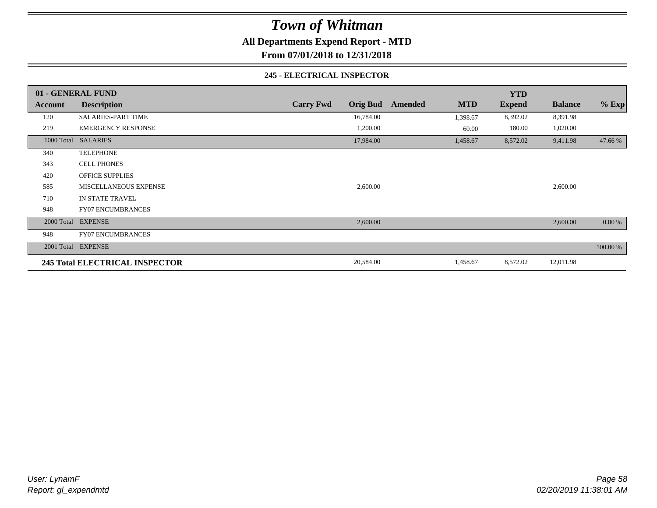**All Departments Expend Report - MTD**

**From 07/01/2018 to 12/31/2018**

### **245 - ELECTRICAL INSPECTOR**

|         | 01 - GENERAL FUND                     |                  |                 |         |            | <b>YTD</b>    |                |          |
|---------|---------------------------------------|------------------|-----------------|---------|------------|---------------|----------------|----------|
| Account | <b>Description</b>                    | <b>Carry Fwd</b> | <b>Orig Bud</b> | Amended | <b>MTD</b> | <b>Expend</b> | <b>Balance</b> | $%$ Exp  |
| 120     | <b>SALARIES-PART TIME</b>             |                  | 16,784.00       |         | 1,398.67   | 8,392.02      | 8,391.98       |          |
| 219     | <b>EMERGENCY RESPONSE</b>             |                  | 1,200.00        |         | 60.00      | 180.00        | 1,020.00       |          |
|         | 1000 Total SALARIES                   |                  | 17,984.00       |         | 1,458.67   | 8,572.02      | 9,411.98       | 47.66 %  |
| 340     | <b>TELEPHONE</b>                      |                  |                 |         |            |               |                |          |
| 343     | <b>CELL PHONES</b>                    |                  |                 |         |            |               |                |          |
| 420     | <b>OFFICE SUPPLIES</b>                |                  |                 |         |            |               |                |          |
| 585     | MISCELLANEOUS EXPENSE                 |                  | 2,600.00        |         |            |               | 2,600.00       |          |
| 710     | IN STATE TRAVEL                       |                  |                 |         |            |               |                |          |
| 948     | <b>FY07 ENCUMBRANCES</b>              |                  |                 |         |            |               |                |          |
|         | 2000 Total EXPENSE                    |                  | 2,600.00        |         |            |               | 2,600.00       | 0.00 %   |
| 948     | <b>FY07 ENCUMBRANCES</b>              |                  |                 |         |            |               |                |          |
|         | 2001 Total EXPENSE                    |                  |                 |         |            |               |                | 100.00 % |
|         | <b>245 Total ELECTRICAL INSPECTOR</b> |                  | 20,584.00       |         | 1,458.67   | 8,572.02      | 12,011.98      |          |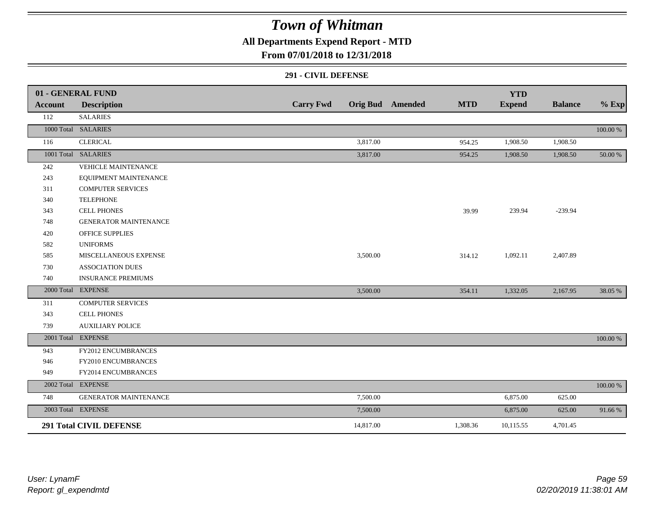## **All Departments Expend Report - MTD**

### **From 07/01/2018 to 12/31/2018**

#### **291 - CIVIL DEFENSE**

|                | 01 - GENERAL FUND              |                  |           |                         |            | <b>YTD</b>    |                |          |
|----------------|--------------------------------|------------------|-----------|-------------------------|------------|---------------|----------------|----------|
| <b>Account</b> | <b>Description</b>             | <b>Carry Fwd</b> |           | <b>Orig Bud</b> Amended | <b>MTD</b> | <b>Expend</b> | <b>Balance</b> | $%$ Exp  |
| 112            | <b>SALARIES</b>                |                  |           |                         |            |               |                |          |
|                | 1000 Total SALARIES            |                  |           |                         |            |               |                | 100.00 % |
| 116            | <b>CLERICAL</b>                |                  | 3,817.00  |                         | 954.25     | 1,908.50      | 1,908.50       |          |
|                | 1001 Total SALARIES            |                  | 3,817.00  |                         | 954.25     | 1,908.50      | 1,908.50       | 50.00 %  |
| 242            | <b>VEHICLE MAINTENANCE</b>     |                  |           |                         |            |               |                |          |
| 243            | EQUIPMENT MAINTENANCE          |                  |           |                         |            |               |                |          |
| 311            | <b>COMPUTER SERVICES</b>       |                  |           |                         |            |               |                |          |
| 340            | <b>TELEPHONE</b>               |                  |           |                         |            |               |                |          |
| 343            | <b>CELL PHONES</b>             |                  |           |                         | 39.99      | 239.94        | $-239.94$      |          |
| 748            | <b>GENERATOR MAINTENANCE</b>   |                  |           |                         |            |               |                |          |
| 420            | <b>OFFICE SUPPLIES</b>         |                  |           |                         |            |               |                |          |
| 582            | <b>UNIFORMS</b>                |                  |           |                         |            |               |                |          |
| 585            | MISCELLANEOUS EXPENSE          |                  | 3,500.00  |                         | 314.12     | 1,092.11      | 2,407.89       |          |
| 730            | <b>ASSOCIATION DUES</b>        |                  |           |                         |            |               |                |          |
| 740            | <b>INSURANCE PREMIUMS</b>      |                  |           |                         |            |               |                |          |
|                | 2000 Total EXPENSE             |                  | 3,500.00  |                         | 354.11     | 1,332.05      | 2,167.95       | 38.05 %  |
| 311            | <b>COMPUTER SERVICES</b>       |                  |           |                         |            |               |                |          |
| 343            | <b>CELL PHONES</b>             |                  |           |                         |            |               |                |          |
| 739            | <b>AUXILIARY POLICE</b>        |                  |           |                         |            |               |                |          |
|                | 2001 Total EXPENSE             |                  |           |                         |            |               |                | 100.00 % |
| 943            | FY2012 ENCUMBRANCES            |                  |           |                         |            |               |                |          |
| 946            | FY2010 ENCUMBRANCES            |                  |           |                         |            |               |                |          |
| 949            | FY2014 ENCUMBRANCES            |                  |           |                         |            |               |                |          |
|                | 2002 Total EXPENSE             |                  |           |                         |            |               |                | 100.00 % |
| 748            | <b>GENERATOR MAINTENANCE</b>   |                  | 7,500.00  |                         |            | 6,875.00      | 625.00         |          |
|                | 2003 Total EXPENSE             |                  | 7,500.00  |                         |            | 6,875.00      | 625.00         | 91.66%   |
|                | <b>291 Total CIVIL DEFENSE</b> |                  | 14,817.00 |                         | 1,308.36   | 10,115.55     | 4,701.45       |          |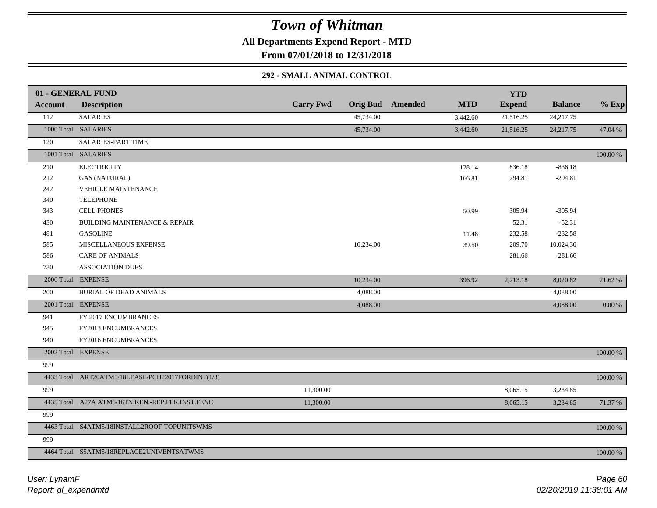**All Departments Expend Report - MTD**

**From 07/01/2018 to 12/31/2018**

### **292 - SMALL ANIMAL CONTROL**

|                | 01 - GENERAL FUND                                 |                  |           |                         |            | <b>YTD</b>    |                |          |
|----------------|---------------------------------------------------|------------------|-----------|-------------------------|------------|---------------|----------------|----------|
| <b>Account</b> | <b>Description</b>                                | <b>Carry Fwd</b> |           | <b>Orig Bud</b> Amended | <b>MTD</b> | <b>Expend</b> | <b>Balance</b> | $%$ Exp  |
| 112            | <b>SALARIES</b>                                   |                  | 45,734.00 |                         | 3,442.60   | 21,516.25     | 24, 217. 75    |          |
|                | 1000 Total SALARIES                               |                  | 45,734.00 |                         | 3,442.60   | 21,516.25     | 24, 217. 75    | 47.04 %  |
| 120            | <b>SALARIES-PART TIME</b>                         |                  |           |                         |            |               |                |          |
|                | 1001 Total SALARIES                               |                  |           |                         |            |               |                | 100.00 % |
| 210            | <b>ELECTRICITY</b>                                |                  |           |                         | 128.14     | 836.18        | $-836.18$      |          |
| 212            | <b>GAS (NATURAL)</b>                              |                  |           |                         | 166.81     | 294.81        | $-294.81$      |          |
| 242            | <b>VEHICLE MAINTENANCE</b>                        |                  |           |                         |            |               |                |          |
| 340            | <b>TELEPHONE</b>                                  |                  |           |                         |            |               |                |          |
| 343            | <b>CELL PHONES</b>                                |                  |           |                         | 50.99      | 305.94        | $-305.94$      |          |
| 430            | <b>BUILDING MAINTENANCE &amp; REPAIR</b>          |                  |           |                         |            | 52.31         | $-52.31$       |          |
| 481            | <b>GASOLINE</b>                                   |                  |           |                         | 11.48      | 232.58        | $-232.58$      |          |
| 585            | MISCELLANEOUS EXPENSE                             |                  | 10,234.00 |                         | 39.50      | 209.70        | 10,024.30      |          |
| 586            | <b>CARE OF ANIMALS</b>                            |                  |           |                         |            | 281.66        | $-281.66$      |          |
| 730            | ASSOCIATION DUES                                  |                  |           |                         |            |               |                |          |
|                | 2000 Total EXPENSE                                |                  | 10,234.00 |                         | 396.92     | 2,213.18      | 8,020.82       | 21.62 %  |
| 200            | <b>BURIAL OF DEAD ANIMALS</b>                     |                  | 4,088.00  |                         |            |               | 4,088.00       |          |
|                | 2001 Total EXPENSE                                |                  | 4,088.00  |                         |            |               | 4,088.00       | 0.00 %   |
| 941            | FY 2017 ENCUMBRANCES                              |                  |           |                         |            |               |                |          |
| 945            | FY2013 ENCUMBRANCES                               |                  |           |                         |            |               |                |          |
| 940            | FY2016 ENCUMBRANCES                               |                  |           |                         |            |               |                |          |
|                | 2002 Total EXPENSE                                |                  |           |                         |            |               |                | 100.00 % |
| 999            |                                                   |                  |           |                         |            |               |                |          |
|                | 4433 Total ART20ATM5/18LEASE/PCH22017FORDINT(1/3) |                  |           |                         |            |               |                | 100.00 % |
| 999            |                                                   | 11,300.00        |           |                         |            | 8,065.15      | 3,234.85       |          |
|                | 4435 Total A27A ATM5/16TN.KEN.-REP.FLR.INST.FENC  | 11,300.00        |           |                         |            | 8,065.15      | 3,234.85       | 71.37 %  |
| 999            |                                                   |                  |           |                         |            |               |                |          |
|                | 4463 Total S4ATM5/18INSTALL2ROOF-TOPUNITSWMS      |                  |           |                         |            |               |                | 100.00 % |
| 999            |                                                   |                  |           |                         |            |               |                |          |
|                | 4464 Total S5ATM5/18REPLACE2UNIVENTSATWMS         |                  |           |                         |            |               |                | 100.00 % |
|                |                                                   |                  |           |                         |            |               |                |          |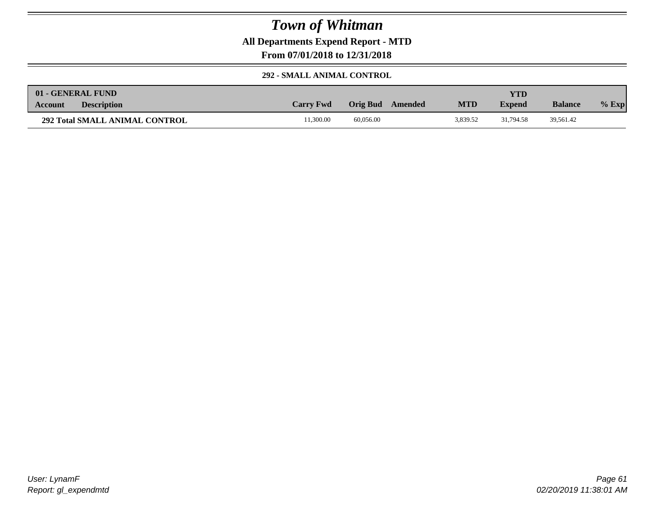**All Departments Expend Report - MTD**

**From 07/01/2018 to 12/31/2018**

### **292 - SMALL ANIMAL CONTROL**

| 01 - GENERAL FUND                     |                  |           |         |            | YTD.          |                |          |
|---------------------------------------|------------------|-----------|---------|------------|---------------|----------------|----------|
| <b>Description</b><br><b>Account</b>  | <b>Carry Fwd</b> | Orig Bud  | Amended | <b>MTD</b> | <b>Expend</b> | <b>Balance</b> | $\%$ Exp |
| <b>292 Total SMALL ANIMAL CONTROL</b> | 1.300.00         | 60,056.00 |         | 3.839.52   | 31.794.58     | 39,561.42      |          |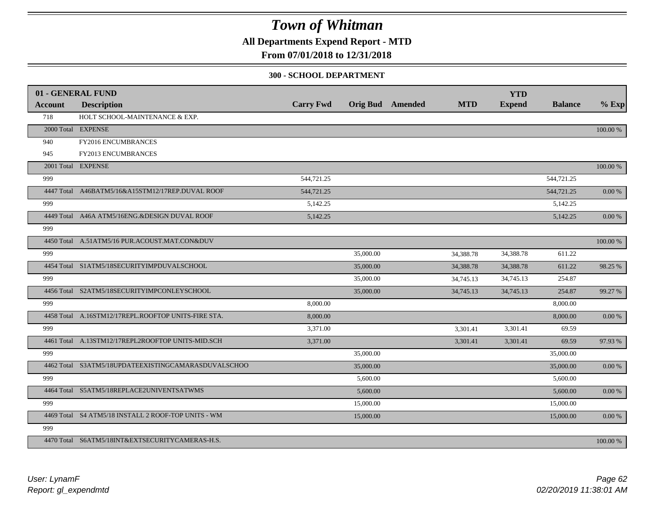**All Departments Expend Report - MTD**

## **From 07/01/2018 to 12/31/2018**

#### **300 - SCHOOL DEPARTMENT**

| <b>Account</b> | 01 - GENERAL FUND<br><b>Description</b>             | <b>Carry Fwd</b> |           | <b>Orig Bud</b> Amended | <b>MTD</b> | <b>YTD</b><br><b>Expend</b> | <b>Balance</b> | $%$ Exp  |
|----------------|-----------------------------------------------------|------------------|-----------|-------------------------|------------|-----------------------------|----------------|----------|
| 718            | HOLT SCHOOL-MAINTENANCE & EXP.                      |                  |           |                         |            |                             |                |          |
|                | 2000 Total EXPENSE                                  |                  |           |                         |            |                             |                | 100.00 % |
| 940            | FY2016 ENCUMBRANCES                                 |                  |           |                         |            |                             |                |          |
| 945            | FY2013 ENCUMBRANCES                                 |                  |           |                         |            |                             |                |          |
|                | 2001 Total EXPENSE                                  |                  |           |                         |            |                             |                | 100.00 % |
| 999            |                                                     | 544,721.25       |           |                         |            |                             | 544,721.25     |          |
|                | 4447 Total A46BATM5/16&A15STM12/17REP.DUVAL ROOF    | 544,721.25       |           |                         |            |                             | 544,721.25     | 0.00 %   |
| 999            |                                                     | 5,142.25         |           |                         |            |                             | 5,142.25       |          |
|                | 4449 Total A46A ATM5/16ENG.&DESIGN DUVAL ROOF       | 5,142.25         |           |                         |            |                             | 5,142.25       | 0.00 %   |
| 999            |                                                     |                  |           |                         |            |                             |                |          |
|                | 4450 Total A.51ATM5/16 PUR.ACOUST.MAT.CON&DUV       |                  |           |                         |            |                             |                | 100.00 % |
| 999            |                                                     |                  | 35,000.00 |                         | 34,388.78  | 34,388.78                   | 611.22         |          |
|                | 4454 Total S1ATM5/18SECURITYIMPDUVALSCHOOL          |                  | 35,000.00 |                         | 34,388.78  | 34,388.78                   | 611.22         | 98.25 %  |
| 999            |                                                     |                  | 35,000.00 |                         | 34,745.13  | 34,745.13                   | 254.87         |          |
|                | 4456 Total S2ATM5/18SECURITYIMPCONLEYSCHOOL         |                  | 35,000.00 |                         | 34,745.13  | 34,745.13                   | 254.87         | 99.27 %  |
| 999            |                                                     | 8,000.00         |           |                         |            |                             | 8,000.00       |          |
|                | 4458 Total A.16STM12/17REPL.ROOFTOP UNITS-FIRE STA. | 8,000.00         |           |                         |            |                             | 8,000.00       | 0.00 %   |
| 999            |                                                     | 3,371.00         |           |                         | 3,301.41   | 3,301.41                    | 69.59          |          |
|                | 4461 Total A.13STM12/17REPL2ROOFTOP UNITS-MID.SCH   | 3,371.00         |           |                         | 3,301.41   | 3,301.41                    | 69.59          | 97.93%   |
| 999            |                                                     |                  | 35,000.00 |                         |            |                             | 35,000.00      |          |
|                | 4462 Total S3ATM5/18UPDATEEXISTINGCAMARASDUVALSCHOO |                  | 35,000.00 |                         |            |                             | 35,000.00      | 0.00 %   |
| 999            |                                                     |                  | 5,600.00  |                         |            |                             | 5,600.00       |          |
|                | 4464 Total S5ATM5/18REPLACE2UNIVENTSATWMS           |                  | 5,600.00  |                         |            |                             | 5,600.00       | 0.00 %   |
| 999            |                                                     |                  | 15,000.00 |                         |            |                             | 15,000.00      |          |
|                | 4469 Total S4 ATM5/18 INSTALL 2 ROOF-TOP UNITS - WM |                  | 15,000.00 |                         |            |                             | 15,000.00      | 0.00 %   |
| 999            |                                                     |                  |           |                         |            |                             |                |          |
|                | 4470 Total S6ATM5/18INT&EXTSECURITYCAMERAS-H.S.     |                  |           |                         |            |                             |                | 100.00 % |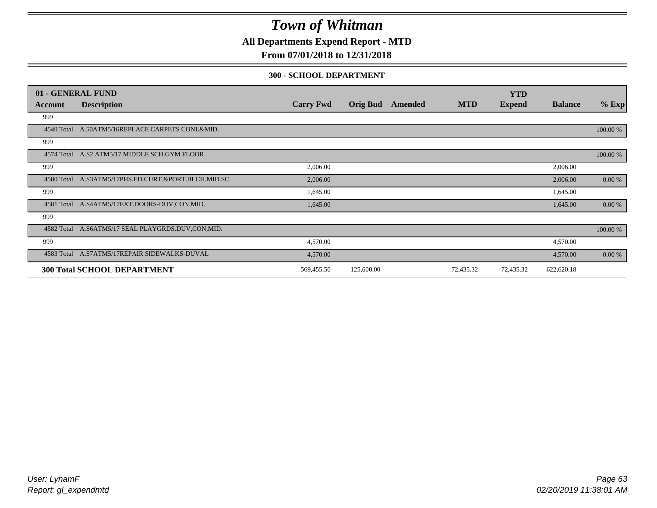**All Departments Expend Report - MTD**

## **From 07/01/2018 to 12/31/2018**

### **300 - SCHOOL DEPARTMENT**

|            | 01 - GENERAL FUND                                   |                  |                 |         |            | <b>YTD</b>    |                |           |
|------------|-----------------------------------------------------|------------------|-----------------|---------|------------|---------------|----------------|-----------|
| Account    | <b>Description</b>                                  | <b>Carry Fwd</b> | <b>Orig Bud</b> | Amended | <b>MTD</b> | <b>Expend</b> | <b>Balance</b> | $%$ Exp   |
| 999        |                                                     |                  |                 |         |            |               |                |           |
| 4540 Total | A.50ATM5/16REPLACE CARPETS CONL&MID.                |                  |                 |         |            |               |                | 100.00 %  |
| 999        |                                                     |                  |                 |         |            |               |                |           |
|            | 4574 Total A.S2 ATM5/17 MIDDLE SCH.GYM FLOOR        |                  |                 |         |            |               |                | 100.00 %  |
| 999        |                                                     | 2,006.00         |                 |         |            |               | 2,006.00       |           |
|            | 4580 Total A.S3ATM5/17PHS.ED.CURT.&PORT.BLCH.MID.SC | 2,006.00         |                 |         |            |               | 2,006.00       | 0.00 %    |
| 999        |                                                     | 1,645.00         |                 |         |            |               | 1,645.00       |           |
| 4581 Total | A.S4ATM5/17EXT.DOORS-DUV,CON.MID.                   | 1,645.00         |                 |         |            |               | 1,645.00       | $0.00 \%$ |
| 999        |                                                     |                  |                 |         |            |               |                |           |
|            | 4582 Total A.S6ATM5/17 SEAL PLAYGRDS.DUV,CON,MID.   |                  |                 |         |            |               |                | 100.00 %  |
| 999        |                                                     | 4,570.00         |                 |         |            |               | 4,570.00       |           |
|            | 4583 Total A.S7ATM5/17REPAIR SIDEWALKS-DUVAL        | 4,570.00         |                 |         |            |               | 4,570.00       | $0.00 \%$ |
|            | <b>300 Total SCHOOL DEPARTMENT</b>                  | 569,455.50       | 125,600.00      |         | 72,435.32  | 72,435.32     | 622,620.18     |           |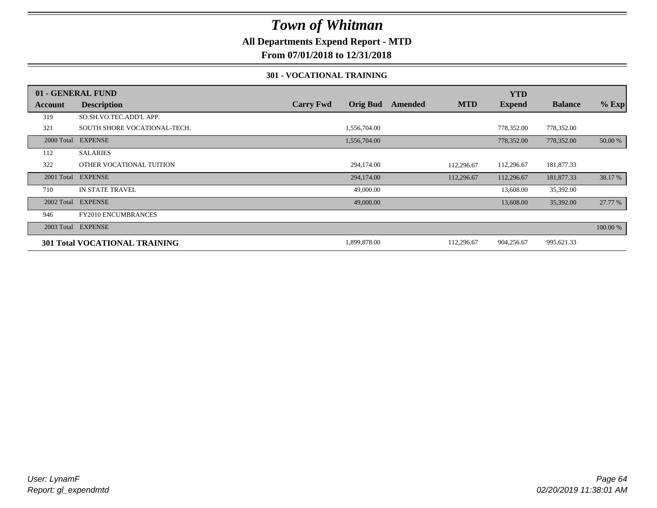## **All Departments Expend Report - MTD**

**From 07/01/2018 to 12/31/2018**

### **301 - VOCATIONAL TRAINING**

|            | 01 - GENERAL FUND                    |                  |                 |         |            | <b>YTD</b>    |                |          |
|------------|--------------------------------------|------------------|-----------------|---------|------------|---------------|----------------|----------|
| Account    | <b>Description</b>                   | <b>Carry Fwd</b> | <b>Orig Bud</b> | Amended | <b>MTD</b> | <b>Expend</b> | <b>Balance</b> | $%$ Exp  |
| 319        | SO.SH.VO.TEC.ADD'L APP.              |                  |                 |         |            |               |                |          |
| 321        | SOUTH SHORE VOCATIONAL-TECH.         |                  | 1,556,704.00    |         |            | 778,352.00    | 778,352.00     |          |
|            | 2000 Total EXPENSE                   |                  | 1,556,704.00    |         |            | 778,352.00    | 778,352.00     | 50.00 %  |
| 112        | <b>SALARIES</b>                      |                  |                 |         |            |               |                |          |
| 322        | OTHER VOCATIONAL TUITION             |                  | 294,174.00      |         | 112,296.67 | 112,296.67    | 181,877.33     |          |
| 2001 Total | <b>EXPENSE</b>                       |                  | 294,174.00      |         | 112,296.67 | 112,296.67    | 181,877.33     | 38.17 %  |
| 710        | IN STATE TRAVEL                      |                  | 49,000.00       |         |            | 13,608.00     | 35,392.00      |          |
|            | 2002 Total EXPENSE                   |                  | 49,000.00       |         |            | 13,608.00     | 35,392.00      | 27.77 %  |
| 946        | <b>FY2010 ENCUMBRANCES</b>           |                  |                 |         |            |               |                |          |
|            | 2003 Total EXPENSE                   |                  |                 |         |            |               |                | 100.00 % |
|            | <b>301 Total VOCATIONAL TRAINING</b> |                  | 1,899,878.00    |         | 112,296.67 | 904,256.67    | 995,621.33     |          |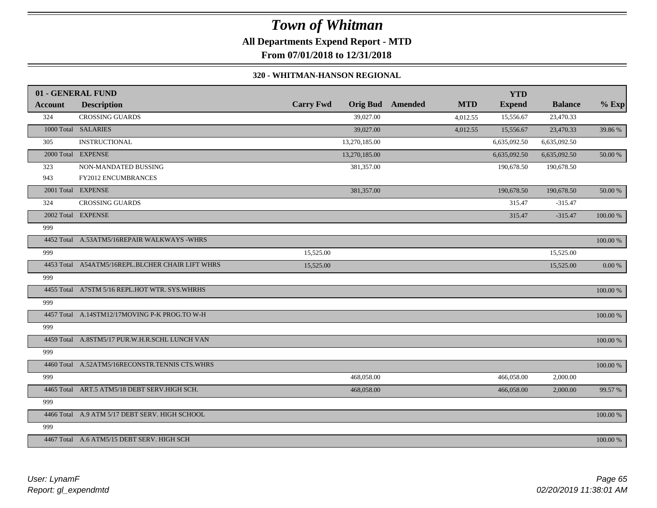# *Town of Whitman* **All Departments Expend Report - MTD**

## **From 07/01/2018 to 12/31/2018**

### **320 - WHITMAN-HANSON REGIONAL**

|         | 01 - GENERAL FUND                                |                  |               |                         |            | <b>YTD</b>    |                |            |
|---------|--------------------------------------------------|------------------|---------------|-------------------------|------------|---------------|----------------|------------|
| Account | <b>Description</b>                               | <b>Carry Fwd</b> |               | <b>Orig Bud</b> Amended | <b>MTD</b> | <b>Expend</b> | <b>Balance</b> | $%$ Exp    |
| 324     | <b>CROSSING GUARDS</b>                           |                  | 39,027.00     |                         | 4,012.55   | 15,556.67     | 23,470.33      |            |
|         | 1000 Total SALARIES                              |                  | 39,027.00     |                         | 4,012.55   | 15,556.67     | 23,470.33      | 39.86 %    |
| 305     | <b>INSTRUCTIONAL</b>                             |                  | 13,270,185.00 |                         |            | 6,635,092.50  | 6,635,092.50   |            |
|         | 2000 Total EXPENSE                               |                  | 13,270,185.00 |                         |            | 6,635,092.50  | 6,635,092.50   | $50.00~\%$ |
| 323     | NON-MANDATED BUSSING                             |                  | 381,357.00    |                         |            | 190,678.50    | 190,678.50     |            |
| 943     | FY2012 ENCUMBRANCES                              |                  |               |                         |            |               |                |            |
|         | 2001 Total EXPENSE                               |                  | 381,357.00    |                         |            | 190,678.50    | 190,678.50     | 50.00 %    |
| 324     | <b>CROSSING GUARDS</b>                           |                  |               |                         |            | 315.47        | $-315.47$      |            |
|         | 2002 Total EXPENSE                               |                  |               |                         |            | 315.47        | $-315.47$      | 100.00 %   |
| 999     |                                                  |                  |               |                         |            |               |                |            |
|         | 4452 Total A.53ATM5/16REPAIR WALKWAYS -WHRS      |                  |               |                         |            |               |                | 100.00 %   |
| 999     |                                                  | 15,525.00        |               |                         |            |               | 15,525.00      |            |
|         | 4453 Total A54ATM5/16REPL.BLCHER CHAIR LIFT WHRS | 15,525.00        |               |                         |            |               | 15,525.00      | $0.00~\%$  |
| 999     |                                                  |                  |               |                         |            |               |                |            |
|         | 4455 Total A7STM 5/16 REPL.HOT WTR. SYS.WHRHS    |                  |               |                         |            |               |                | 100.00 %   |
| 999     |                                                  |                  |               |                         |            |               |                |            |
|         | 4457 Total A.14STM12/17MOVING P-K PROG.TO W-H    |                  |               |                         |            |               |                | 100.00 %   |
| 999     |                                                  |                  |               |                         |            |               |                |            |
|         | 4459 Total A.8STM5/17 PUR.W.H.R.SCHL LUNCH VAN   |                  |               |                         |            |               |                | 100.00 %   |
| 999     |                                                  |                  |               |                         |            |               |                |            |
|         | 4460 Total A.52ATM5/16RECONSTR.TENNIS CTS.WHRS   |                  |               |                         |            |               |                | 100.00 %   |
| 999     |                                                  |                  | 468,058.00    |                         |            | 466,058.00    | 2,000.00       |            |
|         | 4465 Total ART.5 ATM5/18 DEBT SERV.HIGH SCH.     |                  | 468,058.00    |                         |            | 466,058.00    | 2,000.00       | 99.57 %    |
| 999     |                                                  |                  |               |                         |            |               |                |            |
|         | 4466 Total A.9 ATM 5/17 DEBT SERV. HIGH SCHOOL   |                  |               |                         |            |               |                | 100.00 %   |
| 999     |                                                  |                  |               |                         |            |               |                |            |
|         | 4467 Total A.6 ATM5/15 DEBT SERV. HIGH SCH       |                  |               |                         |            |               |                | 100.00 %   |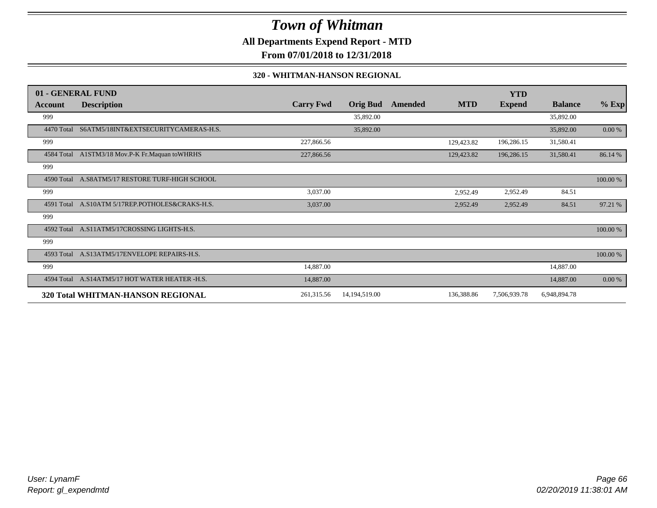**All Departments Expend Report - MTD**

**From 07/01/2018 to 12/31/2018**

### **320 - WHITMAN-HANSON REGIONAL**

|                | 01 - GENERAL FUND                               |                  |                 |         |            | <b>YTD</b>    |                |             |
|----------------|-------------------------------------------------|------------------|-----------------|---------|------------|---------------|----------------|-------------|
| <b>Account</b> | <b>Description</b>                              | <b>Carry Fwd</b> | <b>Orig Bud</b> | Amended | <b>MTD</b> | <b>Expend</b> | <b>Balance</b> | $%$ Exp     |
| 999            |                                                 |                  | 35,892.00       |         |            |               | 35,892.00      |             |
| 4470 Total     | S6ATM5/18INT&EXTSECURITYCAMERAS-H.S.            |                  | 35,892.00       |         |            |               | 35,892.00      | 0.00 %      |
| 999            |                                                 | 227,866.56       |                 |         | 129,423.82 | 196,286.15    | 31,580.41      |             |
|                | 4584 Total A1STM3/18 Mov.P-K Fr.Maquan toWHRHS  | 227,866.56       |                 |         | 129,423.82 | 196,286.15    | 31,580.41      | 86.14 %     |
| 999            |                                                 |                  |                 |         |            |               |                |             |
| 4590 Total     | A.S8ATM5/17 RESTORE TURF-HIGH SCHOOL            |                  |                 |         |            |               |                | 100.00 %    |
| 999            |                                                 | 3,037.00         |                 |         | 2,952.49   | 2,952.49      | 84.51          |             |
|                | 4591 Total A.S10ATM 5/17REP.POTHOLES&CRAKS-H.S. | 3,037.00         |                 |         | 2,952.49   | 2,952.49      | 84.51          | 97.21 %     |
| 999            |                                                 |                  |                 |         |            |               |                |             |
| 4592 Total     | A.S11ATM5/17CROSSING LIGHTS-H.S.                |                  |                 |         |            |               |                | $100.00~\%$ |
| 999            |                                                 |                  |                 |         |            |               |                |             |
|                | 4593 Total A.S13ATM5/17ENVELOPE REPAIRS-H.S.    |                  |                 |         |            |               |                | 100.00 %    |
| 999            |                                                 | 14,887.00        |                 |         |            |               | 14,887.00      |             |
| 4594 Total     | A.S14ATM5/17 HOT WATER HEATER -H.S.             | 14,887.00        |                 |         |            |               | 14,887.00      | 0.00 %      |
|                | 320 Total WHITMAN-HANSON REGIONAL               | 261,315.56       | 14,194,519.00   |         | 136,388.86 | 7,506,939.78  | 6,948,894.78   |             |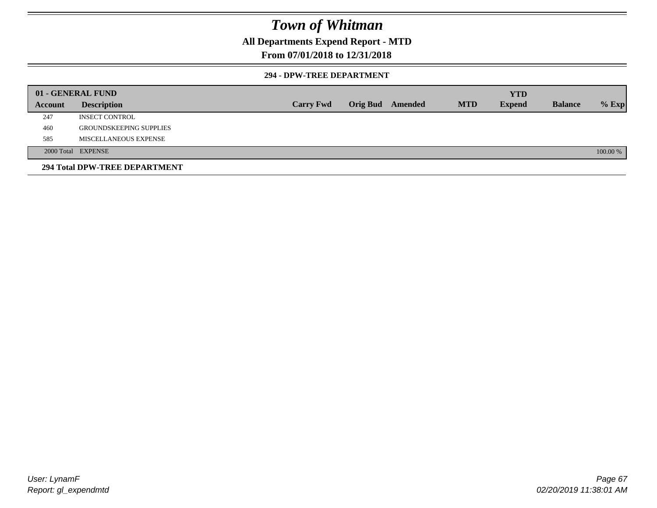## **All Departments Expend Report - MTD**

## **From 07/01/2018 to 12/31/2018**

### **294 - DPW-TREE DEPARTMENT**

|         | 01 - GENERAL FUND              |                  |                  |            | <b>YTD</b>    |                |          |
|---------|--------------------------------|------------------|------------------|------------|---------------|----------------|----------|
| Account | <b>Description</b>             | <b>Carry Fwd</b> | Orig Bud Amended | <b>MTD</b> | <b>Expend</b> | <b>Balance</b> | $%$ Exp  |
| 247     | <b>INSECT CONTROL</b>          |                  |                  |            |               |                |          |
| 460     | <b>GROUNDSKEEPING SUPPLIES</b> |                  |                  |            |               |                |          |
| 585     | MISCELLANEOUS EXPENSE          |                  |                  |            |               |                |          |
|         | 2000 Total EXPENSE             |                  |                  |            |               |                | 100.00 % |
|         | 294 Total DPW-TREE DEPARTMENT  |                  |                  |            |               |                |          |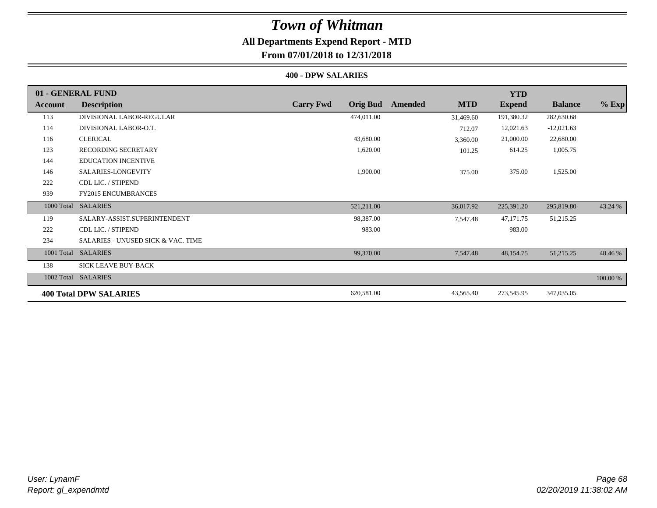# **All Departments Expend Report - MTD**

## **From 07/01/2018 to 12/31/2018**

### **400 - DPW SALARIES**

|            | 01 - GENERAL FUND                  |                                     |                       | <b>YTD</b>    |                |          |
|------------|------------------------------------|-------------------------------------|-----------------------|---------------|----------------|----------|
| Account    | <b>Description</b>                 | <b>Carry Fwd</b><br><b>Orig Bud</b> | <b>MTD</b><br>Amended | <b>Expend</b> | <b>Balance</b> | $%$ Exp  |
| 113        | DIVISIONAL LABOR-REGULAR           | 474,011.00                          | 31,469.60             | 191,380.32    | 282,630.68     |          |
| 114        | DIVISIONAL LABOR-O.T.              |                                     | 712.07                | 12,021.63     | $-12,021.63$   |          |
| 116        | <b>CLERICAL</b>                    | 43,680.00                           | 3,360.00              | 21,000.00     | 22,680.00      |          |
| 123        | <b>RECORDING SECRETARY</b>         | 1,620.00                            | 101.25                | 614.25        | 1,005.75       |          |
| 144        | <b>EDUCATION INCENTIVE</b>         |                                     |                       |               |                |          |
| 146        | SALARIES-LONGEVITY                 | 1,900.00                            | 375.00                | 375.00        | 1,525.00       |          |
| 222        | CDL LIC. / STIPEND                 |                                     |                       |               |                |          |
| 939        | <b>FY2015 ENCUMBRANCES</b>         |                                     |                       |               |                |          |
| 1000 Total | <b>SALARIES</b>                    | 521,211.00                          | 36,017.92             | 225,391.20    | 295,819.80     | 43.24 %  |
| 119        | SALARY-ASSIST.SUPERINTENDENT       | 98,387.00                           | 7,547.48              | 47,171.75     | 51,215.25      |          |
| 222        | CDL LIC. / STIPEND                 | 983.00                              |                       | 983.00        |                |          |
| 234        | SALARIES - UNUSED SICK & VAC. TIME |                                     |                       |               |                |          |
| 1001 Total | <b>SALARIES</b>                    | 99,370.00                           | 7,547.48              | 48,154.75     | 51,215.25      | 48.46 %  |
| 138        | <b>SICK LEAVE BUY-BACK</b>         |                                     |                       |               |                |          |
| 1002 Total | <b>SALARIES</b>                    |                                     |                       |               |                | 100.00 % |
|            | <b>400 Total DPW SALARIES</b>      | 620,581.00                          | 43,565.40             | 273,545.95    | 347,035.05     |          |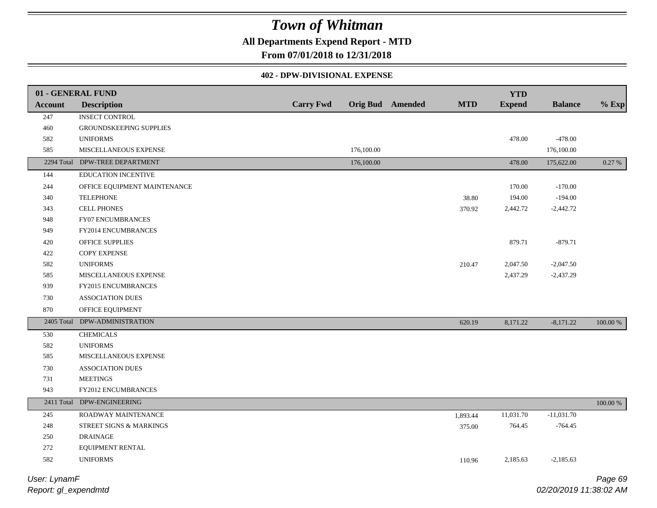## **All Departments Expend Report - MTD**

**From 07/01/2018 to 12/31/2018**

### **402 - DPW-DIVISIONAL EXPENSE**

|                | 01 - GENERAL FUND              |                  |            |                         |            | <b>YTD</b>    |                |          |
|----------------|--------------------------------|------------------|------------|-------------------------|------------|---------------|----------------|----------|
| <b>Account</b> | <b>Description</b>             | <b>Carry Fwd</b> |            | <b>Orig Bud</b> Amended | <b>MTD</b> | <b>Expend</b> | <b>Balance</b> | $%$ Exp  |
| 247            | <b>INSECT CONTROL</b>          |                  |            |                         |            |               |                |          |
| 460            | GROUNDSKEEPING SUPPLIES        |                  |            |                         |            |               |                |          |
| 582            | <b>UNIFORMS</b>                |                  |            |                         |            | 478.00        | $-478.00$      |          |
| 585            | MISCELLANEOUS EXPENSE          |                  | 176,100.00 |                         |            |               | 176,100.00     |          |
|                | 2294 Total DPW-TREE DEPARTMENT |                  | 176,100.00 |                         |            | 478.00        | 175,622.00     | 0.27 %   |
| 144            | <b>EDUCATION INCENTIVE</b>     |                  |            |                         |            |               |                |          |
| 244            | OFFICE EQUIPMENT MAINTENANCE   |                  |            |                         |            | 170.00        | $-170.00$      |          |
| 340            | <b>TELEPHONE</b>               |                  |            |                         | 38.80      | 194.00        | $-194.00$      |          |
| 343            | <b>CELL PHONES</b>             |                  |            |                         | 370.92     | 2,442.72      | $-2,442.72$    |          |
| 948            | FY07 ENCUMBRANCES              |                  |            |                         |            |               |                |          |
| 949            | FY2014 ENCUMBRANCES            |                  |            |                         |            |               |                |          |
| 420            | OFFICE SUPPLIES                |                  |            |                         |            | 879.71        | $-879.71$      |          |
| 422            | <b>COPY EXPENSE</b>            |                  |            |                         |            |               |                |          |
| 582            | <b>UNIFORMS</b>                |                  |            |                         | 210.47     | 2,047.50      | $-2,047.50$    |          |
| 585            | MISCELLANEOUS EXPENSE          |                  |            |                         |            | 2,437.29      | $-2,437.29$    |          |
| 939            | <b>FY2015 ENCUMBRANCES</b>     |                  |            |                         |            |               |                |          |
| 730            | <b>ASSOCIATION DUES</b>        |                  |            |                         |            |               |                |          |
| 870            | OFFICE EQUIPMENT               |                  |            |                         |            |               |                |          |
|                | 2405 Total DPW-ADMINISTRATION  |                  |            |                         | 620.19     | 8,171.22      | $-8,171.22$    | 100.00 % |
| 530            | <b>CHEMICALS</b>               |                  |            |                         |            |               |                |          |
| 582            | <b>UNIFORMS</b>                |                  |            |                         |            |               |                |          |
| 585            | MISCELLANEOUS EXPENSE          |                  |            |                         |            |               |                |          |
| 730            | <b>ASSOCIATION DUES</b>        |                  |            |                         |            |               |                |          |
| 731            | <b>MEETINGS</b>                |                  |            |                         |            |               |                |          |
| 943            | FY2012 ENCUMBRANCES            |                  |            |                         |            |               |                |          |
|                | 2411 Total DPW-ENGINEERING     |                  |            |                         |            |               |                | 100.00 % |
| 245            | ROADWAY MAINTENANCE            |                  |            |                         | 1,893.44   | 11,031.70     | $-11,031.70$   |          |
| 248            | STREET SIGNS & MARKINGS        |                  |            |                         | 375.00     | 764.45        | $-764.45$      |          |
| 250            | <b>DRAINAGE</b>                |                  |            |                         |            |               |                |          |
| 272            | EQUIPMENT RENTAL               |                  |            |                         |            |               |                |          |
| 582            | <b>UNIFORMS</b>                |                  |            |                         | 110.96     | 2,185.63      | $-2,185.63$    |          |
|                |                                |                  |            |                         |            |               |                |          |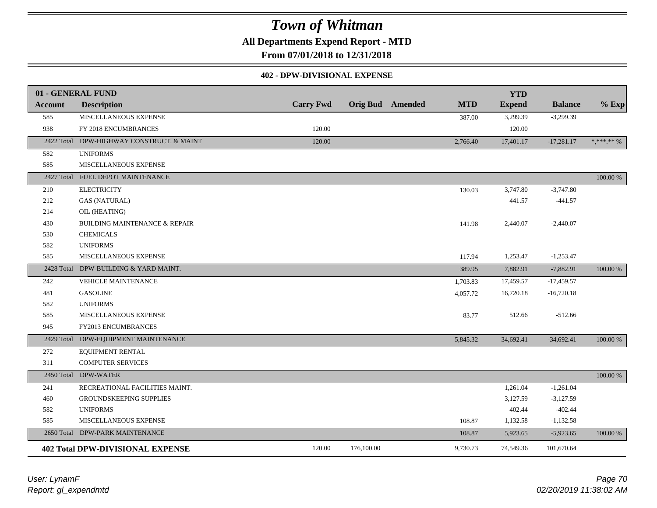**All Departments Expend Report - MTD**

**From 07/01/2018 to 12/31/2018**

### **402 - DPW-DIVISIONAL EXPENSE**

|                | 01 - GENERAL FUND                        |                  |                         |            | <b>YTD</b>    |                |                                |
|----------------|------------------------------------------|------------------|-------------------------|------------|---------------|----------------|--------------------------------|
| <b>Account</b> | <b>Description</b>                       | <b>Carry Fwd</b> | <b>Orig Bud</b> Amended | <b>MTD</b> | <b>Expend</b> | <b>Balance</b> | $%$ Exp                        |
| 585            | MISCELLANEOUS EXPENSE                    |                  |                         |            | 3,299.39      | $-3,299.39$    |                                |
| 938            | FY 2018 ENCUMBRANCES                     | 120.00           |                         | 387.00     | 120.00        |                |                                |
|                |                                          |                  |                         |            |               |                |                                |
| 2422 Total     | DPW-HIGHWAY CONSTRUCT. & MAINT           | 120.00           |                         | 2,766.40   | 17,401.17     | $-17,281.17$   | $\ast, \ast\ast\ast\ast\ast\%$ |
| 582            | <b>UNIFORMS</b>                          |                  |                         |            |               |                |                                |
| 585            | MISCELLANEOUS EXPENSE                    |                  |                         |            |               |                |                                |
| 2427 Total     | FUEL DEPOT MAINTENANCE                   |                  |                         |            |               |                | 100.00 %                       |
| 210            | <b>ELECTRICITY</b>                       |                  |                         | 130.03     | 3,747.80      | $-3,747.80$    |                                |
| 212            | <b>GAS (NATURAL)</b>                     |                  |                         |            | 441.57        | $-441.57$      |                                |
| 214            | OIL (HEATING)                            |                  |                         |            |               |                |                                |
| 430            | <b>BUILDING MAINTENANCE &amp; REPAIR</b> |                  |                         | 141.98     | 2,440.07      | $-2,440.07$    |                                |
| 530            | <b>CHEMICALS</b>                         |                  |                         |            |               |                |                                |
| 582            | <b>UNIFORMS</b>                          |                  |                         |            |               |                |                                |
| 585            | MISCELLANEOUS EXPENSE                    |                  |                         | 117.94     | 1,253.47      | $-1,253.47$    |                                |
| 2428 Total     | DPW-BUILDING & YARD MAINT.               |                  |                         | 389.95     | 7,882.91      | $-7,882.91$    | 100.00 %                       |
| 242            | VEHICLE MAINTENANCE                      |                  |                         | 1,703.83   | 17,459.57     | $-17,459.57$   |                                |
| 481            | <b>GASOLINE</b>                          |                  |                         | 4,057.72   | 16,720.18     | $-16,720.18$   |                                |
| 582            | <b>UNIFORMS</b>                          |                  |                         |            |               |                |                                |
| 585            | MISCELLANEOUS EXPENSE                    |                  |                         | 83.77      | 512.66        | $-512.66$      |                                |
| 945            | FY2013 ENCUMBRANCES                      |                  |                         |            |               |                |                                |
| 2429 Total     | DPW-EQUIPMENT MAINTENANCE                |                  |                         | 5,845.32   | 34,692.41     | $-34,692.41$   | 100.00 %                       |
| 272            | EQUIPMENT RENTAL                         |                  |                         |            |               |                |                                |
| 311            | <b>COMPUTER SERVICES</b>                 |                  |                         |            |               |                |                                |
|                | 2450 Total DPW-WATER                     |                  |                         |            |               |                | 100.00 %                       |
| 241            | RECREATIONAL FACILITIES MAINT.           |                  |                         |            | 1,261.04      | $-1,261.04$    |                                |
| 460            | GROUNDSKEEPING SUPPLIES                  |                  |                         |            | 3,127.59      | $-3,127.59$    |                                |
| 582            | <b>UNIFORMS</b>                          |                  |                         |            | 402.44        | $-402.44$      |                                |
| 585            | MISCELLANEOUS EXPENSE                    |                  |                         | 108.87     | 1,132.58      | $-1,132.58$    |                                |
| 2650 Total     | DPW-PARK MAINTENANCE                     |                  |                         | 108.87     | 5,923.65      | $-5,923.65$    | 100.00 %                       |
|                | <b>402 Total DPW-DIVISIONAL EXPENSE</b>  | 120.00           | 176,100.00              | 9,730.73   | 74,549.36     | 101,670.64     |                                |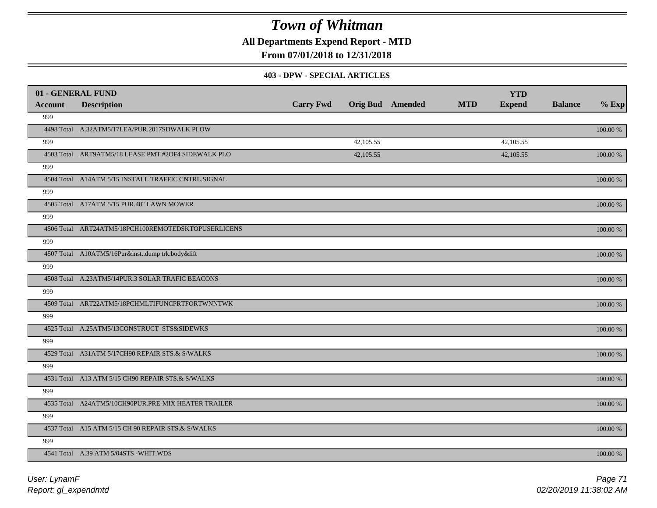**All Departments Expend Report - MTD**

## **From 07/01/2018 to 12/31/2018**

#### **403 - DPW - SPECIAL ARTICLES**

| 01 - GENERAL FUND |                                                     |                  |           |                         |            | <b>YTD</b>    |                |             |
|-------------------|-----------------------------------------------------|------------------|-----------|-------------------------|------------|---------------|----------------|-------------|
| Account           | <b>Description</b>                                  | <b>Carry Fwd</b> |           | <b>Orig Bud</b> Amended | <b>MTD</b> | <b>Expend</b> | <b>Balance</b> | $%$ Exp     |
| 999               |                                                     |                  |           |                         |            |               |                |             |
|                   | 4498 Total A.32ATM5/17LEA/PUR.2017SDWALK PLOW       |                  |           |                         |            |               |                | 100.00 %    |
| 999               |                                                     |                  | 42,105.55 |                         |            | 42,105.55     |                |             |
|                   | 4503 Total ART9ATM5/18 LEASE PMT #2OF4 SIDEWALK PLO |                  | 42,105.55 |                         |            | 42,105.55     |                | 100.00 %    |
| 999               |                                                     |                  |           |                         |            |               |                |             |
|                   | 4504 Total A14ATM 5/15 INSTALL TRAFFIC CNTRL.SIGNAL |                  |           |                         |            |               |                | 100.00 %    |
| 999               |                                                     |                  |           |                         |            |               |                |             |
|                   | 4505 Total A17ATM 5/15 PUR.48" LAWN MOWER           |                  |           |                         |            |               |                | $100.00~\%$ |
| 999               |                                                     |                  |           |                         |            |               |                |             |
|                   | 4506 Total ART24ATM5/18PCH100REMOTEDSKTOPUSERLICENS |                  |           |                         |            |               |                | 100.00 %    |
| 999               |                                                     |                  |           |                         |            |               |                |             |
|                   | 4507 Total A10ATM5/16Pur&instdump trk.body&lift     |                  |           |                         |            |               |                | 100.00 %    |
| 999               |                                                     |                  |           |                         |            |               |                |             |
|                   | 4508 Total A.23ATM5/14PUR.3 SOLAR TRAFIC BEACONS    |                  |           |                         |            |               |                | 100.00 %    |
| 999               |                                                     |                  |           |                         |            |               |                |             |
|                   | 4509 Total ART22ATM5/18PCHMLTIFUNCPRTFORTWNNTWK     |                  |           |                         |            |               |                | $100.00~\%$ |
| 999               |                                                     |                  |           |                         |            |               |                |             |
|                   | 4525 Total A.25ATM5/13CONSTRUCT STS&SIDEWKS         |                  |           |                         |            |               |                | $100.00~\%$ |
| 999               |                                                     |                  |           |                         |            |               |                |             |
|                   | 4529 Total A31ATM 5/17CH90 REPAIR STS.& S/WALKS     |                  |           |                         |            |               |                | 100.00 %    |
| 999               |                                                     |                  |           |                         |            |               |                |             |
|                   | 4531 Total A13 ATM 5/15 CH90 REPAIR STS.& S/WALKS   |                  |           |                         |            |               |                | 100.00 %    |
| 999               |                                                     |                  |           |                         |            |               |                |             |
|                   | 4535 Total A24ATM5/10CH90PUR.PRE-MIX HEATER TRAILER |                  |           |                         |            |               |                | 100.00 %    |
| 999               |                                                     |                  |           |                         |            |               |                |             |
|                   | 4537 Total A15 ATM 5/15 CH 90 REPAIR STS.& S/WALKS  |                  |           |                         |            |               |                | 100.00 %    |
| 999               |                                                     |                  |           |                         |            |               |                |             |
|                   | 4541 Total A.39 ATM 5/04STS -WHIT.WDS               |                  |           |                         |            |               |                | 100.00 %    |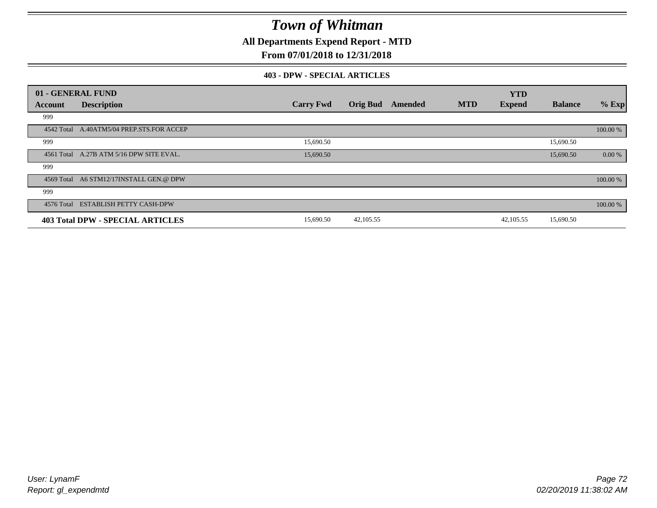**All Departments Expend Report - MTD**

## **From 07/01/2018 to 12/31/2018**

### **403 - DPW - SPECIAL ARTICLES**

|            | 01 - GENERAL FUND                         |                  |                 |         |            | <b>YTD</b>    |                |          |
|------------|-------------------------------------------|------------------|-----------------|---------|------------|---------------|----------------|----------|
| Account    | <b>Description</b>                        | <b>Carry Fwd</b> | <b>Orig Bud</b> | Amended | <b>MTD</b> | <b>Expend</b> | <b>Balance</b> | $%$ Exp  |
| 999        |                                           |                  |                 |         |            |               |                |          |
|            | 4542 Total A.40ATM5/04 PREP.STS.FOR ACCEP |                  |                 |         |            |               |                | 100.00 % |
| 999        |                                           | 15,690.50        |                 |         |            |               | 15,690.50      |          |
|            | 4561 Total A.27B ATM 5/16 DPW SITE EVAL.  | 15,690.50        |                 |         |            |               | 15,690.50      | 0.00 %   |
| 999        |                                           |                  |                 |         |            |               |                |          |
|            | 4569 Total A6 STM12/17INSTALL GEN.@ DPW   |                  |                 |         |            |               |                | 100.00 % |
| 999        |                                           |                  |                 |         |            |               |                |          |
| 4576 Total | <b>ESTABLISH PETTY CASH-DPW</b>           |                  |                 |         |            |               |                | 100.00 % |
|            | <b>403 Total DPW - SPECIAL ARTICLES</b>   | 15,690.50        | 42,105.55       |         |            | 42,105.55     | 15,690.50      |          |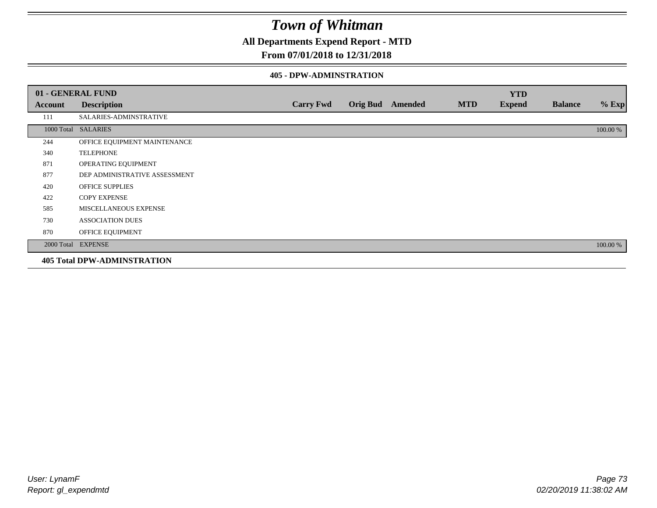**All Departments Expend Report - MTD**

### **From 07/01/2018 to 12/31/2018**

#### **405 - DPW-ADMINSTRATION**

|         | 01 - GENERAL FUND                  |                  |                  |            | <b>YTD</b>    |                |          |
|---------|------------------------------------|------------------|------------------|------------|---------------|----------------|----------|
| Account | <b>Description</b>                 | <b>Carry Fwd</b> | Orig Bud Amended | <b>MTD</b> | <b>Expend</b> | <b>Balance</b> | $%$ Exp  |
| 111     | SALARIES-ADMINSTRATIVE             |                  |                  |            |               |                |          |
|         | 1000 Total SALARIES                |                  |                  |            |               |                | 100.00 % |
| 244     | OFFICE EQUIPMENT MAINTENANCE       |                  |                  |            |               |                |          |
| 340     | <b>TELEPHONE</b>                   |                  |                  |            |               |                |          |
| 871     | OPERATING EQUIPMENT                |                  |                  |            |               |                |          |
| 877     | DEP ADMINISTRATIVE ASSESSMENT      |                  |                  |            |               |                |          |
| 420     | <b>OFFICE SUPPLIES</b>             |                  |                  |            |               |                |          |
| 422     | <b>COPY EXPENSE</b>                |                  |                  |            |               |                |          |
| 585     | MISCELLANEOUS EXPENSE              |                  |                  |            |               |                |          |
| 730     | <b>ASSOCIATION DUES</b>            |                  |                  |            |               |                |          |
| 870     | OFFICE EQUIPMENT                   |                  |                  |            |               |                |          |
|         | 2000 Total EXPENSE                 |                  |                  |            |               |                | 100.00 % |
|         | <b>405 Total DPW-ADMINSTRATION</b> |                  |                  |            |               |                |          |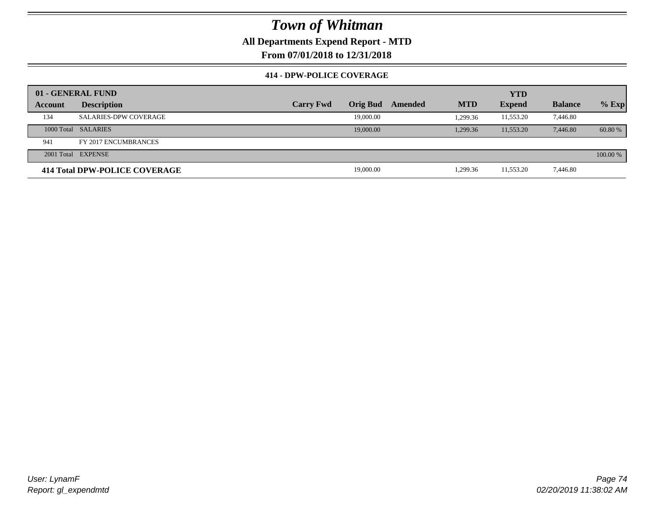### **All Departments Expend Report - MTD**

**From 07/01/2018 to 12/31/2018**

#### **414 - DPW-POLICE COVERAGE**

|         | 01 - GENERAL FUND             |                  |                 |         |            | <b>YTD</b>    |                |          |
|---------|-------------------------------|------------------|-----------------|---------|------------|---------------|----------------|----------|
| Account | <b>Description</b>            | <b>Carry Fwd</b> | <b>Orig Bud</b> | Amended | <b>MTD</b> | <b>Expend</b> | <b>Balance</b> | $%$ Exp  |
| 134     | <b>SALARIES-DPW COVERAGE</b>  |                  | 19,000.00       |         | 1.299.36   | 11,553.20     | 7.446.80       |          |
|         | 1000 Total SALARIES           |                  | 19,000.00       |         | 1.299.36   | 11.553.20     | 7.446.80       | 60.80 %  |
| 941     | FY 2017 ENCUMBRANCES          |                  |                 |         |            |               |                |          |
|         | 2001 Total EXPENSE            |                  |                 |         |            |               |                | 100.00 % |
|         | 414 Total DPW-POLICE COVERAGE |                  | 19,000.00       |         | 1,299.36   | 11,553.20     | 7,446.80       |          |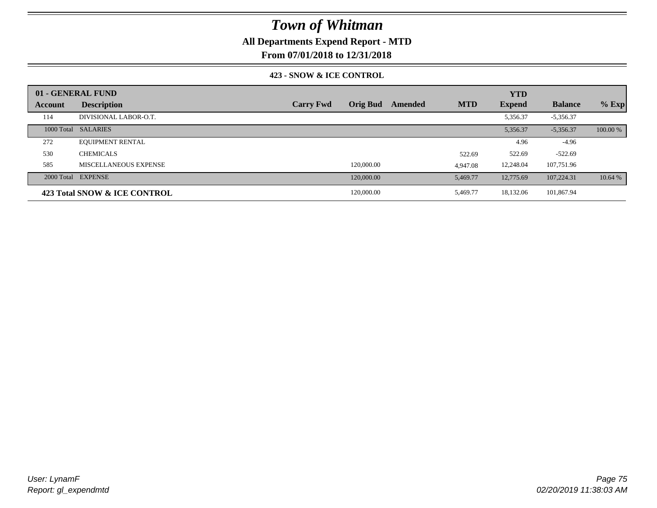### **All Departments Expend Report - MTD**

**From 07/01/2018 to 12/31/2018**

### **423 - SNOW & ICE CONTROL**

|         | 01 - GENERAL FUND            |                  |                 |         |            | <b>YTD</b>    |                |          |
|---------|------------------------------|------------------|-----------------|---------|------------|---------------|----------------|----------|
| Account | <b>Description</b>           | <b>Carry Fwd</b> | <b>Orig Bud</b> | Amended | <b>MTD</b> | <b>Expend</b> | <b>Balance</b> | $%$ Exp  |
| 114     | DIVISIONAL LABOR-O.T.        |                  |                 |         |            | 5,356.37      | $-5,356.37$    |          |
|         | 1000 Total SALARIES          |                  |                 |         |            | 5,356.37      | $-5.356.37$    | 100.00 % |
| 272     | <b>EQUIPMENT RENTAL</b>      |                  |                 |         |            | 4.96          | $-4.96$        |          |
| 530     | <b>CHEMICALS</b>             |                  |                 |         | 522.69     | 522.69        | $-522.69$      |          |
| 585     | MISCELLANEOUS EXPENSE        |                  | 120,000.00      |         | 4,947.08   | 12,248.04     | 107,751.96     |          |
|         | 2000 Total EXPENSE           |                  | 120,000.00      |         | 5,469.77   | 12,775.69     | 107.224.31     | 10.64 %  |
|         | 423 Total SNOW & ICE CONTROL |                  | 120,000.00      |         | 5,469.77   | 18,132.06     | 101,867.94     |          |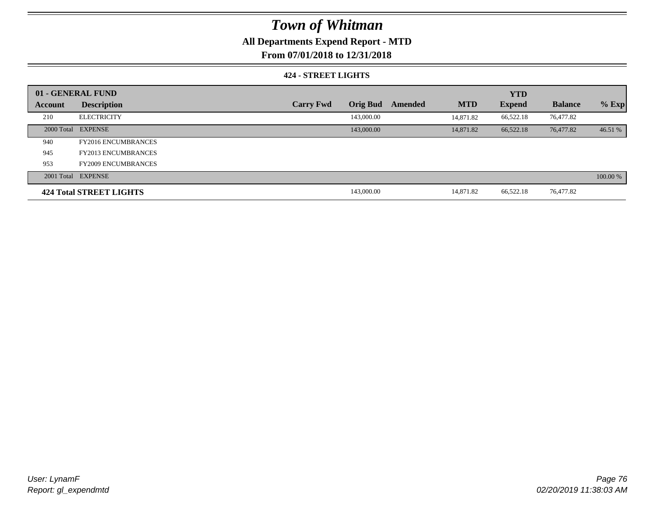### **All Departments Expend Report - MTD**

**From 07/01/2018 to 12/31/2018**

#### **424 - STREET LIGHTS**

|         | 01 - GENERAL FUND          |                  |                 |         | <b>YTD</b> |               |                |          |
|---------|----------------------------|------------------|-----------------|---------|------------|---------------|----------------|----------|
| Account | <b>Description</b>         | <b>Carry Fwd</b> | <b>Orig Bud</b> | Amended | <b>MTD</b> | <b>Expend</b> | <b>Balance</b> | $%$ Exp  |
| 210     | <b>ELECTRICITY</b>         |                  | 143,000.00      |         | 14.871.82  | 66,522.18     | 76,477.82      |          |
|         | 2000 Total EXPENSE         |                  | 143,000.00      |         | 14,871.82  | 66,522.18     | 76,477.82      | 46.51 %  |
| 940     | <b>FY2016 ENCUMBRANCES</b> |                  |                 |         |            |               |                |          |
| 945     | <b>FY2013 ENCUMBRANCES</b> |                  |                 |         |            |               |                |          |
| 953     | <b>FY2009 ENCUMBRANCES</b> |                  |                 |         |            |               |                |          |
|         | 2001 Total EXPENSE         |                  |                 |         |            |               |                | 100.00 % |
|         | 424 Total STREET LIGHTS    |                  | 143,000.00      |         | 14.871.82  | 66,522.18     | 76,477.82      |          |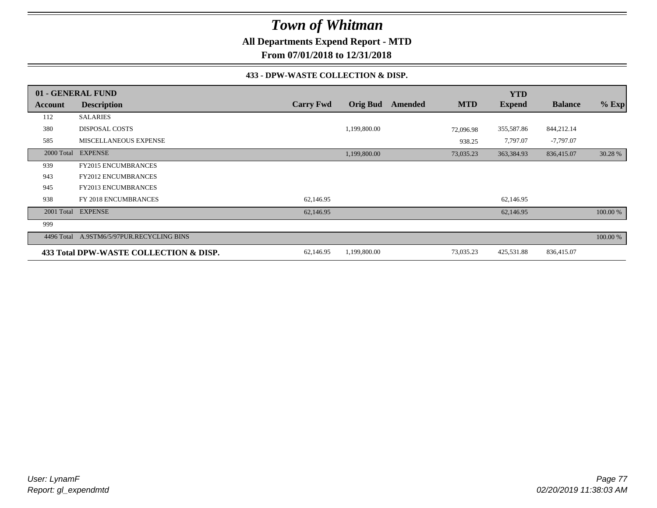**All Departments Expend Report - MTD**

**From 07/01/2018 to 12/31/2018**

#### **433 - DPW-WASTE COLLECTION & DISP.**

|            | 01 - GENERAL FUND                         |                  |                 |         |            | <b>YTD</b>    |                |          |
|------------|-------------------------------------------|------------------|-----------------|---------|------------|---------------|----------------|----------|
| Account    | <b>Description</b>                        | <b>Carry Fwd</b> | <b>Orig Bud</b> | Amended | <b>MTD</b> | <b>Expend</b> | <b>Balance</b> | $%$ Exp  |
| 112        | <b>SALARIES</b>                           |                  |                 |         |            |               |                |          |
| 380        | <b>DISPOSAL COSTS</b>                     |                  | 1,199,800.00    |         | 72,096.98  | 355,587.86    | 844,212.14     |          |
| 585        | MISCELLANEOUS EXPENSE                     |                  |                 |         | 938.25     | 7,797.07      | $-7,797.07$    |          |
| 2000 Total | <b>EXPENSE</b>                            |                  | 1,199,800.00    |         | 73,035.23  | 363,384.93    | 836,415.07     | 30.28 %  |
| 939        | <b>FY2015 ENCUMBRANCES</b>                |                  |                 |         |            |               |                |          |
| 943        | <b>FY2012 ENCUMBRANCES</b>                |                  |                 |         |            |               |                |          |
| 945        | FY2013 ENCUMBRANCES                       |                  |                 |         |            |               |                |          |
| 938        | FY 2018 ENCUMBRANCES                      | 62,146.95        |                 |         |            | 62,146.95     |                |          |
|            | 2001 Total EXPENSE                        | 62,146.95        |                 |         |            | 62,146.95     |                | 100.00 % |
| 999        |                                           |                  |                 |         |            |               |                |          |
|            | 4496 Total A.9STM6/5/97PUR.RECYCLING BINS |                  |                 |         |            |               |                | 100.00 % |
|            | 433 Total DPW-WASTE COLLECTION & DISP.    | 62,146.95        | 1,199,800.00    |         | 73,035.23  | 425,531.88    | 836,415.07     |          |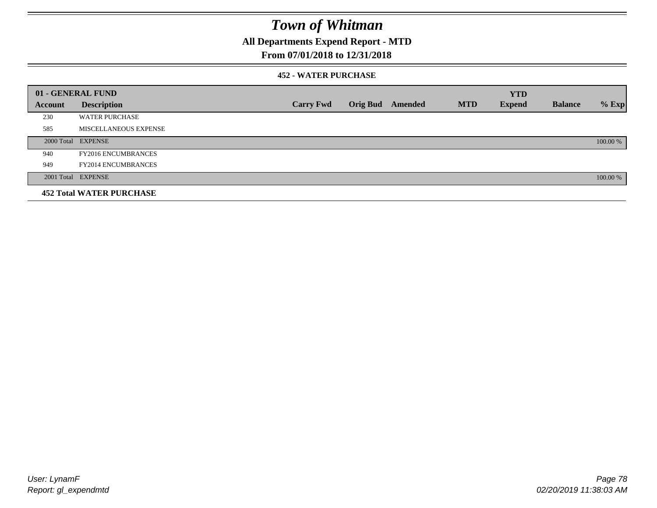**All Departments Expend Report - MTD**

### **From 07/01/2018 to 12/31/2018**

#### **452 - WATER PURCHASE**

|                | 01 - GENERAL FUND               |                  |                  |            | <b>YTD</b>    |                |          |
|----------------|---------------------------------|------------------|------------------|------------|---------------|----------------|----------|
| <b>Account</b> | <b>Description</b>              | <b>Carry Fwd</b> | Orig Bud Amended | <b>MTD</b> | <b>Expend</b> | <b>Balance</b> | $%$ Exp  |
| 230            | <b>WATER PURCHASE</b>           |                  |                  |            |               |                |          |
| 585            | MISCELLANEOUS EXPENSE           |                  |                  |            |               |                |          |
|                | 2000 Total EXPENSE              |                  |                  |            |               |                | 100.00 % |
| 940            | <b>FY2016 ENCUMBRANCES</b>      |                  |                  |            |               |                |          |
| 949            | <b>FY2014 ENCUMBRANCES</b>      |                  |                  |            |               |                |          |
|                | 2001 Total EXPENSE              |                  |                  |            |               |                | 100.00 % |
|                | <b>452 Total WATER PURCHASE</b> |                  |                  |            |               |                |          |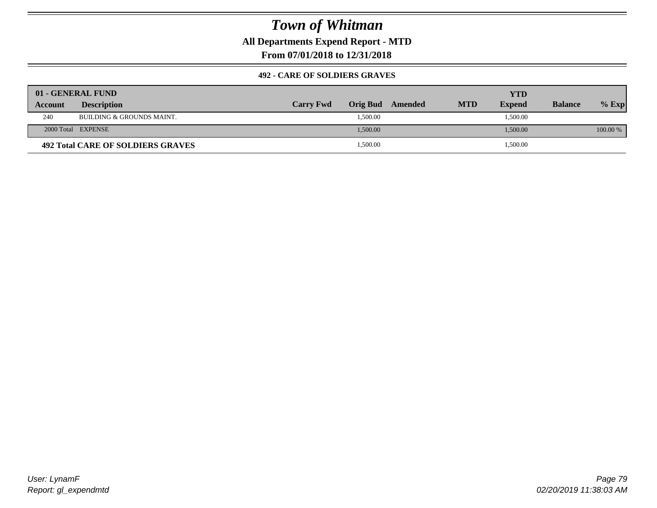**All Departments Expend Report - MTD**

**From 07/01/2018 to 12/31/2018**

#### **492 - CARE OF SOLDIERS GRAVES**

|         | 01 - GENERAL FUND                        |                  |          |         |            | YTD           |                |          |
|---------|------------------------------------------|------------------|----------|---------|------------|---------------|----------------|----------|
| Account | <b>Description</b>                       | <b>Carry Fwd</b> | Orig Bud | Amended | <b>MTD</b> | <b>Expend</b> | <b>Balance</b> | $%$ Exp  |
| 240     | BUILDING & GROUNDS MAINT.                |                  | 1,500.00 |         |            | 1,500.00      |                |          |
|         | 2000 Total EXPENSE                       |                  | 1,500.00 |         |            | 1,500.00      |                | 100.00 % |
|         | <b>492 Total CARE OF SOLDIERS GRAVES</b> |                  | 1,500.00 |         |            | 1,500.00      |                |          |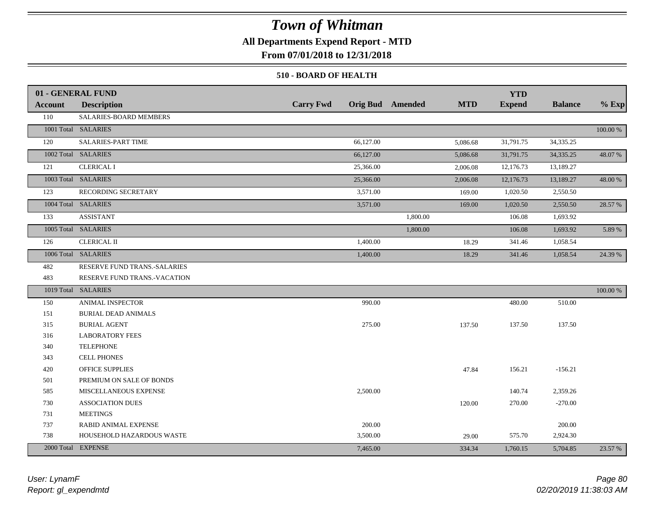### **All Departments Expend Report - MTD**

**From 07/01/2018 to 12/31/2018**

#### **510 - BOARD OF HEALTH**

|         | 01 - GENERAL FUND            |                  |                                       | <b>YTD</b>    |                |             |
|---------|------------------------------|------------------|---------------------------------------|---------------|----------------|-------------|
| Account | <b>Description</b>           | <b>Carry Fwd</b> | <b>Orig Bud</b> Amended<br><b>MTD</b> | <b>Expend</b> | <b>Balance</b> | $%$ Exp     |
| 110     | SALARIES-BOARD MEMBERS       |                  |                                       |               |                |             |
|         | 1001 Total SALARIES          |                  |                                       |               |                | 100.00 %    |
| 120     | SALARIES-PART TIME           | 66,127.00        | 5,086.68                              | 31,791.75     | 34,335.25      |             |
|         | 1002 Total SALARIES          | 66,127.00        | 5,086.68                              | 31,791.75     | 34, 335. 25    | 48.07%      |
| 121     | <b>CLERICAL I</b>            | 25,366.00        | 2,006.08                              | 12,176.73     | 13,189.27      |             |
|         | 1003 Total SALARIES          | 25,366.00        | 2,006.08                              | 12,176.73     | 13,189.27      | 48.00 %     |
| 123     | RECORDING SECRETARY          | 3,571.00         | 169.00                                | 1,020.50      | 2,550.50       |             |
|         | 1004 Total SALARIES          | 3,571.00         | 169.00                                | 1,020.50      | 2,550.50       | 28.57 %     |
| 133     | <b>ASSISTANT</b>             |                  | 1,800.00                              | 106.08        | 1,693.92       |             |
|         | 1005 Total SALARIES          |                  | 1,800.00                              | 106.08        | 1,693.92       | 5.89 %      |
| 126     | <b>CLERICAL II</b>           | 1,400.00         | 18.29                                 | 341.46        | 1,058.54       |             |
|         | 1006 Total SALARIES          | 1,400.00         | 18.29                                 | 341.46        | 1,058.54       | 24.39 %     |
| 482     | RESERVE FUND TRANS.-SALARIES |                  |                                       |               |                |             |
| 483     | RESERVE FUND TRANS.-VACATION |                  |                                       |               |                |             |
|         | 1019 Total SALARIES          |                  |                                       |               |                | $100.00~\%$ |
| 150     | ANIMAL INSPECTOR             | 990.00           |                                       | 480.00        | 510.00         |             |
| 151     | <b>BURIAL DEAD ANIMALS</b>   |                  |                                       |               |                |             |
| 315     | <b>BURIAL AGENT</b>          | 275.00           | 137.50                                | 137.50        | 137.50         |             |
| 316     | <b>LABORATORY FEES</b>       |                  |                                       |               |                |             |
| 340     | <b>TELEPHONE</b>             |                  |                                       |               |                |             |
| 343     | <b>CELL PHONES</b>           |                  |                                       |               |                |             |
| 420     | OFFICE SUPPLIES              |                  | 47.84                                 | 156.21        | $-156.21$      |             |
| 501     | PREMIUM ON SALE OF BONDS     |                  |                                       |               |                |             |
| 585     | MISCELLANEOUS EXPENSE        | 2,500.00         |                                       | 140.74        | 2,359.26       |             |
| 730     | <b>ASSOCIATION DUES</b>      |                  | 120.00                                | 270.00        | $-270.00$      |             |
| 731     | <b>MEETINGS</b>              |                  |                                       |               |                |             |
| 737     | <b>RABID ANIMAL EXPENSE</b>  | 200.00           |                                       |               | 200.00         |             |
| 738     | HOUSEHOLD HAZARDOUS WASTE    | 3,500.00         | 29.00                                 | 575.70        | 2,924.30       |             |
|         | 2000 Total EXPENSE           | 7,465.00         | 334.34                                | 1,760.15      | 5,704.85       | 23.57 %     |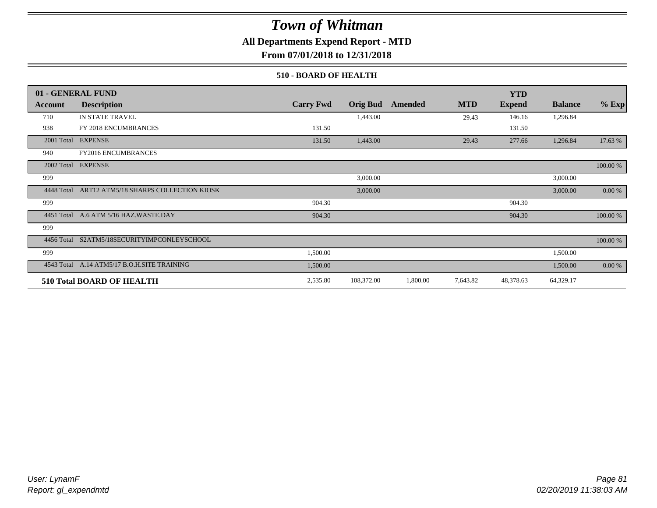### **All Departments Expend Report - MTD**

**From 07/01/2018 to 12/31/2018**

#### **510 - BOARD OF HEALTH**

|            | 01 - GENERAL FUND                           |                  |                 |          |            | <b>YTD</b>    |                |             |
|------------|---------------------------------------------|------------------|-----------------|----------|------------|---------------|----------------|-------------|
| Account    | <b>Description</b>                          | <b>Carry Fwd</b> | <b>Orig Bud</b> | Amended  | <b>MTD</b> | <b>Expend</b> | <b>Balance</b> | $%$ Exp     |
| 710        | IN STATE TRAVEL                             |                  | 1,443.00        |          | 29.43      | 146.16        | 1,296.84       |             |
| 938        | FY 2018 ENCUMBRANCES                        | 131.50           |                 |          |            | 131.50        |                |             |
| 2001 Total | <b>EXPENSE</b>                              | 131.50           | 1,443.00        |          | 29.43      | 277.66        | 1,296.84       | 17.63 %     |
| 940        | <b>FY2016 ENCUMBRANCES</b>                  |                  |                 |          |            |               |                |             |
| 2002 Total | <b>EXPENSE</b>                              |                  |                 |          |            |               |                | $100.00~\%$ |
| 999        |                                             |                  | 3,000.00        |          |            |               | 3,000.00       |             |
| 4448 Total | ART12 ATM5/18 SHARPS COLLECTION KIOSK       |                  | 3,000.00        |          |            |               | 3,000.00       | 0.00 %      |
| 999        |                                             | 904.30           |                 |          |            | 904.30        |                |             |
|            | 4451 Total A.6 ATM 5/16 HAZ.WASTE.DAY       | 904.30           |                 |          |            | 904.30        |                | 100.00 %    |
| 999        |                                             |                  |                 |          |            |               |                |             |
|            | 4456 Total S2ATM5/18SECURITYIMPCONLEYSCHOOL |                  |                 |          |            |               |                | 100.00 %    |
| 999        |                                             | 1,500.00         |                 |          |            |               | 1,500.00       |             |
|            | 4543 Total A.14 ATM5/17 B.O.H.SITE TRAINING | 1,500.00         |                 |          |            |               | 1,500.00       | 0.00 %      |
|            | 510 Total BOARD OF HEALTH                   | 2,535.80         | 108,372.00      | 1,800.00 | 7,643.82   | 48,378.63     | 64,329.17      |             |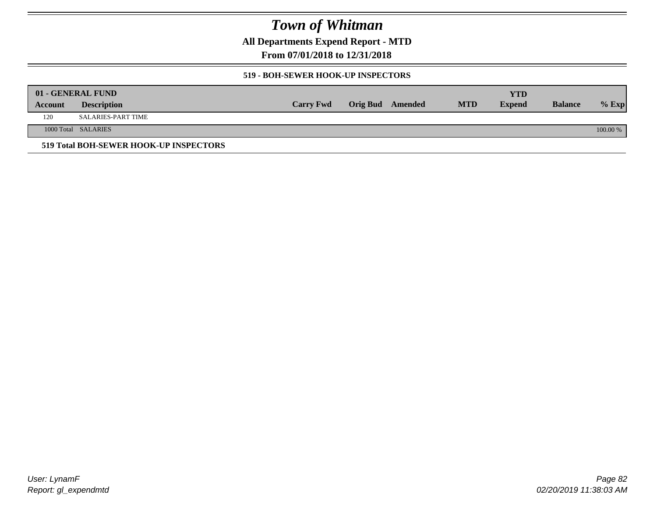**All Departments Expend Report - MTD**

**From 07/01/2018 to 12/31/2018**

#### **519 - BOH-SEWER HOOK-UP INSPECTORS**

|         | 01 - GENERAL FUND                      |                  |                  |            | YTD           |                |          |
|---------|----------------------------------------|------------------|------------------|------------|---------------|----------------|----------|
| Account | <b>Description</b>                     | <b>Carry Fwd</b> | Orig Bud Amended | <b>MTD</b> | <b>Expend</b> | <b>Balance</b> | $%$ Exp  |
| 120     | SALARIES-PART TIME                     |                  |                  |            |               |                |          |
|         | 1000 Total SALARIES                    |                  |                  |            |               |                | 100.00 % |
|         | 519 Total BOH-SEWER HOOK-UP INSPECTORS |                  |                  |            |               |                |          |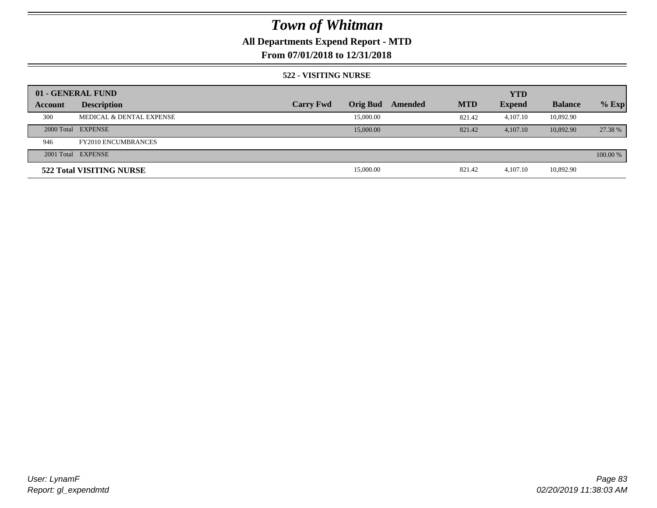## **All Departments Expend Report - MTD**

### **From 07/01/2018 to 12/31/2018**

#### **522 - VISITING NURSE**

|         | 01 - GENERAL FUND                   |                  |                 |         | <b>YTD</b> |               |                |          |
|---------|-------------------------------------|------------------|-----------------|---------|------------|---------------|----------------|----------|
| Account | <b>Description</b>                  | <b>Carry Fwd</b> | <b>Orig Bud</b> | Amended | <b>MTD</b> | <b>Expend</b> | <b>Balance</b> | $%$ Exp  |
| 300     | <b>MEDICAL &amp; DENTAL EXPENSE</b> |                  | 15,000.00       |         | 821.42     | 4,107.10      | 10,892.90      |          |
|         | 2000 Total EXPENSE                  |                  | 15,000.00       |         | 821.42     | 4.107.10      | 10.892.90      | 27.38 %  |
| 946     | <b>FY2010 ENCUMBRANCES</b>          |                  |                 |         |            |               |                |          |
|         | 2001 Total EXPENSE                  |                  |                 |         |            |               |                | 100.00 % |
|         | 522 Total VISITING NURSE            |                  | 15,000.00       |         | 821.42     | 4.107.10      | 10,892.90      |          |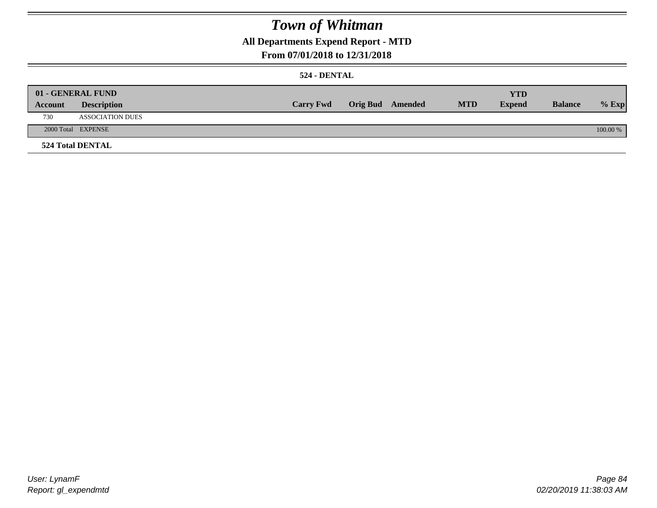### **All Departments Expend Report - MTD**

### **From 07/01/2018 to 12/31/2018**

#### **524 - DENTAL**

|         | 01 - GENERAL FUND       |                  |                  |            | <b>YTD</b>    |                |          |
|---------|-------------------------|------------------|------------------|------------|---------------|----------------|----------|
| Account | <b>Description</b>      | <b>Carry Fwd</b> | Orig Bud Amended | <b>MTD</b> | <b>Expend</b> | <b>Balance</b> | $%$ Exp  |
| 730     | <b>ASSOCIATION DUES</b> |                  |                  |            |               |                |          |
|         | 2000 Total EXPENSE      |                  |                  |            |               |                | 100.00 % |
|         | <b>524 Total DENTAL</b> |                  |                  |            |               |                |          |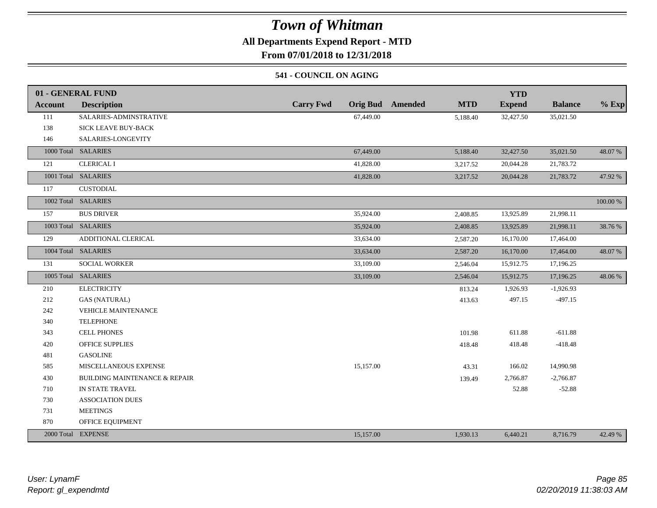### **All Departments Expend Report - MTD**

**From 07/01/2018 to 12/31/2018**

#### **541 - COUNCIL ON AGING**

|                | 01 - GENERAL FUND                        |                  |                                       | <b>YTD</b>    |                |          |
|----------------|------------------------------------------|------------------|---------------------------------------|---------------|----------------|----------|
| <b>Account</b> | <b>Description</b>                       | <b>Carry Fwd</b> | <b>Orig Bud</b> Amended<br><b>MTD</b> | <b>Expend</b> | <b>Balance</b> | $%$ Exp  |
| 111            | SALARIES-ADMINSTRATIVE                   | 67,449.00        | 5,188.40                              | 32,427.50     | 35,021.50      |          |
| 138            | SICK LEAVE BUY-BACK                      |                  |                                       |               |                |          |
| 146            | SALARIES-LONGEVITY                       |                  |                                       |               |                |          |
|                | 1000 Total SALARIES                      | 67,449.00        | 5,188.40                              | 32,427.50     | 35,021.50      | 48.07 %  |
| 121            | <b>CLERICAL I</b>                        | 41,828.00        | 3,217.52                              | 20,044.28     | 21,783.72      |          |
|                | 1001 Total SALARIES                      | 41,828.00        | 3,217.52                              | 20,044.28     | 21,783.72      | 47.92 %  |
| 117            | <b>CUSTODIAL</b>                         |                  |                                       |               |                |          |
|                | 1002 Total SALARIES                      |                  |                                       |               |                | 100.00 % |
| 157            | <b>BUS DRIVER</b>                        | 35,924.00        | 2,408.85                              | 13,925.89     | 21,998.11      |          |
|                | 1003 Total SALARIES                      | 35,924.00        | 2,408.85                              | 13,925.89     | 21,998.11      | 38.76 %  |
| 129            | ADDITIONAL CLERICAL                      | 33,634.00        | 2,587.20                              | 16,170.00     | 17,464.00      |          |
|                | 1004 Total SALARIES                      | 33,634.00        | 2,587.20                              | 16,170.00     | 17,464.00      | 48.07%   |
| 131            | <b>SOCIAL WORKER</b>                     | 33,109.00        | 2,546.04                              | 15,912.75     | 17,196.25      |          |
|                | 1005 Total SALARIES                      | 33,109.00        | 2,546.04                              | 15,912.75     | 17,196.25      | 48.06%   |
| 210            | <b>ELECTRICITY</b>                       |                  | 813.24                                | 1,926.93      | $-1,926.93$    |          |
| 212            | <b>GAS (NATURAL)</b>                     |                  | 413.63                                | 497.15        | $-497.15$      |          |
| 242            | <b>VEHICLE MAINTENANCE</b>               |                  |                                       |               |                |          |
| 340            | <b>TELEPHONE</b>                         |                  |                                       |               |                |          |
| 343            | <b>CELL PHONES</b>                       |                  | 101.98                                | 611.88        | $-611.88$      |          |
| 420            | <b>OFFICE SUPPLIES</b>                   |                  | 418.48                                | 418.48        | $-418.48$      |          |
| 481            | <b>GASOLINE</b>                          |                  |                                       |               |                |          |
| 585            | MISCELLANEOUS EXPENSE                    | 15,157.00        | 43.31                                 | 166.02        | 14,990.98      |          |
| 430            | <b>BUILDING MAINTENANCE &amp; REPAIR</b> |                  | 139.49                                | 2,766.87      | $-2,766.87$    |          |
| 710            | IN STATE TRAVEL                          |                  |                                       | 52.88         | $-52.88$       |          |
| 730            | <b>ASSOCIATION DUES</b>                  |                  |                                       |               |                |          |
| 731            | <b>MEETINGS</b>                          |                  |                                       |               |                |          |
| 870            | OFFICE EQUIPMENT                         |                  |                                       |               |                |          |
|                | 2000 Total EXPENSE                       | 15,157.00        | 1,930.13                              | 6,440.21      | 8,716.79       | 42.49 %  |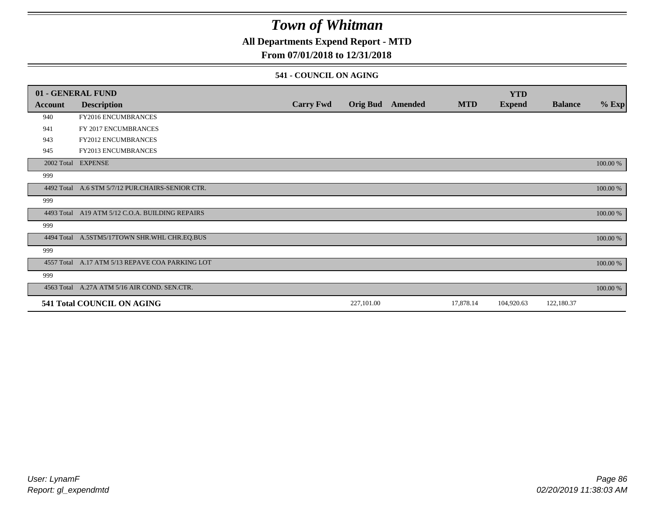### **All Departments Expend Report - MTD**

### **From 07/01/2018 to 12/31/2018**

#### **541 - COUNCIL ON AGING**

|         | 01 - GENERAL FUND                                |                  |                 |         |            | <b>YTD</b>    |                |          |
|---------|--------------------------------------------------|------------------|-----------------|---------|------------|---------------|----------------|----------|
| Account | <b>Description</b>                               | <b>Carry Fwd</b> | <b>Orig Bud</b> | Amended | <b>MTD</b> | <b>Expend</b> | <b>Balance</b> | $%$ Exp  |
| 940     | <b>FY2016 ENCUMBRANCES</b>                       |                  |                 |         |            |               |                |          |
| 941     | FY 2017 ENCUMBRANCES                             |                  |                 |         |            |               |                |          |
| 943     | FY2012 ENCUMBRANCES                              |                  |                 |         |            |               |                |          |
| 945     | <b>FY2013 ENCUMBRANCES</b>                       |                  |                 |         |            |               |                |          |
|         | 2002 Total EXPENSE                               |                  |                 |         |            |               |                | 100.00 % |
| 999     |                                                  |                  |                 |         |            |               |                |          |
|         | 4492 Total A.6 STM 5/7/12 PUR.CHAIRS-SENIOR CTR. |                  |                 |         |            |               |                | 100.00 % |
| 999     |                                                  |                  |                 |         |            |               |                |          |
|         | 4493 Total A19 ATM 5/12 C.O.A. BUILDING REPAIRS  |                  |                 |         |            |               |                | 100.00 % |
| 999     |                                                  |                  |                 |         |            |               |                |          |
|         | 4494 Total A.5STM5/17TOWN SHR.WHL CHR.EQ.BUS     |                  |                 |         |            |               |                | 100.00 % |
| 999     |                                                  |                  |                 |         |            |               |                |          |
|         | 4557 Total A.17 ATM 5/13 REPAVE COA PARKING LOT  |                  |                 |         |            |               |                | 100.00 % |
| 999     |                                                  |                  |                 |         |            |               |                |          |
|         | 4563 Total A.27A ATM 5/16 AIR COND. SEN.CTR.     |                  |                 |         |            |               |                | 100.00 % |
|         | 541 Total COUNCIL ON AGING                       |                  | 227,101.00      |         | 17,878.14  | 104,920.63    | 122,180.37     |          |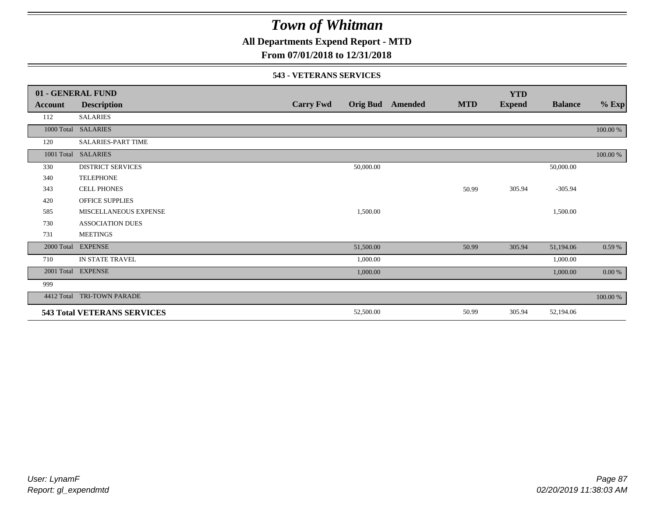**All Departments Expend Report - MTD**

### **From 07/01/2018 to 12/31/2018**

#### **543 - VETERANS SERVICES**

|            | 01 - GENERAL FUND                  |                  |                 |         |            | <b>YTD</b>    |                |          |
|------------|------------------------------------|------------------|-----------------|---------|------------|---------------|----------------|----------|
| Account    | <b>Description</b>                 | <b>Carry Fwd</b> | <b>Orig Bud</b> | Amended | <b>MTD</b> | <b>Expend</b> | <b>Balance</b> | $%$ Exp  |
| 112        | <b>SALARIES</b>                    |                  |                 |         |            |               |                |          |
|            | 1000 Total SALARIES                |                  |                 |         |            |               |                | 100.00 % |
| 120        | <b>SALARIES-PART TIME</b>          |                  |                 |         |            |               |                |          |
|            | 1001 Total SALARIES                |                  |                 |         |            |               |                | 100.00 % |
| 330        | <b>DISTRICT SERVICES</b>           |                  | 50,000.00       |         |            |               | 50,000.00      |          |
| 340        | <b>TELEPHONE</b>                   |                  |                 |         |            |               |                |          |
| 343        | <b>CELL PHONES</b>                 |                  |                 |         | 50.99      | 305.94        | $-305.94$      |          |
| 420        | <b>OFFICE SUPPLIES</b>             |                  |                 |         |            |               |                |          |
| 585        | MISCELLANEOUS EXPENSE              |                  | 1,500.00        |         |            |               | 1,500.00       |          |
| 730        | <b>ASSOCIATION DUES</b>            |                  |                 |         |            |               |                |          |
| 731        | <b>MEETINGS</b>                    |                  |                 |         |            |               |                |          |
| 2000 Total | <b>EXPENSE</b>                     |                  | 51,500.00       |         | 50.99      | 305.94        | 51,194.06      | 0.59%    |
| 710        | IN STATE TRAVEL                    |                  | 1,000.00        |         |            |               | 1,000.00       |          |
| 2001 Total | <b>EXPENSE</b>                     |                  | 1,000.00        |         |            |               | 1,000.00       | 0.00 %   |
| 999        |                                    |                  |                 |         |            |               |                |          |
| 4412 Total | TRI-TOWN PARADE                    |                  |                 |         |            |               |                | 100.00 % |
|            | <b>543 Total VETERANS SERVICES</b> |                  | 52,500.00       |         | 50.99      | 305.94        | 52,194.06      |          |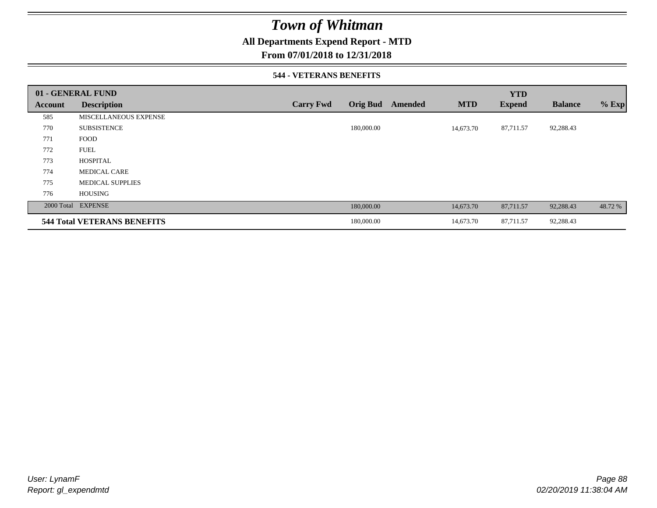### **All Departments Expend Report - MTD**

### **From 07/01/2018 to 12/31/2018**

#### **544 - VETERANS BENEFITS**

|         | 01 - GENERAL FUND                  |                  |                 |         |            | <b>YTD</b>    |                |         |
|---------|------------------------------------|------------------|-----------------|---------|------------|---------------|----------------|---------|
| Account | <b>Description</b>                 | <b>Carry Fwd</b> | <b>Orig Bud</b> | Amended | <b>MTD</b> | <b>Expend</b> | <b>Balance</b> | $%$ Exp |
| 585     | MISCELLANEOUS EXPENSE              |                  |                 |         |            |               |                |         |
| 770     | <b>SUBSISTENCE</b>                 |                  | 180,000.00      |         | 14,673.70  | 87,711.57     | 92,288.43      |         |
| 771     | <b>FOOD</b>                        |                  |                 |         |            |               |                |         |
| 772     | <b>FUEL</b>                        |                  |                 |         |            |               |                |         |
| 773     | <b>HOSPITAL</b>                    |                  |                 |         |            |               |                |         |
| 774     | <b>MEDICAL CARE</b>                |                  |                 |         |            |               |                |         |
| 775     | <b>MEDICAL SUPPLIES</b>            |                  |                 |         |            |               |                |         |
| 776     | <b>HOUSING</b>                     |                  |                 |         |            |               |                |         |
|         | 2000 Total EXPENSE                 |                  | 180,000.00      |         | 14,673.70  | 87,711.57     | 92,288.43      | 48.72 % |
|         | <b>544 Total VETERANS BENEFITS</b> |                  | 180,000.00      |         | 14,673.70  | 87,711.57     | 92,288.43      |         |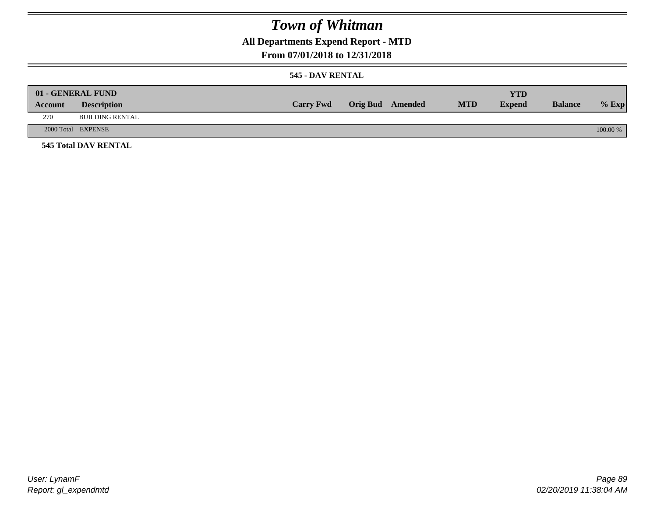## **All Departments Expend Report - MTD**

### **From 07/01/2018 to 12/31/2018**

#### **545 - DAV RENTAL**

| Account | 01 - GENERAL FUND<br><b>Description</b> | <b>Carry Fwd</b> | <b>Orig Bud</b> Amended | <b>MTD</b> | <b>YTD</b><br><b>Expend</b> | <b>Balance</b> | $%$ Exp  |
|---------|-----------------------------------------|------------------|-------------------------|------------|-----------------------------|----------------|----------|
| 270     | BUILDING RENTAL                         |                  |                         |            |                             |                |          |
|         | 2000 Total EXPENSE                      |                  |                         |            |                             |                | 100.00 % |
|         | <b>545 Total DAV RENTAL</b>             |                  |                         |            |                             |                |          |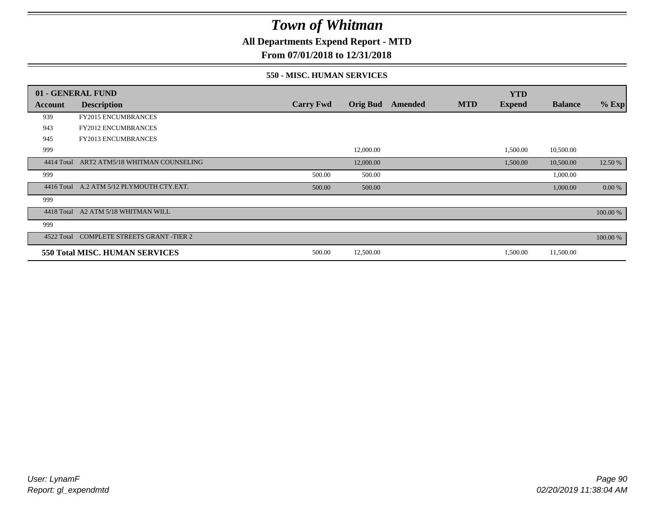**All Departments Expend Report - MTD**

### **From 07/01/2018 to 12/31/2018**

#### **550 - MISC. HUMAN SERVICES**

|            | 01 - GENERAL FUND                         |                  |                 |         |            | <b>YTD</b>    |                |          |
|------------|-------------------------------------------|------------------|-----------------|---------|------------|---------------|----------------|----------|
| Account    | <b>Description</b>                        | <b>Carry Fwd</b> | <b>Orig Bud</b> | Amended | <b>MTD</b> | <b>Expend</b> | <b>Balance</b> | $%$ Exp  |
| 939        | <b>FY2015 ENCUMBRANCES</b>                |                  |                 |         |            |               |                |          |
| 943        | <b>FY2012 ENCUMBRANCES</b>                |                  |                 |         |            |               |                |          |
| 945        | <b>FY2013 ENCUMBRANCES</b>                |                  |                 |         |            |               |                |          |
| 999        |                                           |                  | 12,000.00       |         |            | 1,500.00      | 10,500.00      |          |
| 4414 Total | ART2 ATM5/18 WHITMAN COUNSELING           |                  | 12,000.00       |         |            | 1,500.00      | 10,500.00      | 12.50 %  |
| 999        |                                           | 500.00           | 500.00          |         |            |               | 1,000.00       |          |
|            | 4416 Total A.2 ATM 5/12 PLYMOUTH CTY.EXT. | 500.00           | 500.00          |         |            |               | 1,000.00       | 0.00 %   |
| 999        |                                           |                  |                 |         |            |               |                |          |
| 4418 Total | A2 ATM 5/18 WHITMAN WILL                  |                  |                 |         |            |               |                | 100.00 % |
| 999        |                                           |                  |                 |         |            |               |                |          |
|            | 4522 Total COMPLETE STREETS GRANT -TIER 2 |                  |                 |         |            |               |                | 100.00 % |
|            | 550 Total MISC. HUMAN SERVICES            | 500.00           | 12,500.00       |         |            | 1,500.00      | 11,500.00      |          |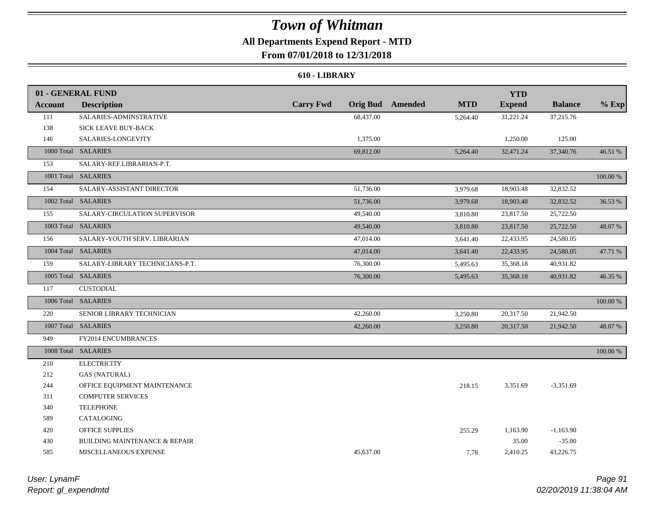### **All Departments Expend Report - MTD**

**From 07/01/2018 to 12/31/2018**

#### **610 - LIBRARY**

|                | 01 - GENERAL FUND                        |                  |           |                         |            | <b>YTD</b>    |                |          |
|----------------|------------------------------------------|------------------|-----------|-------------------------|------------|---------------|----------------|----------|
| <b>Account</b> | <b>Description</b>                       | <b>Carry Fwd</b> |           | <b>Orig Bud</b> Amended | <b>MTD</b> | <b>Expend</b> | <b>Balance</b> | $%$ Exp  |
| 111            | SALARIES-ADMINSTRATIVE                   |                  | 68,437.00 |                         | 5,264.40   | 31,221.24     | 37,215.76      |          |
| 138            | SICK LEAVE BUY-BACK                      |                  |           |                         |            |               |                |          |
| 146            | SALARIES-LONGEVITY                       |                  | 1,375.00  |                         |            | 1,250.00      | 125.00         |          |
|                | 1000 Total SALARIES                      |                  | 69,812.00 |                         | 5,264.40   | 32,471.24     | 37,340.76      | 46.51 %  |
| 153            | SALARY-REF.LIBRARIAN-P.T.                |                  |           |                         |            |               |                |          |
|                | 1001 Total SALARIES                      |                  |           |                         |            |               |                | 100.00 % |
| 154            | SALARY-ASSISTANT DIRECTOR                |                  | 51,736.00 |                         | 3,979.68   | 18,903.48     | 32,832.52      |          |
|                | 1002 Total SALARIES                      |                  | 51,736.00 |                         | 3,979.68   | 18,903.48     | 32,832.52      | 36.53 %  |
| 155            | SALARY-CIRCULATION SUPERVISOR            |                  | 49,540.00 |                         | 3,810.80   | 23,817.50     | 25,722.50      |          |
|                | 1003 Total SALARIES                      |                  | 49,540.00 |                         | 3,810.80   | 23,817.50     | 25,722.50      | 48.07%   |
| 156            | SALARY-YOUTH SERV. LIBRARIAN             |                  | 47,014.00 |                         | 3,641.40   | 22,433.95     | 24,580.05      |          |
|                | 1004 Total SALARIES                      |                  | 47,014.00 |                         | 3,641.40   | 22,433.95     | 24,580.05      | 47.71 %  |
| 159            | SALARY-LIBRARY TECHNICIANS-P.T.          |                  | 76,300.00 |                         | 5,495.63   | 35,368.18     | 40,931.82      |          |
|                | 1005 Total SALARIES                      |                  | 76,300.00 |                         | 5,495.63   | 35,368.18     | 40,931.82      | 46.35 %  |
| 117            | <b>CUSTODIAL</b>                         |                  |           |                         |            |               |                |          |
|                | 1006 Total SALARIES                      |                  |           |                         |            |               |                | 100.00 % |
| 220            | SENIOR LIBRARY TECHNICIAN                |                  | 42,260.00 |                         | 3,250.80   | 20,317.50     | 21,942.50      |          |
|                | 1007 Total SALARIES                      |                  | 42,260.00 |                         | 3,250.80   | 20,317.50     | 21,942.50      | 48.07 %  |
| 949            | FY2014 ENCUMBRANCES                      |                  |           |                         |            |               |                |          |
|                | 1008 Total SALARIES                      |                  |           |                         |            |               |                | 100.00 % |
| 210            | <b>ELECTRICITY</b>                       |                  |           |                         |            |               |                |          |
| 212            | <b>GAS (NATURAL)</b>                     |                  |           |                         |            |               |                |          |
| 244            | OFFICE EQUIPMENT MAINTENANCE             |                  |           |                         | 218.15     | 3,351.69      | $-3,351.69$    |          |
| 311            | <b>COMPUTER SERVICES</b>                 |                  |           |                         |            |               |                |          |
| 340            | <b>TELEPHONE</b>                         |                  |           |                         |            |               |                |          |
| 589            | CATALOGING                               |                  |           |                         |            |               |                |          |
| 420            | <b>OFFICE SUPPLIES</b>                   |                  |           |                         | 255.29     | 1,163.90      | $-1,163.90$    |          |
| 430            | <b>BUILDING MAINTENANCE &amp; REPAIR</b> |                  |           |                         |            | 35.00         | $-35.00$       |          |
| 585            | MISCELLANEOUS EXPENSE                    |                  | 45.637.00 |                         | 7.78       | 2,410.25      | 43,226.75      |          |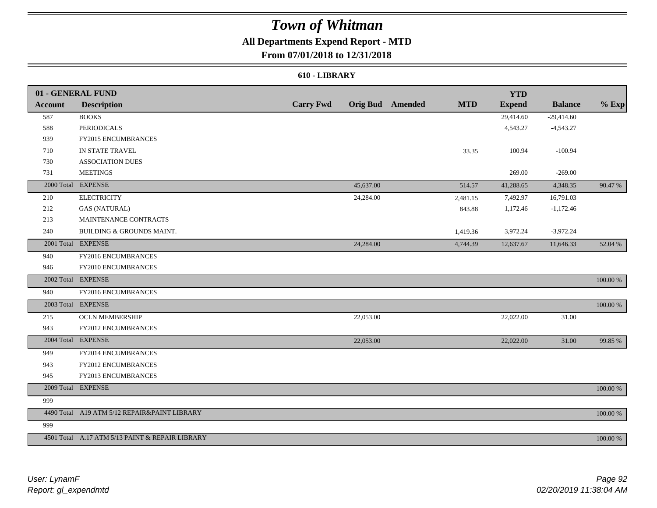## **All Departments Expend Report - MTD**

**From 07/01/2018 to 12/31/2018**

#### **610 - LIBRARY**

|         | 01 - GENERAL FUND                               |                  |           |                         |            | <b>YTD</b>    |                |          |
|---------|-------------------------------------------------|------------------|-----------|-------------------------|------------|---------------|----------------|----------|
| Account | <b>Description</b>                              | <b>Carry Fwd</b> |           | <b>Orig Bud</b> Amended | <b>MTD</b> | <b>Expend</b> | <b>Balance</b> | $%$ Exp  |
| 587     | <b>BOOKS</b>                                    |                  |           |                         |            | 29,414.60     | $-29,414.60$   |          |
| 588     | <b>PERIODICALS</b>                              |                  |           |                         |            | 4,543.27      | $-4,543.27$    |          |
| 939     | FY2015 ENCUMBRANCES                             |                  |           |                         |            |               |                |          |
| 710     | IN STATE TRAVEL                                 |                  |           |                         | 33.35      | 100.94        | $-100.94$      |          |
| 730     | <b>ASSOCIATION DUES</b>                         |                  |           |                         |            |               |                |          |
| 731     | <b>MEETINGS</b>                                 |                  |           |                         |            | 269.00        | $-269.00$      |          |
|         | 2000 Total EXPENSE                              |                  | 45,637.00 |                         | 514.57     | 41,288.65     | 4,348.35       | 90.47 %  |
| 210     | <b>ELECTRICITY</b>                              |                  | 24,284.00 |                         | 2,481.15   | 7,492.97      | 16,791.03      |          |
| 212     | <b>GAS (NATURAL)</b>                            |                  |           |                         | 843.88     | 1,172.46      | $-1,172.46$    |          |
| 213     | MAINTENANCE CONTRACTS                           |                  |           |                         |            |               |                |          |
| 240     | BUILDING & GROUNDS MAINT.                       |                  |           |                         | 1,419.36   | 3,972.24      | $-3,972.24$    |          |
|         | 2001 Total EXPENSE                              |                  | 24,284.00 |                         | 4,744.39   | 12,637.67     | 11,646.33      | 52.04 %  |
| 940     | FY2016 ENCUMBRANCES                             |                  |           |                         |            |               |                |          |
| 946     | FY2010 ENCUMBRANCES                             |                  |           |                         |            |               |                |          |
|         | 2002 Total EXPENSE                              |                  |           |                         |            |               |                | 100.00 % |
| 940     | FY2016 ENCUMBRANCES                             |                  |           |                         |            |               |                |          |
|         | 2003 Total EXPENSE                              |                  |           |                         |            |               |                | 100.00 % |
| 215     | <b>OCLN MEMBERSHIP</b>                          |                  | 22,053.00 |                         |            | 22,022.00     | 31.00          |          |
| 943     | FY2012 ENCUMBRANCES                             |                  |           |                         |            |               |                |          |
|         | 2004 Total EXPENSE                              |                  | 22,053.00 |                         |            | 22,022.00     | 31.00          | 99.85 %  |
| 949     | FY2014 ENCUMBRANCES                             |                  |           |                         |            |               |                |          |
| 943     | FY2012 ENCUMBRANCES                             |                  |           |                         |            |               |                |          |
| 945     | FY2013 ENCUMBRANCES                             |                  |           |                         |            |               |                |          |
|         | 2009 Total EXPENSE                              |                  |           |                         |            |               |                | 100.00 % |
| 999     |                                                 |                  |           |                         |            |               |                |          |
|         | 4490 Total A19 ATM 5/12 REPAIR&PAINT LIBRARY    |                  |           |                         |            |               |                | 100.00 % |
| 999     |                                                 |                  |           |                         |            |               |                |          |
|         | 4501 Total A.17 ATM 5/13 PAINT & REPAIR LIBRARY |                  |           |                         |            |               |                | 100.00 % |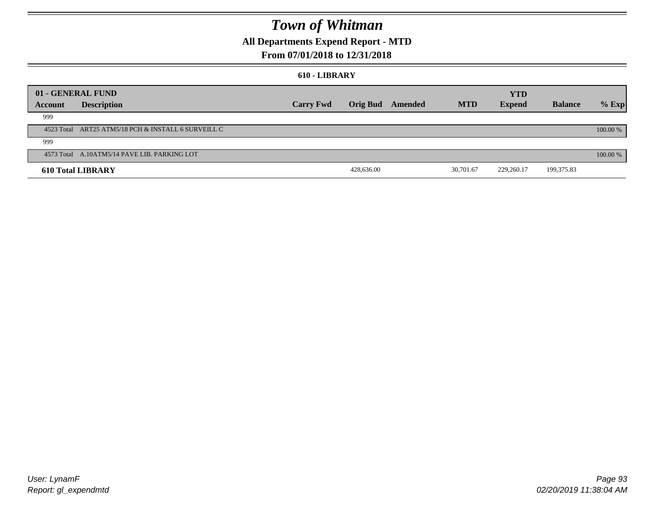### **All Departments Expend Report - MTD**

### **From 07/01/2018 to 12/31/2018**

#### **610 - LIBRARY**

| 01 - GENERAL FUND |                                                     |                  |                 |         |            | <b>YTD</b>    |                |          |
|-------------------|-----------------------------------------------------|------------------|-----------------|---------|------------|---------------|----------------|----------|
| Account           | <b>Description</b>                                  | <b>Carry Fwd</b> | <b>Orig Bud</b> | Amended | <b>MTD</b> | <b>Expend</b> | <b>Balance</b> | $%$ Exp  |
| 999               |                                                     |                  |                 |         |            |               |                |          |
|                   | 4523 Total ART25 ATM5/18 PCH & INSTALL 6 SURVEILL C |                  |                 |         |            |               |                | 100.00 % |
| 999               |                                                     |                  |                 |         |            |               |                |          |
|                   | 4573 Total A.10ATM5/14 PAVE LIB. PARKING LOT        |                  |                 |         |            |               |                | 100.00 % |
|                   | <b>610 Total LIBRARY</b>                            |                  | 428,636.00      |         | 30,701.67  | 229,260.17    | 199,375.83     |          |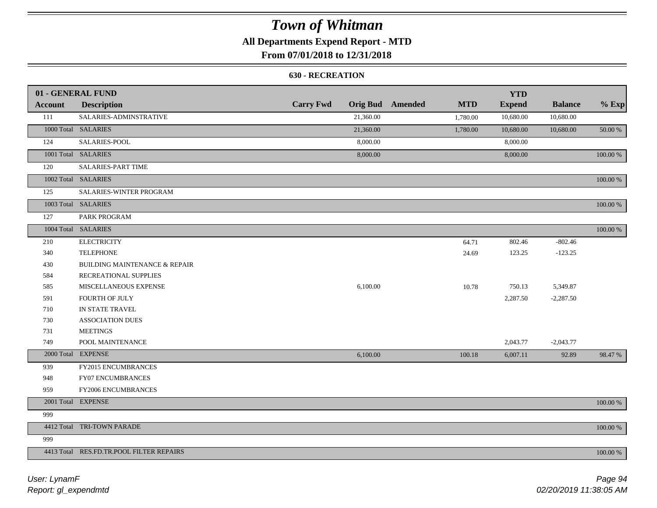### **All Departments Expend Report - MTD**

### **From 07/01/2018 to 12/31/2018**

#### **630 - RECREATION**

|         | 01 - GENERAL FUND                        |                  |           |                         |            | <b>YTD</b>    |                |             |
|---------|------------------------------------------|------------------|-----------|-------------------------|------------|---------------|----------------|-------------|
| Account | <b>Description</b>                       | <b>Carry Fwd</b> |           | <b>Orig Bud</b> Amended | <b>MTD</b> | <b>Expend</b> | <b>Balance</b> | $%$ Exp     |
| 111     | SALARIES-ADMINSTRATIVE                   |                  | 21,360.00 |                         | 1,780.00   | 10,680.00     | 10,680.00      |             |
|         | 1000 Total SALARIES                      |                  | 21,360.00 |                         | 1,780.00   | 10,680.00     | 10,680.00      | 50.00 %     |
| 124     | SALARIES-POOL                            |                  | 8,000.00  |                         |            | 8,000.00      |                |             |
|         | 1001 Total SALARIES                      |                  | 8,000.00  |                         |            | 8,000.00      |                | 100.00 %    |
| 120     | <b>SALARIES-PART TIME</b>                |                  |           |                         |            |               |                |             |
|         | 1002 Total SALARIES                      |                  |           |                         |            |               |                | 100.00 %    |
| 125     | SALARIES-WINTER PROGRAM                  |                  |           |                         |            |               |                |             |
|         | 1003 Total SALARIES                      |                  |           |                         |            |               |                | 100.00 %    |
| 127     | PARK PROGRAM                             |                  |           |                         |            |               |                |             |
|         | 1004 Total SALARIES                      |                  |           |                         |            |               |                | 100.00 %    |
| 210     | <b>ELECTRICITY</b>                       |                  |           |                         | 64.71      | 802.46        | $-802.46$      |             |
| 340     | <b>TELEPHONE</b>                         |                  |           |                         | 24.69      | 123.25        | $-123.25$      |             |
| 430     | <b>BUILDING MAINTENANCE &amp; REPAIR</b> |                  |           |                         |            |               |                |             |
| 584     | RECREATIONAL SUPPLIES                    |                  |           |                         |            |               |                |             |
| 585     | MISCELLANEOUS EXPENSE                    |                  | 6,100.00  |                         | 10.78      | 750.13        | 5,349.87       |             |
| 591     | FOURTH OF JULY                           |                  |           |                         |            | 2,287.50      | $-2,287.50$    |             |
| 710     | IN STATE TRAVEL                          |                  |           |                         |            |               |                |             |
| 730     | <b>ASSOCIATION DUES</b>                  |                  |           |                         |            |               |                |             |
| 731     | <b>MEETINGS</b>                          |                  |           |                         |            |               |                |             |
| 749     | POOL MAINTENANCE                         |                  |           |                         |            | 2,043.77      | $-2,043.77$    |             |
|         | 2000 Total EXPENSE                       |                  | 6,100.00  |                         | 100.18     | 6,007.11      | 92.89          | 98.47 %     |
| 939     | FY2015 ENCUMBRANCES                      |                  |           |                         |            |               |                |             |
| 948     | FY07 ENCUMBRANCES                        |                  |           |                         |            |               |                |             |
| 959     | <b>FY2006 ENCUMBRANCES</b>               |                  |           |                         |            |               |                |             |
|         | 2001 Total EXPENSE                       |                  |           |                         |            |               |                | $100.00~\%$ |
| 999     |                                          |                  |           |                         |            |               |                |             |
|         | 4412 Total TRI-TOWN PARADE               |                  |           |                         |            |               |                | 100.00 %    |
| 999     |                                          |                  |           |                         |            |               |                |             |
|         | 4413 Total RES.FD.TR.POOL FILTER REPAIRS |                  |           |                         |            |               |                | 100.00 %    |

*Report: gl\_expendmtd User: LynamF*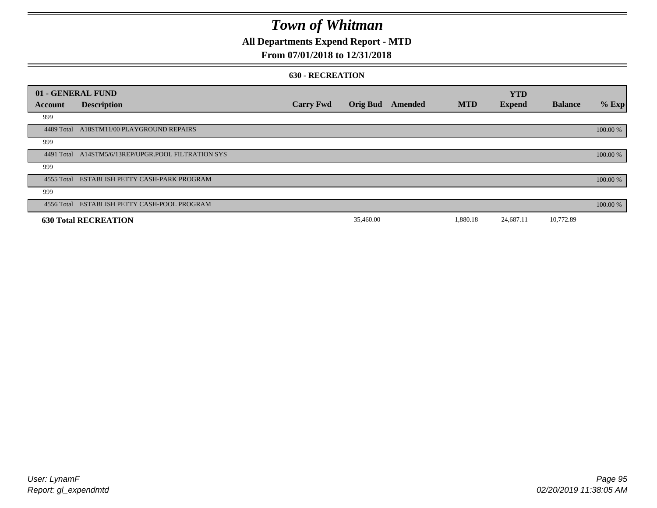## **All Departments Expend Report - MTD**

### **From 07/01/2018 to 12/31/2018**

#### **630 - RECREATION**

|            | 01 - GENERAL FUND                            |                  |                 |         |            | <b>YTD</b>    |                |          |
|------------|----------------------------------------------|------------------|-----------------|---------|------------|---------------|----------------|----------|
| Account    | <b>Description</b>                           | <b>Carry Fwd</b> | <b>Orig Bud</b> | Amended | <b>MTD</b> | <b>Expend</b> | <b>Balance</b> | % Exp    |
| 999        |                                              |                  |                 |         |            |               |                |          |
| 4489 Total | A18STM11/00 PLAYGROUND REPAIRS               |                  |                 |         |            |               |                | 100.00 % |
| 999        |                                              |                  |                 |         |            |               |                |          |
| 4491 Total | A14STM5/6/13REP/UPGR.POOL FILTRATION SYS     |                  |                 |         |            |               |                | 100.00 % |
| 999        |                                              |                  |                 |         |            |               |                |          |
|            | 4555 Total ESTABLISH PETTY CASH-PARK PROGRAM |                  |                 |         |            |               |                | 100.00 % |
| 999        |                                              |                  |                 |         |            |               |                |          |
|            | 4556 Total ESTABLISH PETTY CASH-POOL PROGRAM |                  |                 |         |            |               |                | 100.00 % |
|            | <b>630 Total RECREATION</b>                  |                  | 35,460.00       |         | 1,880.18   | 24,687.11     | 10,772.89      |          |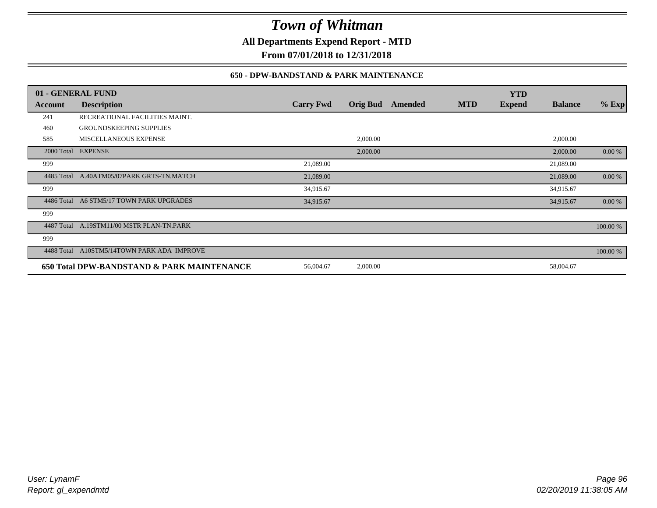**All Departments Expend Report - MTD**

**From 07/01/2018 to 12/31/2018**

### **650 - DPW-BANDSTAND & PARK MAINTENANCE**

| 01 - GENERAL FUND |                                            |                  |                 |         |            | <b>YTD</b>    |                |          |
|-------------------|--------------------------------------------|------------------|-----------------|---------|------------|---------------|----------------|----------|
| Account           | <b>Description</b>                         | <b>Carry Fwd</b> | <b>Orig Bud</b> | Amended | <b>MTD</b> | <b>Expend</b> | <b>Balance</b> | $%$ Exp  |
| 241               | RECREATIONAL FACILITIES MAINT.             |                  |                 |         |            |               |                |          |
| 460               | <b>GROUNDSKEEPING SUPPLIES</b>             |                  |                 |         |            |               |                |          |
| 585               | <b>MISCELLANEOUS EXPENSE</b>               |                  | 2,000.00        |         |            |               | 2,000.00       |          |
|                   | 2000 Total EXPENSE                         |                  | 2,000.00        |         |            |               | 2,000.00       | 0.00 %   |
| 999               |                                            | 21,089.00        |                 |         |            |               | 21,089.00      |          |
|                   | 4485 Total A.40ATM05/07PARK GRTS-TN.MATCH  | 21,089.00        |                 |         |            |               | 21,089.00      | 0.00 %   |
| 999               |                                            | 34,915.67        |                 |         |            |               | 34,915.67      |          |
| 4486 Total        | A6 STM5/17 TOWN PARK UPGRADES              | 34,915.67        |                 |         |            |               | 34,915.67      | 0.00 %   |
| 999               |                                            |                  |                 |         |            |               |                |          |
| 4487 Total        | A.19STM11/00 MSTR PLAN-TN.PARK             |                  |                 |         |            |               |                | 100.00 % |
| 999               |                                            |                  |                 |         |            |               |                |          |
| 4488 Total        | A10STM5/14TOWN PARK ADA IMPROVE            |                  |                 |         |            |               |                | 100.00 % |
|                   | 650 Total DPW-BANDSTAND & PARK MAINTENANCE | 56,004.67        | 2,000.00        |         |            |               | 58,004.67      |          |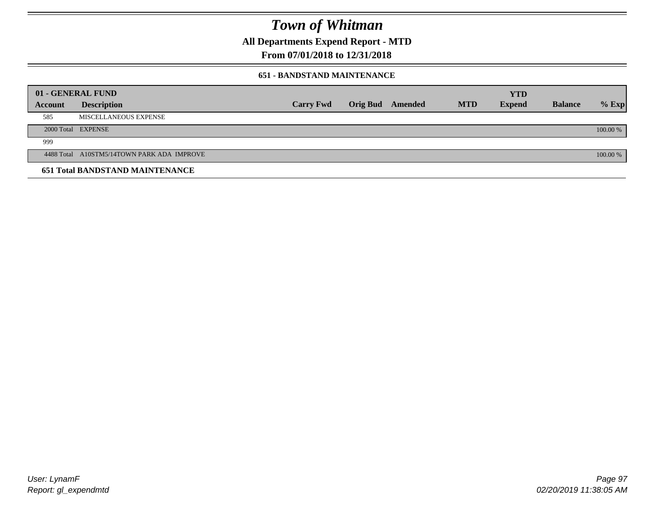**All Departments Expend Report - MTD**

**From 07/01/2018 to 12/31/2018**

#### **651 - BANDSTAND MAINTENANCE**

|         | 01 - GENERAL FUND                          |                  |                  |            | <b>YTD</b>    |                |          |
|---------|--------------------------------------------|------------------|------------------|------------|---------------|----------------|----------|
| Account | <b>Description</b>                         | <b>Carry Fwd</b> | Orig Bud Amended | <b>MTD</b> | <b>Expend</b> | <b>Balance</b> | $%$ Exp  |
| 585     | MISCELLANEOUS EXPENSE                      |                  |                  |            |               |                |          |
|         | 2000 Total EXPENSE                         |                  |                  |            |               |                | 100.00 % |
| 999     |                                            |                  |                  |            |               |                |          |
|         | 4488 Total A10STM5/14TOWN PARK ADA IMPROVE |                  |                  |            |               |                | 100.00 % |
|         | <b>651 Total BANDSTAND MAINTENANCE</b>     |                  |                  |            |               |                |          |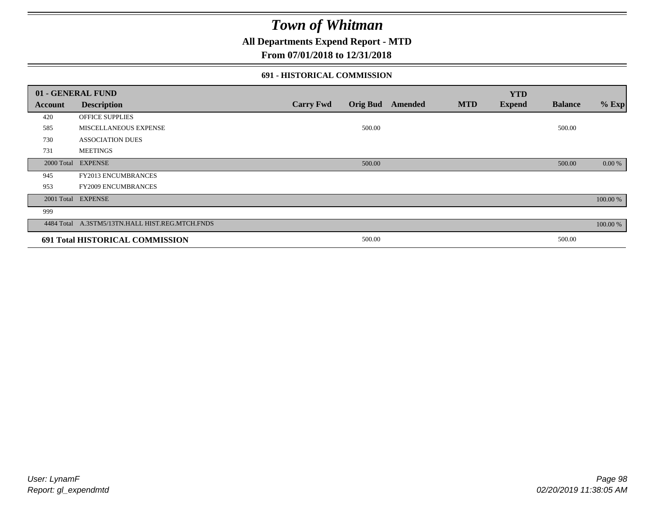**All Departments Expend Report - MTD**

### **From 07/01/2018 to 12/31/2018**

#### **691 - HISTORICAL COMMISSION**

|         | 01 - GENERAL FUND                               |                  |        |                         |            | <b>YTD</b>    |                |          |
|---------|-------------------------------------------------|------------------|--------|-------------------------|------------|---------------|----------------|----------|
| Account | <b>Description</b>                              | <b>Carry Fwd</b> |        | <b>Orig Bud</b> Amended | <b>MTD</b> | <b>Expend</b> | <b>Balance</b> | $%$ Exp  |
| 420     | OFFICE SUPPLIES                                 |                  |        |                         |            |               |                |          |
| 585     | MISCELLANEOUS EXPENSE                           |                  | 500.00 |                         |            |               | 500.00         |          |
| 730     | <b>ASSOCIATION DUES</b>                         |                  |        |                         |            |               |                |          |
| 731     | <b>MEETINGS</b>                                 |                  |        |                         |            |               |                |          |
|         | 2000 Total EXPENSE                              |                  | 500.00 |                         |            |               | 500.00         | 0.00 %   |
| 945     | FY2013 ENCUMBRANCES                             |                  |        |                         |            |               |                |          |
| 953     | <b>FY2009 ENCUMBRANCES</b>                      |                  |        |                         |            |               |                |          |
|         | 2001 Total EXPENSE                              |                  |        |                         |            |               |                | 100.00 % |
| 999     |                                                 |                  |        |                         |            |               |                |          |
|         | 4484 Total A.3STM5/13TN.HALL HIST.REG.MTCH.FNDS |                  |        |                         |            |               |                | 100.00 % |
|         | 691 Total HISTORICAL COMMISSION                 |                  | 500.00 |                         |            |               | 500.00         |          |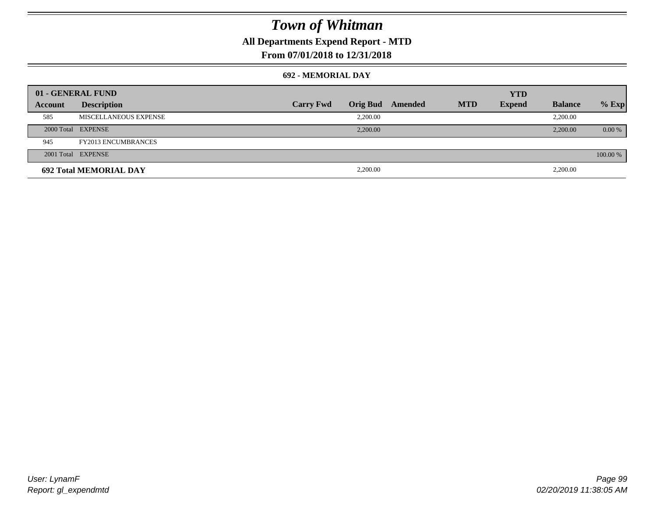## **All Departments Expend Report - MTD**

### **From 07/01/2018 to 12/31/2018**

#### **692 - MEMORIAL DAY**

| 01 - GENERAL FUND |                               |                  |                 |         |            | <b>YTD</b>    |                |          |
|-------------------|-------------------------------|------------------|-----------------|---------|------------|---------------|----------------|----------|
| Account           | <b>Description</b>            | <b>Carry Fwd</b> | <b>Orig Bud</b> | Amended | <b>MTD</b> | <b>Expend</b> | <b>Balance</b> | $%$ Exp  |
| 585               | MISCELLANEOUS EXPENSE         |                  | 2,200.00        |         |            |               | 2,200.00       |          |
|                   | 2000 Total EXPENSE            |                  | 2,200.00        |         |            |               | 2,200.00       | $0.00\%$ |
| 945               | <b>FY2013 ENCUMBRANCES</b>    |                  |                 |         |            |               |                |          |
|                   | 2001 Total EXPENSE            |                  |                 |         |            |               |                | 100.00 % |
|                   | <b>692 Total MEMORIAL DAY</b> |                  | 2,200.00        |         |            |               | 2,200.00       |          |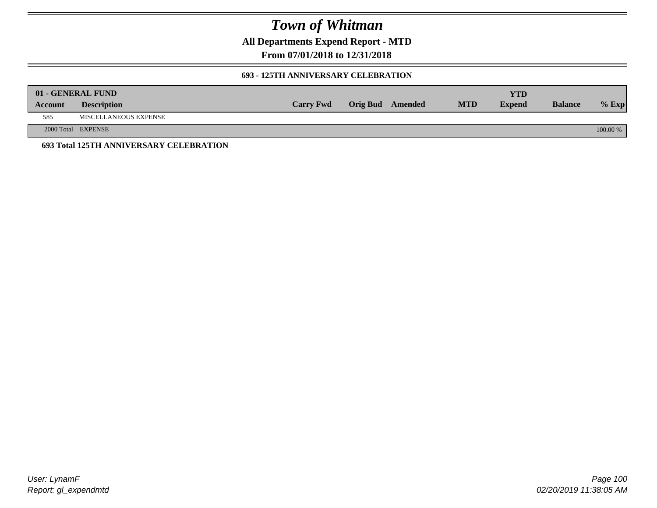**All Departments Expend Report - MTD**

**From 07/01/2018 to 12/31/2018**

#### **693 - 125TH ANNIVERSARY CELEBRATION**

|         | 01 - GENERAL FUND                       |                  |                         |            | YTD           |                |          |
|---------|-----------------------------------------|------------------|-------------------------|------------|---------------|----------------|----------|
| Account | <b>Description</b>                      | <b>Carry Fwd</b> | <b>Orig Bud</b> Amended | <b>MTD</b> | <b>Expend</b> | <b>Balance</b> | $%$ Exp  |
| 585     | MISCELLANEOUS EXPENSE                   |                  |                         |            |               |                |          |
|         | 2000 Total EXPENSE                      |                  |                         |            |               |                | 100.00 % |
|         | 693 Total 125TH ANNIVERSARY CELEBRATION |                  |                         |            |               |                |          |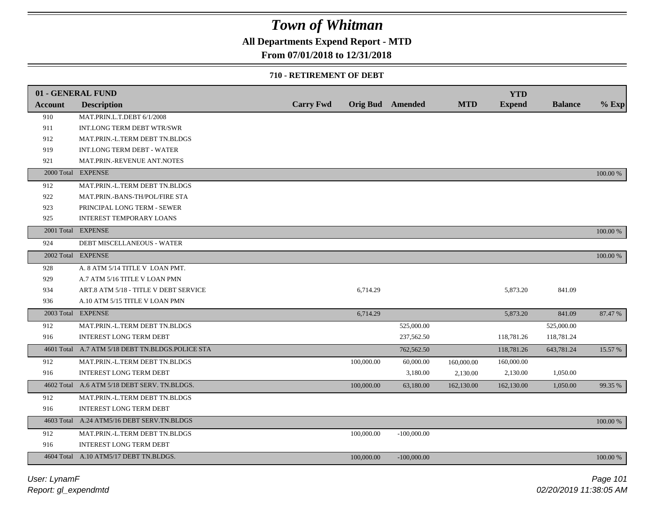### **All Departments Expend Report - MTD**

### **From 07/01/2018 to 12/31/2018**

#### **710 - RETIREMENT OF DEBT**

|                | 01 - GENERAL FUND                                |                  |            |                         |            | <b>YTD</b>    |                |          |
|----------------|--------------------------------------------------|------------------|------------|-------------------------|------------|---------------|----------------|----------|
| <b>Account</b> | <b>Description</b>                               | <b>Carry Fwd</b> |            | <b>Orig Bud</b> Amended | <b>MTD</b> | <b>Expend</b> | <b>Balance</b> | $%$ Exp  |
| 910            | MAT.PRIN.L.T.DEBT 6/1/2008                       |                  |            |                         |            |               |                |          |
| 911            | INT.LONG TERM DEBT WTR/SWR                       |                  |            |                         |            |               |                |          |
| 912            | MAT.PRIN.-L.TERM DEBT TN.BLDGS                   |                  |            |                         |            |               |                |          |
| 919            | <b>INT.LONG TERM DEBT - WATER</b>                |                  |            |                         |            |               |                |          |
| 921            | MAT.PRIN.-REVENUE ANT.NOTES                      |                  |            |                         |            |               |                |          |
|                | 2000 Total EXPENSE                               |                  |            |                         |            |               |                | 100.00 % |
| 912            | MAT.PRIN.-L.TERM DEBT TN.BLDGS                   |                  |            |                         |            |               |                |          |
| 922            | MAT.PRIN.-BANS-TH/POL/FIRE STA                   |                  |            |                         |            |               |                |          |
| 923            | PRINCIPAL LONG TERM - SEWER                      |                  |            |                         |            |               |                |          |
| 925            | <b>INTEREST TEMPORARY LOANS</b>                  |                  |            |                         |            |               |                |          |
|                | 2001 Total EXPENSE                               |                  |            |                         |            |               |                | 100.00 % |
| 924            | DEBT MISCELLANEOUS - WATER                       |                  |            |                         |            |               |                |          |
|                | 2002 Total EXPENSE                               |                  |            |                         |            |               |                | 100.00 % |
| 928            | A. 8 ATM 5/14 TITLE V LOAN PMT.                  |                  |            |                         |            |               |                |          |
| 929            | A.7 ATM 5/16 TITLE V LOAN PMN                    |                  |            |                         |            |               |                |          |
| 934            | ART.8 ATM 5/18 - TITLE V DEBT SERVICE            |                  | 6,714.29   |                         |            | 5,873.20      | 841.09         |          |
| 936            | A.10 ATM 5/15 TITLE V LOAN PMN                   |                  |            |                         |            |               |                |          |
|                | 2003 Total EXPENSE                               |                  | 6,714.29   |                         |            | 5,873.20      | 841.09         | 87.47 %  |
| 912            | MAT.PRIN.-L.TERM DEBT TN.BLDGS                   |                  |            | 525,000.00              |            |               | 525,000.00     |          |
| 916            | <b>INTEREST LONG TERM DEBT</b>                   |                  |            | 237,562.50              |            | 118,781.26    | 118,781.24     |          |
|                | 4601 Total A.7 ATM 5/18 DEBT TN.BLDGS.POLICE STA |                  |            | 762,562.50              |            | 118,781.26    | 643,781.24     | 15.57 %  |
| 912            | MAT.PRIN.-L.TERM DEBT TN.BLDGS                   |                  | 100,000.00 | 60,000.00               | 160,000.00 | 160,000.00    |                |          |
| 916            | <b>INTEREST LONG TERM DEBT</b>                   |                  |            | 3,180.00                | 2,130.00   | 2,130.00      | 1,050.00       |          |
|                | 4602 Total A.6 ATM 5/18 DEBT SERV. TN.BLDGS.     |                  | 100,000.00 | 63,180.00               | 162,130.00 | 162,130.00    | 1,050.00       | 99.35 %  |
| 912            | MAT.PRIN.-L.TERM DEBT TN.BLDGS                   |                  |            |                         |            |               |                |          |
| 916            | <b>INTEREST LONG TERM DEBT</b>                   |                  |            |                         |            |               |                |          |
|                | 4603 Total A.24 ATM5/16 DEBT SERV.TN.BLDGS       |                  |            |                         |            |               |                | 100.00 % |
| 912            | MAT.PRIN.-L.TERM DEBT TN.BLDGS                   |                  | 100,000.00 | $-100,000.00$           |            |               |                |          |
| 916            | INTEREST LONG TERM DEBT                          |                  |            |                         |            |               |                |          |
|                | 4604 Total A.10 ATM5/17 DEBT TN.BLDGS.           |                  | 100,000.00 | $-100,000.00$           |            |               |                | 100.00 % |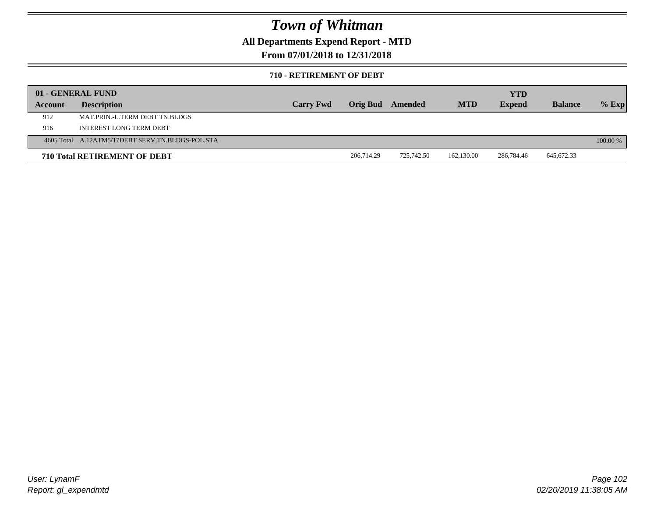**All Departments Expend Report - MTD**

**From 07/01/2018 to 12/31/2018**

#### **710 - RETIREMENT OF DEBT**

|         | 01 - GENERAL FUND                                |                  |                 |            |            | <b>YTD</b>    |                |          |
|---------|--------------------------------------------------|------------------|-----------------|------------|------------|---------------|----------------|----------|
| Account | <b>Description</b>                               | <b>Carry Fwd</b> | <b>Orig Bud</b> | Amended    | <b>MTD</b> | <b>Expend</b> | <b>Balance</b> | $%$ Exp  |
| 912     | MAT PRIN -L TERM DEBT TN BLDGS                   |                  |                 |            |            |               |                |          |
| 916     | INTEREST LONG TERM DEBT                          |                  |                 |            |            |               |                |          |
|         | 4605 Total A.12ATM5/17DEBT SERV.TN.BLDGS-POL.STA |                  |                 |            |            |               |                | 100.00 % |
|         | <b>710 Total RETIREMENT OF DEBT</b>              |                  | 206,714.29      | 725,742.50 | 162,130.00 | 286,784.46    | 645,672.33     |          |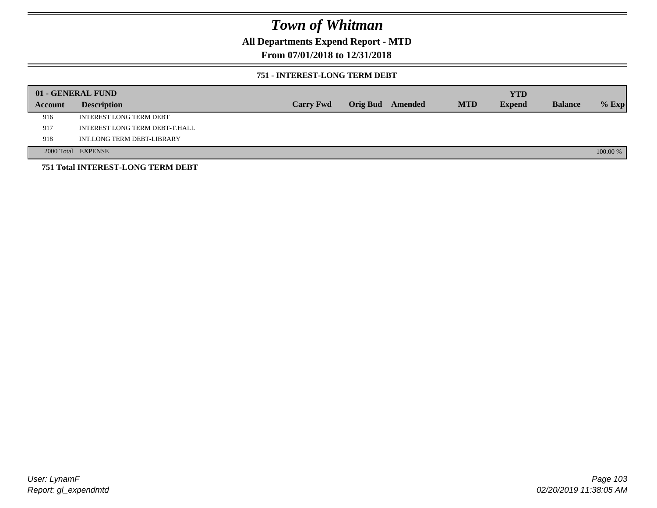### **All Departments Expend Report - MTD**

### **From 07/01/2018 to 12/31/2018**

#### **751 - INTEREST-LONG TERM DEBT**

|         | 01 - GENERAL FUND                 |                  |  |                  |            | <b>YTD</b>    |                |          |
|---------|-----------------------------------|------------------|--|------------------|------------|---------------|----------------|----------|
| Account | <b>Description</b>                | <b>Carry Fwd</b> |  | Orig Bud Amended | <b>MTD</b> | <b>Expend</b> | <b>Balance</b> | $%$ Exp  |
| 916     | <b>INTEREST LONG TERM DEBT</b>    |                  |  |                  |            |               |                |          |
| 917     | INTEREST LONG TERM DEBT-T.HALL    |                  |  |                  |            |               |                |          |
| 918     | INT.LONG TERM DEBT-LIBRARY        |                  |  |                  |            |               |                |          |
|         | 2000 Total EXPENSE                |                  |  |                  |            |               |                | 100.00 % |
|         | 751 Total INTEREST-LONG TERM DEBT |                  |  |                  |            |               |                |          |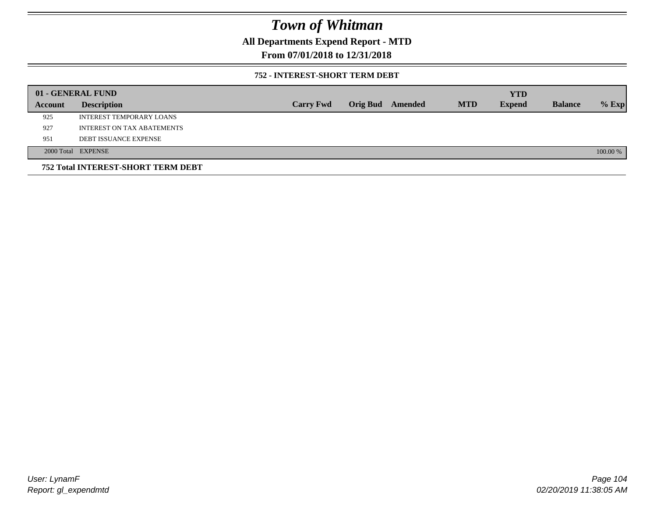### **All Departments Expend Report - MTD**

### **From 07/01/2018 to 12/31/2018**

#### **752 - INTEREST-SHORT TERM DEBT**

|         | 01 - GENERAL FUND                  |                  |                 |         |            | <b>YTD</b>    |                |          |
|---------|------------------------------------|------------------|-----------------|---------|------------|---------------|----------------|----------|
| Account | <b>Description</b>                 | <b>Carry Fwd</b> | <b>Orig Bud</b> | Amended | <b>MTD</b> | <b>Expend</b> | <b>Balance</b> | $%$ Exp  |
| 925     | INTEREST TEMPORARY LOANS           |                  |                 |         |            |               |                |          |
| 927     | <b>INTEREST ON TAX ABATEMENTS</b>  |                  |                 |         |            |               |                |          |
| 951     | <b>DEBT ISSUANCE EXPENSE</b>       |                  |                 |         |            |               |                |          |
|         | 2000 Total EXPENSE                 |                  |                 |         |            |               |                | 100.00 % |
|         | 752 Total INTEREST-SHORT TERM DEBT |                  |                 |         |            |               |                |          |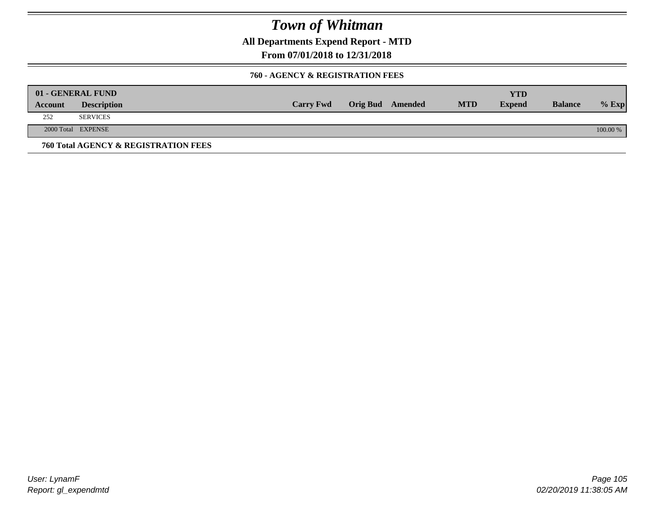**All Departments Expend Report - MTD**

**From 07/01/2018 to 12/31/2018**

#### **760 - AGENCY & REGISTRATION FEES**

|         | 01 - GENERAL FUND                    |                  |                         |            | YTD           |                |          |
|---------|--------------------------------------|------------------|-------------------------|------------|---------------|----------------|----------|
| Account | <b>Description</b>                   | <b>Carry Fwd</b> | <b>Orig Bud</b> Amended | <b>MTD</b> | <b>Expend</b> | <b>Balance</b> | $%$ Exp  |
| 252     | <b>SERVICES</b>                      |                  |                         |            |               |                |          |
|         | 2000 Total EXPENSE                   |                  |                         |            |               |                | 100.00 % |
|         | 760 Total AGENCY & REGISTRATION FEES |                  |                         |            |               |                |          |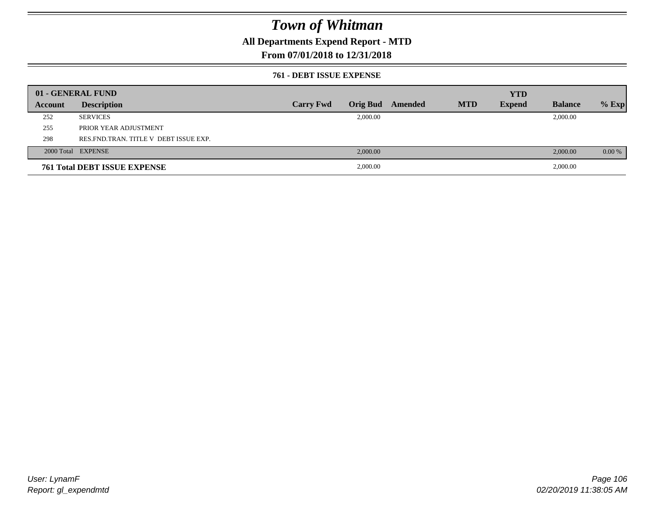### **All Departments Expend Report - MTD**

### **From 07/01/2018 to 12/31/2018**

#### **761 - DEBT ISSUE EXPENSE**

|         | 01 - GENERAL FUND                       |                  |          |                  |            | <b>YTD</b>    |                |          |
|---------|-----------------------------------------|------------------|----------|------------------|------------|---------------|----------------|----------|
| Account | <b>Description</b>                      | <b>Carry Fwd</b> |          | Orig Bud Amended | <b>MTD</b> | <b>Expend</b> | <b>Balance</b> | $%$ Exp  |
| 252     | <b>SERVICES</b>                         |                  | 2,000.00 |                  |            |               | 2,000.00       |          |
| 255     | PRIOR YEAR ADJUSTMENT                   |                  |          |                  |            |               |                |          |
| 298     | RES. FND. TRAN. TITLE V DEBT ISSUE EXP. |                  |          |                  |            |               |                |          |
|         | 2000 Total EXPENSE                      |                  | 2,000.00 |                  |            |               | 2,000.00       | $0.00\%$ |
|         | <b>761 Total DEBT ISSUE EXPENSE</b>     |                  | 2,000.00 |                  |            |               | 2,000.00       |          |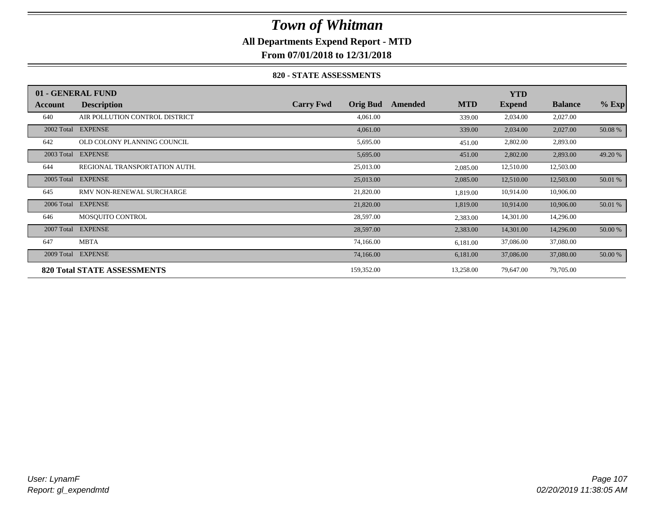### **All Departments Expend Report - MTD**

**From 07/01/2018 to 12/31/2018**

#### **820 - STATE ASSESSMENTS**

|            | 01 - GENERAL FUND                  |                  |                 |         |            | <b>YTD</b>    |                |         |
|------------|------------------------------------|------------------|-----------------|---------|------------|---------------|----------------|---------|
| Account    | <b>Description</b>                 | <b>Carry Fwd</b> | <b>Orig Bud</b> | Amended | <b>MTD</b> | <b>Expend</b> | <b>Balance</b> | $%$ Exp |
| 640        | AIR POLLUTION CONTROL DISTRICT     |                  | 4,061.00        |         | 339.00     | 2,034.00      | 2,027.00       |         |
|            | 2002 Total EXPENSE                 |                  | 4,061.00        |         | 339.00     | 2,034.00      | 2,027.00       | 50.08 % |
| 642        | OLD COLONY PLANNING COUNCIL        |                  | 5,695.00        |         | 451.00     | 2,802.00      | 2,893.00       |         |
| 2003 Total | <b>EXPENSE</b>                     |                  | 5,695.00        |         | 451.00     | 2,802.00      | 2,893.00       | 49.20 % |
| 644        | REGIONAL TRANSPORTATION AUTH.      |                  | 25,013.00       |         | 2,085.00   | 12,510.00     | 12,503.00      |         |
| 2005 Total | <b>EXPENSE</b>                     |                  | 25,013.00       |         | 2,085.00   | 12,510.00     | 12,503.00      | 50.01 % |
| 645        | RMV NON-RENEWAL SURCHARGE          |                  | 21,820.00       |         | 1,819.00   | 10,914.00     | 10,906.00      |         |
| 2006 Total | <b>EXPENSE</b>                     |                  | 21,820.00       |         | 1,819.00   | 10,914.00     | 10,906.00      | 50.01 % |
| 646        | MOSQUITO CONTROL                   |                  | 28,597.00       |         | 2,383.00   | 14,301.00     | 14,296.00      |         |
| 2007 Total | <b>EXPENSE</b>                     |                  | 28,597.00       |         | 2,383.00   | 14,301.00     | 14,296.00      | 50.00 % |
| 647        | <b>MBTA</b>                        |                  | 74,166.00       |         | 6,181.00   | 37,086.00     | 37,080.00      |         |
| 2009 Total | <b>EXPENSE</b>                     |                  | 74,166.00       |         | 6,181.00   | 37,086.00     | 37,080.00      | 50.00 % |
|            | <b>820 Total STATE ASSESSMENTS</b> |                  | 159,352.00      |         | 13,258.00  | 79,647.00     | 79,705.00      |         |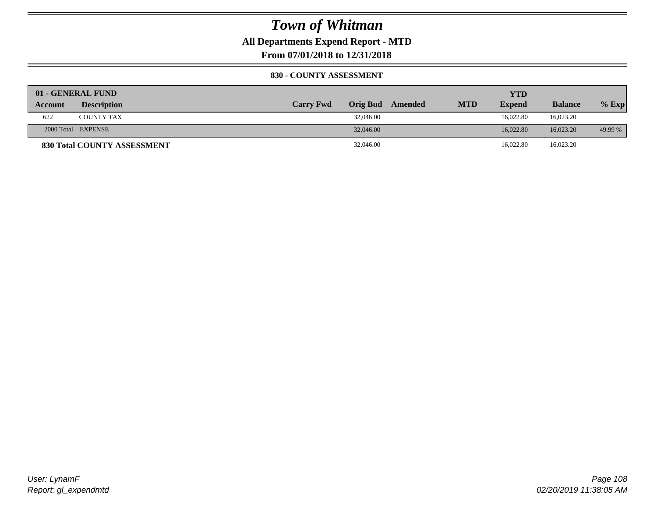**All Departments Expend Report - MTD**

**From 07/01/2018 to 12/31/2018**

#### **830 - COUNTY ASSESSMENT**

|                | 01 - GENERAL FUND                  |                  |           |         |            | YTD           |                |         |
|----------------|------------------------------------|------------------|-----------|---------|------------|---------------|----------------|---------|
| <b>Account</b> | <b>Description</b>                 | <b>Carry Fwd</b> | Orig Bud  | Amended | <b>MTD</b> | <b>Expend</b> | <b>Balance</b> | $%$ Exp |
| 622            | <b>COUNTY TAX</b>                  |                  | 32,046.00 |         |            | 16.022.80     | 16,023.20      |         |
|                | 2000 Total EXPENSE                 |                  | 32,046.00 |         |            | 16.022.80     | 16,023.20      | 49.99 % |
|                | <b>830 Total COUNTY ASSESSMENT</b> |                  | 32,046.00 |         |            | 16,022.80     | 16,023.20      |         |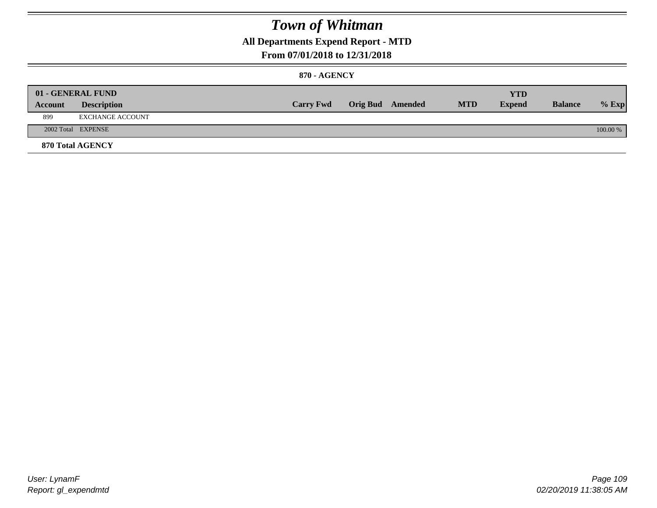### **All Departments Expend Report - MTD**

### **From 07/01/2018 to 12/31/2018**

#### **870 - AGENCY**

| Account | 01 - GENERAL FUND<br><b>Description</b> | <b>Carry Fwd</b> | <b>Orig Bud</b> Amended | <b>MTD</b> | <b>YTD</b><br><b>Expend</b> | <b>Balance</b> | $%$ Exp  |
|---------|-----------------------------------------|------------------|-------------------------|------------|-----------------------------|----------------|----------|
| 899     | EXCHANGE ACCOUNT                        |                  |                         |            |                             |                |          |
|         | 2002 Total EXPENSE                      |                  |                         |            |                             |                | 100.00 % |
|         | <b>870 Total AGENCY</b>                 |                  |                         |            |                             |                |          |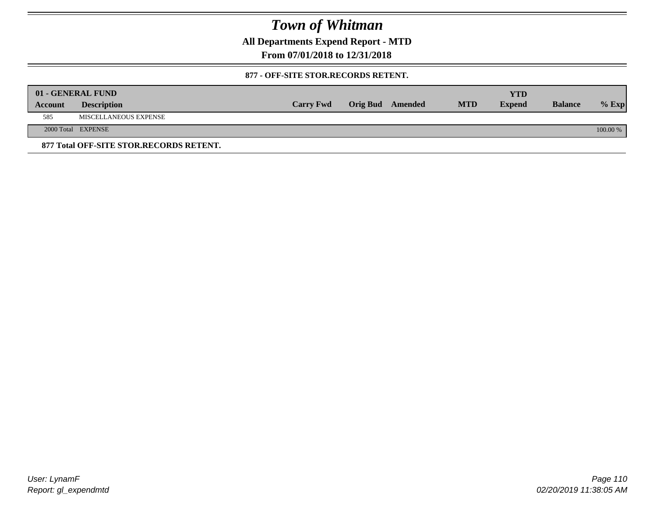**All Departments Expend Report - MTD**

**From 07/01/2018 to 12/31/2018**

#### **877 - OFF-SITE STOR.RECORDS RETENT.**

|         | 01 - GENERAL FUND                       |                  |                         |            | YTD           |                |          |
|---------|-----------------------------------------|------------------|-------------------------|------------|---------------|----------------|----------|
| Account | <b>Description</b>                      | <b>Carry Fwd</b> | <b>Orig Bud</b> Amended | <b>MTD</b> | <b>Expend</b> | <b>Balance</b> | $%$ Exp  |
| 585     | MISCELLANEOUS EXPENSE                   |                  |                         |            |               |                |          |
|         | 2000 Total EXPENSE                      |                  |                         |            |               |                | 100.00 % |
|         | 877 Total OFF-SITE STOR.RECORDS RETENT. |                  |                         |            |               |                |          |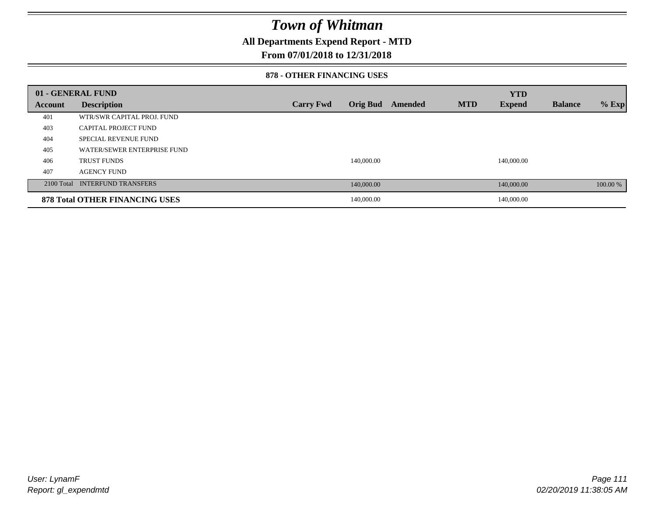### **All Departments Expend Report - MTD**

### **From 07/01/2018 to 12/31/2018**

#### **878 - OTHER FINANCING USES**

|         | 01 - GENERAL FUND                     |                  |                 |         |            | <b>YTD</b>    |                |          |
|---------|---------------------------------------|------------------|-----------------|---------|------------|---------------|----------------|----------|
| Account | <b>Description</b>                    | <b>Carry Fwd</b> | <b>Orig Bud</b> | Amended | <b>MTD</b> | <b>Expend</b> | <b>Balance</b> | $%$ Exp  |
| 401     | WTR/SWR CAPITAL PROJ. FUND            |                  |                 |         |            |               |                |          |
| 403     | CAPITAL PROJECT FUND                  |                  |                 |         |            |               |                |          |
| 404     | SPECIAL REVENUE FUND                  |                  |                 |         |            |               |                |          |
| 405     | WATER/SEWER ENTERPRISE FUND           |                  |                 |         |            |               |                |          |
| 406     | <b>TRUST FUNDS</b>                    |                  | 140,000.00      |         |            | 140,000.00    |                |          |
| 407     | <b>AGENCY FUND</b>                    |                  |                 |         |            |               |                |          |
|         | 2100 Total INTERFUND TRANSFERS        |                  | 140,000.00      |         |            | 140,000.00    |                | 100.00 % |
|         | <b>878 Total OTHER FINANCING USES</b> |                  | 140,000.00      |         |            | 140,000.00    |                |          |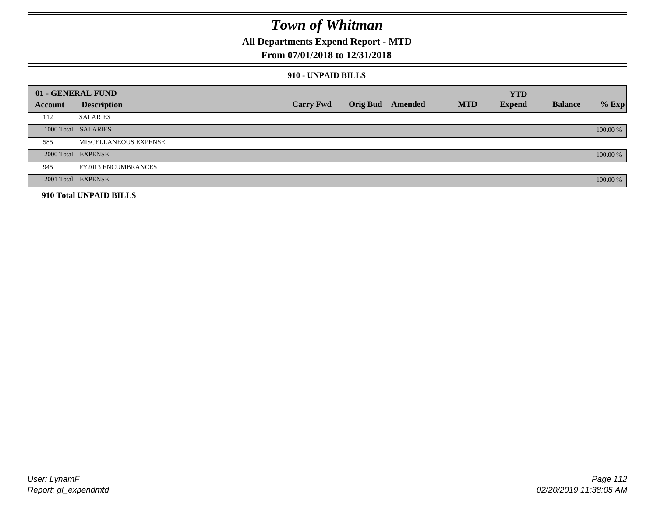### **All Departments Expend Report - MTD**

### **From 07/01/2018 to 12/31/2018**

#### **910 - UNPAID BILLS**

|         | 01 - GENERAL FUND          |                  |                         |            | <b>YTD</b>    |                |          |
|---------|----------------------------|------------------|-------------------------|------------|---------------|----------------|----------|
| Account | <b>Description</b>         | <b>Carry Fwd</b> | <b>Orig Bud</b> Amended | <b>MTD</b> | <b>Expend</b> | <b>Balance</b> | $%$ Exp  |
| 112     | <b>SALARIES</b>            |                  |                         |            |               |                |          |
|         | 1000 Total SALARIES        |                  |                         |            |               |                | 100.00 % |
| 585     | MISCELLANEOUS EXPENSE      |                  |                         |            |               |                |          |
|         | 2000 Total EXPENSE         |                  |                         |            |               |                | 100.00 % |
| 945     | <b>FY2013 ENCUMBRANCES</b> |                  |                         |            |               |                |          |
|         | 2001 Total EXPENSE         |                  |                         |            |               |                | 100.00 % |
|         | 910 Total UNPAID BILLS     |                  |                         |            |               |                |          |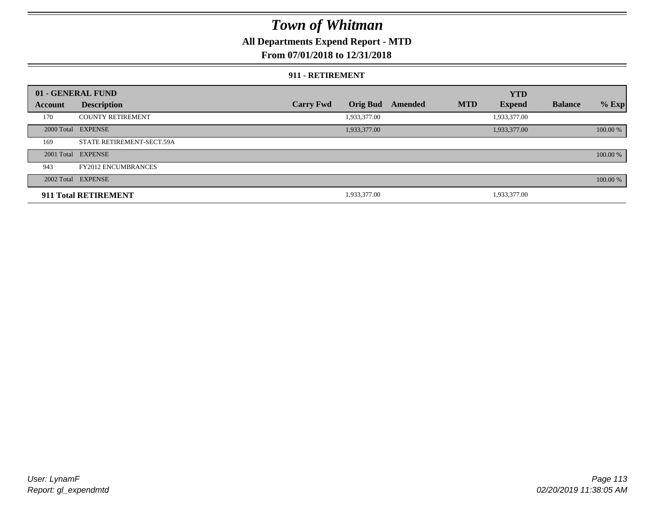### **All Departments Expend Report - MTD**

### **From 07/01/2018 to 12/31/2018**

#### **911 - RETIREMENT**

|         | 01 - GENERAL FUND          |                  |                 |         |            | <b>YTD</b>    |                |          |
|---------|----------------------------|------------------|-----------------|---------|------------|---------------|----------------|----------|
| Account | <b>Description</b>         | <b>Carry Fwd</b> | <b>Orig Bud</b> | Amended | <b>MTD</b> | <b>Expend</b> | <b>Balance</b> | $%$ Exp  |
| 170     | <b>COUNTY RETIREMENT</b>   |                  | 1,933,377.00    |         |            | 1,933,377.00  |                |          |
|         | 2000 Total EXPENSE         |                  | 1,933,377.00    |         |            | 1,933,377.00  |                | 100.00 % |
| 169     | STATE RETIREMENT-SECT.59A  |                  |                 |         |            |               |                |          |
|         | 2001 Total EXPENSE         |                  |                 |         |            |               |                | 100.00 % |
| 943     | <b>FY2012 ENCUMBRANCES</b> |                  |                 |         |            |               |                |          |
|         | 2002 Total EXPENSE         |                  |                 |         |            |               |                | 100.00 % |
|         | 911 Total RETIREMENT       |                  | 1,933,377.00    |         |            | 1,933,377.00  |                |          |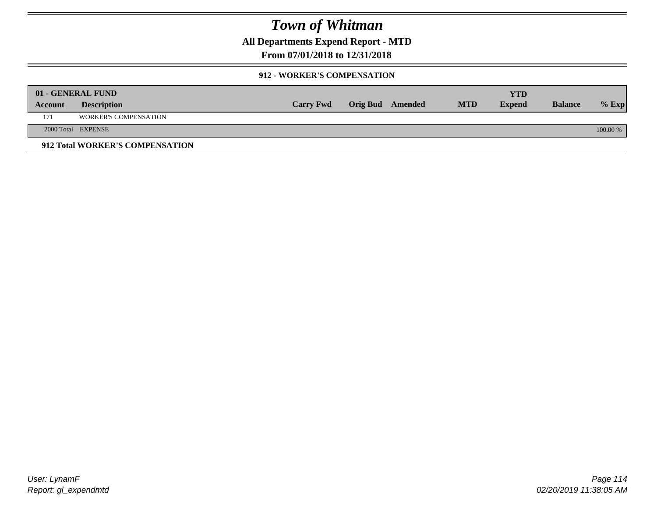**All Departments Expend Report - MTD**

**From 07/01/2018 to 12/31/2018**

#### **912 - WORKER'S COMPENSATION**

|         | 01 - GENERAL FUND               |                  |                  |            | <b>YTD</b>    |                |          |
|---------|---------------------------------|------------------|------------------|------------|---------------|----------------|----------|
| Account | <b>Description</b>              | <b>Carry Fwd</b> | Orig Bud Amended | <b>MTD</b> | <b>Expend</b> | <b>Balance</b> | $%$ Exp  |
| 171     | <b>WORKER'S COMPENSATION</b>    |                  |                  |            |               |                |          |
|         | 2000 Total EXPENSE              |                  |                  |            |               |                | 100.00 % |
|         | 912 Total WORKER'S COMPENSATION |                  |                  |            |               |                |          |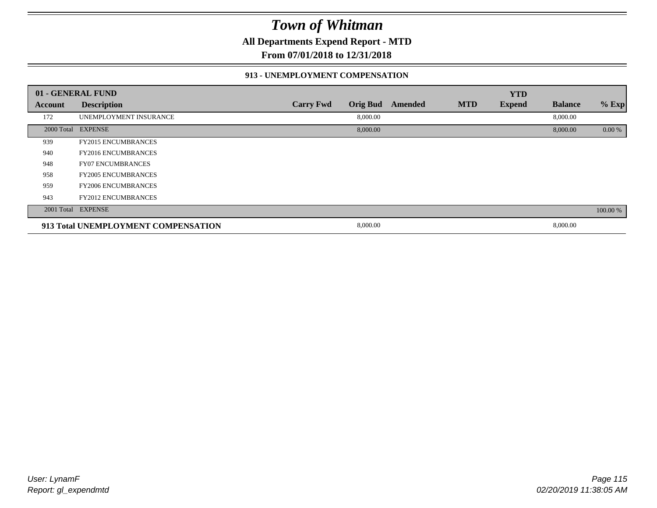**All Departments Expend Report - MTD**

**From 07/01/2018 to 12/31/2018**

#### **913 - UNEMPLOYMENT COMPENSATION**

|         | 01 - GENERAL FUND                   |                  |                 |         |            | <b>YTD</b>    |                |          |
|---------|-------------------------------------|------------------|-----------------|---------|------------|---------------|----------------|----------|
| Account | <b>Description</b>                  | <b>Carry Fwd</b> | <b>Orig Bud</b> | Amended | <b>MTD</b> | <b>Expend</b> | <b>Balance</b> | % Exp    |
| 172     | UNEMPLOYMENT INSURANCE              |                  | 8,000.00        |         |            |               | 8,000.00       |          |
|         | 2000 Total EXPENSE                  |                  | 8,000.00        |         |            |               | 8,000.00       | 0.00 %   |
| 939     | <b>FY2015 ENCUMBRANCES</b>          |                  |                 |         |            |               |                |          |
| 940     | <b>FY2016 ENCUMBRANCES</b>          |                  |                 |         |            |               |                |          |
| 948     | <b>FY07 ENCUMBRANCES</b>            |                  |                 |         |            |               |                |          |
| 958     | <b>FY2005 ENCUMBRANCES</b>          |                  |                 |         |            |               |                |          |
| 959     | <b>FY2006 ENCUMBRANCES</b>          |                  |                 |         |            |               |                |          |
| 943     | <b>FY2012 ENCUMBRANCES</b>          |                  |                 |         |            |               |                |          |
|         | 2001 Total EXPENSE                  |                  |                 |         |            |               |                | 100.00 % |
|         | 913 Total UNEMPLOYMENT COMPENSATION |                  | 8,000.00        |         |            |               | 8,000.00       |          |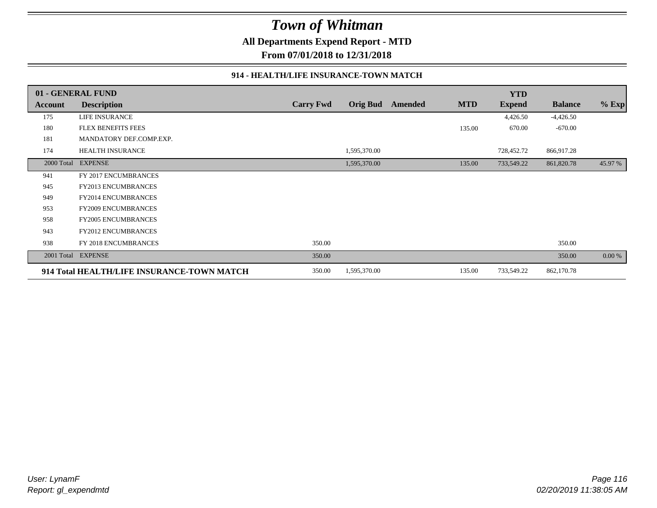**All Departments Expend Report - MTD**

**From 07/01/2018 to 12/31/2018**

#### **914 - HEALTH/LIFE INSURANCE-TOWN MATCH**

|            | 01 - GENERAL FUND                          |                  |                 |         |            | <b>YTD</b>    |                |         |
|------------|--------------------------------------------|------------------|-----------------|---------|------------|---------------|----------------|---------|
| Account    | <b>Description</b>                         | <b>Carry Fwd</b> | <b>Orig Bud</b> | Amended | <b>MTD</b> | <b>Expend</b> | <b>Balance</b> | $%$ Exp |
| 175        | <b>LIFE INSURANCE</b>                      |                  |                 |         |            | 4,426.50      | $-4,426.50$    |         |
| 180        | <b>FLEX BENEFITS FEES</b>                  |                  |                 |         | 135.00     | 670.00        | $-670.00$      |         |
| 181        | MANDATORY DEF.COMP.EXP.                    |                  |                 |         |            |               |                |         |
| 174        | HEALTH INSURANCE                           |                  | 1,595,370.00    |         |            | 728,452.72    | 866,917.28     |         |
| 2000 Total | <b>EXPENSE</b>                             |                  | 1,595,370.00    |         | 135.00     | 733,549.22    | 861,820.78     | 45.97 % |
| 941        | FY 2017 ENCUMBRANCES                       |                  |                 |         |            |               |                |         |
| 945        | <b>FY2013 ENCUMBRANCES</b>                 |                  |                 |         |            |               |                |         |
| 949        | <b>FY2014 ENCUMBRANCES</b>                 |                  |                 |         |            |               |                |         |
| 953        | <b>FY2009 ENCUMBRANCES</b>                 |                  |                 |         |            |               |                |         |
| 958        | FY2005 ENCUMBRANCES                        |                  |                 |         |            |               |                |         |
| 943        | <b>FY2012 ENCUMBRANCES</b>                 |                  |                 |         |            |               |                |         |
| 938        | FY 2018 ENCUMBRANCES                       | 350.00           |                 |         |            |               | 350.00         |         |
| 2001 Total | <b>EXPENSE</b>                             | 350.00           |                 |         |            |               | 350.00         | 0.00 %  |
|            | 914 Total HEALTH/LIFE INSURANCE-TOWN MATCH |                  | 1,595,370.00    |         | 135.00     | 733,549.22    | 862,170.78     |         |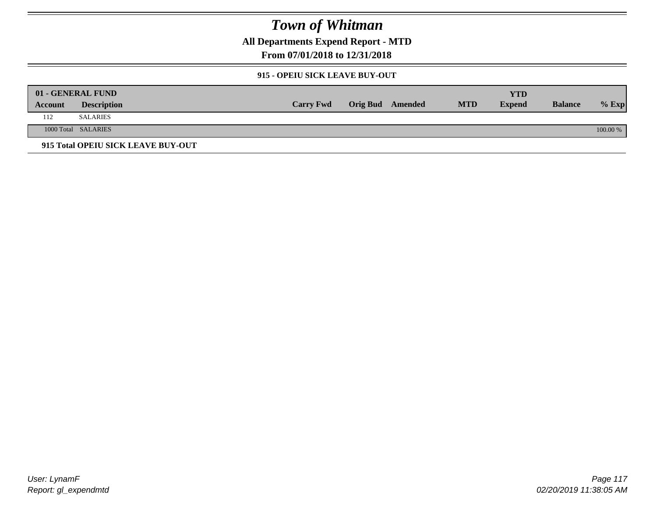**All Departments Expend Report - MTD**

**From 07/01/2018 to 12/31/2018**

#### **915 - OPEIU SICK LEAVE BUY-OUT**

|         | 01 - GENERAL FUND                  |                  |                         |            | YTD           |                |          |
|---------|------------------------------------|------------------|-------------------------|------------|---------------|----------------|----------|
| Account | <b>Description</b>                 | <b>Carry Fwd</b> | <b>Orig Bud</b> Amended | <b>MTD</b> | <b>Expend</b> | <b>Balance</b> | $%$ Exp  |
| 112     | SALARIES                           |                  |                         |            |               |                |          |
|         | 1000 Total SALARIES                |                  |                         |            |               |                | 100.00 % |
|         | 915 Total OPEIU SICK LEAVE BUY-OUT |                  |                         |            |               |                |          |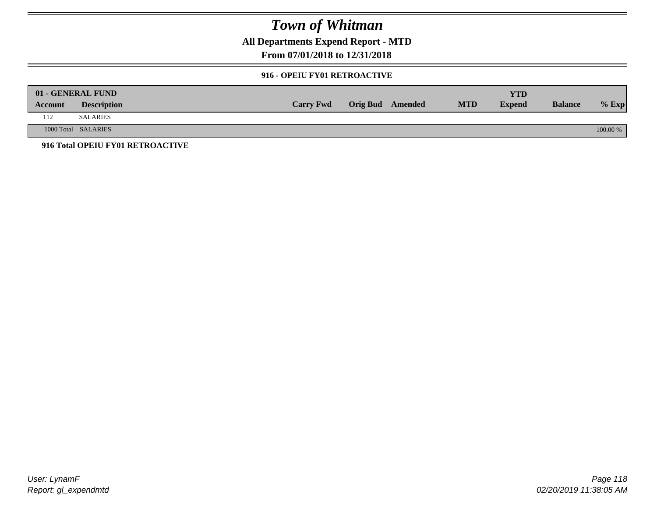**All Departments Expend Report - MTD**

**From 07/01/2018 to 12/31/2018**

#### **916 - OPEIU FY01 RETROACTIVE**

|         | 01 - GENERAL FUND                |                  |                         |            | YTD           |                |          |
|---------|----------------------------------|------------------|-------------------------|------------|---------------|----------------|----------|
| Account | <b>Description</b>               | <b>Carry Fwd</b> | <b>Orig Bud</b> Amended | <b>MTD</b> | <b>Expend</b> | <b>Balance</b> | $%$ Exp  |
| 112     | <b>SALARIES</b>                  |                  |                         |            |               |                |          |
|         | 1000 Total SALARIES              |                  |                         |            |               |                | 100.00 % |
|         | 916 Total OPEIU FY01 RETROACTIVE |                  |                         |            |               |                |          |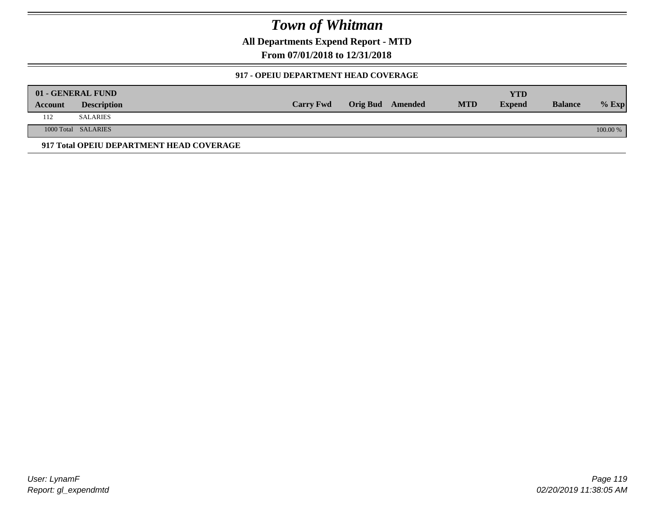**All Departments Expend Report - MTD**

**From 07/01/2018 to 12/31/2018**

#### **917 - OPEIU DEPARTMENT HEAD COVERAGE**

|         | 01 - GENERAL FUND                        |                  |                         |            | <b>YTD</b>    |                |          |
|---------|------------------------------------------|------------------|-------------------------|------------|---------------|----------------|----------|
| Account | <b>Description</b>                       | <b>Carry Fwd</b> | <b>Orig Bud</b> Amended | <b>MTD</b> | <b>Expend</b> | <b>Balance</b> | $%$ Exp  |
| 112     | <b>SALARIES</b>                          |                  |                         |            |               |                |          |
|         | 1000 Total SALARIES                      |                  |                         |            |               |                | 100.00 % |
|         | 917 Total OPEIU DEPARTMENT HEAD COVERAGE |                  |                         |            |               |                |          |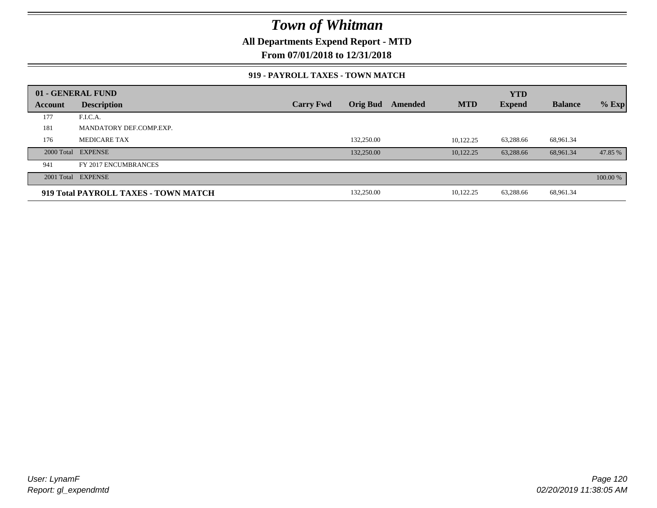**All Departments Expend Report - MTD**

**From 07/01/2018 to 12/31/2018**

#### **919 - PAYROLL TAXES - TOWN MATCH**

|         | 01 - GENERAL FUND                    |                  |                 |         |            | <b>YTD</b>    |                |          |
|---------|--------------------------------------|------------------|-----------------|---------|------------|---------------|----------------|----------|
| Account | <b>Description</b>                   | <b>Carry Fwd</b> | <b>Orig Bud</b> | Amended | <b>MTD</b> | <b>Expend</b> | <b>Balance</b> | $%$ Exp  |
| 177     | F.I.C.A.                             |                  |                 |         |            |               |                |          |
| 181     | MANDATORY DEF.COMP.EXP.              |                  |                 |         |            |               |                |          |
| 176     | <b>MEDICARE TAX</b>                  |                  | 132,250.00      |         | 10.122.25  | 63,288.66     | 68,961.34      |          |
|         | 2000 Total EXPENSE                   |                  | 132,250.00      |         | 10.122.25  | 63,288.66     | 68.961.34      | 47.85 %  |
| 941     | FY 2017 ENCUMBRANCES                 |                  |                 |         |            |               |                |          |
|         | 2001 Total EXPENSE                   |                  |                 |         |            |               |                | 100.00 % |
|         | 919 Total PAYROLL TAXES - TOWN MATCH |                  | 132,250.00      |         | 10,122.25  | 63,288.66     | 68,961.34      |          |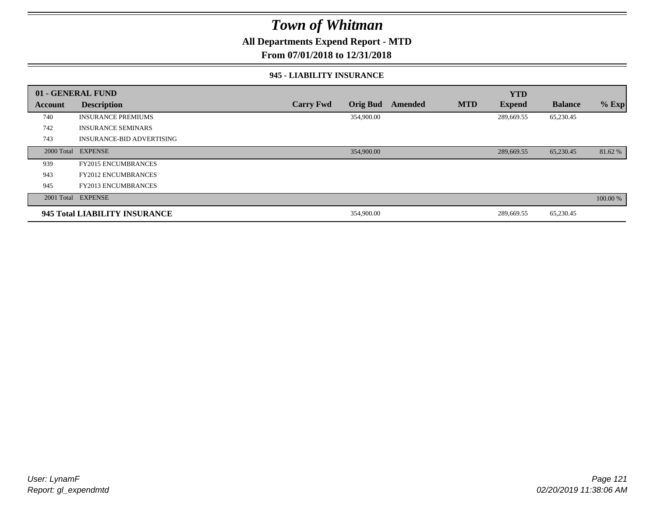**All Departments Expend Report - MTD**

**From 07/01/2018 to 12/31/2018**

#### **945 - LIABILITY INSURANCE**

|         | 01 - GENERAL FUND                |                  |                 |         |            | <b>YTD</b>    |                |          |
|---------|----------------------------------|------------------|-----------------|---------|------------|---------------|----------------|----------|
| Account | <b>Description</b>               | <b>Carry Fwd</b> | <b>Orig Bud</b> | Amended | <b>MTD</b> | <b>Expend</b> | <b>Balance</b> | $%$ Exp  |
| 740     | <b>INSURANCE PREMIUMS</b>        |                  | 354,900.00      |         |            | 289,669.55    | 65,230.45      |          |
| 742     | <b>INSURANCE SEMINARS</b>        |                  |                 |         |            |               |                |          |
| 743     | <b>INSURANCE-BID ADVERTISING</b> |                  |                 |         |            |               |                |          |
|         | 2000 Total EXPENSE               |                  | 354,900.00      |         |            | 289,669.55    | 65,230.45      | 81.62 %  |
| 939     | <b>FY2015 ENCUMBRANCES</b>       |                  |                 |         |            |               |                |          |
| 943     | <b>FY2012 ENCUMBRANCES</b>       |                  |                 |         |            |               |                |          |
| 945     | <b>FY2013 ENCUMBRANCES</b>       |                  |                 |         |            |               |                |          |
|         | 2001 Total EXPENSE               |                  |                 |         |            |               |                | 100.00 % |
|         | 945 Total LIABILITY INSURANCE    |                  | 354,900.00      |         |            | 289,669.55    | 65,230.45      |          |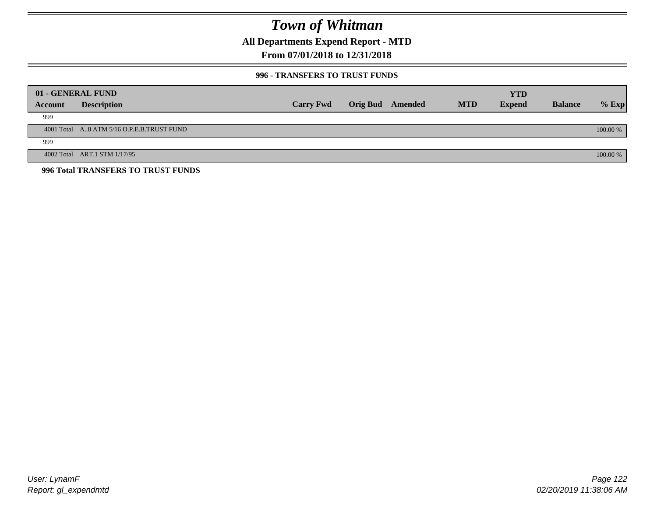**All Departments Expend Report - MTD**

### **From 07/01/2018 to 12/31/2018**

#### **996 - TRANSFERS TO TRUST FUNDS**

|         | 01 - GENERAL FUND                         |                  |                 |         |            | <b>YTD</b>    |                |            |
|---------|-------------------------------------------|------------------|-----------------|---------|------------|---------------|----------------|------------|
| Account | <b>Description</b>                        | <b>Carry Fwd</b> | <b>Orig Bud</b> | Amended | <b>MTD</b> | <b>Expend</b> | <b>Balance</b> | $%$ Exp    |
| 999     |                                           |                  |                 |         |            |               |                |            |
|         | 4001 Total A8 ATM 5/16 O.P.E.B.TRUST FUND |                  |                 |         |            |               |                | $100.00\%$ |
| 999     |                                           |                  |                 |         |            |               |                |            |
|         | 4002 Total ART.1 STM 1/17/95              |                  |                 |         |            |               |                | 100.00 %   |
|         | 996 Total TRANSFERS TO TRUST FUNDS        |                  |                 |         |            |               |                |            |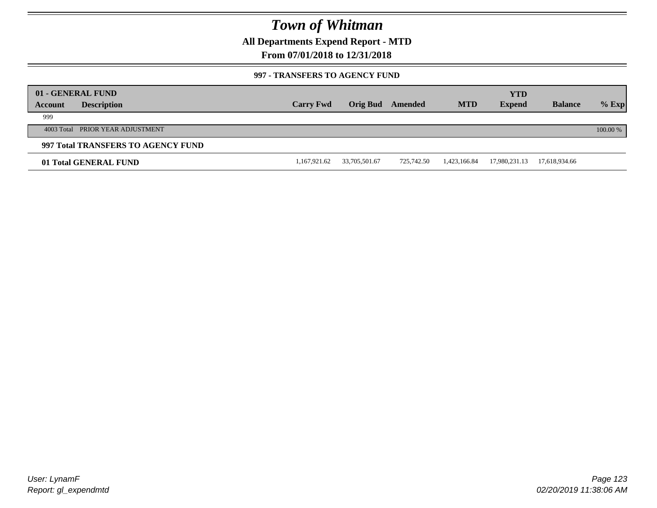**All Departments Expend Report - MTD**

### **From 07/01/2018 to 12/31/2018**

#### **997 - TRANSFERS TO AGENCY FUND**

| Account | 01 - GENERAL FUND<br><b>Description</b> | <b>Carry Fwd</b> | <b>Orig Bud</b> | Amended    | <b>MTD</b>   | <b>YTD</b><br><b>Expend</b> | <b>Balance</b> | $%$ Exp  |
|---------|-----------------------------------------|------------------|-----------------|------------|--------------|-----------------------------|----------------|----------|
| 999     |                                         |                  |                 |            |              |                             |                |          |
|         | 4003 Total PRIOR YEAR ADJUSTMENT        |                  |                 |            |              |                             |                | 100.00 % |
|         | 997 Total TRANSFERS TO AGENCY FUND      |                  |                 |            |              |                             |                |          |
|         | 01 Total GENERAL FUND                   | 1,167,921.62     | 33,705,501.67   | 725.742.50 | 1,423,166.84 | 17,980,231.13               | 17,618,934.66  |          |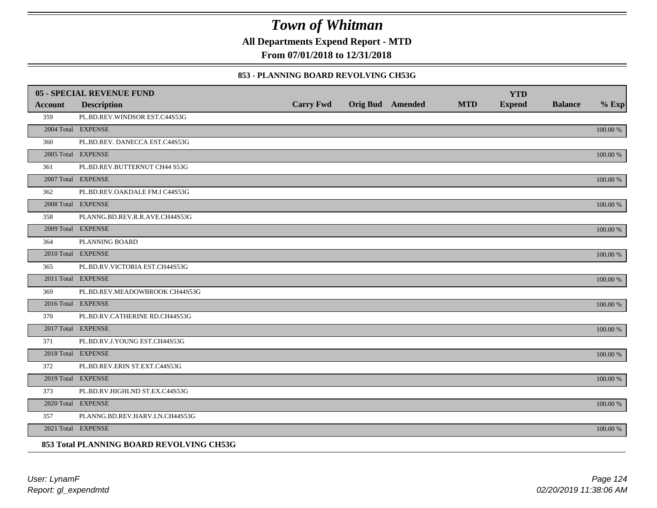**All Departments Expend Report - MTD**

**From 07/01/2018 to 12/31/2018**

#### **853 - PLANNING BOARD REVOLVING CH53G**

|         | <b>05 - SPECIAL REVENUE FUND</b>         |                  |                  |            | <b>YTD</b>    |                |             |
|---------|------------------------------------------|------------------|------------------|------------|---------------|----------------|-------------|
| Account | <b>Description</b>                       | <b>Carry Fwd</b> | Orig Bud Amended | <b>MTD</b> | <b>Expend</b> | <b>Balance</b> | $%$ Exp     |
| 359     | PL.BD.REV.WINDSOR EST.C44S53G            |                  |                  |            |               |                |             |
|         | 2004 Total EXPENSE                       |                  |                  |            |               |                | 100.00 %    |
| 360     | PL.BD.REV. DANECCA EST.C44S53G           |                  |                  |            |               |                |             |
|         | 2005 Total EXPENSE                       |                  |                  |            |               |                | 100.00 %    |
| 361     | PL.BD.REV.BUTTERNUT CH44 S53G            |                  |                  |            |               |                |             |
|         | 2007 Total EXPENSE                       |                  |                  |            |               |                | 100.00 %    |
| 362     | PL.BD.REV.OAKDALE FM.I C44S53G           |                  |                  |            |               |                |             |
|         | 2008 Total EXPENSE                       |                  |                  |            |               |                | $100.00~\%$ |
| 358     | PLANNG.BD.REV.R.R.AVE.CH44S53G           |                  |                  |            |               |                |             |
|         | 2009 Total EXPENSE                       |                  |                  |            |               |                | 100.00 %    |
| 364     | PLANNING BOARD                           |                  |                  |            |               |                |             |
|         | 2010 Total EXPENSE                       |                  |                  |            |               |                | $100.00~\%$ |
| 365     | PL.BD.RV.VICTORIA EST.CH44S53G           |                  |                  |            |               |                |             |
|         | 2011 Total EXPENSE                       |                  |                  |            |               |                | 100.00 %    |
| 369     | PL.BD.REV.MEADOWBROOK CH44S53G           |                  |                  |            |               |                |             |
|         | 2016 Total EXPENSE                       |                  |                  |            |               |                | 100.00 %    |
| 370     | PL.BD.RV.CATHERINE RD.CH44S53G           |                  |                  |            |               |                |             |
|         | 2017 Total EXPENSE                       |                  |                  |            |               |                | 100.00 %    |
| 371     | PL.BD.RV.J.YOUNG EST.CH44S53G            |                  |                  |            |               |                |             |
|         | 2018 Total EXPENSE                       |                  |                  |            |               |                | $100.00~\%$ |
| 372     | PL.BD.REV.ERIN ST.EXT.C44S53G            |                  |                  |            |               |                |             |
|         | 2019 Total EXPENSE                       |                  |                  |            |               |                | 100.00 %    |
| 373     | PL.BD.RV.HIGHLND ST.EX.C44S53G           |                  |                  |            |               |                |             |
|         | 2020 Total EXPENSE                       |                  |                  |            |               |                | 100.00 %    |
| 357     | PLANNG.BD.REV.HARV.LN.CH44S53G           |                  |                  |            |               |                |             |
|         | 2021 Total EXPENSE                       |                  |                  |            |               |                | 100.00 %    |
|         | 853 Total PLANNING BOARD REVOLVING CH53G |                  |                  |            |               |                |             |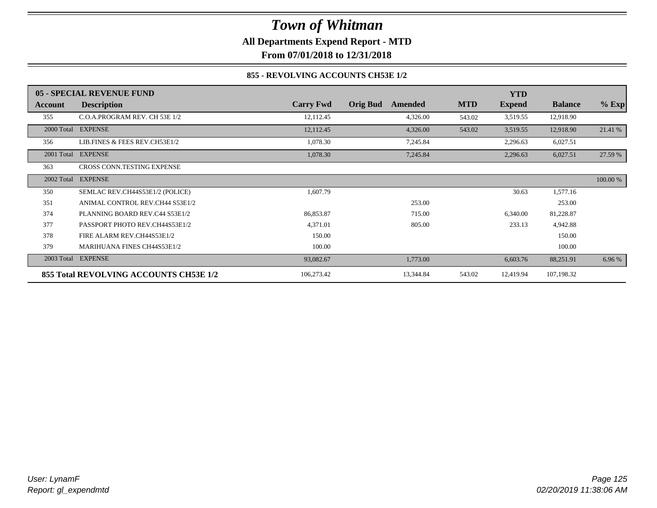### *Town of Whitman* **All Departments Expend Report - MTD**

**From 07/01/2018 to 12/31/2018**

### **855 - REVOLVING ACCOUNTS CH53E 1/2**

|            | 05 - SPECIAL REVENUE FUND              |                  |                            |            | <b>YTD</b>    |                |          |
|------------|----------------------------------------|------------------|----------------------------|------------|---------------|----------------|----------|
| Account    | <b>Description</b>                     | <b>Carry Fwd</b> | <b>Orig Bud</b><br>Amended | <b>MTD</b> | <b>Expend</b> | <b>Balance</b> | $%$ Exp  |
| 355        | C.O.A.PROGRAM REV. CH 53E 1/2          | 12,112.45        | 4,326.00                   | 543.02     | 3,519.55      | 12,918.90      |          |
|            | 2000 Total EXPENSE                     | 12,112.45        | 4,326.00                   | 543.02     | 3,519.55      | 12,918.90      | 21.41 %  |
| 356        | LIB.FINES & FEES REV.CH53E1/2          | 1,078.30         | 7,245.84                   |            | 2,296.63      | 6,027.51       |          |
| 2001 Total | <b>EXPENSE</b>                         | 1,078.30         | 7,245.84                   |            | 2,296.63      | 6,027.51       | 27.59 %  |
| 363        | <b>CROSS CONN.TESTING EXPENSE</b>      |                  |                            |            |               |                |          |
| 2002 Total | <b>EXPENSE</b>                         |                  |                            |            |               |                | 100.00 % |
| 350        | SEMLAC REV.CH44S53E1/2 (POLICE)        | 1,607.79         |                            |            | 30.63         | 1,577.16       |          |
| 351        | ANIMAL CONTROL REV.CH44 S53E1/2        |                  | 253.00                     |            |               | 253.00         |          |
| 374        | PLANNING BOARD REV.C44 S53E1/2         | 86,853.87        | 715.00                     |            | 6,340.00      | 81,228.87      |          |
| 377        | PASSPORT PHOTO REV.CH44S53E1/2         | 4,371.01         | 805.00                     |            | 233.13        | 4,942.88       |          |
| 378        | FIRE ALARM REV.CH44S53E1/2             | 150.00           |                            |            |               | 150.00         |          |
| 379        | <b>MARIHUANA FINES CH44S53E1/2</b>     | 100.00           |                            |            |               | 100.00         |          |
| 2003 Total | <b>EXPENSE</b>                         | 93,082.67        | 1,773.00                   |            | 6,603.76      | 88,251.91      | 6.96 %   |
|            | 855 Total REVOLVING ACCOUNTS CH53E 1/2 | 106,273.42       | 13,344.84                  | 543.02     | 12,419.94     | 107,198.32     |          |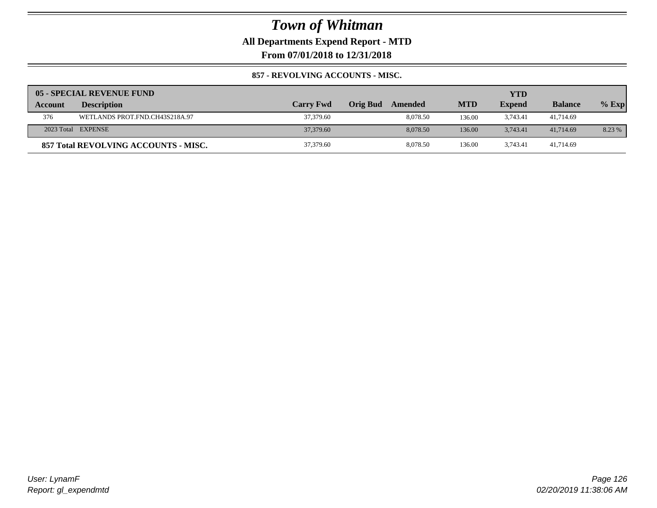**All Departments Expend Report - MTD**

**From 07/01/2018 to 12/31/2018**

### **857 - REVOLVING ACCOUNTS - MISC.**

|         | 05 - SPECIAL REVENUE FUND            |                  |                            |            | YTD           |                |         |
|---------|--------------------------------------|------------------|----------------------------|------------|---------------|----------------|---------|
| Account | <b>Description</b>                   | <b>Carry Fwd</b> | <b>Orig Bud</b><br>Amended | <b>MTD</b> | <b>Expend</b> | <b>Balance</b> | $%$ Exp |
| 376     | WETLANDS PROT.FND.CH43S218A.97       | 37,379.60        | 8.078.50                   | 136.00     | 3,743.41      | 41,714.69      |         |
|         | 2023 Total EXPENSE                   | 37,379.60        | 8,078.50                   | 136.00     | 3.743.41      | 41,714.69      | 8.23 %  |
|         | 857 Total REVOLVING ACCOUNTS - MISC. | 37,379.60        | 8.078.50                   | 136.00     | 3.743.41      | 41.714.69      |         |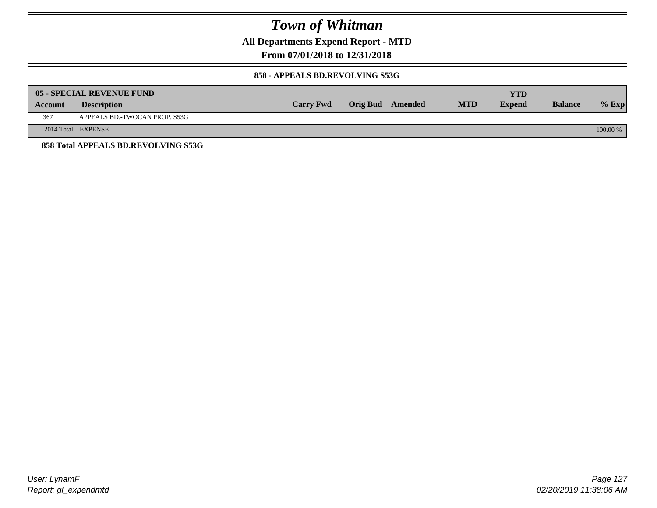**All Departments Expend Report - MTD**

**From 07/01/2018 to 12/31/2018**

#### **858 - APPEALS BD.REVOLVING S53G**

|         | 05 - SPECIAL REVENUE FUND           |                  |                  |            | YTD           |                |            |
|---------|-------------------------------------|------------------|------------------|------------|---------------|----------------|------------|
| Account | <b>Description</b>                  | <b>Carry Fwd</b> | Orig Bud Amended | <b>MTD</b> | <b>Expend</b> | <b>Balance</b> | $\%$ Exp   |
| 367     | APPEALS BD.-TWOCAN PROP. S53G       |                  |                  |            |               |                |            |
|         | 2014 Total EXPENSE                  |                  |                  |            |               |                | $100.00\%$ |
|         | 858 Total APPEALS BD.REVOLVING S53G |                  |                  |            |               |                |            |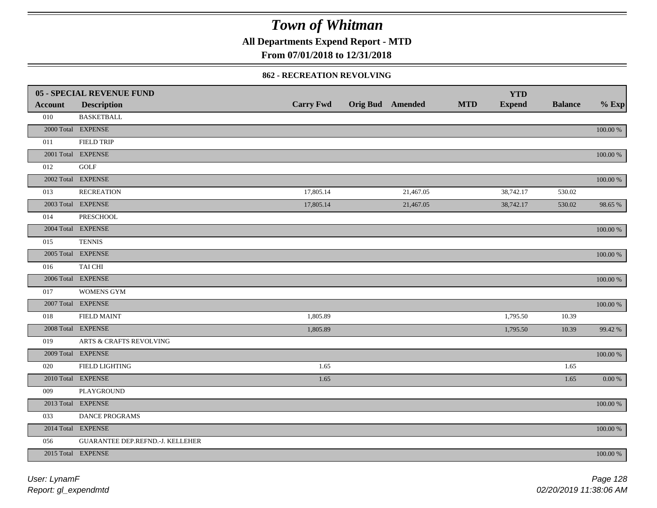**All Departments Expend Report - MTD**

### **From 07/01/2018 to 12/31/2018**

#### **862 - RECREATION REVOLVING**

|                | <b>05 - SPECIAL REVENUE FUND</b> |                  |                         |            | <b>YTD</b>    |                |             |
|----------------|----------------------------------|------------------|-------------------------|------------|---------------|----------------|-------------|
| <b>Account</b> | <b>Description</b>               | <b>Carry Fwd</b> | <b>Orig Bud Amended</b> | <b>MTD</b> | <b>Expend</b> | <b>Balance</b> | $%$ Exp     |
| 010            | <b>BASKETBALL</b>                |                  |                         |            |               |                |             |
|                | 2000 Total EXPENSE               |                  |                         |            |               |                | 100.00 %    |
| 011            | <b>FIELD TRIP</b>                |                  |                         |            |               |                |             |
|                | 2001 Total EXPENSE               |                  |                         |            |               |                | 100.00 %    |
| 012            | <b>GOLF</b>                      |                  |                         |            |               |                |             |
|                | 2002 Total EXPENSE               |                  |                         |            |               |                | $100.00~\%$ |
| 013            | <b>RECREATION</b>                | 17,805.14        | 21,467.05               |            | 38,742.17     | 530.02         |             |
|                | 2003 Total EXPENSE               | 17,805.14        | 21,467.05               |            | 38,742.17     | 530.02         | 98.65 %     |
| 014            | <b>PRESCHOOL</b>                 |                  |                         |            |               |                |             |
|                | 2004 Total EXPENSE               |                  |                         |            |               |                | 100.00 %    |
| 015            | <b>TENNIS</b>                    |                  |                         |            |               |                |             |
|                | 2005 Total EXPENSE               |                  |                         |            |               |                | 100.00 %    |
| 016            | TAI CHI                          |                  |                         |            |               |                |             |
|                | 2006 Total EXPENSE               |                  |                         |            |               |                | 100.00 %    |
| 017            | <b>WOMENS GYM</b>                |                  |                         |            |               |                |             |
|                | 2007 Total EXPENSE               |                  |                         |            |               |                | $100.00~\%$ |
| 018            | <b>FIELD MAINT</b>               | 1,805.89         |                         |            | 1,795.50      | 10.39          |             |
|                | 2008 Total EXPENSE               | 1,805.89         |                         |            | 1,795.50      | 10.39          | 99.42 %     |
| 019            | ARTS & CRAFTS REVOLVING          |                  |                         |            |               |                |             |
|                | 2009 Total EXPENSE               |                  |                         |            |               |                | $100.00~\%$ |
| 020            | <b>FIELD LIGHTING</b>            | 1.65             |                         |            |               | 1.65           |             |
|                | 2010 Total EXPENSE               | 1.65             |                         |            |               | 1.65           | 0.00 %      |
| 009            | <b>PLAYGROUND</b>                |                  |                         |            |               |                |             |
|                | 2013 Total EXPENSE               |                  |                         |            |               |                | $100.00~\%$ |
| 033            | DANCE PROGRAMS                   |                  |                         |            |               |                |             |
|                | 2014 Total EXPENSE               |                  |                         |            |               |                | 100.00 %    |
| 056            | GUARANTEE DEP.REFND.-J. KELLEHER |                  |                         |            |               |                |             |
|                | 2015 Total EXPENSE               |                  |                         |            |               |                | 100.00 %    |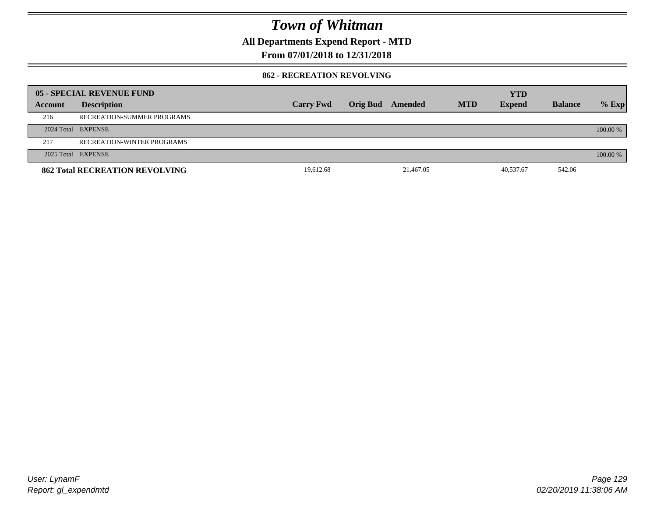**All Departments Expend Report - MTD**

### **From 07/01/2018 to 12/31/2018**

#### **862 - RECREATION REVOLVING**

|         | 05 - SPECIAL REVENUE FUND             |                  |          |           |            | <b>YTD</b>    |                |          |
|---------|---------------------------------------|------------------|----------|-----------|------------|---------------|----------------|----------|
| Account | <b>Description</b>                    | <b>Carry Fwd</b> | Orig Bud | Amended   | <b>MTD</b> | <b>Expend</b> | <b>Balance</b> | $%$ Exp  |
| 216     | RECREATION-SUMMER PROGRAMS            |                  |          |           |            |               |                |          |
|         | 2024 Total EXPENSE                    |                  |          |           |            |               |                | 100.00 % |
| 217     | <b>RECREATION-WINTER PROGRAMS</b>     |                  |          |           |            |               |                |          |
|         | 2025 Total EXPENSE                    |                  |          |           |            |               |                | 100.00 % |
|         | <b>862 Total RECREATION REVOLVING</b> | 19.612.68        |          | 21,467.05 |            | 40,537.67     | 542.06         |          |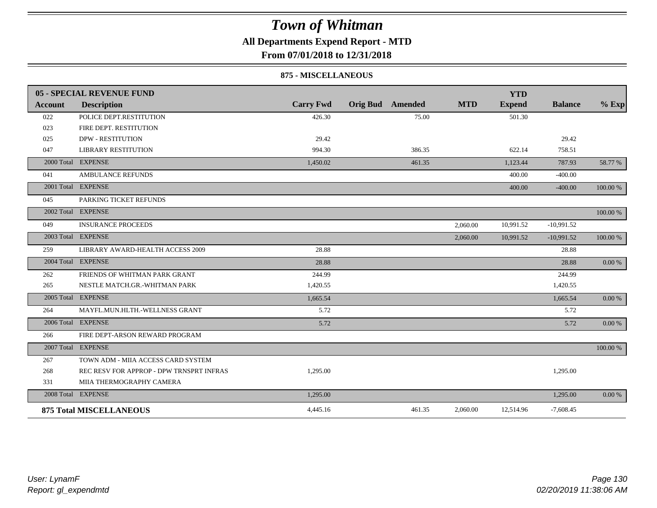### **All Departments Expend Report - MTD**

**From 07/01/2018 to 12/31/2018**

#### **875 - MISCELLANEOUS**

|                | 05 - SPECIAL REVENUE FUND                |                  |                         |            | <b>YTD</b>    |                |            |
|----------------|------------------------------------------|------------------|-------------------------|------------|---------------|----------------|------------|
| <b>Account</b> | <b>Description</b>                       | <b>Carry Fwd</b> | <b>Orig Bud</b> Amended | <b>MTD</b> | <b>Expend</b> | <b>Balance</b> | $%$ Exp    |
| 022            | POLICE DEPT.RESTITUTION                  | 426.30           | 75.00                   |            | 501.30        |                |            |
| 023            | FIRE DEPT. RESTITUTION                   |                  |                         |            |               |                |            |
| 025            | <b>DPW - RESTITUTION</b>                 | 29.42            |                         |            |               | 29.42          |            |
| 047            | <b>LIBRARY RESTITUTION</b>               | 994.30           | 386.35                  |            | 622.14        | 758.51         |            |
|                | 2000 Total EXPENSE                       | 1,450.02         | 461.35                  |            | 1,123.44      | 787.93         | 58.77 %    |
| 041            | <b>AMBULANCE REFUNDS</b>                 |                  |                         |            | 400.00        | $-400.00$      |            |
|                | 2001 Total EXPENSE                       |                  |                         |            | 400.00        | $-400.00$      | 100.00 %   |
| 045            | PARKING TICKET REFUNDS                   |                  |                         |            |               |                |            |
|                | 2002 Total EXPENSE                       |                  |                         |            |               |                | 100.00 %   |
| 049            | <b>INSURANCE PROCEEDS</b>                |                  |                         | 2,060.00   | 10,991.52     | $-10,991.52$   |            |
|                | 2003 Total EXPENSE                       |                  |                         | 2,060.00   | 10,991.52     | $-10,991.52$   | 100.00 %   |
| 259            | LIBRARY AWARD-HEALTH ACCESS 2009         | 28.88            |                         |            |               | 28.88          |            |
|                | 2004 Total EXPENSE                       | 28.88            |                         |            |               | 28.88          | 0.00 %     |
| 262            | FRIENDS OF WHITMAN PARK GRANT            | 244.99           |                         |            |               | 244.99         |            |
| 265            | NESTLE MATCH.GR.-WHITMAN PARK            | 1,420.55         |                         |            |               | 1,420.55       |            |
|                | 2005 Total EXPENSE                       | 1,665.54         |                         |            |               | 1,665.54       | 0.00 %     |
| 264            | MAYFL.MUN.HLTH.-WELLNESS GRANT           | 5.72             |                         |            |               | 5.72           |            |
|                | 2006 Total EXPENSE                       | 5.72             |                         |            |               | 5.72           | $0.00\,\%$ |
| 266            | FIRE DEPT-ARSON REWARD PROGRAM           |                  |                         |            |               |                |            |
|                | 2007 Total EXPENSE                       |                  |                         |            |               |                | 100.00 %   |
| 267            | TOWN ADM - MIIA ACCESS CARD SYSTEM       |                  |                         |            |               |                |            |
| 268            | REC RESV FOR APPROP - DPW TRNSPRT INFRAS | 1,295.00         |                         |            |               | 1,295.00       |            |
| 331            | MIIA THERMOGRAPHY CAMERA                 |                  |                         |            |               |                |            |
|                | 2008 Total EXPENSE                       | 1,295.00         |                         |            |               | 1,295.00       | 0.00 %     |
|                | <b>875 Total MISCELLANEOUS</b>           | 4,445.16         | 461.35                  | 2,060.00   | 12,514.96     | $-7,608.45$    |            |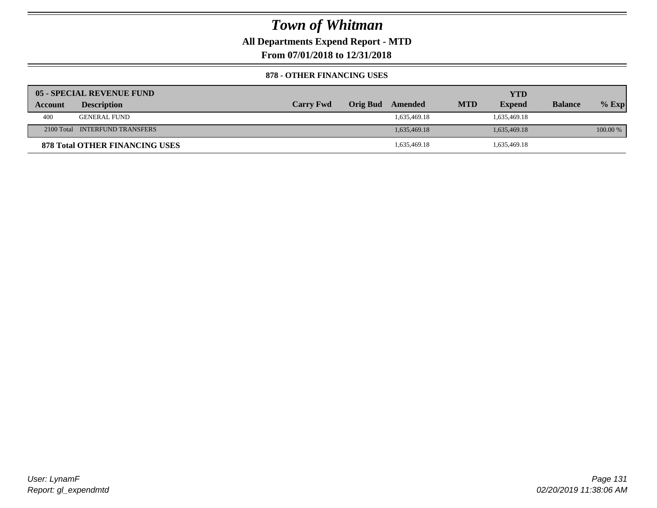**All Departments Expend Report - MTD**

**From 07/01/2018 to 12/31/2018**

#### **878 - OTHER FINANCING USES**

|         | 05 - SPECIAL REVENUE FUND             |                  |                 |              |            | YTD           |                |            |
|---------|---------------------------------------|------------------|-----------------|--------------|------------|---------------|----------------|------------|
| Account | <b>Description</b>                    | <b>Carry Fwd</b> | <b>Orig Bud</b> | Amended      | <b>MTD</b> | <b>Expend</b> | <b>Balance</b> | $%$ Exp    |
| 400     | GENERAL FUND                          |                  |                 | 1,635,469.18 |            | 1,635,469.18  |                |            |
|         | 2100 Total INTERFUND TRANSFERS        |                  |                 | 1,635,469.18 |            | 1,635,469.18  |                | $100.00\%$ |
|         | <b>878 Total OTHER FINANCING USES</b> |                  |                 | 1,635,469.18 |            | 1,635,469.18  |                |            |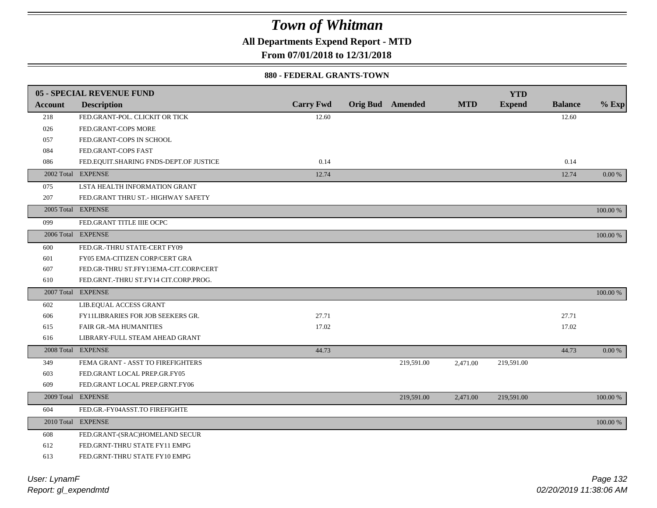**All Departments Expend Report - MTD**

**From 07/01/2018 to 12/31/2018**

#### **880 - FEDERAL GRANTS-TOWN**

|                | <b>05 - SPECIAL REVENUE FUND</b>       |                  |                         |            | <b>YTD</b>    |                |             |
|----------------|----------------------------------------|------------------|-------------------------|------------|---------------|----------------|-------------|
| <b>Account</b> | <b>Description</b>                     | <b>Carry Fwd</b> | <b>Orig Bud</b> Amended | <b>MTD</b> | <b>Expend</b> | <b>Balance</b> | $%$ Exp     |
| 218            | FED.GRANT-POL. CLICKIT OR TICK         | 12.60            |                         |            |               | 12.60          |             |
| 026            | FED.GRANT-COPS MORE                    |                  |                         |            |               |                |             |
| 057            | FED.GRANT-COPS IN SCHOOL               |                  |                         |            |               |                |             |
| 084            | FED.GRANT-COPS FAST                    |                  |                         |            |               |                |             |
| 086            | FED.EQUIT.SHARING FNDS-DEPT.OF JUSTICE | 0.14             |                         |            |               | 0.14           |             |
|                | 2002 Total EXPENSE                     | 12.74            |                         |            |               | 12.74          | 0.00 %      |
| 075            | LSTA HEALTH INFORMATION GRANT          |                  |                         |            |               |                |             |
| 207            | FED.GRANT THRU ST.- HIGHWAY SAFETY     |                  |                         |            |               |                |             |
|                | 2005 Total EXPENSE                     |                  |                         |            |               |                | 100.00 %    |
| 099            | FED.GRANT TITLE IIIE OCPC              |                  |                         |            |               |                |             |
|                | 2006 Total EXPENSE                     |                  |                         |            |               |                | 100.00 %    |
| 600            | FED.GR.-THRU STATE-CERT FY09           |                  |                         |            |               |                |             |
| 601            | FY05 EMA-CITIZEN CORP/CERT GRA         |                  |                         |            |               |                |             |
| 607            | FED.GR-THRU ST.FFY13EMA-CIT.CORP/CERT  |                  |                         |            |               |                |             |
| 610            | FED.GRNT.-THRU ST.FY14 CIT.CORP.PROG.  |                  |                         |            |               |                |             |
|                | 2007 Total EXPENSE                     |                  |                         |            |               |                | 100.00 %    |
| 602            | LIB.EQUAL ACCESS GRANT                 |                  |                         |            |               |                |             |
| 606            | FY11LIBRARIES FOR JOB SEEKERS GR.      | 27.71            |                         |            |               | 27.71          |             |
| 615            | FAIR GR.-MA HUMANITIES                 | 17.02            |                         |            |               | 17.02          |             |
| 616            | LIBRARY-FULL STEAM AHEAD GRANT         |                  |                         |            |               |                |             |
|                | 2008 Total EXPENSE                     | 44.73            |                         |            |               | 44.73          | 0.00 %      |
| 349            | FEMA GRANT - ASST TO FIREFIGHTERS      |                  | 219,591.00              | 2,471.00   | 219,591.00    |                |             |
| 603            | FED.GRANT LOCAL PREP.GR.FY05           |                  |                         |            |               |                |             |
| 609            | FED.GRANT LOCAL PREP.GRNT.FY06         |                  |                         |            |               |                |             |
|                | 2009 Total EXPENSE                     |                  | 219,591.00              | 2,471.00   | 219,591.00    |                | $100.00~\%$ |
| 604            | FED.GR.-FY04ASST.TO FIREFIGHTE         |                  |                         |            |               |                |             |
|                | 2010 Total EXPENSE                     |                  |                         |            |               |                | 100.00 %    |
| 608            | FED.GRANT-(SRAC)HOMELAND SECUR         |                  |                         |            |               |                |             |
| 612            | FED.GRNT-THRU STATE FY11 EMPG          |                  |                         |            |               |                |             |
| 613            | FED.GRNT-THRU STATE FY10 EMPG          |                  |                         |            |               |                |             |
|                |                                        |                  |                         |            |               |                |             |

*Report: gl\_expendmtd User: LynamF*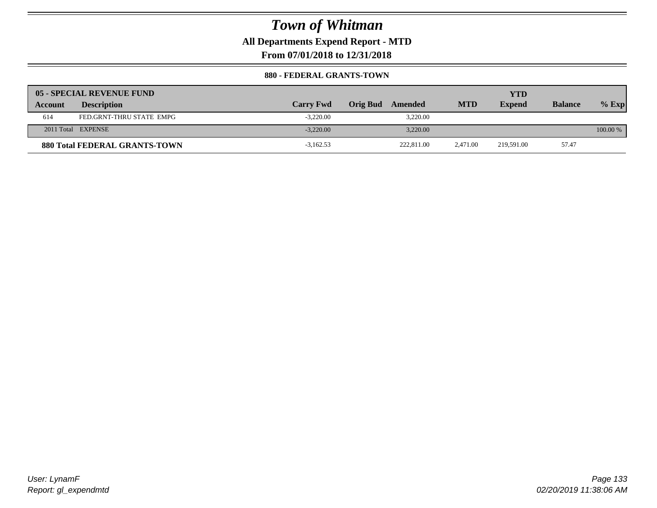**All Departments Expend Report - MTD**

**From 07/01/2018 to 12/31/2018**

#### **880 - FEDERAL GRANTS-TOWN**

|         | 05 - SPECIAL REVENUE FUND            |                  |                            |            | YTD           |                |            |
|---------|--------------------------------------|------------------|----------------------------|------------|---------------|----------------|------------|
| Account | <b>Description</b>                   | <b>Carry Fwd</b> | <b>Orig Bud</b><br>Amended | <b>MTD</b> | <b>Expend</b> | <b>Balance</b> | $%$ Exp    |
| 614     | FED.GRNT-THRU STATE EMPG             | $-3,220.00$      | 3,220.00                   |            |               |                |            |
|         | 2011 Total EXPENSE                   | $-3.220.00$      | 3.220.00                   |            |               |                | $100.00\%$ |
|         | <b>880 Total FEDERAL GRANTS-TOWN</b> | $-3.162.53$      | 222,811.00                 | 2.471.00   | 219.591.00    | 57.47          |            |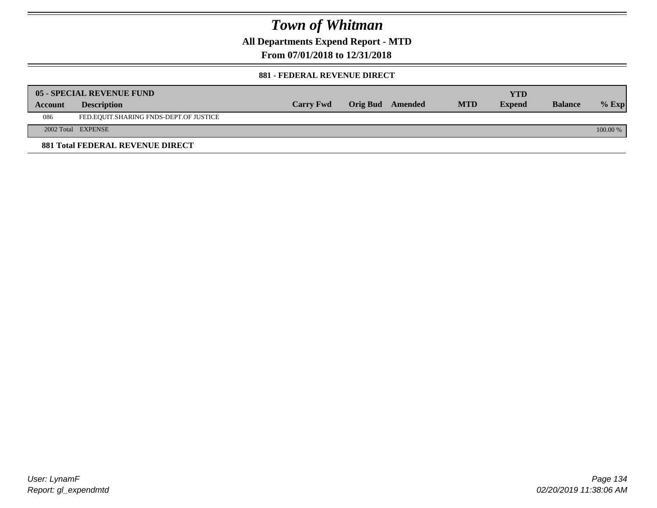**All Departments Expend Report - MTD**

**From 07/01/2018 to 12/31/2018**

#### **881 - FEDERAL REVENUE DIRECT**

|                | <b>05 - SPECIAL REVENUE FUND</b>        |                  |                  |            | YTD           |                |          |
|----------------|-----------------------------------------|------------------|------------------|------------|---------------|----------------|----------|
| <b>Account</b> | <b>Description</b>                      | <b>Carry Fwd</b> | Orig Bud Amended | <b>MTD</b> | <b>Expend</b> | <b>Balance</b> | $%$ Exp  |
| 086            | FED.EQUIT.SHARING FNDS-DEPT.OF JUSTICE  |                  |                  |            |               |                |          |
|                | 2002 Total EXPENSE                      |                  |                  |            |               |                | 100.00 % |
|                | <b>881 Total FEDERAL REVENUE DIRECT</b> |                  |                  |            |               |                |          |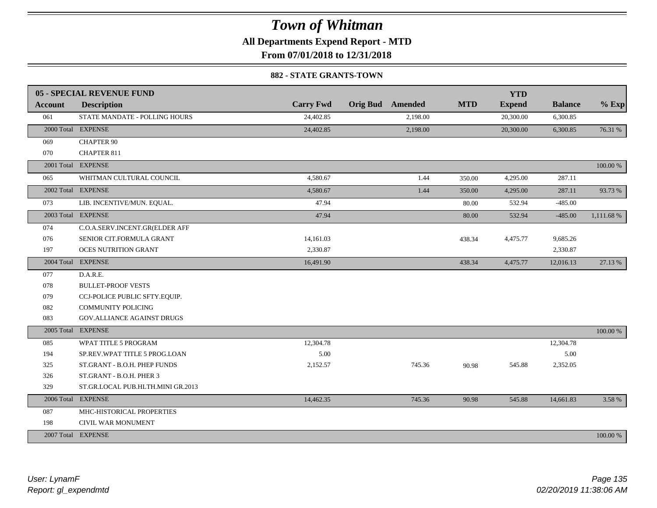**All Departments Expend Report - MTD**

**From 07/01/2018 to 12/31/2018**

#### **882 - STATE GRANTS-TOWN**

|                | <b>05 - SPECIAL REVENUE FUND</b>  |                  |                         |            | <b>YTD</b>    |                |            |
|----------------|-----------------------------------|------------------|-------------------------|------------|---------------|----------------|------------|
| <b>Account</b> | <b>Description</b>                | <b>Carry Fwd</b> | <b>Orig Bud</b> Amended | <b>MTD</b> | <b>Expend</b> | <b>Balance</b> | $%$ Exp    |
| 061            | STATE MANDATE - POLLING HOURS     | 24,402.85        | 2,198.00                |            | 20,300.00     | 6,300.85       |            |
|                | 2000 Total EXPENSE                | 24,402.85        | 2,198.00                |            | 20,300.00     | 6,300.85       | 76.31 %    |
| 069            | <b>CHAPTER 90</b>                 |                  |                         |            |               |                |            |
| 070            | <b>CHAPTER 811</b>                |                  |                         |            |               |                |            |
|                | 2001 Total EXPENSE                |                  |                         |            |               |                | 100.00 %   |
| 065            | WHITMAN CULTURAL COUNCIL          | 4,580.67         | 1.44                    | 350.00     | 4,295.00      | 287.11         |            |
|                | 2002 Total EXPENSE                | 4,580.67         | 1.44                    | 350.00     | 4,295.00      | 287.11         | 93.73 %    |
| 073            | LIB. INCENTIVE/MUN. EQUAL.        | 47.94            |                         | 80.00      | 532.94        | $-485.00$      |            |
|                | 2003 Total EXPENSE                | 47.94            |                         | 80.00      | 532.94        | $-485.00$      | 1,111.68 % |
| 074            | C.O.A.SERV.INCENT.GR(ELDER AFF    |                  |                         |            |               |                |            |
| 076            | SENIOR CIT.FORMULA GRANT          | 14,161.03        |                         | 438.34     | 4,475.77      | 9,685.26       |            |
| 197            | <b>OCES NUTRITION GRANT</b>       | 2,330.87         |                         |            |               | 2,330.87       |            |
|                | 2004 Total EXPENSE                | 16,491.90        |                         | 438.34     | 4,475.77      | 12,016.13      | 27.13 %    |
| 077            | D.A.R.E.                          |                  |                         |            |               |                |            |
| 078            | <b>BULLET-PROOF VESTS</b>         |                  |                         |            |               |                |            |
| 079            | CCJ-POLICE PUBLIC SFTY.EQUIP.     |                  |                         |            |               |                |            |
| 082            | <b>COMMUNITY POLICING</b>         |                  |                         |            |               |                |            |
| 083            | GOV.ALLIANCE AGAINST DRUGS        |                  |                         |            |               |                |            |
|                | 2005 Total EXPENSE                |                  |                         |            |               |                | 100.00 %   |
| 085            | WPAT TITLE 5 PROGRAM              | 12,304.78        |                         |            |               | 12,304.78      |            |
| 194            | SP.REV.WPAT TITLE 5 PROG.LOAN     | 5.00             |                         |            |               | 5.00           |            |
| 325            | ST.GRANT - B.O.H. PHEP FUNDS      | 2,152.57         | 745.36                  | 90.98      | 545.88        | 2,352.05       |            |
| 326            | ST.GRANT - B.O.H. PHER 3          |                  |                         |            |               |                |            |
| 329            | ST.GR.LOCAL PUB.HLTH.MINI GR.2013 |                  |                         |            |               |                |            |
|                | 2006 Total EXPENSE                | 14,462.35        | 745.36                  | 90.98      | 545.88        | 14,661.83      | 3.58 %     |
| 087            | MHC-HISTORICAL PROPERTIES         |                  |                         |            |               |                |            |
| 198            | CIVIL WAR MONUMENT                |                  |                         |            |               |                |            |
|                | 2007 Total EXPENSE                |                  |                         |            |               |                | 100.00 %   |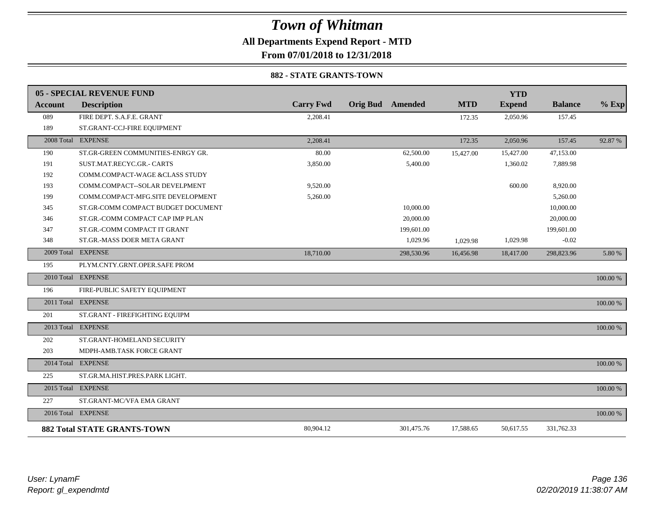**All Departments Expend Report - MTD**

**From 07/01/2018 to 12/31/2018**

#### **882 - STATE GRANTS-TOWN**

|         | 05 - SPECIAL REVENUE FUND          |                  |                         |            | <b>YTD</b>    |                |          |
|---------|------------------------------------|------------------|-------------------------|------------|---------------|----------------|----------|
| Account | <b>Description</b>                 | <b>Carry Fwd</b> | <b>Orig Bud</b> Amended | <b>MTD</b> | <b>Expend</b> | <b>Balance</b> | $%$ Exp  |
| 089     | FIRE DEPT. S.A.F.E. GRANT          | 2,208.41         |                         | 172.35     | 2,050.96      | 157.45         |          |
| 189     | ST.GRANT-CCJ-FIRE EQUIPMENT        |                  |                         |            |               |                |          |
|         | 2008 Total EXPENSE                 | 2,208.41         |                         | 172.35     | 2,050.96      | 157.45         | 92.87 %  |
| 190     | ST.GR-GREEN COMMUNITIES-ENRGY GR.  | 80.00            | 62,500.00               | 15,427.00  | 15,427.00     | 47,153.00      |          |
| 191     | SUST.MAT.RECYC.GR.- CARTS          | 3,850.00         | 5,400.00                |            | 1,360.02      | 7,889.98       |          |
| 192     | COMM.COMPACT-WAGE &CLASS STUDY     |                  |                         |            |               |                |          |
| 193     | COMM.COMPACT--SOLAR DEVELPMENT     | 9,520.00         |                         |            | 600.00        | 8,920.00       |          |
| 199     | COMM.COMPACT-MFG.SITE DEVELOPMENT  | 5,260.00         |                         |            |               | 5,260.00       |          |
| 345     | ST.GR-COMM COMPACT BUDGET DOCUMENT |                  | 10,000.00               |            |               | 10,000.00      |          |
| 346     | ST.GR.-COMM COMPACT CAP IMP PLAN   |                  | 20,000.00               |            |               | 20,000.00      |          |
| 347     | ST.GR.-COMM COMPACT IT GRANT       |                  | 199,601.00              |            |               | 199,601.00     |          |
| 348     | ST.GR.-MASS DOER META GRANT        |                  | 1,029.96                | 1,029.98   | 1,029.98      | $-0.02$        |          |
|         | 2009 Total EXPENSE                 | 18,710.00        | 298,530.96              | 16,456.98  | 18,417.00     | 298,823.96     | 5.80 %   |
| 195     | PLYM.CNTY.GRNT.OPER.SAFE PROM      |                  |                         |            |               |                |          |
|         | 2010 Total EXPENSE                 |                  |                         |            |               |                | 100.00 % |
| 196     | FIRE-PUBLIC SAFETY EQUIPMENT       |                  |                         |            |               |                |          |
|         | 2011 Total EXPENSE                 |                  |                         |            |               |                | 100.00 % |
| 201     | ST.GRANT - FIREFIGHTING EQUIPM     |                  |                         |            |               |                |          |
|         | 2013 Total EXPENSE                 |                  |                         |            |               |                | 100.00 % |
| 202     | ST.GRANT-HOMELAND SECURITY         |                  |                         |            |               |                |          |
| 203     | MDPH-AMB.TASK FORCE GRANT          |                  |                         |            |               |                |          |
|         | 2014 Total EXPENSE                 |                  |                         |            |               |                | 100.00 % |
| 225     | ST.GR.MA.HIST.PRES.PARK LIGHT.     |                  |                         |            |               |                |          |
|         | 2015 Total EXPENSE                 |                  |                         |            |               |                | 100.00 % |
| 227     | ST.GRANT-MC/VFA EMA GRANT          |                  |                         |            |               |                |          |
|         | 2016 Total EXPENSE                 |                  |                         |            |               |                | 100.00 % |
|         | <b>882 Total STATE GRANTS-TOWN</b> | 80,904.12        | 301,475.76              | 17,588.65  | 50,617.55     | 331,762.33     |          |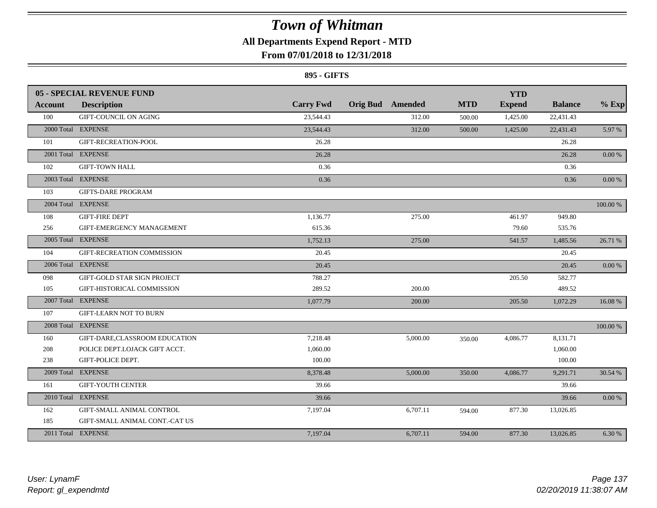### **All Departments Expend Report - MTD**

### **From 07/01/2018 to 12/31/2018**

#### **895 - GIFTS**

|            | <b>05 - SPECIAL REVENUE FUND</b> |                  |                         |          |            | <b>YTD</b>    |                |            |
|------------|----------------------------------|------------------|-------------------------|----------|------------|---------------|----------------|------------|
| Account    | <b>Description</b>               | <b>Carry Fwd</b> | <b>Orig Bud</b> Amended |          | <b>MTD</b> | <b>Expend</b> | <b>Balance</b> | $%$ Exp    |
| 100        | GIFT-COUNCIL ON AGING            | 23,544.43        |                         | 312.00   | 500.00     | 1,425.00      | 22,431.43      |            |
|            | 2000 Total EXPENSE               | 23,544.43        |                         | 312.00   | 500.00     | 1,425.00      | 22,431.43      | 5.97%      |
| 101        | GIFT-RECREATION-POOL             | 26.28            |                         |          |            |               | 26.28          |            |
|            | 2001 Total EXPENSE               | 26.28            |                         |          |            |               | 26.28          | 0.00 %     |
| 102        | <b>GIFT-TOWN HALL</b>            | 0.36             |                         |          |            |               | 0.36           |            |
|            | 2003 Total EXPENSE               | 0.36             |                         |          |            |               | 0.36           | $0.00 \%$  |
| 103        | <b>GIFTS-DARE PROGRAM</b>        |                  |                         |          |            |               |                |            |
|            | 2004 Total EXPENSE               |                  |                         |          |            |               |                | 100.00 %   |
| 108        | <b>GIFT-FIRE DEPT</b>            | 1,136.77         |                         | 275.00   |            | 461.97        | 949.80         |            |
| 256        | GIFT-EMERGENCY MANAGEMENT        | 615.36           |                         |          |            | 79.60         | 535.76         |            |
|            | 2005 Total EXPENSE               | 1,752.13         |                         | 275.00   |            | 541.57        | 1,485.56       | 26.71 %    |
| 104        | GIFT-RECREATION COMMISSION       | 20.45            |                         |          |            |               | 20.45          |            |
|            | 2006 Total EXPENSE               | 20.45            |                         |          |            |               | 20.45          | $0.00\%$   |
| 098        | GIFT-GOLD STAR SIGN PROJECT      | 788.27           |                         |          |            | 205.50        | 582.77         |            |
| 105        | GIFT-HISTORICAL COMMISSION       | 289.52           |                         | 200.00   |            |               | 489.52         |            |
|            | 2007 Total EXPENSE               | 1,077.79         |                         | 200.00   |            | 205.50        | 1,072.29       | 16.08%     |
| 107        | <b>GIFT-LEARN NOT TO BURN</b>    |                  |                         |          |            |               |                |            |
|            | 2008 Total EXPENSE               |                  |                         |          |            |               |                | 100.00 %   |
| 160        | GIFT-DARE, CLASSROOM EDUCATION   | 7,218.48         |                         | 5,000.00 | 350.00     | 4,086.77      | 8,131.71       |            |
| 208        | POLICE DEPT.LOJACK GIFT ACCT.    | 1,060.00         |                         |          |            |               | 1,060.00       |            |
| 238        | GIFT-POLICE DEPT.                | 100.00           |                         |          |            |               | 100.00         |            |
| 2009 Total | <b>EXPENSE</b>                   | 8,378.48         |                         | 5,000.00 | 350.00     | 4,086.77      | 9,291.71       | 30.54 %    |
| 161        | <b>GIFT-YOUTH CENTER</b>         | 39.66            |                         |          |            |               | 39.66          |            |
|            | 2010 Total EXPENSE               | 39.66            |                         |          |            |               | 39.66          | $0.00\,\%$ |
| 162        | GIFT-SMALL ANIMAL CONTROL        | 7,197.04         |                         | 6,707.11 | 594.00     | 877.30        | 13,026.85      |            |
| 185        | GIFT-SMALL ANIMAL CONT.-CAT US   |                  |                         |          |            |               |                |            |
|            | 2011 Total EXPENSE               | 7,197.04         |                         | 6,707.11 | 594.00     | 877.30        | 13,026.85      | 6.30 %     |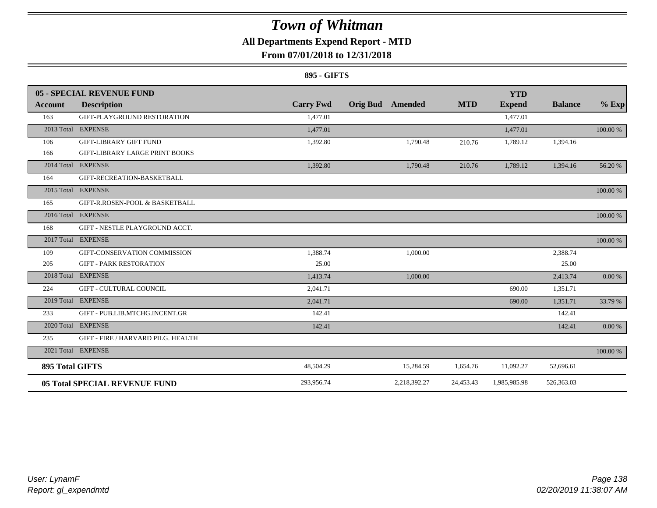### **All Departments Expend Report - MTD**

### **From 07/01/2018 to 12/31/2018**

#### **895 - GIFTS**

|                        | 05 - SPECIAL REVENUE FUND             |                  |                 |              |            | <b>YTD</b>    |                |          |
|------------------------|---------------------------------------|------------------|-----------------|--------------|------------|---------------|----------------|----------|
| <b>Account</b>         | <b>Description</b>                    | <b>Carry Fwd</b> | <b>Orig Bud</b> | Amended      | <b>MTD</b> | <b>Expend</b> | <b>Balance</b> | $%$ Exp  |
| 163                    | GIFT-PLAYGROUND RESTORATION           | 1.477.01         |                 |              |            | 1.477.01      |                |          |
|                        | 2013 Total EXPENSE                    | 1,477.01         |                 |              |            | 1,477.01      |                | 100.00 % |
| 106                    | <b>GIFT-LIBRARY GIFT FUND</b>         | 1,392.80         |                 | 1,790.48     | 210.76     | 1,789.12      | 1,394.16       |          |
| 166                    | <b>GIFT-LIBRARY LARGE PRINT BOOKS</b> |                  |                 |              |            |               |                |          |
|                        | 2014 Total EXPENSE                    | 1,392.80         |                 | 1,790.48     | 210.76     | 1,789.12      | 1,394.16       | 56.20 %  |
| 164                    | GIFT-RECREATION-BASKETBALL            |                  |                 |              |            |               |                |          |
|                        | 2015 Total EXPENSE                    |                  |                 |              |            |               |                | 100.00 % |
| 165                    | GIFT-R.ROSEN-POOL & BASKETBALL        |                  |                 |              |            |               |                |          |
|                        | 2016 Total EXPENSE                    |                  |                 |              |            |               |                | 100.00 % |
| 168                    | GIFT - NESTLE PLAYGROUND ACCT.        |                  |                 |              |            |               |                |          |
|                        | 2017 Total EXPENSE                    |                  |                 |              |            |               |                | 100.00 % |
| 109                    | GIFT-CONSERVATION COMMISSION          | 1,388.74         |                 | 1,000.00     |            |               | 2,388.74       |          |
| 205                    | <b>GIFT - PARK RESTORATION</b>        | 25.00            |                 |              |            |               | 25.00          |          |
|                        | 2018 Total EXPENSE                    | 1,413.74         |                 | 1,000.00     |            |               | 2,413.74       | 0.00 %   |
| 224                    | <b>GIFT - CULTURAL COUNCIL</b>        | 2.041.71         |                 |              |            | 690.00        | 1,351.71       |          |
|                        | 2019 Total EXPENSE                    | 2,041.71         |                 |              |            | 690.00        | 1,351.71       | 33.79 %  |
| 233                    | GIFT - PUB.LIB.MTCHG.INCENT.GR        | 142.41           |                 |              |            |               | 142.41         |          |
|                        | 2020 Total EXPENSE                    | 142.41           |                 |              |            |               | 142.41         | 0.00 %   |
| 235                    | GIFT - FIRE / HARVARD PILG. HEALTH    |                  |                 |              |            |               |                |          |
|                        | 2021 Total EXPENSE                    |                  |                 |              |            |               |                | 100.00 % |
| <b>895 Total GIFTS</b> |                                       | 48,504.29        |                 | 15,284.59    | 1,654.76   | 11,092.27     | 52,696.61      |          |
|                        | <b>05 Total SPECIAL REVENUE FUND</b>  | 293,956.74       |                 | 2,218,392.27 | 24,453.43  | 1,985,985.98  | 526,363.03     |          |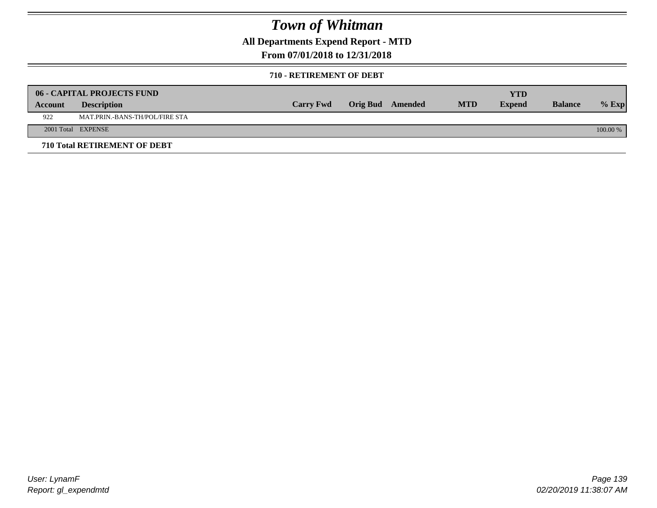**All Departments Expend Report - MTD**

### **From 07/01/2018 to 12/31/2018**

#### **710 - RETIREMENT OF DEBT**

|         | <b>06 - CAPITAL PROJECTS FUND</b>     |                  |                  |            | YTD           |                |            |
|---------|---------------------------------------|------------------|------------------|------------|---------------|----------------|------------|
| Account | <b>Description</b>                    | <b>Carry Fwd</b> | Orig Bud Amended | <b>MTD</b> | <b>Expend</b> | <b>Balance</b> | $%$ Exp    |
| 922     | <b>MAT.PRIN.-BANS-TH/POL/FIRE STA</b> |                  |                  |            |               |                |            |
|         | 2001 Total EXPENSE                    |                  |                  |            |               |                | $100.00\%$ |
|         | 710 Total RETIREMENT OF DEBT          |                  |                  |            |               |                |            |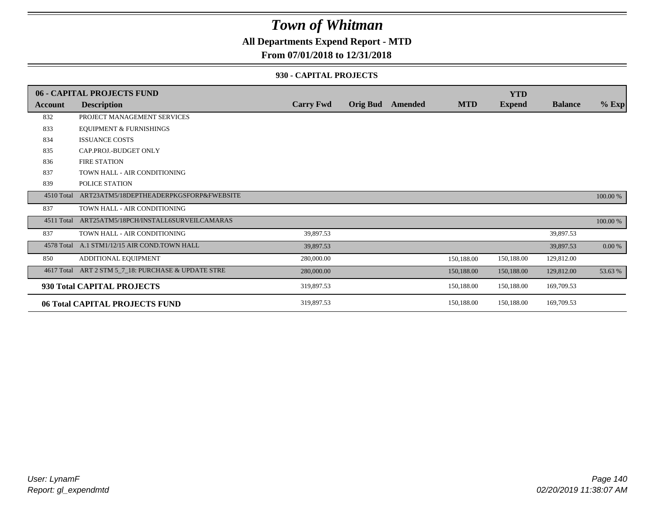### **All Departments Expend Report - MTD**

### **From 07/01/2018 to 12/31/2018**

#### **930 - CAPITAL PROJECTS**

|                | 06 - CAPITAL PROJECTS FUND                   |                  |                 |         |            | <b>YTD</b>    |                |          |
|----------------|----------------------------------------------|------------------|-----------------|---------|------------|---------------|----------------|----------|
| <b>Account</b> | <b>Description</b>                           | <b>Carry Fwd</b> | <b>Orig Bud</b> | Amended | <b>MTD</b> | <b>Expend</b> | <b>Balance</b> | $%$ Exp  |
| 832            | PROJECT MANAGEMENT SERVICES                  |                  |                 |         |            |               |                |          |
| 833            | <b>EQUIPMENT &amp; FURNISHINGS</b>           |                  |                 |         |            |               |                |          |
| 834            | <b>ISSUANCE COSTS</b>                        |                  |                 |         |            |               |                |          |
| 835            | CAP.PROJ.-BUDGET ONLY                        |                  |                 |         |            |               |                |          |
| 836            | <b>FIRE STATION</b>                          |                  |                 |         |            |               |                |          |
| 837            | TOWN HALL - AIR CONDITIONING                 |                  |                 |         |            |               |                |          |
| 839            | POLICE STATION                               |                  |                 |         |            |               |                |          |
| 4510 Total     | ART23ATM5/18DEPTHEADERPKGSFORP&FWEBSITE      |                  |                 |         |            |               |                | 100.00 % |
| 837            | TOWN HALL - AIR CONDITIONING                 |                  |                 |         |            |               |                |          |
| 4511 Total     | ART25ATM5/18PCH/INSTALL6SURVEILCAMARAS       |                  |                 |         |            |               |                | 100.00 % |
| 837            | TOWN HALL - AIR CONDITIONING                 | 39,897.53        |                 |         |            |               | 39,897.53      |          |
|                | 4578 Total A.1 STM1/12/15 AIR COND.TOWN HALL | 39,897.53        |                 |         |            |               | 39,897.53      | 0.00 %   |
| 850            | ADDITIONAL EQUIPMENT                         | 280,000.00       |                 |         | 150,188.00 | 150,188.00    | 129,812.00     |          |
| 4617 Total     | ART 2 STM 5_7_18: PURCHASE & UPDATE STRE     | 280,000.00       |                 |         | 150,188.00 | 150,188.00    | 129,812.00     | 53.63 %  |
|                | 930 Total CAPITAL PROJECTS                   | 319,897.53       |                 |         | 150,188.00 | 150,188.00    | 169,709.53     |          |
|                | 06 Total CAPITAL PROJECTS FUND               | 319,897.53       |                 |         | 150,188.00 | 150,188.00    | 169,709.53     |          |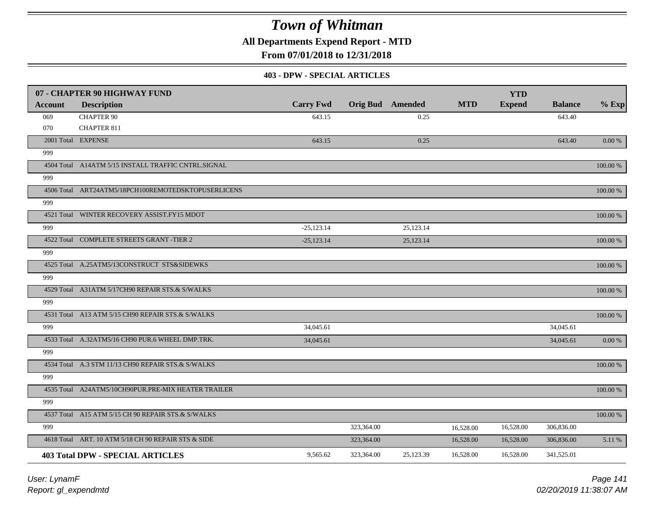**All Departments Expend Report - MTD**

**From 07/01/2018 to 12/31/2018**

#### **403 - DPW - SPECIAL ARTICLES**

|         | 07 - CHAPTER 90 HIGHWAY FUND                        |                  |            |                         |            | <b>YTD</b>    |                |             |
|---------|-----------------------------------------------------|------------------|------------|-------------------------|------------|---------------|----------------|-------------|
| Account | <b>Description</b>                                  | <b>Carry Fwd</b> |            | <b>Orig Bud</b> Amended | <b>MTD</b> | <b>Expend</b> | <b>Balance</b> | $%$ Exp     |
| 069     | <b>CHAPTER 90</b>                                   | 643.15           |            | 0.25                    |            |               | 643.40         |             |
| 070     | <b>CHAPTER 811</b>                                  |                  |            |                         |            |               |                |             |
|         | 2001 Total EXPENSE                                  | 643.15           |            | 0.25                    |            |               | 643.40         | 0.00 %      |
| 999     |                                                     |                  |            |                         |            |               |                |             |
|         | 4504 Total A14ATM 5/15 INSTALL TRAFFIC CNTRL.SIGNAL |                  |            |                         |            |               |                | 100.00 %    |
| 999     |                                                     |                  |            |                         |            |               |                |             |
|         | 4506 Total ART24ATM5/18PCH100REMOTEDSKTOPUSERLICENS |                  |            |                         |            |               |                | 100.00 %    |
| 999     |                                                     |                  |            |                         |            |               |                |             |
|         | 4521 Total WINTER RECOVERY ASSIST.FY15 MDOT         |                  |            |                         |            |               |                | 100.00 %    |
| 999     |                                                     | $-25,123.14$     |            | 25,123.14               |            |               |                |             |
|         | 4522 Total COMPLETE STREETS GRANT -TIER 2           | $-25,123.14$     |            | 25,123.14               |            |               |                | 100.00 %    |
| 999     |                                                     |                  |            |                         |            |               |                |             |
|         | 4525 Total A.25ATM5/13CONSTRUCT STS&SIDEWKS         |                  |            |                         |            |               |                | $100.00~\%$ |
| 999     |                                                     |                  |            |                         |            |               |                |             |
|         | 4529 Total A31ATM 5/17CH90 REPAIR STS.& S/WALKS     |                  |            |                         |            |               |                | 100.00 %    |
| 999     |                                                     |                  |            |                         |            |               |                |             |
|         | 4531 Total A13 ATM 5/15 CH90 REPAIR STS.& S/WALKS   |                  |            |                         |            |               |                | 100.00 %    |
| 999     |                                                     | 34,045.61        |            |                         |            |               | 34,045.61      |             |
|         | 4533 Total A.32ATM5/16 CH90 PUR.6 WHEEL DMP.TRK.    | 34,045.61        |            |                         |            |               | 34,045.61      | $0.00\ \%$  |
| 999     |                                                     |                  |            |                         |            |               |                |             |
|         | 4534 Total A.3 STM 11/13 CH90 REPAIR STS.& S/WALKS  |                  |            |                         |            |               |                | 100.00 %    |
| 999     |                                                     |                  |            |                         |            |               |                |             |
|         | 4535 Total A24ATM5/10CH90PUR.PRE-MIX HEATER TRAILER |                  |            |                         |            |               |                | 100.00 %    |
| 999     |                                                     |                  |            |                         |            |               |                |             |
|         | 4537 Total A15 ATM 5/15 CH 90 REPAIR STS.& S/WALKS  |                  |            |                         |            |               |                | 100.00 %    |
| 999     |                                                     |                  | 323,364.00 |                         | 16,528.00  | 16,528.00     | 306,836.00     |             |
|         | 4618 Total ART. 10 ATM 5/18 CH 90 REPAIR STS & SIDE |                  | 323,364.00 |                         | 16,528.00  | 16,528.00     | 306,836.00     | 5.11 %      |
|         | <b>403 Total DPW - SPECIAL ARTICLES</b>             | 9,565.62         | 323,364.00 | 25,123.39               | 16,528.00  | 16,528.00     | 341,525.01     |             |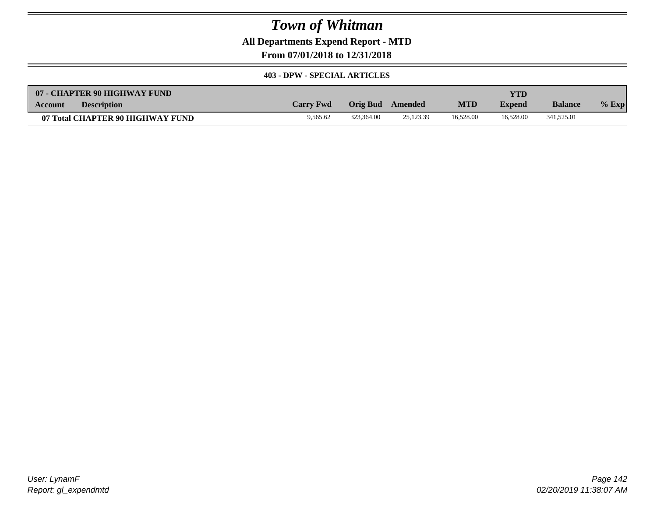**All Departments Expend Report - MTD**

**From 07/01/2018 to 12/31/2018**

#### **403 - DPW - SPECIAL ARTICLES**

| 07 - CHAPTER 90 HIGHWAY FUND         |                  |            |           |            | YTD           |                |         |
|--------------------------------------|------------------|------------|-----------|------------|---------------|----------------|---------|
| <b>Description</b><br><b>Account</b> | <b>Carry Fwd</b> | Orig Bud   | Amended   | <b>MTD</b> | <b>Expend</b> | <b>Balance</b> | $%$ Exp |
| 07 Total CHAPTER 90 HIGHWAY FUND     | 9.565.62         | 323.364.00 | 25,123.39 | 16.528.00  | 16.528.00     | 341,525.01     |         |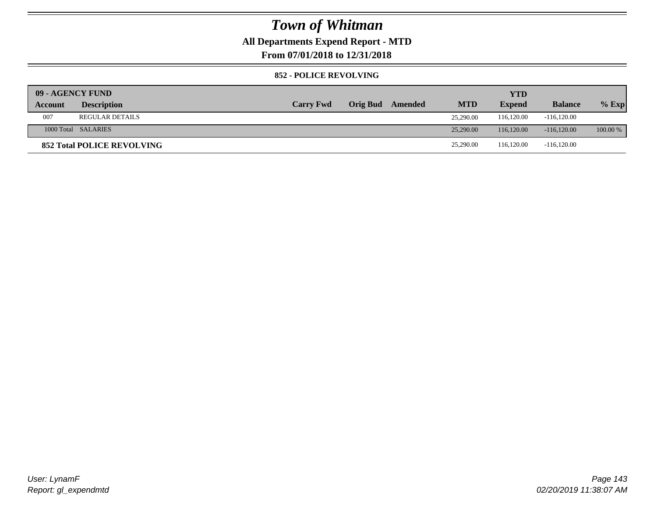### **All Departments Expend Report - MTD**

**From 07/01/2018 to 12/31/2018**

#### **852 - POLICE REVOLVING**

|         | 09 - AGENCY FUND                  |                  |                 |         |            | <b>YTD</b>    |                |            |
|---------|-----------------------------------|------------------|-----------------|---------|------------|---------------|----------------|------------|
| Account | <b>Description</b>                | <b>Carry Fwd</b> | <b>Orig Bud</b> | Amended | <b>MTD</b> | <b>Expend</b> | <b>Balance</b> | $%$ Exp    |
| 007     | <b>REGULAR DETAILS</b>            |                  |                 |         | 25,290.00  | 116,120.00    | $-116,120.00$  |            |
|         | 1000 Total SALARIES               |                  |                 |         | 25,290.00  | 116,120,00    | $-116,120,00$  | $100.00\%$ |
|         | <b>852 Total POLICE REVOLVING</b> |                  |                 |         | 25,290.00  | 116,120.00    | $-116,120.00$  |            |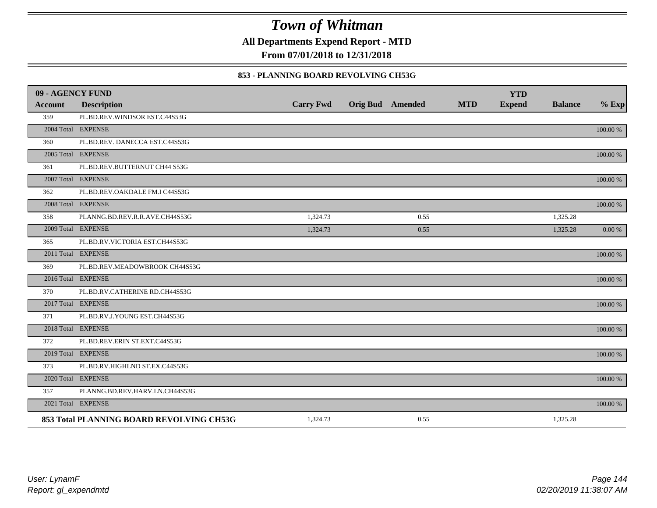**All Departments Expend Report - MTD**

**From 07/01/2018 to 12/31/2018**

#### **853 - PLANNING BOARD REVOLVING CH53G**

| 09 - AGENCY FUND |                                          |                  |                         |            | <b>YTD</b>    |                |             |
|------------------|------------------------------------------|------------------|-------------------------|------------|---------------|----------------|-------------|
| <b>Account</b>   | <b>Description</b>                       | <b>Carry Fwd</b> | <b>Orig Bud</b> Amended | <b>MTD</b> | <b>Expend</b> | <b>Balance</b> | $%$ Exp     |
| 359              | PL.BD.REV.WINDSOR EST.C44S53G            |                  |                         |            |               |                |             |
|                  | 2004 Total EXPENSE                       |                  |                         |            |               |                | 100.00 %    |
| 360              | PL.BD.REV. DANECCA EST.C44S53G           |                  |                         |            |               |                |             |
|                  | 2005 Total EXPENSE                       |                  |                         |            |               |                | 100.00 %    |
| 361              | PL.BD.REV.BUTTERNUT CH44 S53G            |                  |                         |            |               |                |             |
|                  | 2007 Total EXPENSE                       |                  |                         |            |               |                | $100.00~\%$ |
| 362              | PL.BD.REV.OAKDALE FM.I C44S53G           |                  |                         |            |               |                |             |
|                  | 2008 Total EXPENSE                       |                  |                         |            |               |                | 100.00 %    |
| 358              | PLANNG.BD.REV.R.R.AVE.CH44S53G           | 1,324.73         | 0.55                    |            |               | 1,325.28       |             |
|                  | 2009 Total EXPENSE                       | 1,324.73         | 0.55                    |            |               | 1,325.28       | 0.00 %      |
| 365              | PL.BD.RV.VICTORIA EST.CH44S53G           |                  |                         |            |               |                |             |
|                  | 2011 Total EXPENSE                       |                  |                         |            |               |                | $100.00~\%$ |
| 369              | PL.BD.REV.MEADOWBROOK CH44S53G           |                  |                         |            |               |                |             |
|                  | 2016 Total EXPENSE                       |                  |                         |            |               |                | 100.00 %    |
| 370              | PL.BD.RV.CATHERINE RD.CH44S53G           |                  |                         |            |               |                |             |
|                  | 2017 Total EXPENSE                       |                  |                         |            |               |                | 100.00 %    |
| 371              | PL.BD.RV.J.YOUNG EST.CH44S53G            |                  |                         |            |               |                |             |
|                  | 2018 Total EXPENSE                       |                  |                         |            |               |                | 100.00 %    |
| 372              | PL.BD.REV.ERIN ST.EXT.C44S53G            |                  |                         |            |               |                |             |
|                  | 2019 Total EXPENSE                       |                  |                         |            |               |                | 100.00 %    |
| 373              | PL.BD.RV.HIGHLND ST.EX.C44S53G           |                  |                         |            |               |                |             |
|                  | 2020 Total EXPENSE                       |                  |                         |            |               |                | 100.00 %    |
| 357              | PLANNG.BD.REV.HARV.LN.CH44S53G           |                  |                         |            |               |                |             |
|                  | 2021 Total EXPENSE                       |                  |                         |            |               |                | 100.00 %    |
|                  | 853 Total PLANNING BOARD REVOLVING CH53G | 1,324.73         | 0.55                    |            |               | 1,325.28       |             |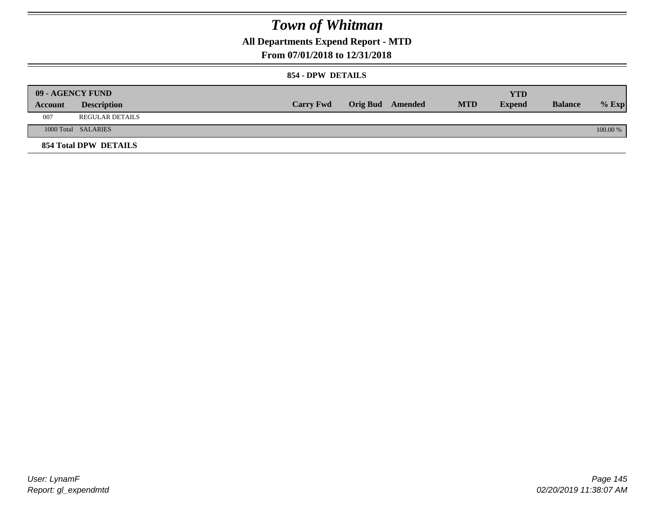**All Departments Expend Report - MTD**

### **From 07/01/2018 to 12/31/2018**

#### **854 - DPW DETAILS**

|         | <b>09 - AGENCY FUND</b> |                  |                         |            | YTD           |                |            |
|---------|-------------------------|------------------|-------------------------|------------|---------------|----------------|------------|
| Account | <b>Description</b>      | <b>Carry Fwd</b> | <b>Orig Bud</b> Amended | <b>MTD</b> | <b>Expend</b> | <b>Balance</b> | $%$ Exp    |
| 007     | REGULAR DETAILS         |                  |                         |            |               |                |            |
|         | 1000 Total SALARIES     |                  |                         |            |               |                | $100.00\%$ |
|         | 854 Total DPW DETAILS   |                  |                         |            |               |                |            |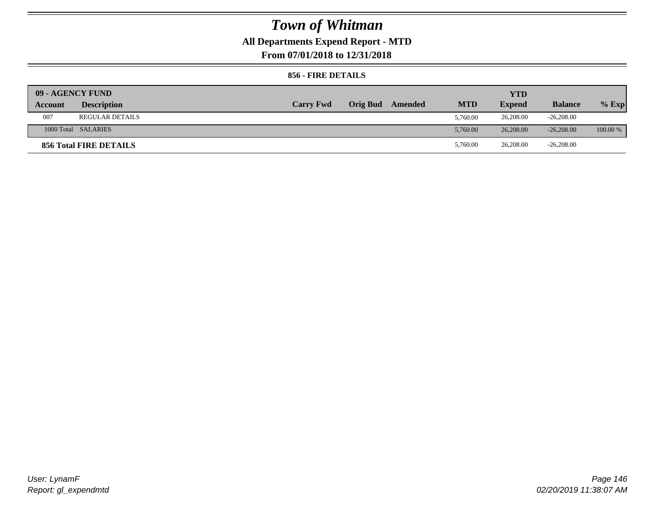## **All Departments Expend Report - MTD**

**From 07/01/2018 to 12/31/2018**

#### **856 - FIRE DETAILS**

| 09 - AGENCY FUND |                        |                  |                 |         |            | <b>YTD</b>    |                |            |
|------------------|------------------------|------------------|-----------------|---------|------------|---------------|----------------|------------|
| Account          | <b>Description</b>     | <b>Carry Fwd</b> | <b>Orig Bud</b> | Amended | <b>MTD</b> | <b>Expend</b> | <b>Balance</b> | $%$ Exp    |
| 007              | <b>REGULAR DETAILS</b> |                  |                 |         | 5.760.00   | 26,208.00     | $-26,208.00$   |            |
|                  | 1000 Total SALARIES    |                  |                 |         | 5.760.00   | 26,208,00     | $-26,208,00$   | $100.00\%$ |
|                  | 856 Total FIRE DETAILS |                  |                 |         | 5,760.00   | 26,208.00     | $-26,208.00$   |            |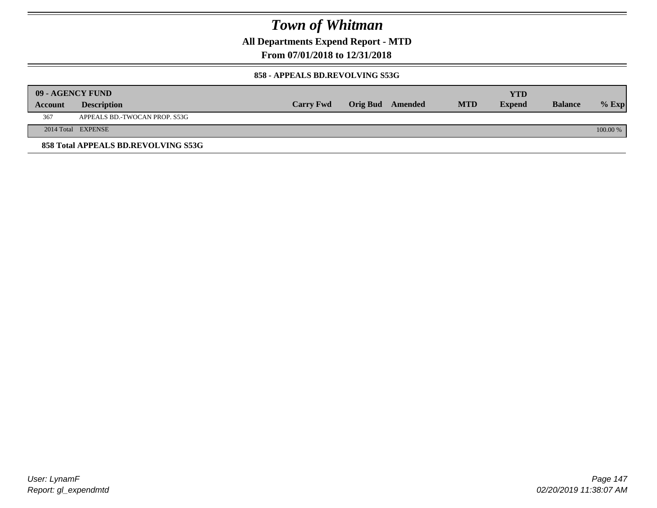**All Departments Expend Report - MTD**

### **From 07/01/2018 to 12/31/2018**

#### **858 - APPEALS BD.REVOLVING S53G**

|         | 09 - AGENCY FUND                    |                  |                         |            | <b>YTD</b>    |                |            |
|---------|-------------------------------------|------------------|-------------------------|------------|---------------|----------------|------------|
| Account | <b>Description</b>                  | <b>Carry Fwd</b> | <b>Orig Bud</b> Amended | <b>MTD</b> | <b>Expend</b> | <b>Balance</b> | $%$ Exp    |
| 367     | APPEALS BD.-TWOCAN PROP. S53G       |                  |                         |            |               |                |            |
|         | 2014 Total EXPENSE                  |                  |                         |            |               |                | $100.00\%$ |
|         | 858 Total APPEALS BD.REVOLVING S53G |                  |                         |            |               |                |            |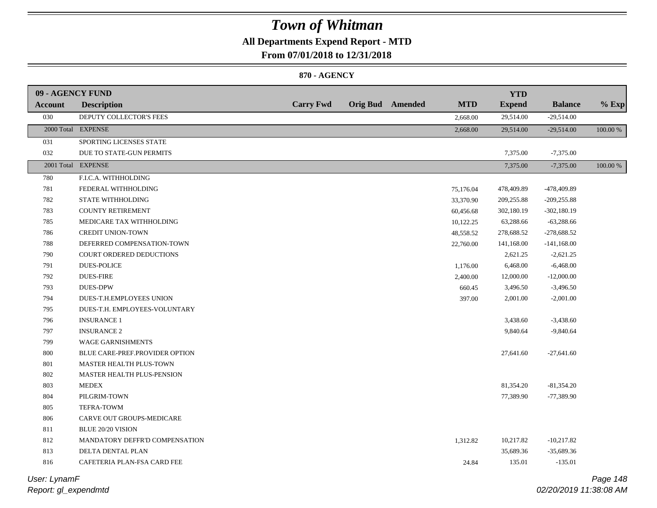## **All Departments Expend Report - MTD**

**From 07/01/2018 to 12/31/2018**

#### **870 - AGENCY**

| 09 - AGENCY FUND |                                |                  |                         |            | <b>YTD</b>    |                |          |
|------------------|--------------------------------|------------------|-------------------------|------------|---------------|----------------|----------|
| <b>Account</b>   | <b>Description</b>             | <b>Carry Fwd</b> | <b>Orig Bud</b> Amended | <b>MTD</b> | <b>Expend</b> | <b>Balance</b> | $%$ Exp  |
| 030              | DEPUTY COLLECTOR'S FEES        |                  |                         | 2,668.00   | 29,514.00     | $-29,514.00$   |          |
|                  | 2000 Total EXPENSE             |                  |                         | 2,668.00   | 29,514.00     | $-29,514.00$   | 100.00 % |
| 031              | SPORTING LICENSES STATE        |                  |                         |            |               |                |          |
| 032              | DUE TO STATE-GUN PERMITS       |                  |                         |            | 7,375.00      | $-7,375.00$    |          |
|                  | 2001 Total EXPENSE             |                  |                         |            | 7,375.00      | $-7,375.00$    | 100.00 % |
| 780              | F.I.C.A. WITHHOLDING           |                  |                         |            |               |                |          |
| 781              | FEDERAL WITHHOLDING            |                  |                         | 75,176.04  | 478,409.89    | -478,409.89    |          |
| 782              | <b>STATE WITHHOLDING</b>       |                  |                         | 33,370.90  | 209,255.88    | $-209,255.88$  |          |
| 783              | <b>COUNTY RETIREMENT</b>       |                  |                         | 60,456.68  | 302,180.19    | $-302,180.19$  |          |
| 785              | MEDICARE TAX WITHHOLDING       |                  |                         | 10,122.25  | 63,288.66     | $-63,288.66$   |          |
| 786              | <b>CREDIT UNION-TOWN</b>       |                  |                         | 48,558.52  | 278,688.52    | $-278,688.52$  |          |
| 788              | DEFERRED COMPENSATION-TOWN     |                  |                         | 22,760.00  | 141,168.00    | $-141,168.00$  |          |
| 790              | COURT ORDERED DEDUCTIONS       |                  |                         |            | 2,621.25      | $-2,621.25$    |          |
| 791              | <b>DUES-POLICE</b>             |                  |                         | 1,176.00   | 6,468.00      | $-6,468.00$    |          |
| 792              | <b>DUES-FIRE</b>               |                  |                         | 2,400.00   | 12,000.00     | $-12,000.00$   |          |
| 793              | <b>DUES-DPW</b>                |                  |                         | 660.45     | 3,496.50      | $-3,496.50$    |          |
| 794              | DUES-T.H.EMPLOYEES UNION       |                  |                         | 397.00     | 2,001.00      | $-2,001.00$    |          |
| 795              | DUES-T.H. EMPLOYEES-VOLUNTARY  |                  |                         |            |               |                |          |
| 796              | <b>INSURANCE 1</b>             |                  |                         |            | 3,438.60      | $-3,438.60$    |          |
| 797              | <b>INSURANCE 2</b>             |                  |                         |            | 9,840.64      | $-9,840.64$    |          |
| 799              | <b>WAGE GARNISHMENTS</b>       |                  |                         |            |               |                |          |
| 800              | BLUE CARE-PREF.PROVIDER OPTION |                  |                         |            | 27,641.60     | $-27,641.60$   |          |
| 801              | <b>MASTER HEALTH PLUS-TOWN</b> |                  |                         |            |               |                |          |
| 802              | MASTER HEALTH PLUS-PENSION     |                  |                         |            |               |                |          |
| 803              | <b>MEDEX</b>                   |                  |                         |            | 81,354.20     | $-81,354.20$   |          |
| 804              | PILGRIM-TOWN                   |                  |                         |            | 77,389.90     | $-77,389.90$   |          |
| 805              | TEFRA-TOWM                     |                  |                         |            |               |                |          |
| 806              | CARVE OUT GROUPS-MEDICARE      |                  |                         |            |               |                |          |
| 811              | <b>BLUE 20/20 VISION</b>       |                  |                         |            |               |                |          |
| 812              | MANDATORY DEFFR'D COMPENSATION |                  |                         | 1,312.82   | 10,217.82     | $-10,217.82$   |          |
| 813              | DELTA DENTAL PLAN              |                  |                         |            | 35,689.36     | $-35,689.36$   |          |
| 816              | CAFETERIA PLAN-FSA CARD FEE    |                  |                         | 24.84      | 135.01        | $-135.01$      |          |
|                  |                                |                  |                         |            |               |                |          |

*Report: gl\_expendmtd User: LynamF*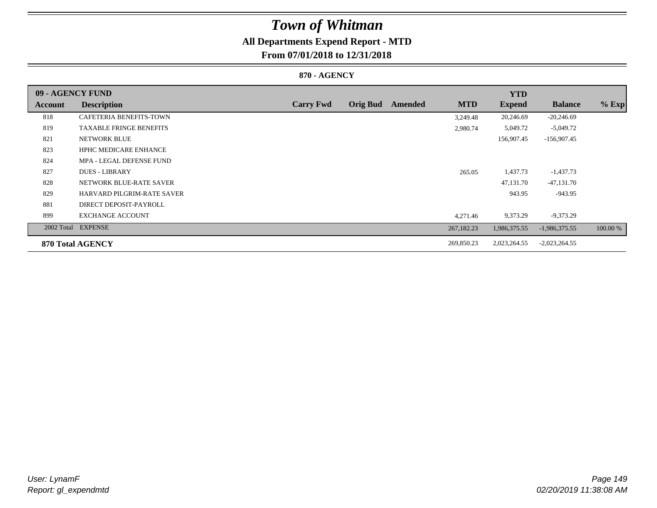## **All Departments Expend Report - MTD**

### **From 07/01/2018 to 12/31/2018**

#### **870 - AGENCY**

| 09 - AGENCY FUND |                                   |                  |                 |         |            | <b>YTD</b>    |                 |          |
|------------------|-----------------------------------|------------------|-----------------|---------|------------|---------------|-----------------|----------|
| Account          | <b>Description</b>                | <b>Carry Fwd</b> | <b>Orig Bud</b> | Amended | <b>MTD</b> | <b>Expend</b> | <b>Balance</b>  | $%$ Exp  |
| 818              | CAFETERIA BENEFITS-TOWN           |                  |                 |         | 3,249.48   | 20,246.69     | $-20,246.69$    |          |
| 819              | <b>TAXABLE FRINGE BENEFITS</b>    |                  |                 |         | 2,980.74   | 5,049.72      | $-5,049.72$     |          |
| 821              | <b>NETWORK BLUE</b>               |                  |                 |         |            | 156,907.45    | $-156,907.45$   |          |
| 823              | <b>HPHC MEDICARE ENHANCE</b>      |                  |                 |         |            |               |                 |          |
| 824              | MPA - LEGAL DEFENSE FUND          |                  |                 |         |            |               |                 |          |
| 827              | <b>DUES - LIBRARY</b>             |                  |                 |         | 265.05     | 1,437.73      | $-1,437.73$     |          |
| 828              | NETWORK BLUE-RATE SAVER           |                  |                 |         |            | 47,131.70     | $-47,131.70$    |          |
| 829              | <b>HARVARD PILGRIM-RATE SAVER</b> |                  |                 |         |            | 943.95        | $-943.95$       |          |
| 881              | DIRECT DEPOSIT-PAYROLL            |                  |                 |         |            |               |                 |          |
| 899              | <b>EXCHANGE ACCOUNT</b>           |                  |                 |         | 4,271.46   | 9,373.29      | $-9,373.29$     |          |
| 2002 Total       | <b>EXPENSE</b>                    |                  |                 |         | 267,182.23 | 1,986,375.55  | $-1,986,375.55$ | 100.00 % |
|                  | 870 Total AGENCY                  |                  |                 |         | 269,850.23 | 2,023,264.55  | $-2,023,264.55$ |          |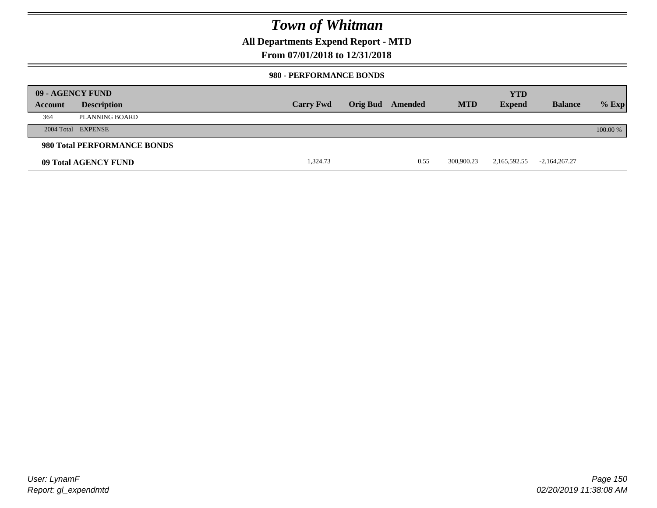**All Departments Expend Report - MTD**

### **From 07/01/2018 to 12/31/2018**

#### **980 - PERFORMANCE BONDS**

|         | 09 - AGENCY FUND            |                  |                 |         |            | <b>YTD</b>    |                 |          |
|---------|-----------------------------|------------------|-----------------|---------|------------|---------------|-----------------|----------|
| Account | <b>Description</b>          | <b>Carry Fwd</b> | <b>Orig Bud</b> | Amended | <b>MTD</b> | <b>Expend</b> | <b>Balance</b>  | $%$ Exp  |
| 364     | PLANNING BOARD              |                  |                 |         |            |               |                 |          |
|         | 2004 Total EXPENSE          |                  |                 |         |            |               |                 | 100.00 % |
|         | 980 Total PERFORMANCE BONDS |                  |                 |         |            |               |                 |          |
|         | 09 Total AGENCY FUND        | 1,324.73         |                 | 0.55    | 300,900.23 | 2,165,592.55  | $-2,164,267.27$ |          |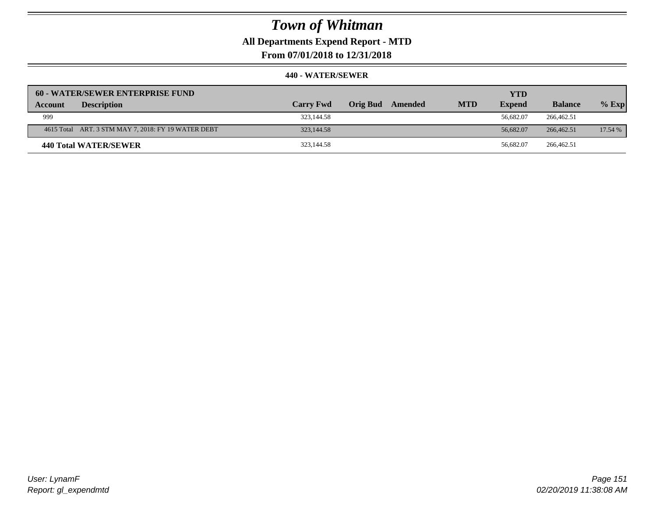**All Departments Expend Report - MTD**

**From 07/01/2018 to 12/31/2018**

|         | <b>60 - WATER/SEWER ENTERPRISE FUND</b>             |                  |          |         |            | <b>YTD</b>    |                |         |
|---------|-----------------------------------------------------|------------------|----------|---------|------------|---------------|----------------|---------|
| Account | <b>Description</b>                                  | <b>Carry Fwd</b> | Orig Bud | Amended | <b>MTD</b> | <b>Expend</b> | <b>Balance</b> | $%$ Exp |
| 999     |                                                     | 323,144.58       |          |         |            | 56.682.07     | 266,462.51     |         |
|         | 4615 Total ART. 3 STM MAY 7, 2018: FY 19 WATER DEBT | 323,144.58       |          |         |            | 56,682.07     | 266,462.51     | 17.54 % |
|         | 440 Total WATER/SEWER                               | 323,144.58       |          |         |            | 56.682.07     | 266,462.51     |         |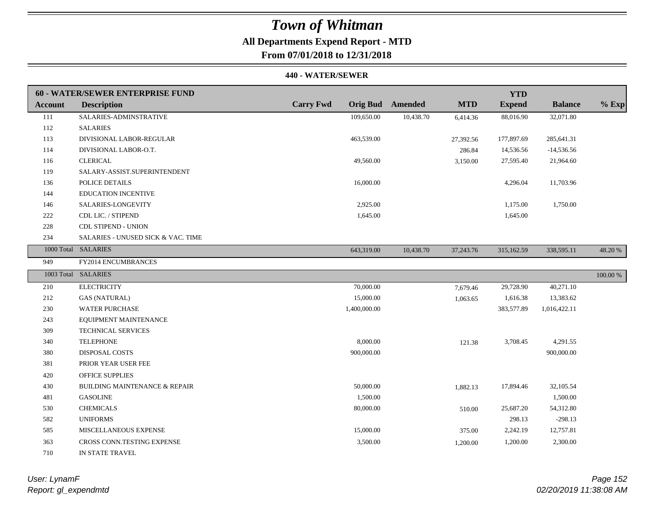## **All Departments Expend Report - MTD**

**From 07/01/2018 to 12/31/2018**

#### **440 - WATER/SEWER**

|                | 60 - WATER/SEWER ENTERPRISE FUND         |                  |                         |            | <b>YTD</b>    |                |          |
|----------------|------------------------------------------|------------------|-------------------------|------------|---------------|----------------|----------|
| <b>Account</b> | <b>Description</b>                       | <b>Carry Fwd</b> | <b>Orig Bud</b> Amended | <b>MTD</b> | <b>Expend</b> | <b>Balance</b> | $%$ Exp  |
| 111            | SALARIES-ADMINSTRATIVE                   | 109,650.00       | 10,438.70               | 6,414.36   | 88,016.90     | 32,071.80      |          |
| 112            | <b>SALARIES</b>                          |                  |                         |            |               |                |          |
| 113            | DIVISIONAL LABOR-REGULAR                 | 463,539.00       |                         | 27,392.56  | 177,897.69    | 285,641.31     |          |
| 114            | DIVISIONAL LABOR-O.T.                    |                  |                         | 286.84     | 14,536.56     | $-14,536.56$   |          |
| 116            | <b>CLERICAL</b>                          | 49,560.00        |                         | 3,150.00   | 27,595.40     | 21,964.60      |          |
| 119            | SALARY-ASSIST.SUPERINTENDENT             |                  |                         |            |               |                |          |
| 136            | POLICE DETAILS                           | 16,000.00        |                         |            | 4,296.04      | 11,703.96      |          |
| 144            | <b>EDUCATION INCENTIVE</b>               |                  |                         |            |               |                |          |
| 146            | SALARIES-LONGEVITY                       | 2,925.00         |                         |            | 1,175.00      | 1,750.00       |          |
| 222            | CDL LIC. / STIPEND                       | 1,645.00         |                         |            | 1,645.00      |                |          |
| 228            | <b>CDL STIPEND - UNION</b>               |                  |                         |            |               |                |          |
| 234            | SALARIES - UNUSED SICK & VAC. TIME       |                  |                         |            |               |                |          |
|                | 1000 Total SALARIES                      | 643,319.00       | 10,438.70               | 37,243.76  | 315,162.59    | 338,595.11     | 48.20%   |
| 949            | FY2014 ENCUMBRANCES                      |                  |                         |            |               |                |          |
|                | 1003 Total SALARIES                      |                  |                         |            |               |                | 100.00 % |
| 210            | <b>ELECTRICITY</b>                       | 70,000.00        |                         | 7,679.46   | 29,728.90     | 40,271.10      |          |
| 212            | <b>GAS (NATURAL)</b>                     | 15,000.00        |                         | 1,063.65   | 1,616.38      | 13,383.62      |          |
| 230            | <b>WATER PURCHASE</b>                    | 1,400,000.00     |                         |            | 383,577.89    | 1,016,422.11   |          |
| 243            | EQUIPMENT MAINTENANCE                    |                  |                         |            |               |                |          |
| 309            | TECHNICAL SERVICES                       |                  |                         |            |               |                |          |
| 340            | <b>TELEPHONE</b>                         | 8,000.00         |                         | 121.38     | 3,708.45      | 4,291.55       |          |
| 380            | DISPOSAL COSTS                           | 900,000.00       |                         |            |               | 900,000.00     |          |
| 381            | PRIOR YEAR USER FEE                      |                  |                         |            |               |                |          |
| 420            | <b>OFFICE SUPPLIES</b>                   |                  |                         |            |               |                |          |
| 430            | <b>BUILDING MAINTENANCE &amp; REPAIR</b> | 50,000.00        |                         | 1,882.13   | 17,894.46     | 32,105.54      |          |
| 481            | <b>GASOLINE</b>                          | 1,500.00         |                         |            |               | 1,500.00       |          |
| 530            | <b>CHEMICALS</b>                         | 80,000.00        |                         | 510.00     | 25,687.20     | 54,312.80      |          |
| 582            | <b>UNIFORMS</b>                          |                  |                         |            | 298.13        | $-298.13$      |          |
| 585            | MISCELLANEOUS EXPENSE                    | 15,000.00        |                         | 375.00     | 2,242.19      | 12,757.81      |          |
| 363            | CROSS CONN.TESTING EXPENSE               | 3,500.00         |                         | 1,200.00   | 1,200.00      | 2,300.00       |          |
| 710            | IN STATE TRAVEL                          |                  |                         |            |               |                |          |

*Report: gl\_expendmtd User: LynamF*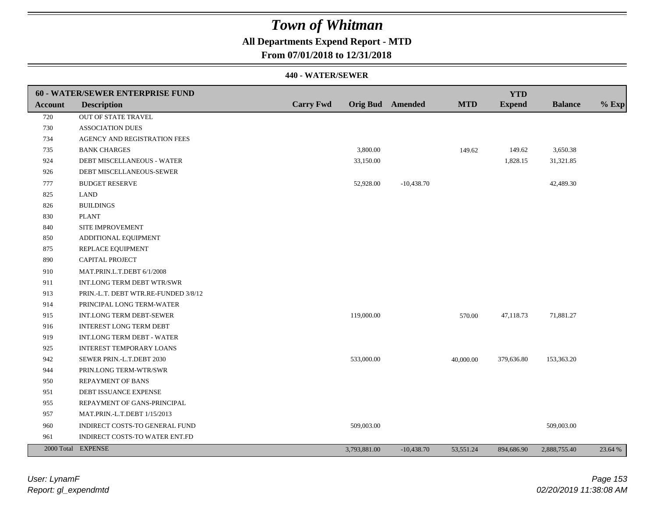### **All Departments Expend Report - MTD**

**From 07/01/2018 to 12/31/2018**

|                | <b>60 - WATER/SEWER ENTERPRISE FUND</b> |                  |                  |              |            | <b>YTD</b>    |                |         |
|----------------|-----------------------------------------|------------------|------------------|--------------|------------|---------------|----------------|---------|
| <b>Account</b> | <b>Description</b>                      | <b>Carry Fwd</b> | Orig Bud Amended |              | <b>MTD</b> | <b>Expend</b> | <b>Balance</b> | $%$ Exp |
| 720            | OUT OF STATE TRAVEL                     |                  |                  |              |            |               |                |         |
| 730            | <b>ASSOCIATION DUES</b>                 |                  |                  |              |            |               |                |         |
| 734            | AGENCY AND REGISTRATION FEES            |                  |                  |              |            |               |                |         |
| 735            | <b>BANK CHARGES</b>                     |                  | 3,800.00         |              | 149.62     | 149.62        | 3,650.38       |         |
| 924            | DEBT MISCELLANEOUS - WATER              |                  | 33,150.00        |              |            | 1,828.15      | 31,321.85      |         |
| 926            | DEBT MISCELLANEOUS-SEWER                |                  |                  |              |            |               |                |         |
| 777            | <b>BUDGET RESERVE</b>                   |                  | 52,928.00        | $-10,438.70$ |            |               | 42,489.30      |         |
| 825            | LAND                                    |                  |                  |              |            |               |                |         |
| 826            | <b>BUILDINGS</b>                        |                  |                  |              |            |               |                |         |
| 830            | <b>PLANT</b>                            |                  |                  |              |            |               |                |         |
| 840            | SITE IMPROVEMENT                        |                  |                  |              |            |               |                |         |
| 850            | ADDITIONAL EQUIPMENT                    |                  |                  |              |            |               |                |         |
| 875            | REPLACE EQUIPMENT                       |                  |                  |              |            |               |                |         |
| 890            | CAPITAL PROJECT                         |                  |                  |              |            |               |                |         |
| 910            | MAT.PRIN.L.T.DEBT 6/1/2008              |                  |                  |              |            |               |                |         |
| 911            | INT.LONG TERM DEBT WTR/SWR              |                  |                  |              |            |               |                |         |
| 913            | PRIN.-L.T. DEBT WTR.RE-FUNDED 3/8/12    |                  |                  |              |            |               |                |         |
| 914            | PRINCIPAL LONG TERM-WATER               |                  |                  |              |            |               |                |         |
| 915            | INT.LONG TERM DEBT-SEWER                |                  | 119,000.00       |              | 570.00     | 47,118.73     | 71,881.27      |         |
| 916            | INTEREST LONG TERM DEBT                 |                  |                  |              |            |               |                |         |
| 919            | INT.LONG TERM DEBT - WATER              |                  |                  |              |            |               |                |         |
| 925            | <b>INTEREST TEMPORARY LOANS</b>         |                  |                  |              |            |               |                |         |
| 942            | SEWER PRIN.-L.T.DEBT 2030               |                  | 533,000.00       |              | 40,000.00  | 379,636.80    | 153,363.20     |         |
| 944            | PRIN.LONG TERM-WTR/SWR                  |                  |                  |              |            |               |                |         |
| 950            | REPAYMENT OF BANS                       |                  |                  |              |            |               |                |         |
| 951            | DEBT ISSUANCE EXPENSE                   |                  |                  |              |            |               |                |         |
| 955            | REPAYMENT OF GANS-PRINCIPAL             |                  |                  |              |            |               |                |         |
| 957            | MAT.PRIN.-L.T.DEBT 1/15/2013            |                  |                  |              |            |               |                |         |
| 960            | INDIRECT COSTS-TO GENERAL FUND          |                  | 509,003.00       |              |            |               | 509,003.00     |         |
| 961            | INDIRECT COSTS-TO WATER ENT.FD          |                  |                  |              |            |               |                |         |
|                | 2000 Total EXPENSE                      |                  | 3,793,881.00     | $-10,438.70$ | 53,551.24  | 894,686.90    | 2,888,755.40   | 23.64 % |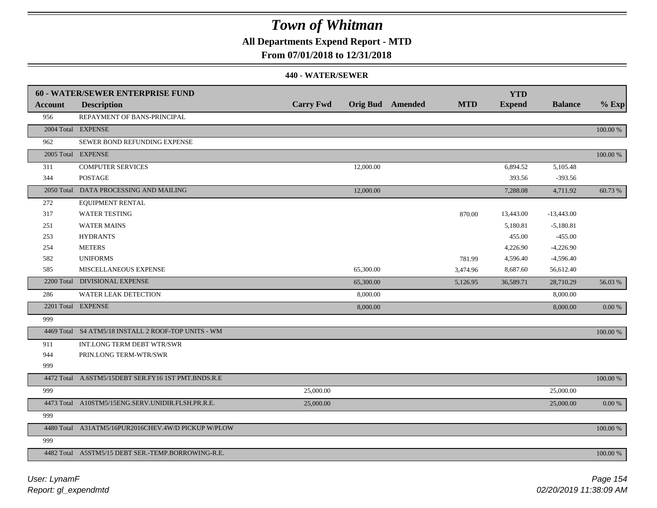## **All Departments Expend Report - MTD**

### **From 07/01/2018 to 12/31/2018**

|                | 60 - WATER/SEWER ENTERPRISE FUND                    |                  |           |                         |            | <b>YTD</b>    |                |            |
|----------------|-----------------------------------------------------|------------------|-----------|-------------------------|------------|---------------|----------------|------------|
| <b>Account</b> | <b>Description</b>                                  | <b>Carry Fwd</b> |           | <b>Orig Bud</b> Amended | <b>MTD</b> | <b>Expend</b> | <b>Balance</b> | $%$ Exp    |
| 956            | REPAYMENT OF BANS-PRINCIPAL                         |                  |           |                         |            |               |                |            |
|                | 2004 Total EXPENSE                                  |                  |           |                         |            |               |                | 100.00 %   |
| 962            | SEWER BOND REFUNDING EXPENSE                        |                  |           |                         |            |               |                |            |
|                | 2005 Total EXPENSE                                  |                  |           |                         |            |               |                | 100.00 %   |
| 311            | <b>COMPUTER SERVICES</b>                            |                  | 12,000.00 |                         |            | 6,894.52      | 5,105.48       |            |
| 344            | <b>POSTAGE</b>                                      |                  |           |                         |            | 393.56        | $-393.56$      |            |
|                | 2050 Total DATA PROCESSING AND MAILING              |                  | 12,000.00 |                         |            | 7,288.08      | 4,711.92       | 60.73 %    |
| 272            | EQUIPMENT RENTAL                                    |                  |           |                         |            |               |                |            |
| 317            | <b>WATER TESTING</b>                                |                  |           |                         | 870.00     | 13,443.00     | $-13,443.00$   |            |
| 251            | <b>WATER MAINS</b>                                  |                  |           |                         |            | 5,180.81      | $-5,180.81$    |            |
| 253            | <b>HYDRANTS</b>                                     |                  |           |                         |            | 455.00        | $-455.00$      |            |
| 254            | <b>METERS</b>                                       |                  |           |                         |            | 4,226.90      | $-4,226.90$    |            |
| 582            | <b>UNIFORMS</b>                                     |                  |           |                         | 781.99     | 4,596.40      | $-4,596.40$    |            |
| 585            | <b>MISCELLANEOUS EXPENSE</b>                        |                  | 65,300.00 |                         | 3,474.96   | 8,687.60      | 56,612.40      |            |
|                | 2200 Total DIVISIONAL EXPENSE                       |                  | 65,300.00 |                         | 5,126.95   | 36,589.71     | 28,710.29      | 56.03 %    |
| 286            | WATER LEAK DETECTION                                |                  | 8,000.00  |                         |            |               | 8,000.00       |            |
|                | 2201 Total EXPENSE                                  |                  | 8,000.00  |                         |            |               | 8,000.00       | 0.00 %     |
| 999            |                                                     |                  |           |                         |            |               |                |            |
|                | 4469 Total S4 ATM5/18 INSTALL 2 ROOF-TOP UNITS - WM |                  |           |                         |            |               |                | 100.00 %   |
| 911            | INT.LONG TERM DEBT WTR/SWR                          |                  |           |                         |            |               |                |            |
| 944            | PRIN.LONG TERM-WTR/SWR                              |                  |           |                         |            |               |                |            |
| 999            |                                                     |                  |           |                         |            |               |                |            |
|                | 4472 Total A.6STM5/15DEBT SER.FY16 1ST PMT.BNDS.R.E |                  |           |                         |            |               |                | 100.00 %   |
| 999            |                                                     | 25,000.00        |           |                         |            |               | 25,000.00      |            |
|                | 4473 Total A10STM5/15ENG.SERV.UNIDIR.FLSH.PR.R.E.   | 25,000.00        |           |                         |            |               | 25,000.00      | $0.00\ \%$ |
| 999            |                                                     |                  |           |                         |            |               |                |            |
|                | 4480 Total A31ATM5/16PUR2016CHEV.4W/D PICKUP W/PLOW |                  |           |                         |            |               |                | 100.00 %   |
| 999            |                                                     |                  |           |                         |            |               |                |            |
|                | 4482 Total A5STM5/15 DEBT SER.-TEMP.BORROWING-R.E.  |                  |           |                         |            |               |                | 100.00 %   |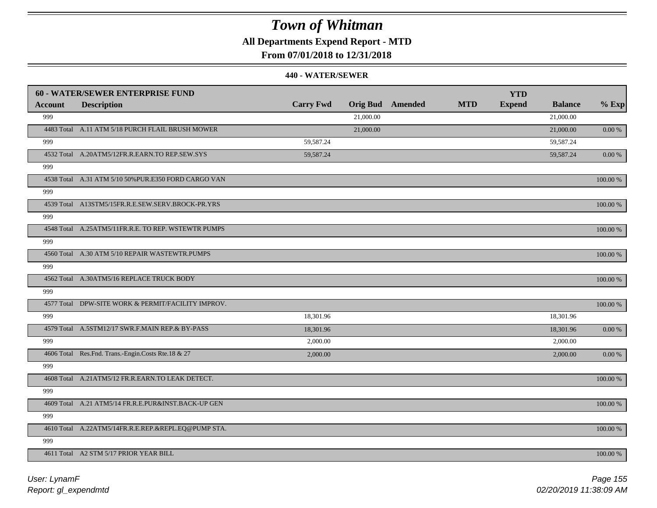**All Departments Expend Report - MTD**

**From 07/01/2018 to 12/31/2018**

|         | <b>60 - WATER/SEWER ENTERPRISE FUND</b>              |                  |           |                         |            | <b>YTD</b>    |                |             |
|---------|------------------------------------------------------|------------------|-----------|-------------------------|------------|---------------|----------------|-------------|
| Account | <b>Description</b>                                   | <b>Carry Fwd</b> |           | <b>Orig Bud</b> Amended | <b>MTD</b> | <b>Expend</b> | <b>Balance</b> | $%$ Exp     |
| 999     |                                                      |                  | 21,000.00 |                         |            |               | 21,000.00      |             |
|         | 4483 Total A.11 ATM 5/18 PURCH FLAIL BRUSH MOWER     |                  | 21,000.00 |                         |            |               | 21,000.00      | $0.00\,\%$  |
| 999     |                                                      | 59,587.24        |           |                         |            |               | 59,587.24      |             |
|         | 4532 Total A.20ATM5/12FR.R.EARN.TO REP.SEW.SYS       | 59,587.24        |           |                         |            |               | 59,587.24      | 0.00 %      |
| 999     |                                                      |                  |           |                         |            |               |                |             |
|         | 4538 Total A.31 ATM 5/10 50% PUR.E350 FORD CARGO VAN |                  |           |                         |            |               |                | $100.00~\%$ |
| 999     |                                                      |                  |           |                         |            |               |                |             |
|         | 4539 Total A13STM5/15FR.R.E.SEW.SERV.BROCK-PR.YRS    |                  |           |                         |            |               |                | 100.00 %    |
| 999     |                                                      |                  |           |                         |            |               |                |             |
|         | 4548 Total A.25ATM5/11FR.R.E. TO REP. WSTEWTR PUMPS  |                  |           |                         |            |               |                | 100.00 %    |
| 999     |                                                      |                  |           |                         |            |               |                |             |
|         | 4560 Total A.30 ATM 5/10 REPAIR WASTEWTR.PUMPS       |                  |           |                         |            |               |                | 100.00 %    |
| 999     |                                                      |                  |           |                         |            |               |                |             |
|         | 4562 Total A.30ATM5/16 REPLACE TRUCK BODY            |                  |           |                         |            |               |                | 100.00 %    |
| 999     |                                                      |                  |           |                         |            |               |                |             |
|         | 4577 Total DPW-SITE WORK & PERMIT/FACILITY IMPROV.   |                  |           |                         |            |               |                | $100.00~\%$ |
| 999     |                                                      | 18,301.96        |           |                         |            |               | 18,301.96      |             |
|         | 4579 Total A.5STM12/17 SWR.F.MAIN REP.& BY-PASS      | 18,301.96        |           |                         |            |               | 18,301.96      | $0.00\ \%$  |
| 999     |                                                      | 2,000.00         |           |                         |            |               | 2,000.00       |             |
|         | 4606 Total Res.Fnd. Trans.-Engin.Costs Rte.18 & 27   | 2,000.00         |           |                         |            |               | 2,000.00       | 0.00 %      |
| 999     |                                                      |                  |           |                         |            |               |                |             |
|         | 4608 Total A.21ATM5/12 FR.R.EARN.TO LEAK DETECT.     |                  |           |                         |            |               |                | 100.00 %    |
| 999     |                                                      |                  |           |                         |            |               |                |             |
|         | 4609 Total A.21 ATM5/14 FR.R.E.PUR&INST.BACK-UP GEN  |                  |           |                         |            |               |                | 100.00 %    |
| 999     |                                                      |                  |           |                         |            |               |                |             |
|         | 4610 Total A.22ATM5/14FR.R.E.REP.&REPL.EQ@PUMP STA.  |                  |           |                         |            |               |                | 100.00 %    |
| 999     |                                                      |                  |           |                         |            |               |                |             |
|         | 4611 Total A2 STM 5/17 PRIOR YEAR BILL               |                  |           |                         |            |               |                | 100.00 %    |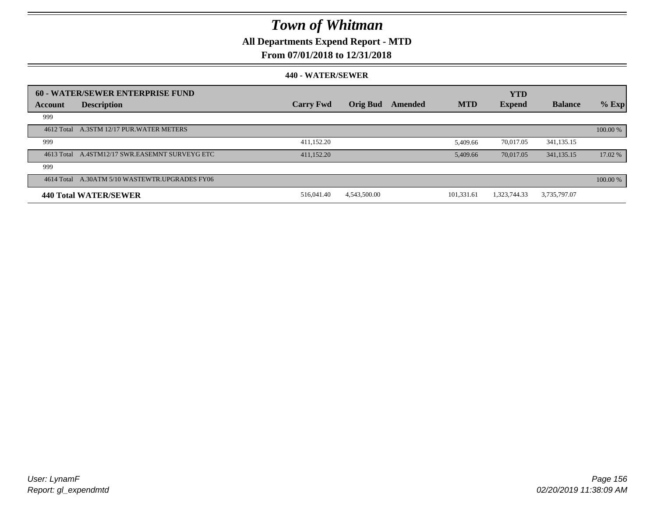### **All Departments Expend Report - MTD**

### **From 07/01/2018 to 12/31/2018**

|         | 60 - WATER/SEWER ENTERPRISE FUND               |                  |                 |         |            | <b>YTD</b>    |                |          |
|---------|------------------------------------------------|------------------|-----------------|---------|------------|---------------|----------------|----------|
| Account | <b>Description</b>                             | <b>Carry Fwd</b> | <b>Orig Bud</b> | Amended | <b>MTD</b> | <b>Expend</b> | <b>Balance</b> | $%$ Exp  |
| 999     |                                                |                  |                 |         |            |               |                |          |
|         | 4612 Total A.3STM 12/17 PUR.WATER METERS       |                  |                 |         |            |               |                | 100.00 % |
| 999     |                                                | 411,152.20       |                 |         | 5.409.66   | 70,017.05     | 341, 135. 15   |          |
|         | 4613 Total A.4STM12/17 SWR.EASEMNT SURVEYG ETC | 411.152.20       |                 |         | 5.409.66   | 70,017.05     | 341, 135, 15   | 17.02 %  |
| 999     |                                                |                  |                 |         |            |               |                |          |
|         | 4614 Total A.30ATM 5/10 WASTEWTR.UPGRADES FY06 |                  |                 |         |            |               |                | 100.00%  |
|         | <b>440 Total WATER/SEWER</b>                   | 516,041.40       | 4,543,500.00    |         | 101.331.61 | 1,323,744.33  | 3,735,797.07   |          |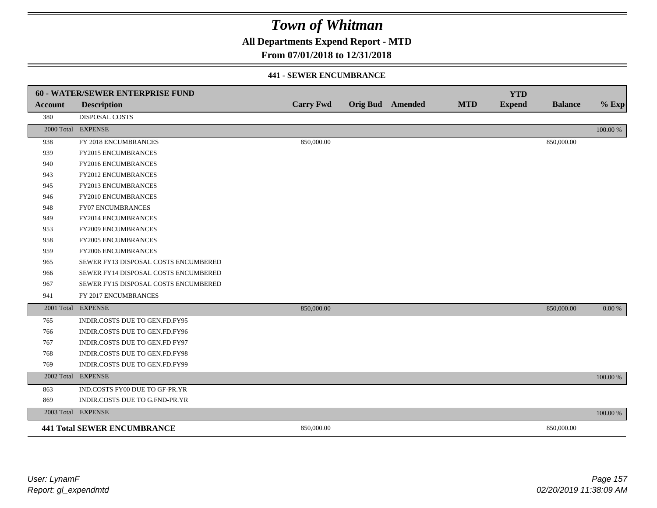**All Departments Expend Report - MTD**

### **From 07/01/2018 to 12/31/2018**

#### **441 - SEWER ENCUMBRANCE**

|                | <b>60 - WATER/SEWER ENTERPRISE FUND</b> |                  |                         |            | <b>YTD</b>    |                |          |
|----------------|-----------------------------------------|------------------|-------------------------|------------|---------------|----------------|----------|
| <b>Account</b> | <b>Description</b>                      | <b>Carry Fwd</b> | <b>Orig Bud</b> Amended | <b>MTD</b> | <b>Expend</b> | <b>Balance</b> | $%$ Exp  |
| 380            | <b>DISPOSAL COSTS</b>                   |                  |                         |            |               |                |          |
|                | 2000 Total EXPENSE                      |                  |                         |            |               |                | 100.00 % |
| 938            | FY 2018 ENCUMBRANCES                    | 850,000.00       |                         |            |               | 850,000.00     |          |
| 939            | FY2015 ENCUMBRANCES                     |                  |                         |            |               |                |          |
| 940            | FY2016 ENCUMBRANCES                     |                  |                         |            |               |                |          |
| 943            | <b>FY2012 ENCUMBRANCES</b>              |                  |                         |            |               |                |          |
| 945            | FY2013 ENCUMBRANCES                     |                  |                         |            |               |                |          |
| 946            | FY2010 ENCUMBRANCES                     |                  |                         |            |               |                |          |
| 948            | <b>FY07 ENCUMBRANCES</b>                |                  |                         |            |               |                |          |
| 949            | FY2014 ENCUMBRANCES                     |                  |                         |            |               |                |          |
| 953            | FY2009 ENCUMBRANCES                     |                  |                         |            |               |                |          |
| 958            | FY2005 ENCUMBRANCES                     |                  |                         |            |               |                |          |
| 959            | <b>FY2006 ENCUMBRANCES</b>              |                  |                         |            |               |                |          |
| 965            | SEWER FY13 DISPOSAL COSTS ENCUMBERED    |                  |                         |            |               |                |          |
| 966            | SEWER FY14 DISPOSAL COSTS ENCUMBERED    |                  |                         |            |               |                |          |
| 967            | SEWER FY15 DISPOSAL COSTS ENCUMBERED    |                  |                         |            |               |                |          |
| 941            | FY 2017 ENCUMBRANCES                    |                  |                         |            |               |                |          |
|                | 2001 Total EXPENSE                      | 850,000.00       |                         |            |               | 850,000.00     | 0.00 %   |
| 765            | INDIR.COSTS DUE TO GEN.FD.FY95          |                  |                         |            |               |                |          |
| 766            | INDIR.COSTS DUE TO GEN.FD.FY96          |                  |                         |            |               |                |          |
| 767            | INDIR.COSTS DUE TO GEN.FD FY97          |                  |                         |            |               |                |          |
| 768            | INDIR.COSTS DUE TO GEN.FD.FY98          |                  |                         |            |               |                |          |
| 769            | INDIR.COSTS DUE TO GEN.FD.FY99          |                  |                         |            |               |                |          |
| 2002 Total     | <b>EXPENSE</b>                          |                  |                         |            |               |                | 100.00 % |
| 863            | IND.COSTS FY00 DUE TO GF-PR.YR          |                  |                         |            |               |                |          |
| 869            | INDIR.COSTS DUE TO G.FND-PR.YR          |                  |                         |            |               |                |          |
|                | 2003 Total EXPENSE                      |                  |                         |            |               |                | 100.00 % |
|                | <b>441 Total SEWER ENCUMBRANCE</b>      | 850,000.00       |                         |            |               | 850,000.00     |          |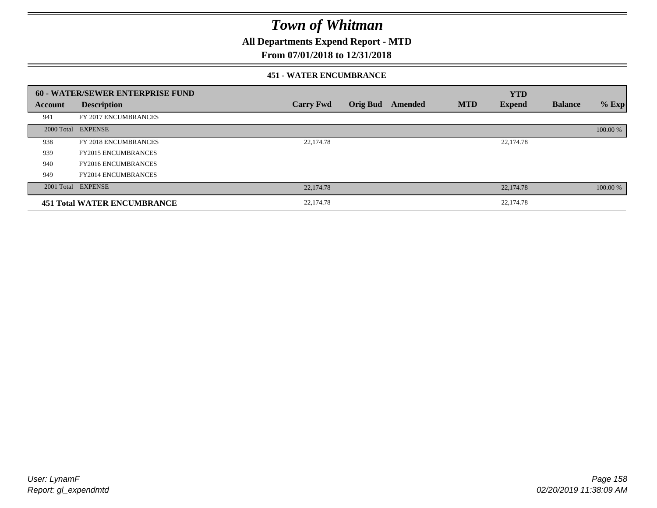**All Departments Expend Report - MTD**

### **From 07/01/2018 to 12/31/2018**

#### **451 - WATER ENCUMBRANCE**

|         | <b>60 - WATER/SEWER ENTERPRISE FUND</b> |                  |                 |         |            | <b>YTD</b>    |                |          |
|---------|-----------------------------------------|------------------|-----------------|---------|------------|---------------|----------------|----------|
| Account | <b>Description</b>                      | <b>Carry Fwd</b> | <b>Orig Bud</b> | Amended | <b>MTD</b> | <b>Expend</b> | <b>Balance</b> | $%$ Exp  |
| 941     | FY 2017 ENCUMBRANCES                    |                  |                 |         |            |               |                |          |
|         | 2000 Total EXPENSE                      |                  |                 |         |            |               |                | 100.00 % |
| 938     | FY 2018 ENCUMBRANCES                    | 22,174.78        |                 |         |            | 22,174.78     |                |          |
| 939     | <b>FY2015 ENCUMBRANCES</b>              |                  |                 |         |            |               |                |          |
| 940     | <b>FY2016 ENCUMBRANCES</b>              |                  |                 |         |            |               |                |          |
| 949     | <b>FY2014 ENCUMBRANCES</b>              |                  |                 |         |            |               |                |          |
|         | 2001 Total EXPENSE                      | 22,174.78        |                 |         |            | 22,174.78     |                | 100.00 % |
|         | <b>451 Total WATER ENCUMBRANCE</b>      | 22,174.78        |                 |         |            | 22,174.78     |                |          |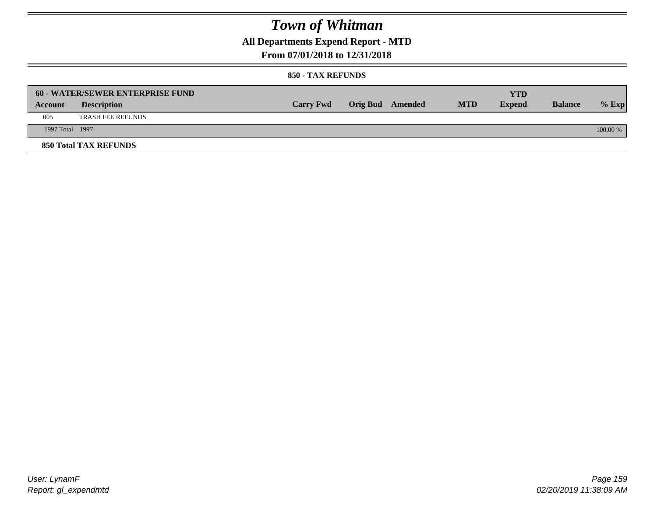**All Departments Expend Report - MTD**

### **From 07/01/2018 to 12/31/2018**

|                 | <b>60 - WATER/SEWER ENTERPRISE FUND</b> |                  |                         |            | YTD           |                |            |
|-----------------|-----------------------------------------|------------------|-------------------------|------------|---------------|----------------|------------|
| Account         | <b>Description</b>                      | <b>Carry Fwd</b> | <b>Orig Bud</b> Amended | <b>MTD</b> | <b>Expend</b> | <b>Balance</b> | $%$ Exp    |
| 005             | <b>TRASH FEE REFUNDS</b>                |                  |                         |            |               |                |            |
| 1997 Total 1997 |                                         |                  |                         |            |               |                | $100.00\%$ |
|                 | <b>850 Total TAX REFUNDS</b>            |                  |                         |            |               |                |            |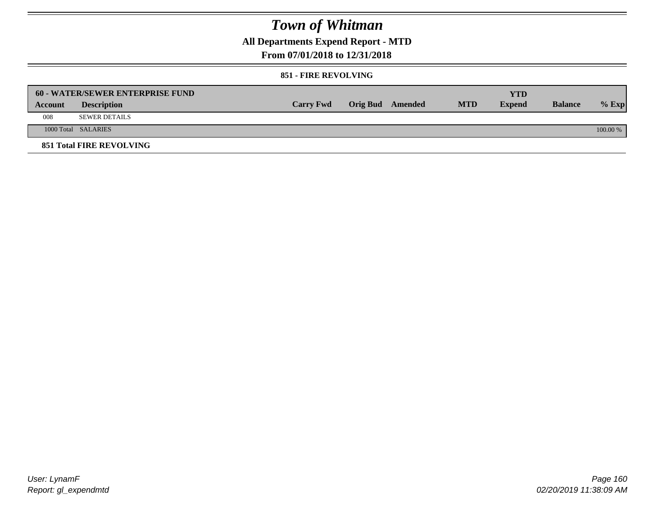**All Departments Expend Report - MTD**

### **From 07/01/2018 to 12/31/2018**

#### **851 - FIRE REVOLVING**

|         | 60 - WATER/SEWER ENTERPRISE FUND |                  |                  |            | YTD           |                |            |
|---------|----------------------------------|------------------|------------------|------------|---------------|----------------|------------|
| Account | <b>Description</b>               | <b>Carry Fwd</b> | Orig Bud Amended | <b>MTD</b> | <b>Expend</b> | <b>Balance</b> | $%$ Exp    |
| 008     | <b>SEWER DETAILS</b>             |                  |                  |            |               |                |            |
|         | 1000 Total SALARIES              |                  |                  |            |               |                | $100.00\%$ |
|         | <b>851 Total FIRE REVOLVING</b>  |                  |                  |            |               |                |            |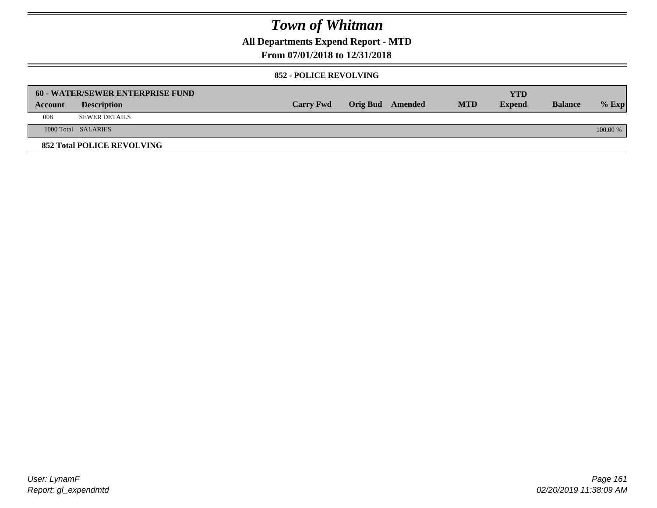**All Departments Expend Report - MTD**

### **From 07/01/2018 to 12/31/2018**

#### **852 - POLICE REVOLVING**

|         | 60 - WATER/SEWER ENTERPRISE FUND  |                  |                  |            | <b>YTD</b>    |                |            |
|---------|-----------------------------------|------------------|------------------|------------|---------------|----------------|------------|
| Account | <b>Description</b>                | <b>Carry Fwd</b> | Orig Bud Amended | <b>MTD</b> | <b>Expend</b> | <b>Balance</b> | $%$ Exp    |
| 008     | <b>SEWER DETAILS</b>              |                  |                  |            |               |                |            |
|         | 1000 Total SALARIES               |                  |                  |            |               |                | $100.00\%$ |
|         | <b>852 Total POLICE REVOLVING</b> |                  |                  |            |               |                |            |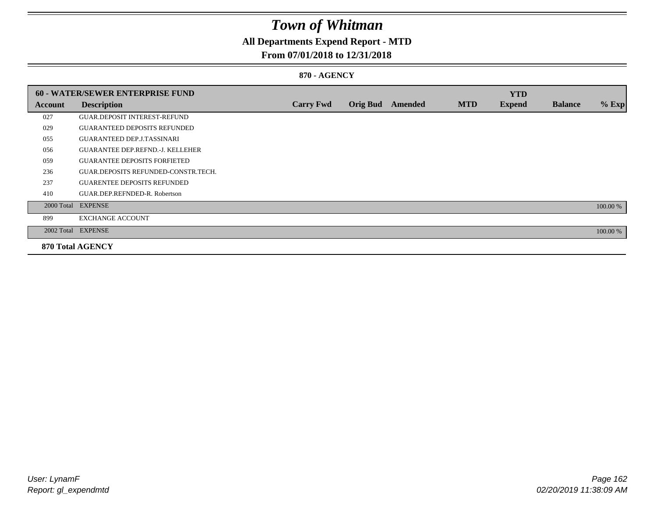## **All Departments Expend Report - MTD**

### **From 07/01/2018 to 12/31/2018**

#### **870 - AGENCY**

|         | <b>60 - WATER/SEWER ENTERPRISE FUND</b> |                  |                 |         |            | <b>YTD</b>    |                |          |
|---------|-----------------------------------------|------------------|-----------------|---------|------------|---------------|----------------|----------|
| Account | <b>Description</b>                      | <b>Carry Fwd</b> | <b>Orig Bud</b> | Amended | <b>MTD</b> | <b>Expend</b> | <b>Balance</b> | $%$ Exp  |
| 027     | <b>GUAR.DEPOSIT INTEREST-REFUND</b>     |                  |                 |         |            |               |                |          |
| 029     | <b>GUARANTEED DEPOSITS REFUNDED</b>     |                  |                 |         |            |               |                |          |
| 055     | <b>GUARANTEED DEP.J.TASSINARI</b>       |                  |                 |         |            |               |                |          |
| 056     | <b>GUARANTEE DEP.REFND.-J. KELLEHER</b> |                  |                 |         |            |               |                |          |
| 059     | <b>GUARANTEE DEPOSITS FORFIETED</b>     |                  |                 |         |            |               |                |          |
| 236     | GUAR.DEPOSITS REFUNDED-CONSTR.TECH.     |                  |                 |         |            |               |                |          |
| 237     | <b>GUARENTEE DEPOSITS REFUNDED</b>      |                  |                 |         |            |               |                |          |
| 410     | GUAR.DEP.REFNDED-R. Robertson           |                  |                 |         |            |               |                |          |
|         | 2000 Total EXPENSE                      |                  |                 |         |            |               |                | 100.00 % |
| 899     | <b>EXCHANGE ACCOUNT</b>                 |                  |                 |         |            |               |                |          |
|         | 2002 Total EXPENSE                      |                  |                 |         |            |               |                | 100.00 % |
|         | <b>870 Total AGENCY</b>                 |                  |                 |         |            |               |                |          |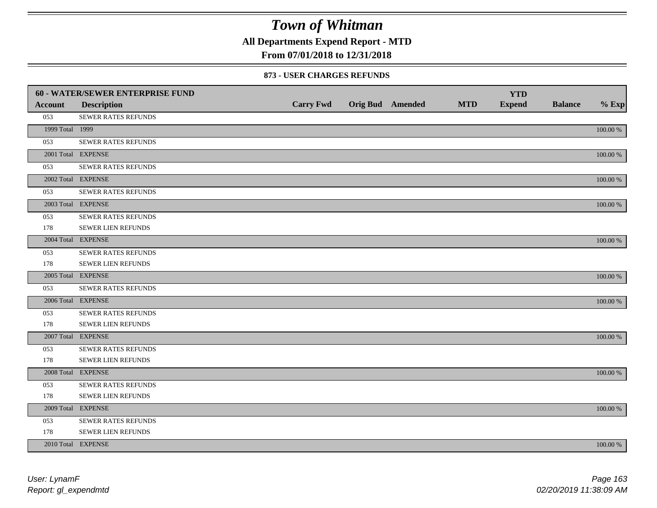**All Departments Expend Report - MTD**

### **From 07/01/2018 to 12/31/2018**

#### **873 - USER CHARGES REFUNDS**

|                 | 60 - WATER/SEWER ENTERPRISE FUND |                  |                         |            | <b>YTD</b>    |                |             |
|-----------------|----------------------------------|------------------|-------------------------|------------|---------------|----------------|-------------|
| <b>Account</b>  | <b>Description</b>               | <b>Carry Fwd</b> | <b>Orig Bud</b> Amended | <b>MTD</b> | <b>Expend</b> | <b>Balance</b> | $%$ Exp     |
| 053             | SEWER RATES REFUNDS              |                  |                         |            |               |                |             |
| 1999 Total 1999 |                                  |                  |                         |            |               |                | 100.00 %    |
| 053             | SEWER RATES REFUNDS              |                  |                         |            |               |                |             |
|                 | 2001 Total EXPENSE               |                  |                         |            |               |                | 100.00 %    |
| 053             | SEWER RATES REFUNDS              |                  |                         |            |               |                |             |
|                 | 2002 Total EXPENSE               |                  |                         |            |               |                | $100.00~\%$ |
| 053             | SEWER RATES REFUNDS              |                  |                         |            |               |                |             |
|                 | 2003 Total EXPENSE               |                  |                         |            |               |                | 100.00 %    |
| 053             | SEWER RATES REFUNDS              |                  |                         |            |               |                |             |
| 178             | <b>SEWER LIEN REFUNDS</b>        |                  |                         |            |               |                |             |
|                 | 2004 Total EXPENSE               |                  |                         |            |               |                | 100.00 %    |
| 053             | SEWER RATES REFUNDS              |                  |                         |            |               |                |             |
| 178             | SEWER LIEN REFUNDS               |                  |                         |            |               |                |             |
|                 | 2005 Total EXPENSE               |                  |                         |            |               |                | 100.00 %    |
| 053             | <b>SEWER RATES REFUNDS</b>       |                  |                         |            |               |                |             |
|                 | 2006 Total EXPENSE               |                  |                         |            |               |                | 100.00 %    |
| 053             | <b>SEWER RATES REFUNDS</b>       |                  |                         |            |               |                |             |
| 178             | SEWER LIEN REFUNDS               |                  |                         |            |               |                |             |
|                 | 2007 Total EXPENSE               |                  |                         |            |               |                | 100.00 %    |
| 053             | SEWER RATES REFUNDS              |                  |                         |            |               |                |             |
| 178             | <b>SEWER LIEN REFUNDS</b>        |                  |                         |            |               |                |             |
|                 | 2008 Total EXPENSE               |                  |                         |            |               |                | 100.00 %    |
| 053             | <b>SEWER RATES REFUNDS</b>       |                  |                         |            |               |                |             |
| 178             | SEWER LIEN REFUNDS               |                  |                         |            |               |                |             |
|                 | 2009 Total EXPENSE               |                  |                         |            |               |                | 100.00 %    |
| 053             | SEWER RATES REFUNDS              |                  |                         |            |               |                |             |
| 178             | <b>SEWER LIEN REFUNDS</b>        |                  |                         |            |               |                |             |
|                 | 2010 Total EXPENSE               |                  |                         |            |               |                | 100.00 %    |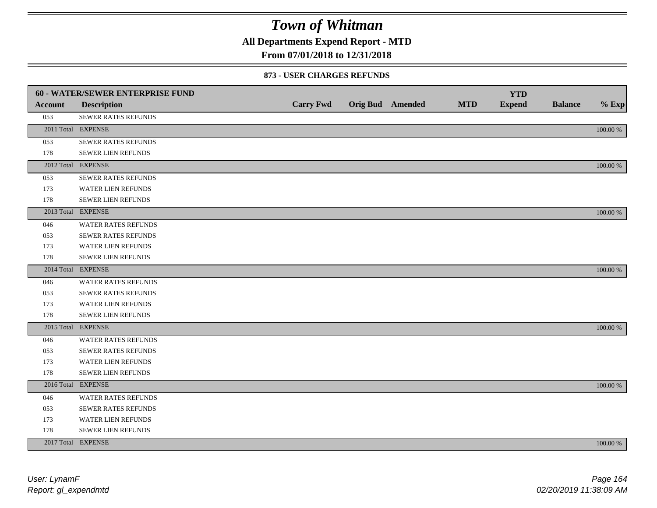**All Departments Expend Report - MTD**

### **From 07/01/2018 to 12/31/2018**

#### **873 - USER CHARGES REFUNDS**

|                | <b>60 - WATER/SEWER ENTERPRISE FUND</b> |                  |                         |            | <b>YTD</b>    |                |          |
|----------------|-----------------------------------------|------------------|-------------------------|------------|---------------|----------------|----------|
| <b>Account</b> | <b>Description</b>                      | <b>Carry Fwd</b> | <b>Orig Bud</b> Amended | <b>MTD</b> | <b>Expend</b> | <b>Balance</b> | $%$ Exp  |
| 053            | SEWER RATES REFUNDS                     |                  |                         |            |               |                |          |
|                | 2011 Total EXPENSE                      |                  |                         |            |               |                | 100.00 % |
| 053            | SEWER RATES REFUNDS                     |                  |                         |            |               |                |          |
| 178            | SEWER LIEN REFUNDS                      |                  |                         |            |               |                |          |
|                | 2012 Total EXPENSE                      |                  |                         |            |               |                | 100.00 % |
| 053            | SEWER RATES REFUNDS                     |                  |                         |            |               |                |          |
| 173            | <b>WATER LIEN REFUNDS</b>               |                  |                         |            |               |                |          |
| 178            | SEWER LIEN REFUNDS                      |                  |                         |            |               |                |          |
|                | 2013 Total EXPENSE                      |                  |                         |            |               |                | 100.00 % |
| 046            | WATER RATES REFUNDS                     |                  |                         |            |               |                |          |
| 053            | <b>SEWER RATES REFUNDS</b>              |                  |                         |            |               |                |          |
| 173            | WATER LIEN REFUNDS                      |                  |                         |            |               |                |          |
| 178            | SEWER LIEN REFUNDS                      |                  |                         |            |               |                |          |
|                | 2014 Total EXPENSE                      |                  |                         |            |               |                | 100.00 % |
| 046            | <b>WATER RATES REFUNDS</b>              |                  |                         |            |               |                |          |
| 053            | SEWER RATES REFUNDS                     |                  |                         |            |               |                |          |
| 173            | WATER LIEN REFUNDS                      |                  |                         |            |               |                |          |
| 178            | SEWER LIEN REFUNDS                      |                  |                         |            |               |                |          |
|                | 2015 Total EXPENSE                      |                  |                         |            |               |                | 100.00 % |
| 046            | WATER RATES REFUNDS                     |                  |                         |            |               |                |          |
| 053            | SEWER RATES REFUNDS                     |                  |                         |            |               |                |          |
| 173            | <b>WATER LIEN REFUNDS</b>               |                  |                         |            |               |                |          |
| 178            | SEWER LIEN REFUNDS                      |                  |                         |            |               |                |          |
|                | 2016 Total EXPENSE                      |                  |                         |            |               |                | 100.00 % |
| 046            | WATER RATES REFUNDS                     |                  |                         |            |               |                |          |
| 053            | <b>SEWER RATES REFUNDS</b>              |                  |                         |            |               |                |          |
| 173            | WATER LIEN REFUNDS                      |                  |                         |            |               |                |          |
| 178            | SEWER LIEN REFUNDS                      |                  |                         |            |               |                |          |
|                | 2017 Total EXPENSE                      |                  |                         |            |               |                | 100.00 % |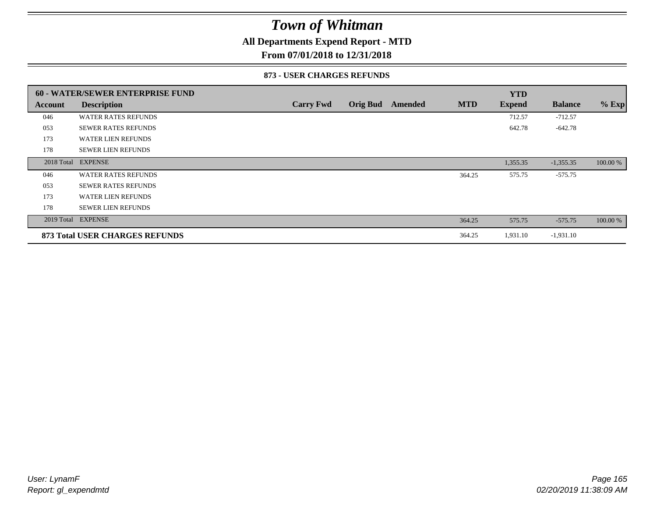### **All Departments Expend Report - MTD**

**From 07/01/2018 to 12/31/2018**

#### **873 - USER CHARGES REFUNDS**

|            | <b>60 - WATER/SEWER ENTERPRISE FUND</b> |                  |                 |         |            | <b>YTD</b>    |                |          |
|------------|-----------------------------------------|------------------|-----------------|---------|------------|---------------|----------------|----------|
| Account    | <b>Description</b>                      | <b>Carry Fwd</b> | <b>Orig Bud</b> | Amended | <b>MTD</b> | <b>Expend</b> | <b>Balance</b> | $%$ Exp  |
| 046        | <b>WATER RATES REFUNDS</b>              |                  |                 |         |            | 712.57        | $-712.57$      |          |
| 053        | <b>SEWER RATES REFUNDS</b>              |                  |                 |         |            | 642.78        | $-642.78$      |          |
| 173        | <b>WATER LIEN REFUNDS</b>               |                  |                 |         |            |               |                |          |
| 178        | <b>SEWER LIEN REFUNDS</b>               |                  |                 |         |            |               |                |          |
| 2018 Total | <b>EXPENSE</b>                          |                  |                 |         |            | 1,355.35      | $-1,355.35$    | 100.00 % |
| 046        | <b>WATER RATES REFUNDS</b>              |                  |                 |         | 364.25     | 575.75        | $-575.75$      |          |
| 053        | <b>SEWER RATES REFUNDS</b>              |                  |                 |         |            |               |                |          |
| 173        | <b>WATER LIEN REFUNDS</b>               |                  |                 |         |            |               |                |          |
| 178        | <b>SEWER LIEN REFUNDS</b>               |                  |                 |         |            |               |                |          |
| 2019 Total | <b>EXPENSE</b>                          |                  |                 |         | 364.25     | 575.75        | $-575.75$      | 100.00 % |
|            | <b>873 Total USER CHARGES REFUNDS</b>   |                  |                 |         | 364.25     | 1,931.10      | $-1,931.10$    |          |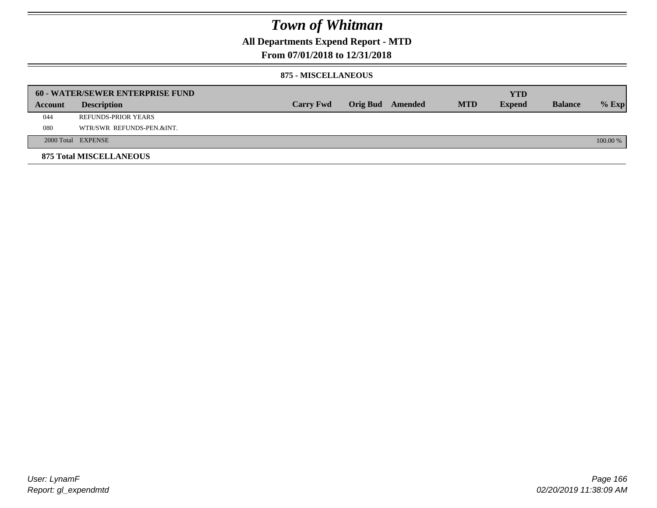### **All Departments Expend Report - MTD**

### **From 07/01/2018 to 12/31/2018**

#### **875 - MISCELLANEOUS**

|         | <b>60 - WATER/SEWER ENTERPRISE FUND</b> |                  |                 |         |            | <b>YTD</b>    |                |            |
|---------|-----------------------------------------|------------------|-----------------|---------|------------|---------------|----------------|------------|
| Account | <b>Description</b>                      | <b>Carry Fwd</b> | <b>Orig Bud</b> | Amended | <b>MTD</b> | <b>Expend</b> | <b>Balance</b> | $%$ Exp    |
| 044     | REFUNDS-PRIOR YEARS                     |                  |                 |         |            |               |                |            |
| 080     | WTR/SWR REFUNDS-PEN.&INT.               |                  |                 |         |            |               |                |            |
|         | 2000 Total EXPENSE                      |                  |                 |         |            |               |                | $100.00\%$ |
|         | <b>875 Total MISCELLANEOUS</b>          |                  |                 |         |            |               |                |            |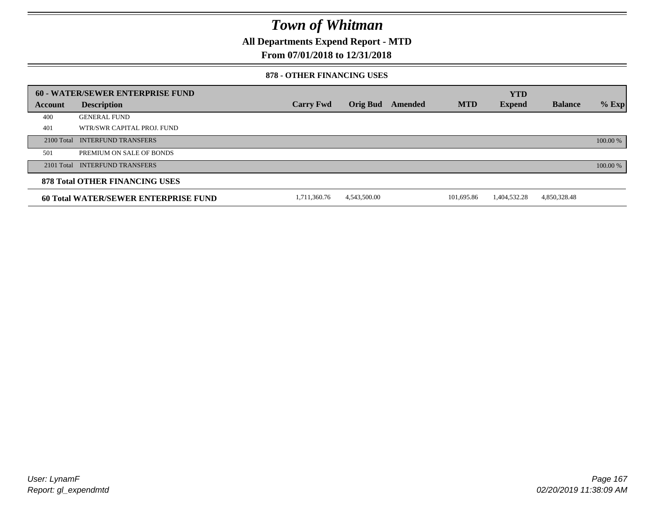**All Departments Expend Report - MTD**

### **From 07/01/2018 to 12/31/2018**

#### **878 - OTHER FINANCING USES**

|         | 60 - WATER/SEWER ENTERPRISE FUND            |                  |                 |         |            | <b>YTD</b>    |                |          |
|---------|---------------------------------------------|------------------|-----------------|---------|------------|---------------|----------------|----------|
| Account | <b>Description</b>                          | <b>Carry Fwd</b> | <b>Orig Bud</b> | Amended | <b>MTD</b> | <b>Expend</b> | <b>Balance</b> | $%$ Exp  |
| 400     | <b>GENERAL FUND</b>                         |                  |                 |         |            |               |                |          |
| 401     | WTR/SWR CAPITAL PROJ. FUND                  |                  |                 |         |            |               |                |          |
|         | 2100 Total INTERFUND TRANSFERS              |                  |                 |         |            |               |                | 100.00 % |
| 501     | PREMIUM ON SALE OF BONDS                    |                  |                 |         |            |               |                |          |
|         | 2101 Total INTERFUND TRANSFERS              |                  |                 |         |            |               |                | 100.00 % |
|         | <b>878 Total OTHER FINANCING USES</b>       |                  |                 |         |            |               |                |          |
|         | <b>60 Total WATER/SEWER ENTERPRISE FUND</b> | 1.711.360.76     | 4.543.500.00    |         | 101.695.86 | 1,404,532.28  | 4,850,328.48   |          |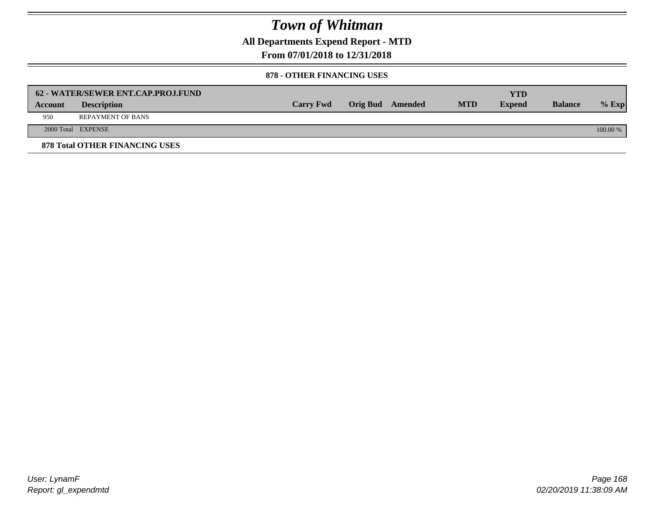**All Departments Expend Report - MTD**

**From 07/01/2018 to 12/31/2018**

#### **878 - OTHER FINANCING USES**

|                | 62 - WATER/SEWER ENT.CAP.PROJ.FUND    |                  |                  |            | YTD           |                |            |
|----------------|---------------------------------------|------------------|------------------|------------|---------------|----------------|------------|
| <b>Account</b> | <b>Description</b>                    | <b>Carry Fwd</b> | Orig Bud Amended | <b>MTD</b> | <b>Expend</b> | <b>Balance</b> | $%$ Exp    |
| 950            | <b>REPAYMENT OF BANS</b>              |                  |                  |            |               |                |            |
|                | 2000 Total EXPENSE                    |                  |                  |            |               |                | $100.00\%$ |
|                | <b>878 Total OTHER FINANCING USES</b> |                  |                  |            |               |                |            |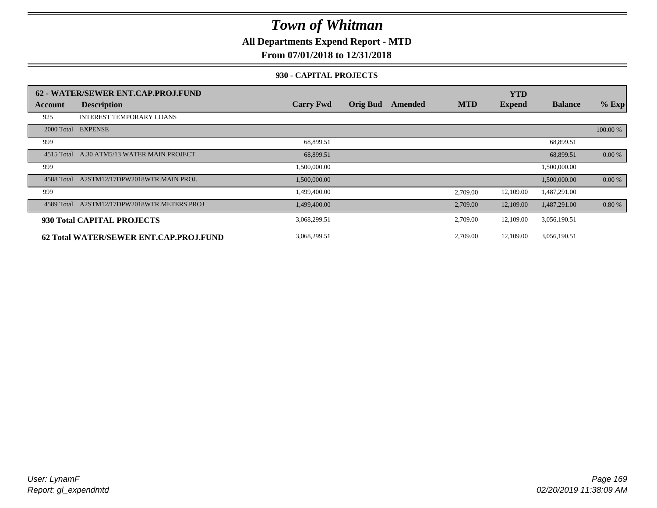**All Departments Expend Report - MTD**

### **From 07/01/2018 to 12/31/2018**

#### **930 - CAPITAL PROJECTS**

|            | 62 - WATER/SEWER ENT.CAP.PROJ.FUND     |                  |                 |                |            | <b>YTD</b>    |                |          |
|------------|----------------------------------------|------------------|-----------------|----------------|------------|---------------|----------------|----------|
| Account    | <b>Description</b>                     | <b>Carry Fwd</b> | <b>Orig Bud</b> | <b>Amended</b> | <b>MTD</b> | <b>Expend</b> | <b>Balance</b> | $%$ Exp  |
| 925        | <b>INTEREST TEMPORARY LOANS</b>        |                  |                 |                |            |               |                |          |
|            | 2000 Total EXPENSE                     |                  |                 |                |            |               |                | 100.00 % |
| 999        |                                        | 68,899.51        |                 |                |            |               | 68,899.51      |          |
| 4515 Total | A.30 ATM5/13 WATER MAIN PROJECT        | 68,899.51        |                 |                |            |               | 68,899.51      | 0.00 %   |
| 999        |                                        | 1,500,000.00     |                 |                |            |               | 1,500,000.00   |          |
| 4588 Total | A2STM12/17DPW2018WTR.MAIN PROJ.        | 1,500,000.00     |                 |                |            |               | 1,500,000.00   | 0.00 %   |
| 999        |                                        | 1,499,400.00     |                 |                | 2,709.00   | 12,109.00     | 1,487,291.00   |          |
| 4589 Total | A2STM12/17DPW2018WTR.METERS PROJ       | 1,499,400.00     |                 |                | 2,709.00   | 12,109.00     | 1,487,291.00   | 0.80%    |
|            | 930 Total CAPITAL PROJECTS             | 3,068,299.51     |                 |                | 2,709.00   | 12,109.00     | 3,056,190.51   |          |
|            | 62 Total WATER/SEWER ENT.CAP.PROJ.FUND | 3,068,299.51     |                 |                | 2,709.00   | 12,109.00     | 3,056,190.51   |          |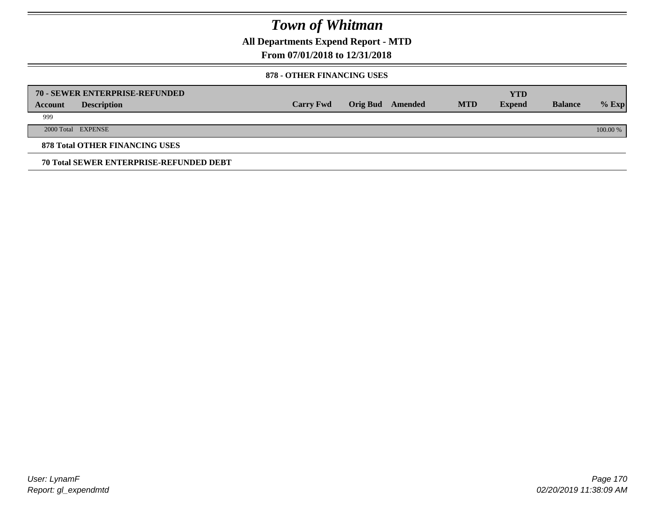**All Departments Expend Report - MTD**

### **From 07/01/2018 to 12/31/2018**

#### **878 - OTHER FINANCING USES**

|         | 70 - SEWER ENTERPRISE-REFUNDED                 |                  |                 |         |            | <b>YTD</b>    |                |          |
|---------|------------------------------------------------|------------------|-----------------|---------|------------|---------------|----------------|----------|
| Account | <b>Description</b>                             | <b>Carry Fwd</b> | <b>Orig Bud</b> | Amended | <b>MTD</b> | <b>Expend</b> | <b>Balance</b> | $%$ Exp  |
| 999     |                                                |                  |                 |         |            |               |                |          |
|         | 2000 Total EXPENSE                             |                  |                 |         |            |               |                | 100.00 % |
|         | <b>878 Total OTHER FINANCING USES</b>          |                  |                 |         |            |               |                |          |
|         | <b>70 Total SEWER ENTERPRISE-REFUNDED DEBT</b> |                  |                 |         |            |               |                |          |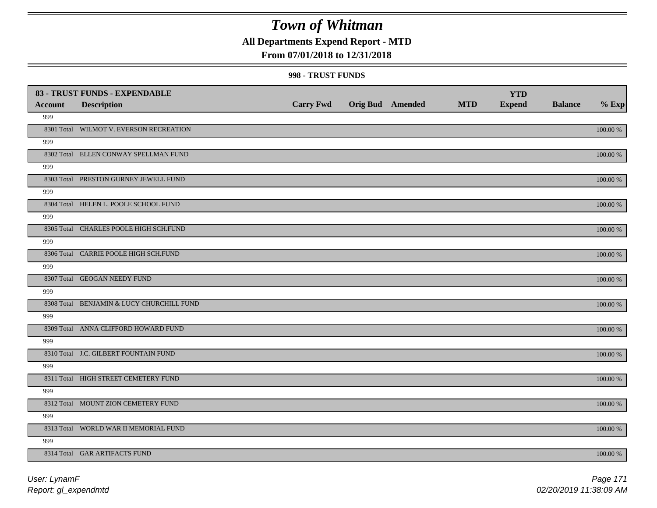### **All Departments Expend Report - MTD**

### **From 07/01/2018 to 12/31/2018**

#### **998 - TRUST FUNDS**

|                | 83 - TRUST FUNDS - EXPENDABLE             |                  |                         |            | <b>YTD</b>    |                |             |
|----------------|-------------------------------------------|------------------|-------------------------|------------|---------------|----------------|-------------|
| <b>Account</b> | <b>Description</b>                        | <b>Carry Fwd</b> | <b>Orig Bud Amended</b> | <b>MTD</b> | <b>Expend</b> | <b>Balance</b> | $%$ Exp     |
| 999            |                                           |                  |                         |            |               |                |             |
|                | 8301 Total WILMOT V. EVERSON RECREATION   |                  |                         |            |               |                | $100.00~\%$ |
| 999            |                                           |                  |                         |            |               |                |             |
|                | 8302 Total ELLEN CONWAY SPELLMAN FUND     |                  |                         |            |               |                | 100.00 %    |
| 999            |                                           |                  |                         |            |               |                |             |
|                | 8303 Total PRESTON GURNEY JEWELL FUND     |                  |                         |            |               |                | 100.00 %    |
| 999            |                                           |                  |                         |            |               |                |             |
|                | 8304 Total HELEN L. POOLE SCHOOL FUND     |                  |                         |            |               |                | 100.00 %    |
| 999            |                                           |                  |                         |            |               |                |             |
|                | 8305 Total CHARLES POOLE HIGH SCH.FUND    |                  |                         |            |               |                | 100.00 %    |
| 999            |                                           |                  |                         |            |               |                |             |
|                | 8306 Total CARRIE POOLE HIGH SCH.FUND     |                  |                         |            |               |                | 100.00 %    |
| 999            |                                           |                  |                         |            |               |                |             |
|                | 8307 Total GEOGAN NEEDY FUND              |                  |                         |            |               |                | 100.00 %    |
| 999            |                                           |                  |                         |            |               |                |             |
|                | 8308 Total BENJAMIN & LUCY CHURCHILL FUND |                  |                         |            |               |                | $100.00~\%$ |
| 999            |                                           |                  |                         |            |               |                |             |
|                | 8309 Total ANNA CLIFFORD HOWARD FUND      |                  |                         |            |               |                | $100.00~\%$ |
| 999            |                                           |                  |                         |            |               |                |             |
|                | 8310 Total J.C. GILBERT FOUNTAIN FUND     |                  |                         |            |               |                | 100.00 %    |
| 999            |                                           |                  |                         |            |               |                |             |
|                | 8311 Total HIGH STREET CEMETERY FUND      |                  |                         |            |               |                | 100.00 %    |
| 999            |                                           |                  |                         |            |               |                |             |
|                | 8312 Total MOUNT ZION CEMETERY FUND       |                  |                         |            |               |                | 100.00 %    |
| 999            |                                           |                  |                         |            |               |                |             |
|                | 8313 Total WORLD WAR II MEMORIAL FUND     |                  |                         |            |               |                | 100.00 %    |
| 999            |                                           |                  |                         |            |               |                |             |
|                | 8314 Total GAR ARTIFACTS FUND             |                  |                         |            |               |                | 100.00 %    |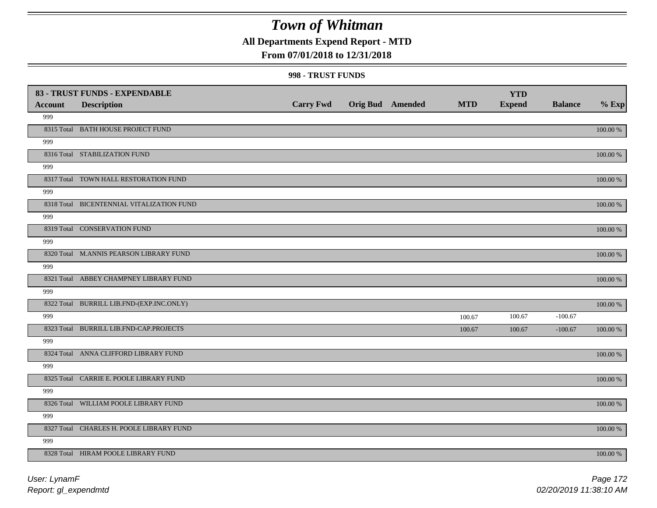### **All Departments Expend Report - MTD**

### **From 07/01/2018 to 12/31/2018**

#### **998 - TRUST FUNDS**

|                | 83 - TRUST FUNDS - EXPENDABLE             |                  |                         |            | <b>YTD</b>    |                |               |
|----------------|-------------------------------------------|------------------|-------------------------|------------|---------------|----------------|---------------|
| <b>Account</b> | <b>Description</b>                        | <b>Carry Fwd</b> | <b>Orig Bud</b> Amended | <b>MTD</b> | <b>Expend</b> | <b>Balance</b> | $%$ Exp       |
| 999            |                                           |                  |                         |            |               |                |               |
|                | 8315 Total BATH HOUSE PROJECT FUND        |                  |                         |            |               |                | 100.00 %      |
| 999            |                                           |                  |                         |            |               |                |               |
|                | 8316 Total STABILIZATION FUND             |                  |                         |            |               |                | 100.00 %      |
| 999            |                                           |                  |                         |            |               |                |               |
|                | 8317 Total TOWN HALL RESTORATION FUND     |                  |                         |            |               |                | $100.00~\%$   |
| 999            |                                           |                  |                         |            |               |                |               |
|                | 8318 Total BICENTENNIAL VITALIZATION FUND |                  |                         |            |               |                | 100.00 %      |
| 999            |                                           |                  |                         |            |               |                |               |
|                | 8319 Total CONSERVATION FUND              |                  |                         |            |               |                | 100.00 %      |
| 999            |                                           |                  |                         |            |               |                |               |
|                | 8320 Total M.ANNIS PEARSON LIBRARY FUND   |                  |                         |            |               |                | 100.00 %      |
| 999            |                                           |                  |                         |            |               |                |               |
|                | 8321 Total ABBEY CHAMPNEY LIBRARY FUND    |                  |                         |            |               |                | 100.00 %      |
| 999            |                                           |                  |                         |            |               |                |               |
|                | 8322 Total BURRILL LIB.FND-(EXP.INC.ONLY) |                  |                         |            |               |                | 100.00 %      |
| 999            |                                           |                  |                         | 100.67     | 100.67        | $-100.67$      |               |
|                | 8323 Total BURRILL LIB.FND-CAP.PROJECTS   |                  |                         | 100.67     | 100.67        | $-100.67$      | 100.00 %      |
| 999            |                                           |                  |                         |            |               |                |               |
|                | 8324 Total ANNA CLIFFORD LIBRARY FUND     |                  |                         |            |               |                | $100.00$ $\%$ |
| 999            |                                           |                  |                         |            |               |                |               |
|                | 8325 Total CARRIE E. POOLE LIBRARY FUND   |                  |                         |            |               |                | 100.00 %      |
| 999            |                                           |                  |                         |            |               |                |               |
|                | 8326 Total WILLIAM POOLE LIBRARY FUND     |                  |                         |            |               |                | 100.00 %      |
| 999            |                                           |                  |                         |            |               |                |               |
|                | 8327 Total CHARLES H. POOLE LIBRARY FUND  |                  |                         |            |               |                | 100.00 %      |
| 999            |                                           |                  |                         |            |               |                |               |
|                | 8328 Total HIRAM POOLE LIBRARY FUND       |                  |                         |            |               |                | 100.00 %      |

*Report: gl\_expendmtd User: LynamF*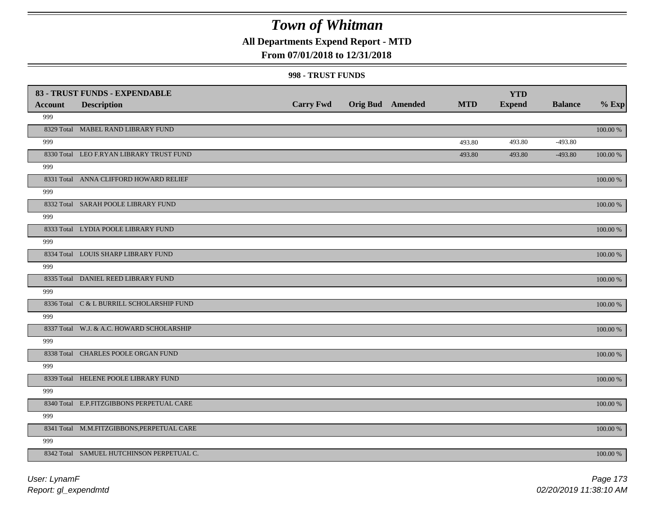### **All Departments Expend Report - MTD**

### **From 07/01/2018 to 12/31/2018**

#### **998 - TRUST FUNDS**

| <b>Account</b> | 83 - TRUST FUNDS - EXPENDABLE<br><b>Description</b> | <b>Carry Fwd</b> | <b>Orig Bud</b> Amended | <b>MTD</b> | <b>YTD</b><br><b>Expend</b> | <b>Balance</b> | $%$ Exp     |
|----------------|-----------------------------------------------------|------------------|-------------------------|------------|-----------------------------|----------------|-------------|
| 999            |                                                     |                  |                         |            |                             |                |             |
|                | 8329 Total MABEL RAND LIBRARY FUND                  |                  |                         |            |                             |                | 100.00 %    |
| 999            |                                                     |                  |                         | 493.80     | 493.80                      | $-493.80$      |             |
|                | 8330 Total LEO F.RYAN LIBRARY TRUST FUND            |                  |                         | 493.80     | 493.80                      | $-493.80$      | 100.00 %    |
| 999            |                                                     |                  |                         |            |                             |                |             |
|                | 8331 Total ANNA CLIFFORD HOWARD RELIEF              |                  |                         |            |                             |                | 100.00 %    |
| 999            |                                                     |                  |                         |            |                             |                |             |
|                | 8332 Total SARAH POOLE LIBRARY FUND                 |                  |                         |            |                             |                | 100.00 %    |
| 999            |                                                     |                  |                         |            |                             |                |             |
|                | 8333 Total LYDIA POOLE LIBRARY FUND                 |                  |                         |            |                             |                | $100.00~\%$ |
| 999            |                                                     |                  |                         |            |                             |                |             |
|                | 8334 Total LOUIS SHARP LIBRARY FUND                 |                  |                         |            |                             |                | 100.00 %    |
| 999            |                                                     |                  |                         |            |                             |                |             |
|                | 8335 Total DANIEL REED LIBRARY FUND                 |                  |                         |            |                             |                | 100.00 %    |
| 999            |                                                     |                  |                         |            |                             |                |             |
|                | 8336 Total C & L BURRILL SCHOLARSHIP FUND           |                  |                         |            |                             |                | 100.00 %    |
| 999            |                                                     |                  |                         |            |                             |                |             |
|                | 8337 Total W.J. & A.C. HOWARD SCHOLARSHIP           |                  |                         |            |                             |                | 100.00 %    |
| 999            |                                                     |                  |                         |            |                             |                |             |
|                | 8338 Total CHARLES POOLE ORGAN FUND                 |                  |                         |            |                             |                | $100.00~\%$ |
| 999            |                                                     |                  |                         |            |                             |                |             |
|                | 8339 Total HELENE POOLE LIBRARY FUND                |                  |                         |            |                             |                | $100.00~\%$ |
| 999            |                                                     |                  |                         |            |                             |                |             |
|                | 8340 Total E.P.FITZGIBBONS PERPETUAL CARE           |                  |                         |            |                             |                | 100.00 %    |
| 999            |                                                     |                  |                         |            |                             |                |             |
|                | 8341 Total M.M.FITZGIBBONS, PERPETUAL CARE          |                  |                         |            |                             |                | 100.00 %    |
| 999            |                                                     |                  |                         |            |                             |                |             |
|                | 8342 Total SAMUEL HUTCHINSON PERPETUAL C.           |                  |                         |            |                             |                | 100.00 %    |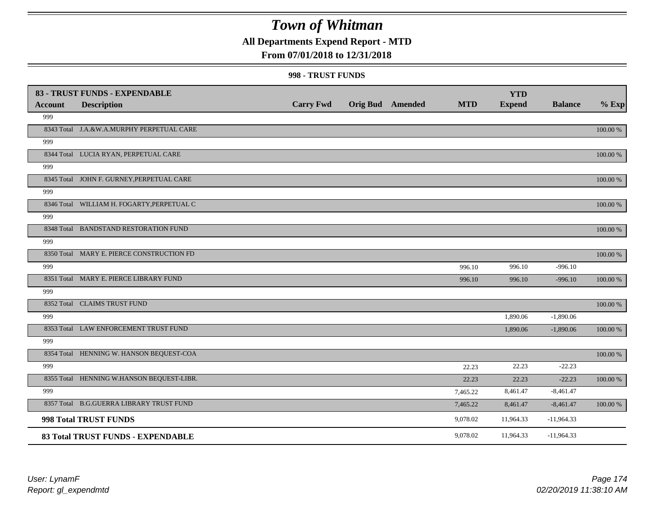## **All Departments Expend Report - MTD**

### **From 07/01/2018 to 12/31/2018**

#### **998 - TRUST FUNDS**

| <b>Account</b> | 83 - TRUST FUNDS - EXPENDABLE<br><b>Description</b> | <b>Carry Fwd</b> | <b>Orig Bud</b> Amended | <b>MTD</b> | <b>YTD</b><br><b>Expend</b> | <b>Balance</b> | $%$ Exp     |
|----------------|-----------------------------------------------------|------------------|-------------------------|------------|-----------------------------|----------------|-------------|
| 999            |                                                     |                  |                         |            |                             |                |             |
|                |                                                     |                  |                         |            |                             |                |             |
|                | 8343 Total J.A.&W.A.MURPHY PERPETUAL CARE           |                  |                         |            |                             |                | 100.00 %    |
| 999            |                                                     |                  |                         |            |                             |                |             |
|                | 8344 Total LUCIA RYAN, PERPETUAL CARE               |                  |                         |            |                             |                | 100.00 %    |
| 999            |                                                     |                  |                         |            |                             |                |             |
|                | 8345 Total JOHN F. GURNEY, PERPETUAL CARE           |                  |                         |            |                             |                | 100.00 %    |
| 999            |                                                     |                  |                         |            |                             |                |             |
|                | 8346 Total WILLIAM H. FOGARTY, PERPETUAL C          |                  |                         |            |                             |                | $100.00~\%$ |
| 999            |                                                     |                  |                         |            |                             |                |             |
|                | 8348 Total BANDSTAND RESTORATION FUND               |                  |                         |            |                             |                | 100.00 %    |
| 999            |                                                     |                  |                         |            |                             |                |             |
|                | 8350 Total MARY E. PIERCE CONSTRUCTION FD           |                  |                         |            |                             |                | 100.00 %    |
| 999            |                                                     |                  |                         | 996.10     | 996.10                      | $-996.10$      |             |
|                | 8351 Total MARY E. PIERCE LIBRARY FUND              |                  |                         | 996.10     | 996.10                      | $-996.10$      | 100.00 %    |
| 999            |                                                     |                  |                         |            |                             |                |             |
|                | 8352 Total CLAIMS TRUST FUND                        |                  |                         |            |                             |                | 100.00 %    |
| 999            |                                                     |                  |                         |            | 1,890.06                    | $-1,890.06$    |             |
|                | 8353 Total LAW ENFORCEMENT TRUST FUND               |                  |                         |            | 1,890.06                    | $-1,890.06$    | $100.00~\%$ |
| 999            |                                                     |                  |                         |            |                             |                |             |
|                | 8354 Total HENNING W. HANSON BEQUEST-COA            |                  |                         |            |                             |                | 100.00 %    |
| 999            |                                                     |                  |                         | 22.23      | 22.23                       | $-22.23$       |             |
|                | 8355 Total HENNING W.HANSON BEQUEST-LIBR.           |                  |                         | 22.23      | 22.23                       | $-22.23$       | 100.00 %    |
| 999            |                                                     |                  |                         | 7,465.22   | 8,461.47                    | $-8,461.47$    |             |
|                | 8357 Total B.G.GUERRA LIBRARY TRUST FUND            |                  |                         | 7,465.22   | 8,461.47                    | $-8,461.47$    | 100.00 %    |
|                | 998 Total TRUST FUNDS                               |                  |                         | 9,078.02   | 11,964.33                   | $-11,964.33$   |             |
|                | 83 Total TRUST FUNDS - EXPENDABLE                   |                  |                         | 9,078.02   | 11,964.33                   | $-11,964.33$   |             |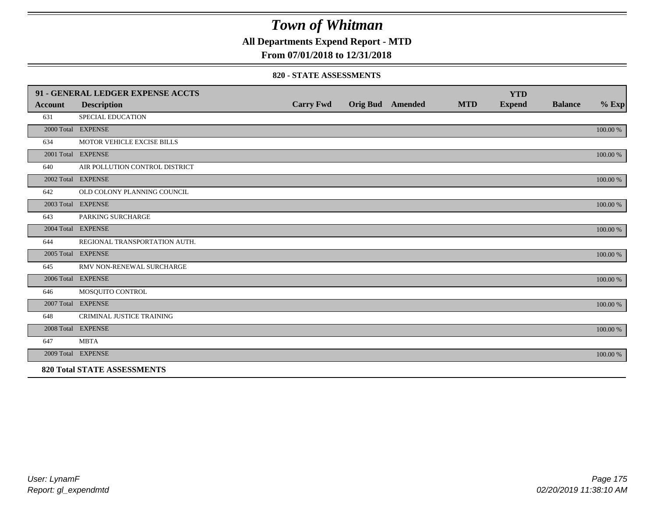**All Departments Expend Report - MTD**

### **From 07/01/2018 to 12/31/2018**

#### **820 - STATE ASSESSMENTS**

|                | 91 - GENERAL LEDGER EXPENSE ACCTS  |                  |                         |            | <b>YTD</b>    |                |          |
|----------------|------------------------------------|------------------|-------------------------|------------|---------------|----------------|----------|
| <b>Account</b> | <b>Description</b>                 | <b>Carry Fwd</b> | <b>Orig Bud Amended</b> | <b>MTD</b> | <b>Expend</b> | <b>Balance</b> | $%$ Exp  |
| 631            | SPECIAL EDUCATION                  |                  |                         |            |               |                |          |
|                | 2000 Total EXPENSE                 |                  |                         |            |               |                | 100.00 % |
| 634            | MOTOR VEHICLE EXCISE BILLS         |                  |                         |            |               |                |          |
|                | 2001 Total EXPENSE                 |                  |                         |            |               |                | 100.00 % |
| 640            | AIR POLLUTION CONTROL DISTRICT     |                  |                         |            |               |                |          |
|                | 2002 Total EXPENSE                 |                  |                         |            |               |                | 100.00 % |
| 642            | OLD COLONY PLANNING COUNCIL        |                  |                         |            |               |                |          |
|                | 2003 Total EXPENSE                 |                  |                         |            |               |                | 100.00 % |
| 643            | PARKING SURCHARGE                  |                  |                         |            |               |                |          |
|                | 2004 Total EXPENSE                 |                  |                         |            |               |                | 100.00 % |
| 644            | REGIONAL TRANSPORTATION AUTH.      |                  |                         |            |               |                |          |
|                | 2005 Total EXPENSE                 |                  |                         |            |               |                | 100.00 % |
| 645            | RMV NON-RENEWAL SURCHARGE          |                  |                         |            |               |                |          |
|                | 2006 Total EXPENSE                 |                  |                         |            |               |                | 100.00 % |
| 646            | MOSQUITO CONTROL                   |                  |                         |            |               |                |          |
|                | 2007 Total EXPENSE                 |                  |                         |            |               |                | 100.00 % |
| 648            | CRIMINAL JUSTICE TRAINING          |                  |                         |            |               |                |          |
|                | 2008 Total EXPENSE                 |                  |                         |            |               |                | 100.00 % |
| 647            | <b>MBTA</b>                        |                  |                         |            |               |                |          |
|                | 2009 Total EXPENSE                 |                  |                         |            |               |                | 100.00 % |
|                | <b>820 Total STATE ASSESSMENTS</b> |                  |                         |            |               |                |          |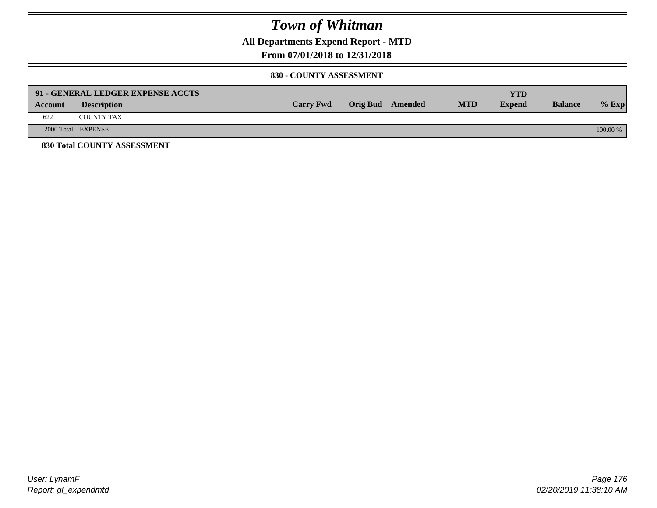**All Departments Expend Report - MTD**

### **From 07/01/2018 to 12/31/2018**

#### **830 - COUNTY ASSESSMENT**

|         | 91 - GENERAL LEDGER EXPENSE ACCTS |                  |                         |            | YTD           |                |            |
|---------|-----------------------------------|------------------|-------------------------|------------|---------------|----------------|------------|
| Account | <b>Description</b>                | <b>Carry Fwd</b> | <b>Orig Bud</b> Amended | <b>MTD</b> | <b>Expend</b> | <b>Balance</b> | $%$ Exp    |
| 622     | <b>COUNTY TAX</b>                 |                  |                         |            |               |                |            |
|         | 2000 Total EXPENSE                |                  |                         |            |               |                | $100.00\%$ |
|         | 830 Total COUNTY ASSESSMENT       |                  |                         |            |               |                |            |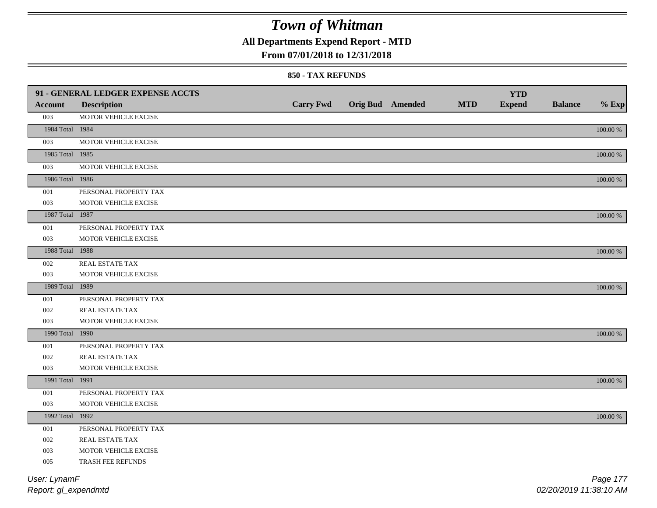**All Departments Expend Report - MTD**

### **From 07/01/2018 to 12/31/2018**

#### **850 - TAX REFUNDS**

|                 | 91 - GENERAL LEDGER EXPENSE ACCTS |                  |                         |            | <b>YTD</b>    |                |             |
|-----------------|-----------------------------------|------------------|-------------------------|------------|---------------|----------------|-------------|
| <b>Account</b>  | <b>Description</b>                | <b>Carry Fwd</b> | <b>Orig Bud Amended</b> | <b>MTD</b> | <b>Expend</b> | <b>Balance</b> | $%$ Exp     |
| 003             | MOTOR VEHICLE EXCISE              |                  |                         |            |               |                |             |
| 1984 Total 1984 |                                   |                  |                         |            |               |                | $100.00~\%$ |
| 003             | MOTOR VEHICLE EXCISE              |                  |                         |            |               |                |             |
| 1985 Total 1985 |                                   |                  |                         |            |               |                | 100.00 %    |
| 003             | MOTOR VEHICLE EXCISE              |                  |                         |            |               |                |             |
| 1986 Total 1986 |                                   |                  |                         |            |               |                | $100.00~\%$ |
| 001             | PERSONAL PROPERTY TAX             |                  |                         |            |               |                |             |
| 003             | MOTOR VEHICLE EXCISE              |                  |                         |            |               |                |             |
| 1987 Total 1987 |                                   |                  |                         |            |               |                | $100.00~\%$ |
| 001             | PERSONAL PROPERTY TAX             |                  |                         |            |               |                |             |
| 003             | MOTOR VEHICLE EXCISE              |                  |                         |            |               |                |             |
| 1988 Total 1988 |                                   |                  |                         |            |               |                | 100.00 %    |
| 002             | REAL ESTATE TAX                   |                  |                         |            |               |                |             |
| 003             | MOTOR VEHICLE EXCISE              |                  |                         |            |               |                |             |
| 1989 Total 1989 |                                   |                  |                         |            |               |                | 100.00 %    |
| 001             | PERSONAL PROPERTY TAX             |                  |                         |            |               |                |             |
| 002             | REAL ESTATE TAX                   |                  |                         |            |               |                |             |
| 003             | MOTOR VEHICLE EXCISE              |                  |                         |            |               |                |             |
| 1990 Total 1990 |                                   |                  |                         |            |               |                | 100.00 %    |
| 001             | PERSONAL PROPERTY TAX             |                  |                         |            |               |                |             |
| 002             | REAL ESTATE TAX                   |                  |                         |            |               |                |             |
| 003             | MOTOR VEHICLE EXCISE              |                  |                         |            |               |                |             |
| 1991 Total 1991 |                                   |                  |                         |            |               |                | 100.00 %    |
| 001             | PERSONAL PROPERTY TAX             |                  |                         |            |               |                |             |
| 003             | MOTOR VEHICLE EXCISE              |                  |                         |            |               |                |             |
| 1992 Total 1992 |                                   |                  |                         |            |               |                | 100.00 %    |
| 001             | PERSONAL PROPERTY TAX             |                  |                         |            |               |                |             |
| 002             | REAL ESTATE TAX                   |                  |                         |            |               |                |             |
| 003             | MOTOR VEHICLE EXCISE              |                  |                         |            |               |                |             |
| 005             | TRASH FEE REFUNDS                 |                  |                         |            |               |                |             |
| User: LynamF    |                                   |                  |                         |            |               |                | Page 177    |

*Report: gl\_expendmtd*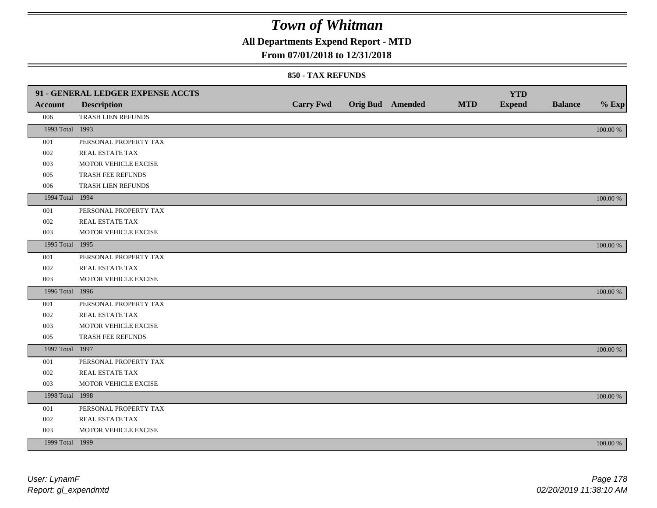## **All Departments Expend Report - MTD**

### **From 07/01/2018 to 12/31/2018**

|                 | 91 - GENERAL LEDGER EXPENSE ACCTS |                  |                  |            | <b>YTD</b>    |                |             |
|-----------------|-----------------------------------|------------------|------------------|------------|---------------|----------------|-------------|
| <b>Account</b>  | <b>Description</b>                | <b>Carry Fwd</b> | Orig Bud Amended | <b>MTD</b> | <b>Expend</b> | <b>Balance</b> | $%$ Exp     |
| 006             | TRASH LIEN REFUNDS                |                  |                  |            |               |                |             |
| 1993 Total 1993 |                                   |                  |                  |            |               |                | $100.00~\%$ |
| 001             | PERSONAL PROPERTY TAX             |                  |                  |            |               |                |             |
| 002             | REAL ESTATE TAX                   |                  |                  |            |               |                |             |
| 003             | MOTOR VEHICLE EXCISE              |                  |                  |            |               |                |             |
| 005             | TRASH FEE REFUNDS                 |                  |                  |            |               |                |             |
| 006             | TRASH LIEN REFUNDS                |                  |                  |            |               |                |             |
| 1994 Total 1994 |                                   |                  |                  |            |               |                | 100.00 %    |
| 001             | PERSONAL PROPERTY TAX             |                  |                  |            |               |                |             |
| 002             | REAL ESTATE TAX                   |                  |                  |            |               |                |             |
| 003             | MOTOR VEHICLE EXCISE              |                  |                  |            |               |                |             |
| 1995 Total 1995 |                                   |                  |                  |            |               |                | 100.00 %    |
| 001             | PERSONAL PROPERTY TAX             |                  |                  |            |               |                |             |
| 002             | REAL ESTATE TAX                   |                  |                  |            |               |                |             |
| 003             | MOTOR VEHICLE EXCISE              |                  |                  |            |               |                |             |
| 1996 Total 1996 |                                   |                  |                  |            |               |                | 100.00 %    |
| 001             | PERSONAL PROPERTY TAX             |                  |                  |            |               |                |             |
| 002             | REAL ESTATE TAX                   |                  |                  |            |               |                |             |
| 003             | MOTOR VEHICLE EXCISE              |                  |                  |            |               |                |             |
| 005             | TRASH FEE REFUNDS                 |                  |                  |            |               |                |             |
| 1997 Total 1997 |                                   |                  |                  |            |               |                | 100.00 %    |
| 001             | PERSONAL PROPERTY TAX             |                  |                  |            |               |                |             |
| 002             | REAL ESTATE TAX                   |                  |                  |            |               |                |             |
| 003             | MOTOR VEHICLE EXCISE              |                  |                  |            |               |                |             |
| 1998 Total 1998 |                                   |                  |                  |            |               |                | 100.00 %    |
| 001             | PERSONAL PROPERTY TAX             |                  |                  |            |               |                |             |
| 002             | REAL ESTATE TAX                   |                  |                  |            |               |                |             |
| 003             | MOTOR VEHICLE EXCISE              |                  |                  |            |               |                |             |
| 1999 Total 1999 |                                   |                  |                  |            |               |                | 100.00 %    |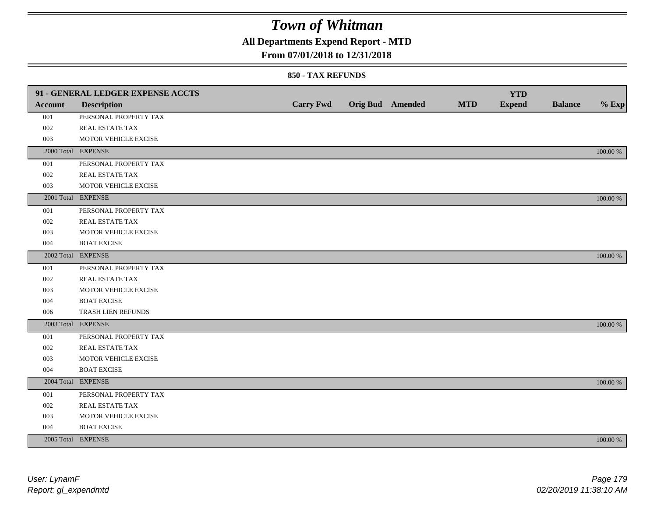## **All Departments Expend Report - MTD**

### **From 07/01/2018 to 12/31/2018**

|                | 91 - GENERAL LEDGER EXPENSE ACCTS |                  |                         |            | <b>YTD</b>    |                |             |
|----------------|-----------------------------------|------------------|-------------------------|------------|---------------|----------------|-------------|
| <b>Account</b> | <b>Description</b>                | <b>Carry Fwd</b> | <b>Orig Bud</b> Amended | <b>MTD</b> | <b>Expend</b> | <b>Balance</b> | $%$ Exp     |
| 001            | PERSONAL PROPERTY TAX             |                  |                         |            |               |                |             |
| 002            | <b>REAL ESTATE TAX</b>            |                  |                         |            |               |                |             |
| 003            | MOTOR VEHICLE EXCISE              |                  |                         |            |               |                |             |
|                | 2000 Total EXPENSE                |                  |                         |            |               |                | 100.00 %    |
| 001            | PERSONAL PROPERTY TAX             |                  |                         |            |               |                |             |
| 002            | REAL ESTATE TAX                   |                  |                         |            |               |                |             |
| 003            | MOTOR VEHICLE EXCISE              |                  |                         |            |               |                |             |
|                | 2001 Total EXPENSE                |                  |                         |            |               |                | 100.00 %    |
| 001            | PERSONAL PROPERTY TAX             |                  |                         |            |               |                |             |
| 002            | REAL ESTATE TAX                   |                  |                         |            |               |                |             |
| 003            | MOTOR VEHICLE EXCISE              |                  |                         |            |               |                |             |
| 004            | <b>BOAT EXCISE</b>                |                  |                         |            |               |                |             |
|                | 2002 Total EXPENSE                |                  |                         |            |               |                | 100.00 %    |
| 001            | PERSONAL PROPERTY TAX             |                  |                         |            |               |                |             |
| 002            | REAL ESTATE TAX                   |                  |                         |            |               |                |             |
| 003            | MOTOR VEHICLE EXCISE              |                  |                         |            |               |                |             |
| 004            | <b>BOAT EXCISE</b>                |                  |                         |            |               |                |             |
| 006            | TRASH LIEN REFUNDS                |                  |                         |            |               |                |             |
|                | 2003 Total EXPENSE                |                  |                         |            |               |                | 100.00 %    |
| 001            | PERSONAL PROPERTY TAX             |                  |                         |            |               |                |             |
| 002            | REAL ESTATE TAX                   |                  |                         |            |               |                |             |
| 003            | MOTOR VEHICLE EXCISE              |                  |                         |            |               |                |             |
| 004            | <b>BOAT EXCISE</b>                |                  |                         |            |               |                |             |
|                | 2004 Total EXPENSE                |                  |                         |            |               |                | 100.00 %    |
| 001            | PERSONAL PROPERTY TAX             |                  |                         |            |               |                |             |
| 002            | REAL ESTATE TAX                   |                  |                         |            |               |                |             |
| 003            | MOTOR VEHICLE EXCISE              |                  |                         |            |               |                |             |
| 004            | <b>BOAT EXCISE</b>                |                  |                         |            |               |                |             |
|                | 2005 Total EXPENSE                |                  |                         |            |               |                | $100.00~\%$ |
|                |                                   |                  |                         |            |               |                |             |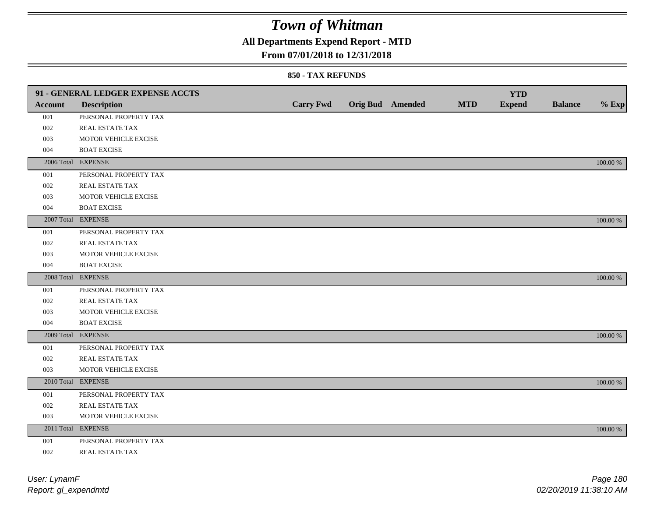## **All Departments Expend Report - MTD**

### **From 07/01/2018 to 12/31/2018**

|         | 91 - GENERAL LEDGER EXPENSE ACCTS |                  |                         |            | <b>YTD</b>    |                |             |
|---------|-----------------------------------|------------------|-------------------------|------------|---------------|----------------|-------------|
| Account | <b>Description</b>                | <b>Carry Fwd</b> | <b>Orig Bud</b> Amended | <b>MTD</b> | <b>Expend</b> | <b>Balance</b> | $%$ Exp     |
| 001     | PERSONAL PROPERTY TAX             |                  |                         |            |               |                |             |
| 002     | REAL ESTATE TAX                   |                  |                         |            |               |                |             |
| 003     | MOTOR VEHICLE EXCISE              |                  |                         |            |               |                |             |
| 004     | <b>BOAT EXCISE</b>                |                  |                         |            |               |                |             |
|         | 2006 Total EXPENSE                |                  |                         |            |               |                | 100.00 %    |
| 001     | PERSONAL PROPERTY TAX             |                  |                         |            |               |                |             |
| 002     | REAL ESTATE TAX                   |                  |                         |            |               |                |             |
| 003     | MOTOR VEHICLE EXCISE              |                  |                         |            |               |                |             |
| 004     | <b>BOAT EXCISE</b>                |                  |                         |            |               |                |             |
|         | 2007 Total EXPENSE                |                  |                         |            |               |                | 100.00 %    |
| 001     | PERSONAL PROPERTY TAX             |                  |                         |            |               |                |             |
| 002     | REAL ESTATE TAX                   |                  |                         |            |               |                |             |
| 003     | MOTOR VEHICLE EXCISE              |                  |                         |            |               |                |             |
| 004     | <b>BOAT EXCISE</b>                |                  |                         |            |               |                |             |
|         | 2008 Total EXPENSE                |                  |                         |            |               |                | 100.00 %    |
| 001     | PERSONAL PROPERTY TAX             |                  |                         |            |               |                |             |
| 002     | <b>REAL ESTATE TAX</b>            |                  |                         |            |               |                |             |
| 003     | MOTOR VEHICLE EXCISE              |                  |                         |            |               |                |             |
| 004     | <b>BOAT EXCISE</b>                |                  |                         |            |               |                |             |
|         | 2009 Total EXPENSE                |                  |                         |            |               |                | 100.00 %    |
| 001     | PERSONAL PROPERTY TAX             |                  |                         |            |               |                |             |
| 002     | REAL ESTATE TAX                   |                  |                         |            |               |                |             |
| 003     | MOTOR VEHICLE EXCISE              |                  |                         |            |               |                |             |
|         | 2010 Total EXPENSE                |                  |                         |            |               |                | 100.00 %    |
| 001     | PERSONAL PROPERTY TAX             |                  |                         |            |               |                |             |
| 002     | REAL ESTATE TAX                   |                  |                         |            |               |                |             |
| 003     | MOTOR VEHICLE EXCISE              |                  |                         |            |               |                |             |
|         | 2011 Total EXPENSE                |                  |                         |            |               |                | $100.00~\%$ |
| 001     | PERSONAL PROPERTY TAX             |                  |                         |            |               |                |             |
| 002     | REAL ESTATE TAX                   |                  |                         |            |               |                |             |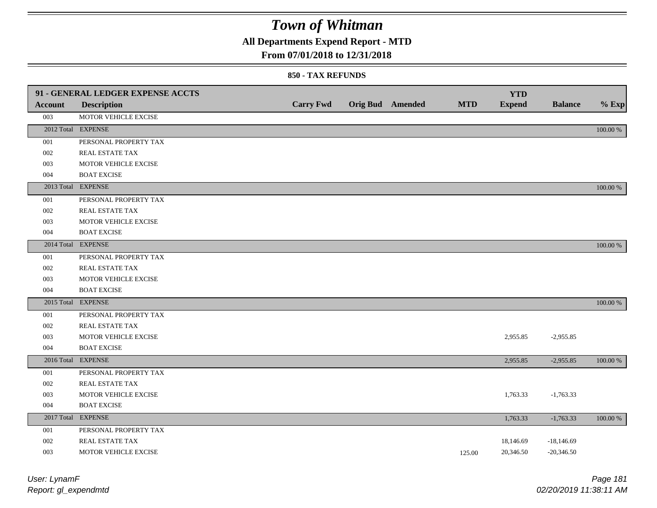### **All Departments Expend Report - MTD**

### **From 07/01/2018 to 12/31/2018**

#### **850 - TAX REFUNDS**

|                | 91 - GENERAL LEDGER EXPENSE ACCTS |                  |                         |            | <b>YTD</b>    |                |          |
|----------------|-----------------------------------|------------------|-------------------------|------------|---------------|----------------|----------|
| <b>Account</b> | <b>Description</b>                | <b>Carry Fwd</b> | <b>Orig Bud</b> Amended | <b>MTD</b> | <b>Expend</b> | <b>Balance</b> | $%$ Exp  |
| 003            | MOTOR VEHICLE EXCISE              |                  |                         |            |               |                |          |
|                | 2012 Total EXPENSE                |                  |                         |            |               |                | 100.00 % |
| 001            | PERSONAL PROPERTY TAX             |                  |                         |            |               |                |          |
| 002            | REAL ESTATE TAX                   |                  |                         |            |               |                |          |
| 003            | MOTOR VEHICLE EXCISE              |                  |                         |            |               |                |          |
| 004            | <b>BOAT EXCISE</b>                |                  |                         |            |               |                |          |
|                | 2013 Total EXPENSE                |                  |                         |            |               |                | 100.00 % |
| 001            | PERSONAL PROPERTY TAX             |                  |                         |            |               |                |          |
| 002            | REAL ESTATE TAX                   |                  |                         |            |               |                |          |
| 003            | MOTOR VEHICLE EXCISE              |                  |                         |            |               |                |          |
| 004            | <b>BOAT EXCISE</b>                |                  |                         |            |               |                |          |
|                | 2014 Total EXPENSE                |                  |                         |            |               |                | 100.00 % |
| 001            | PERSONAL PROPERTY TAX             |                  |                         |            |               |                |          |
| 002            | <b>REAL ESTATE TAX</b>            |                  |                         |            |               |                |          |
| 003            | MOTOR VEHICLE EXCISE              |                  |                         |            |               |                |          |
| 004            | <b>BOAT EXCISE</b>                |                  |                         |            |               |                |          |
|                | 2015 Total EXPENSE                |                  |                         |            |               |                | 100.00 % |
| 001            | PERSONAL PROPERTY TAX             |                  |                         |            |               |                |          |
| 002            | REAL ESTATE TAX                   |                  |                         |            |               |                |          |
| 003            | MOTOR VEHICLE EXCISE              |                  |                         |            | 2,955.85      | $-2,955.85$    |          |
| 004            | <b>BOAT EXCISE</b>                |                  |                         |            |               |                |          |
|                | 2016 Total EXPENSE                |                  |                         |            | 2,955.85      | $-2,955.85$    | 100.00 % |
| 001            | PERSONAL PROPERTY TAX             |                  |                         |            |               |                |          |
| 002            | REAL ESTATE TAX                   |                  |                         |            |               |                |          |
| 003            | MOTOR VEHICLE EXCISE              |                  |                         |            | 1,763.33      | $-1,763.33$    |          |
| 004            | <b>BOAT EXCISE</b>                |                  |                         |            |               |                |          |
|                | 2017 Total EXPENSE                |                  |                         |            | 1,763.33      | $-1,763.33$    | 100.00 % |
| 001            | PERSONAL PROPERTY TAX             |                  |                         |            |               |                |          |
| 002            | REAL ESTATE TAX                   |                  |                         |            | 18,146.69     | $-18,146.69$   |          |
| 003            | MOTOR VEHICLE EXCISE              |                  |                         | 125.00     | 20,346.50     | $-20,346.50$   |          |

| User: LynamF         |  |
|----------------------|--|
| Report: gl_expendmtd |  |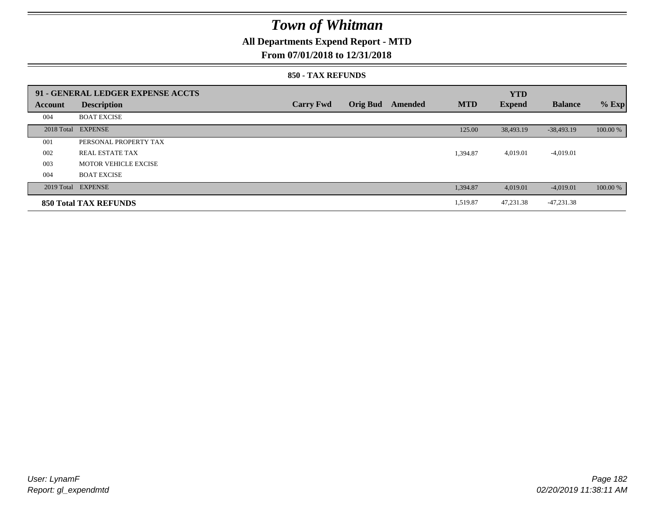### **All Departments Expend Report - MTD**

### **From 07/01/2018 to 12/31/2018**

#### **850 - TAX REFUNDS**

|         | 91 - GENERAL LEDGER EXPENSE ACCTS |                  |                 |         |            | <b>YTD</b>    |                |          |
|---------|-----------------------------------|------------------|-----------------|---------|------------|---------------|----------------|----------|
| Account | <b>Description</b>                | <b>Carry Fwd</b> | <b>Orig Bud</b> | Amended | <b>MTD</b> | <b>Expend</b> | <b>Balance</b> | $%$ Exp  |
| 004     | <b>BOAT EXCISE</b>                |                  |                 |         |            |               |                |          |
|         | 2018 Total EXPENSE                |                  |                 |         | 125.00     | 38,493.19     | $-38,493.19$   | 100.00 % |
| 001     | PERSONAL PROPERTY TAX             |                  |                 |         |            |               |                |          |
| 002     | <b>REAL ESTATE TAX</b>            |                  |                 |         | 1,394.87   | 4,019.01      | $-4,019.01$    |          |
| 003     | MOTOR VEHICLE EXCISE              |                  |                 |         |            |               |                |          |
| 004     | <b>BOAT EXCISE</b>                |                  |                 |         |            |               |                |          |
|         | 2019 Total EXPENSE                |                  |                 |         | 1,394.87   | 4.019.01      | $-4,019.01$    | 100.00 % |
|         | <b>850 Total TAX REFUNDS</b>      |                  |                 |         | 1,519.87   | 47.231.38     | $-47,231.38$   |          |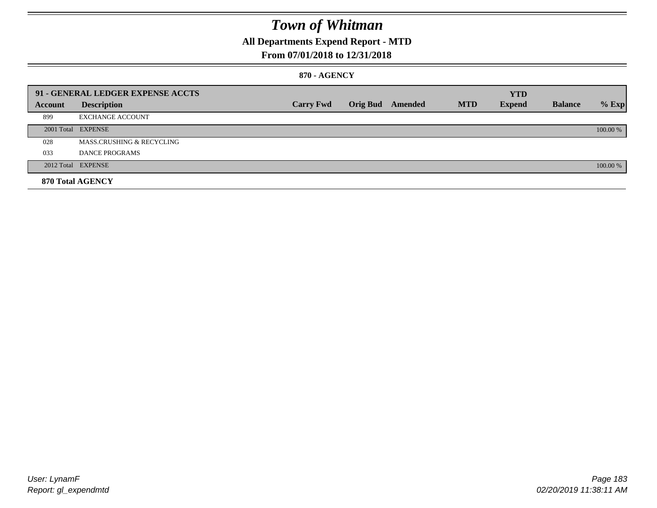### **All Departments Expend Report - MTD**

### **From 07/01/2018 to 12/31/2018**

#### **870 - AGENCY**

|         | 91 - GENERAL LEDGER EXPENSE ACCTS |                  |                 |         |            | <b>YTD</b>    |                |          |
|---------|-----------------------------------|------------------|-----------------|---------|------------|---------------|----------------|----------|
| Account | <b>Description</b>                | <b>Carry Fwd</b> | <b>Orig Bud</b> | Amended | <b>MTD</b> | <b>Expend</b> | <b>Balance</b> | $%$ Exp  |
| 899     | <b>EXCHANGE ACCOUNT</b>           |                  |                 |         |            |               |                |          |
|         | 2001 Total EXPENSE                |                  |                 |         |            |               |                | 100.00 % |
| 028     | MASS.CRUSHING & RECYCLING         |                  |                 |         |            |               |                |          |
| 033     | DANCE PROGRAMS                    |                  |                 |         |            |               |                |          |
|         | 2012 Total EXPENSE                |                  |                 |         |            |               |                | 100.00 % |
|         | 870 Total AGENCY                  |                  |                 |         |            |               |                |          |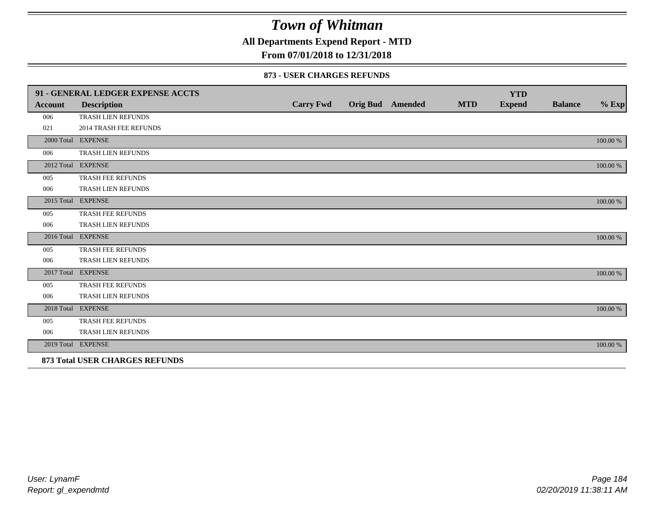**All Departments Expend Report - MTD**

### **From 07/01/2018 to 12/31/2018**

#### **873 - USER CHARGES REFUNDS**

|                | 91 - GENERAL LEDGER EXPENSE ACCTS     |                  |                         |            | <b>YTD</b>    |                |          |
|----------------|---------------------------------------|------------------|-------------------------|------------|---------------|----------------|----------|
| <b>Account</b> | <b>Description</b>                    | <b>Carry Fwd</b> | <b>Orig Bud</b> Amended | <b>MTD</b> | <b>Expend</b> | <b>Balance</b> | $%$ Exp  |
| 006            | <b>TRASH LIEN REFUNDS</b>             |                  |                         |            |               |                |          |
| 021            | 2014 TRASH FEE REFUNDS                |                  |                         |            |               |                |          |
|                | 2000 Total EXPENSE                    |                  |                         |            |               |                | 100.00 % |
| 006            | TRASH LIEN REFUNDS                    |                  |                         |            |               |                |          |
|                | 2012 Total EXPENSE                    |                  |                         |            |               |                | 100.00 % |
| 005            | TRASH FEE REFUNDS                     |                  |                         |            |               |                |          |
| 006            | TRASH LIEN REFUNDS                    |                  |                         |            |               |                |          |
|                | 2015 Total EXPENSE                    |                  |                         |            |               |                | 100.00 % |
| 005            | <b>TRASH FEE REFUNDS</b>              |                  |                         |            |               |                |          |
| 006            | TRASH LIEN REFUNDS                    |                  |                         |            |               |                |          |
|                | 2016 Total EXPENSE                    |                  |                         |            |               |                | 100.00 % |
| 005            | TRASH FEE REFUNDS                     |                  |                         |            |               |                |          |
| 006            | TRASH LIEN REFUNDS                    |                  |                         |            |               |                |          |
|                | 2017 Total EXPENSE                    |                  |                         |            |               |                | 100.00 % |
| 005            | <b>TRASH FEE REFUNDS</b>              |                  |                         |            |               |                |          |
| 006            | TRASH LIEN REFUNDS                    |                  |                         |            |               |                |          |
| 2018 Total     | <b>EXPENSE</b>                        |                  |                         |            |               |                | 100.00 % |
| 005            | TRASH FEE REFUNDS                     |                  |                         |            |               |                |          |
| 006            | TRASH LIEN REFUNDS                    |                  |                         |            |               |                |          |
|                | 2019 Total EXPENSE                    |                  |                         |            |               |                | 100.00 % |
|                | <b>873 Total USER CHARGES REFUNDS</b> |                  |                         |            |               |                |          |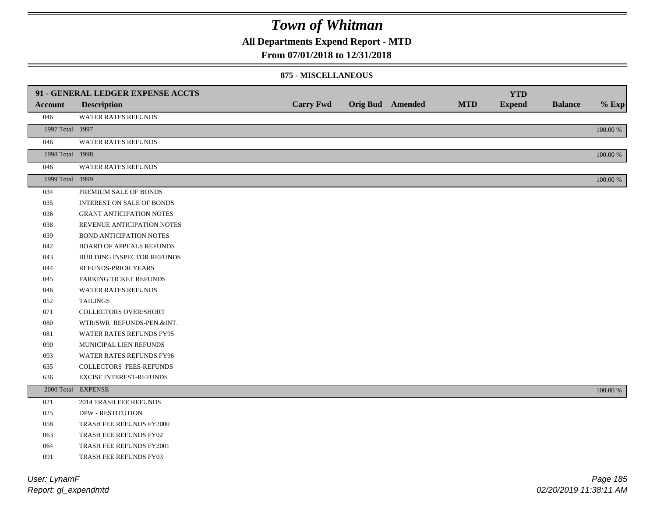**All Departments Expend Report - MTD**

#### **From 07/01/2018 to 12/31/2018**

#### **875 - MISCELLANEOUS**

|                 | 91 - GENERAL LEDGER EXPENSE ACCTS |                  |                         |            | <b>YTD</b>    |                |             |
|-----------------|-----------------------------------|------------------|-------------------------|------------|---------------|----------------|-------------|
| <b>Account</b>  | <b>Description</b>                | <b>Carry Fwd</b> | <b>Orig Bud</b> Amended | <b>MTD</b> | <b>Expend</b> | <b>Balance</b> | $%$ Exp     |
| 046             | WATER RATES REFUNDS               |                  |                         |            |               |                |             |
| 1997 Total 1997 |                                   |                  |                         |            |               |                | $100.00~\%$ |
| 046             | <b>WATER RATES REFUNDS</b>        |                  |                         |            |               |                |             |
| 1998 Total 1998 |                                   |                  |                         |            |               |                | 100.00 %    |
| 046             | WATER RATES REFUNDS               |                  |                         |            |               |                |             |
| 1999 Total 1999 |                                   |                  |                         |            |               |                | $100.00~\%$ |
| 034             | PREMIUM SALE OF BONDS             |                  |                         |            |               |                |             |
| 035             | <b>INTEREST ON SALE OF BONDS</b>  |                  |                         |            |               |                |             |
| 036             | <b>GRANT ANTICIPATION NOTES</b>   |                  |                         |            |               |                |             |
| 038             | REVENUE ANTICIPATION NOTES        |                  |                         |            |               |                |             |
| 039             | <b>BOND ANTICIPATION NOTES</b>    |                  |                         |            |               |                |             |
| 042             | <b>BOARD OF APPEALS REFUNDS</b>   |                  |                         |            |               |                |             |
| 043             | BUILDING INSPECTOR REFUNDS        |                  |                         |            |               |                |             |
| 044             | REFUNDS-PRIOR YEARS               |                  |                         |            |               |                |             |
| 045             | PARKING TICKET REFUNDS            |                  |                         |            |               |                |             |
| 046             | WATER RATES REFUNDS               |                  |                         |            |               |                |             |
| 052             | <b>TAILINGS</b>                   |                  |                         |            |               |                |             |
| 071             | <b>COLLECTORS OVER/SHORT</b>      |                  |                         |            |               |                |             |
| 080             | WTR/SWR REFUNDS-PEN.&INT.         |                  |                         |            |               |                |             |
| 081             | WATER RATES REFUNDS FY95          |                  |                         |            |               |                |             |
| 090             | MUNICIPAL LIEN REFUNDS            |                  |                         |            |               |                |             |
| 093             | WATER RATES REFUNDS FY96          |                  |                         |            |               |                |             |
| 635             | COLLECTORS FEES-REFUNDS           |                  |                         |            |               |                |             |
| 636             | <b>EXCISE INTEREST-REFUNDS</b>    |                  |                         |            |               |                |             |
|                 | 2000 Total EXPENSE                |                  |                         |            |               |                | 100.00 %    |
| 021             | 2014 TRASH FEE REFUNDS            |                  |                         |            |               |                |             |
| 025             | <b>DPW - RESTITUTION</b>          |                  |                         |            |               |                |             |
| 058             | TRASH FEE REFUNDS FY2000          |                  |                         |            |               |                |             |
| 063             | TRASH FEE REFUNDS FY02            |                  |                         |            |               |                |             |
| 064             | TRASH FEE REFUNDS FY2001          |                  |                         |            |               |                |             |
| 091             | TRASH FEE REFUNDS FY03            |                  |                         |            |               |                |             |

*Report: gl\_expendmtd User: LynamF*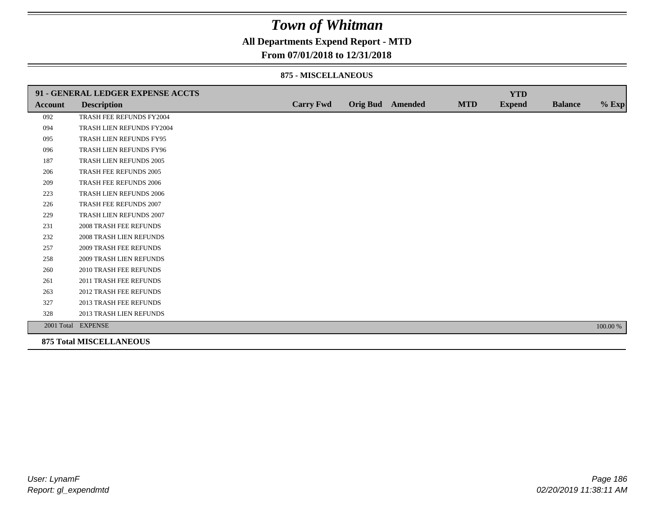**All Departments Expend Report - MTD**

### **From 07/01/2018 to 12/31/2018**

#### **875 - MISCELLANEOUS**

|                | 91 - GENERAL LEDGER EXPENSE ACCTS |                  |                  |            | <b>YTD</b>    |                |          |
|----------------|-----------------------------------|------------------|------------------|------------|---------------|----------------|----------|
| <b>Account</b> | <b>Description</b>                | <b>Carry Fwd</b> | Orig Bud Amended | <b>MTD</b> | <b>Expend</b> | <b>Balance</b> | $%$ Exp  |
| 092            | TRASH FEE REFUNDS FY2004          |                  |                  |            |               |                |          |
| 094            | TRASH LIEN REFUNDS FY2004         |                  |                  |            |               |                |          |
| 095            | TRASH LIEN REFUNDS FY95           |                  |                  |            |               |                |          |
| 096            | TRASH LIEN REFUNDS FY96           |                  |                  |            |               |                |          |
| 187            | TRASH LIEN REFUNDS 2005           |                  |                  |            |               |                |          |
| 206            | TRASH FEE REFUNDS 2005            |                  |                  |            |               |                |          |
| 209            | <b>TRASH FEE REFUNDS 2006</b>     |                  |                  |            |               |                |          |
| 223            | <b>TRASH LIEN REFUNDS 2006</b>    |                  |                  |            |               |                |          |
| 226            | TRASH FEE REFUNDS 2007            |                  |                  |            |               |                |          |
| 229            | TRASH LIEN REFUNDS 2007           |                  |                  |            |               |                |          |
| 231            | <b>2008 TRASH FEE REFUNDS</b>     |                  |                  |            |               |                |          |
| 232            | <b>2008 TRASH LIEN REFUNDS</b>    |                  |                  |            |               |                |          |
| 257            | <b>2009 TRASH FEE REFUNDS</b>     |                  |                  |            |               |                |          |
| 258            | 2009 TRASH LIEN REFUNDS           |                  |                  |            |               |                |          |
| 260            | 2010 TRASH FEE REFUNDS            |                  |                  |            |               |                |          |
| 261            | 2011 TRASH FEE REFUNDS            |                  |                  |            |               |                |          |
| 263            | <b>2012 TRASH FEE REFUNDS</b>     |                  |                  |            |               |                |          |
| 327            | <b>2013 TRASH FEE REFUNDS</b>     |                  |                  |            |               |                |          |
| 328            | 2013 TRASH LIEN REFUNDS           |                  |                  |            |               |                |          |
|                | 2001 Total EXPENSE                |                  |                  |            |               |                | 100.00 % |
|                | <b>875 Total MISCELLANEOUS</b>    |                  |                  |            |               |                |          |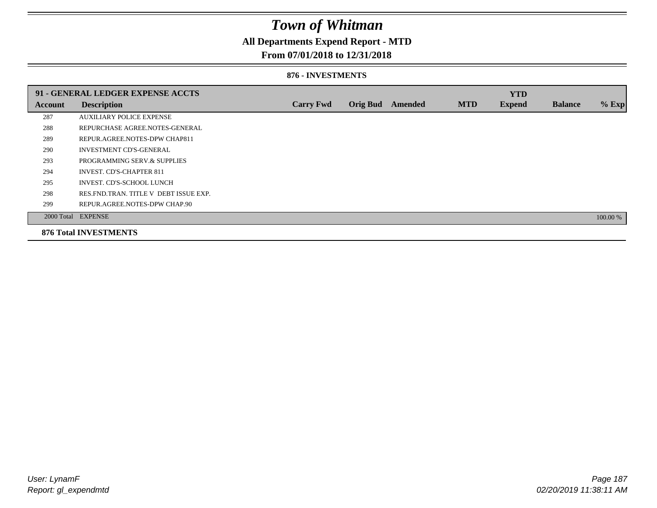### **All Departments Expend Report - MTD**

### **From 07/01/2018 to 12/31/2018**

#### **876 - INVESTMENTS**

|         | 91 - GENERAL LEDGER EXPENSE ACCTS       |                  |                 |         |            | <b>YTD</b>    |                |          |
|---------|-----------------------------------------|------------------|-----------------|---------|------------|---------------|----------------|----------|
| Account | <b>Description</b>                      | <b>Carry Fwd</b> | <b>Orig Bud</b> | Amended | <b>MTD</b> | <b>Expend</b> | <b>Balance</b> | $%$ Exp  |
| 287     | <b>AUXILIARY POLICE EXPENSE</b>         |                  |                 |         |            |               |                |          |
| 288     | REPURCHASE AGREE NOTES-GENERAL          |                  |                 |         |            |               |                |          |
| 289     | REPUR.AGREE.NOTES-DPW CHAP811           |                  |                 |         |            |               |                |          |
| 290     | <b>INVESTMENT CD'S-GENERAL</b>          |                  |                 |         |            |               |                |          |
| 293     | PROGRAMMING SERV.& SUPPLIES             |                  |                 |         |            |               |                |          |
| 294     | <b>INVEST. CD'S-CHAPTER 811</b>         |                  |                 |         |            |               |                |          |
| 295     | INVEST. CD'S-SCHOOL LUNCH               |                  |                 |         |            |               |                |          |
| 298     | RES. FND. TRAN. TITLE V DEBT ISSUE EXP. |                  |                 |         |            |               |                |          |
| 299     | REPUR.AGREE.NOTES-DPW CHAP.90           |                  |                 |         |            |               |                |          |
|         | 2000 Total EXPENSE                      |                  |                 |         |            |               |                | 100.00 % |
|         | <b>876 Total INVESTMENTS</b>            |                  |                 |         |            |               |                |          |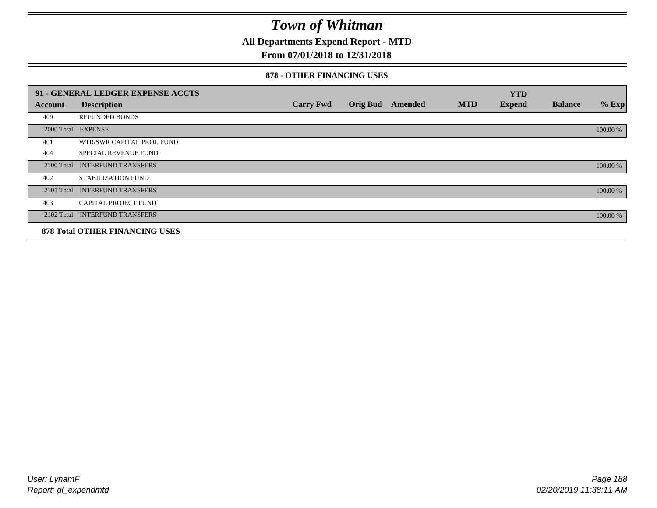**All Departments Expend Report - MTD**

### **From 07/01/2018 to 12/31/2018**

#### **878 - OTHER FINANCING USES**

|                | 91 - GENERAL LEDGER EXPENSE ACCTS     |                  |                 |         |            | <b>YTD</b>    |                |          |
|----------------|---------------------------------------|------------------|-----------------|---------|------------|---------------|----------------|----------|
| <b>Account</b> | <b>Description</b>                    | <b>Carry Fwd</b> | <b>Orig Bud</b> | Amended | <b>MTD</b> | <b>Expend</b> | <b>Balance</b> | $%$ Exp  |
| 409            | <b>REFUNDED BONDS</b>                 |                  |                 |         |            |               |                |          |
| 2000 Total     | <b>EXPENSE</b>                        |                  |                 |         |            |               |                | 100.00 % |
| 401            | WTR/SWR CAPITAL PROJ. FUND            |                  |                 |         |            |               |                |          |
| 404            | <b>SPECIAL REVENUE FUND</b>           |                  |                 |         |            |               |                |          |
| 2100 Total     | <b>INTERFUND TRANSFERS</b>            |                  |                 |         |            |               |                | 100.00 % |
| 402            | <b>STABILIZATION FUND</b>             |                  |                 |         |            |               |                |          |
| 2101 Total     | <b>INTERFUND TRANSFERS</b>            |                  |                 |         |            |               |                | 100.00 % |
| 403            | CAPITAL PROJECT FUND                  |                  |                 |         |            |               |                |          |
| 2102 Total     | <b>INTERFUND TRANSFERS</b>            |                  |                 |         |            |               |                | 100.00 % |
|                | <b>878 Total OTHER FINANCING USES</b> |                  |                 |         |            |               |                |          |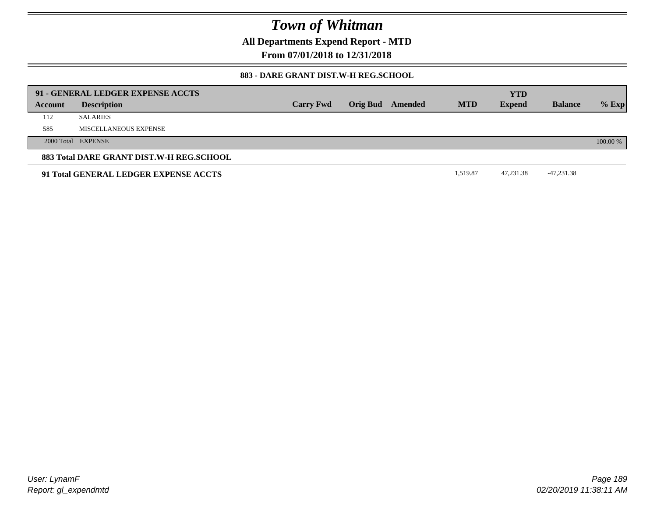**All Departments Expend Report - MTD**

**From 07/01/2018 to 12/31/2018**

### **883 - DARE GRANT DIST.W-H REG.SCHOOL**

|         | 91 - GENERAL LEDGER EXPENSE ACCTS        |                  |                         |            | <b>YTD</b>    |                |          |
|---------|------------------------------------------|------------------|-------------------------|------------|---------------|----------------|----------|
| Account | <b>Description</b>                       | <b>Carry Fwd</b> | <b>Orig Bud</b> Amended | <b>MTD</b> | <b>Expend</b> | <b>Balance</b> | $%$ Exp  |
| 112     | <b>SALARIES</b>                          |                  |                         |            |               |                |          |
| 585     | MISCELLANEOUS EXPENSE                    |                  |                         |            |               |                |          |
|         | 2000 Total EXPENSE                       |                  |                         |            |               |                | 100.00 % |
|         | 883 Total DARE GRANT DIST.W-H REG.SCHOOL |                  |                         |            |               |                |          |
|         | 91 Total GENERAL LEDGER EXPENSE ACCTS    |                  |                         | 1.519.87   | 47.231.38     | -47,231.38     |          |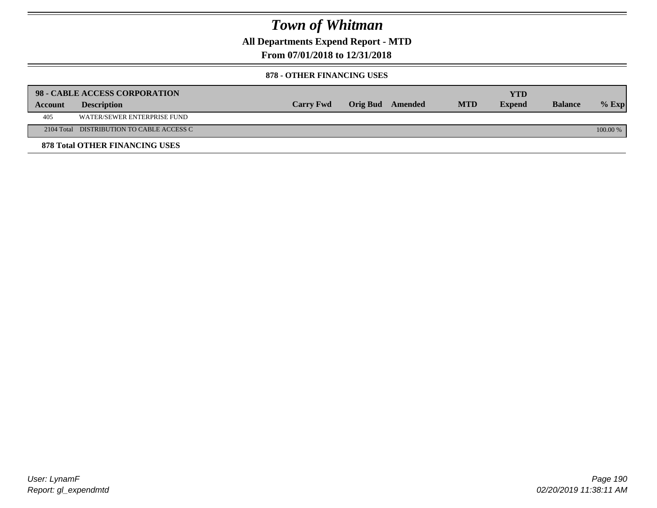**All Departments Expend Report - MTD**

**From 07/01/2018 to 12/31/2018**

#### **878 - OTHER FINANCING USES**

|         | 98 - CABLE ACCESS CORPORATION             |                  |                  |            | YTD           |                |            |
|---------|-------------------------------------------|------------------|------------------|------------|---------------|----------------|------------|
| Account | <b>Description</b>                        | <b>Carry Fwd</b> | Orig Bud Amended | <b>MTD</b> | <b>Expend</b> | <b>Balance</b> | $%$ Exp    |
| 405     | WATER/SEWER ENTERPRISE FUND               |                  |                  |            |               |                |            |
|         | 2104 Total DISTRIBUTION TO CABLE ACCESS C |                  |                  |            |               |                | $100.00\%$ |
|         | <b>878 Total OTHER FINANCING USES</b>     |                  |                  |            |               |                |            |